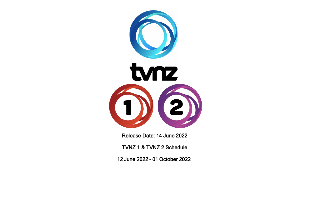

Release Date: 14 June 2022

TVNZ 1 & TVNZ 2 Schedule

12 June 2022 - 01 October 2022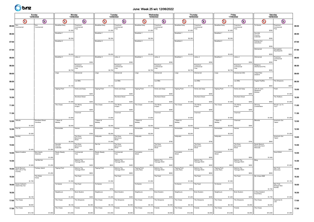# June: Week 25 w/c 12/06/2022

|                         | Sunday<br>12/06/2022                              |          |                                          |                                |                                   | <b>Monday</b><br>13/06/2022     |         |                        |          | Tuesday<br>14/06/2022           |         |                                     |          | Wednesday<br>15/06/2022         |         |                                            |          | Thursday<br>16/06/2022          |         |                                            | Friday<br>17/06/2022 |                                 |         |                                             | Saturday<br>18/06/2022 |                                     |         |       |
|-------------------------|---------------------------------------------------|----------|------------------------------------------|--------------------------------|-----------------------------------|---------------------------------|---------|------------------------|----------|---------------------------------|---------|-------------------------------------|----------|---------------------------------|---------|--------------------------------------------|----------|---------------------------------|---------|--------------------------------------------|----------------------|---------------------------------|---------|---------------------------------------------|------------------------|-------------------------------------|---------|-------|
|                         | $\bm{\mathsf{O}}$                                 |          | $\odot$                                  |                                | $\bullet$                         | $\odot$                         |         | $\bullet$              |          | $\odot$                         |         | $\bm{\mathsf{O}}$                   |          | $\bigcirc$                      |         | $\bm{\mathsf{O}}$                          |          | $\odot$                         |         | $\bm{\mathsf{O}}$                          |                      | $\odot$                         |         | $\bigcirc$                                  |                        | $\odot$                             |         |       |
| 06:00 $\frac{Non}{Con}$ | Commercial                                        |          | Non<br>Commercial                        |                                | <b>Breakfast Early</b><br>\$1,450 | Preschool<br>Commercial<br>Free |         | <b>Breakfast Early</b> | \$1,450  | Preschool<br>Commercial<br>Free |         | <b>Breakfast Early</b>              | \$1,450  | Preschool<br>Commercial<br>Free |         | <b>Breakfast Early</b>                     | \$1,450  | Preschool<br>Commercial<br>Free |         | <b>Breakfast Early</b>                     | \$1,450              | Preschool<br>Commercial<br>Free |         | Te Karere                                   | \$350                  | Preschool<br>Commercial<br>Free     |         | 06:00 |
| 06:30                   |                                                   |          |                                          | Breakfast 1                    | \$2,350                           |                                 |         | Breakfast 1            | \$2,350  |                                 |         | Breakfast 1                         | \$2,350  |                                 |         | Breakfast 1                                | \$2,350  |                                 |         | Breakfast 1                                | \$2,350              |                                 |         | Hyundai<br>Country<br>Calendar              | \$350                  |                                     |         | 06:30 |
| 07:00                   |                                                   |          |                                          | Breakfast 2                    |                                   |                                 |         | Breakfast 2            |          |                                 |         | Breakfast 2                         |          |                                 |         | Breakfast 2                                |          |                                 |         | Breakfast 2                                |                      |                                 |         | <b>Fishing And</b><br>Adventure             | \$350                  |                                     |         | 07:00 |
| 07:30                   |                                                   |          |                                          |                                | \$3,450                           |                                 |         |                        | \$3,450  |                                 |         |                                     | \$3,450  |                                 |         |                                            | \$3,450  |                                 |         |                                            | \$3,450              |                                 |         | Infomercial                                 | \$250                  | Spongebob<br>Squarepants            | \$800   | 07:30 |
| 08:00                   |                                                   |          |                                          | Breakfast 3                    |                                   | Julius Jr                       | \$350   | Breakfast 3            |          | Julius Jr                       | \$350   | Breakfast 3                         |          | Julius Jr                       | \$350   | Breakfast 3                                |          | Julius Jr                       | \$350   | Breakfast 3                                |                      | Julius Jr                       | \$350   | Infomercial                                 | \$250                  | Preschool<br>Commercial<br>Free     |         | 08:00 |
| 08:30                   |                                                   |          |                                          |                                | \$2,750                           | Preschool<br>Commercia<br>Free  |         |                        | \$2,750  | Preschool<br>Commercial<br>Free |         |                                     | \$2,750  | Preschool<br>Commercial<br>Free |         |                                            | \$2,750  | Preschool<br>Commercial<br>Free |         |                                            | \$2,750              | Preschool<br>Commercia<br>Free  |         | Religious<br>Infomercial (FIA)              | \$250                  |                                     |         | 08:30 |
| 09:00                   |                                                   |          |                                          | Lingo                          |                                   | Infomercial                     |         | Lingo                  |          | Infomercial                     |         | Lingo                               |          | Infomercial                     |         | Lingo                                      |          | Infomercial                     |         | Lingo                                      |                      | Infomercial (GS)                |         | I Need New<br>Zealand                       | \$650                  |                                     |         | 09:00 |
| 09:30                   |                                                   |          |                                          |                                | \$1,150                           | Les Mills                       |         |                        | \$1,150  | Les Mills                       |         |                                     | \$1,150  | Les Mills                       |         |                                            | \$1,150  | Les Mills                       |         |                                            | \$1,150              | Les Mills                       |         | Tagata Pasifika                             | \$650                  | The Simpsons                        | \$900   | 09:30 |
| 10:00                   |                                                   |          |                                          | <b>Tipping Point</b>           |                                   | Home and Away                   | \$250   | <b>Tipping Point</b>   |          | Home and Away                   | \$250   | <b>Tipping Point</b>                |          | Home and Away                   | \$250   | <b>Tipping Point</b>                       |          | Home and Away                   | \$250   | <b>Tipping Point</b>                       |                      | Home and Away                   | \$250   | John & Lisa's<br>Weekend<br>Kitchen         |                        | Fresh                               | \$1,500 | 10:00 |
| 10:30                   |                                                   |          |                                          |                                | \$1,400                           | Shortland Street                | \$250   |                        | \$1,400  | Shortland Street                | \$250   |                                     | \$1,400  | Shortland Street                | \$250   |                                            | \$1,400  | Shortland Street                | \$250   |                                            | \$1,400              | Shortland Street                | \$250   |                                             | \$900                  | The Walkers                         | \$1,000 | 10:30 |
| 11:00                   |                                                   |          |                                          | The Chase                      |                                   | The Mindy<br>Project            | \$250   | The Chase              |          | The Mindy<br>Project            | \$250   | The Chase                           |          | The Mindy<br>Project            | \$250   | The Chase                                  |          | The Mindy<br>Project            | \$250   | The Chase                                  |                      | The Mindy<br>Project            | \$250   | Winning<br>Combination                      |                        | Would I Lie To<br>You?              |         | 11:00 |
| 11:30                   |                                                   |          |                                          |                                | \$1,600                           | Charmed                         |         |                        | \$1,600  | Charmed                         |         |                                     | \$1,600  | Charmed                         |         |                                            | \$1,600  | Charmed                         |         |                                            | \$1,600              | Charmed                         |         |                                             | \$1,000                |                                     | \$1,000 | 11:30 |
|                         | 12:00 Attitude                                    | \$1,250  | Shortland Street<br>Omnibus              | 1 News At<br>Midday            | \$2,450                           |                                 | \$400   | 1 News At<br>Midday    | \$2,450  |                                 | \$400   | 1 News At<br>Midday                 | \$2,450  |                                 | \$400   | 1 News At<br>Midday                        | \$2,450  |                                 | \$400   | 1 News At<br>Midday                        | \$2,450              | Charmed                         | \$400   | Miranda                                     |                        | America's Got<br>Talent             |         | 12:00 |
|                         | 12:30 Fair Go                                     | \$1,050  |                                          | Emmerdale                      |                                   | Heroes                          | \$700   | Emmerdale              | \$2,200  | Heroes                          | \$700   | Emmerdale                           | \$2,200  | Heroes                          |         | Emmerdale                                  | \$2,200  | Heroes                          |         | Emmerdale                                  | \$2,200              | Heroes                          |         |                                             |                        |                                     | \$1,050 | 12:30 |
|                         | 13:00 Sunday                                      |          |                                          |                                | \$2,200                           | The Drew<br>Barrymore<br>Show   |         | Hollyoaks              | \$1,050  | The Drew<br>Barrymore<br>Show   |         | Hollyoaks                           |          |                                 | \$700   | Hollyoaks                                  |          |                                 | \$700   | Hollyoaks                                  |                      |                                 | \$700   |                                             | \$900                  | America's Got<br>Talent             |         | 13:00 |
| 13:30                   |                                                   | \$1,400  | \$1,050                                  | Hyundai<br>Country<br>Calendar | \$1,050                           | The Drew<br>Barrymore<br>Show   | \$500   | Fair Go                | \$1,050  | The Drew<br>Barrymore<br>Show   | \$500   |                                     | \$1,050  | The Drew<br>Barrymore<br>Show   |         |                                            | \$1,050  | The Drew<br>Barrymore<br>Show   |         |                                            | \$1,050              | The Drew<br>Barrymore<br>Show   |         | Sarah Beeny's<br>Renovate Don't<br>Relocate |                        |                                     | \$900   | 13:30 |
|                         | 14:00   Space Invaders                            |          | <b>Bob Hearts</b><br>Abishola<br>\$1,050 | Cook                           | Ready Steady                      | Commercia<br>Free               |         | Ready Steady<br>Cook   |          | Commercial<br>Free              |         | Coronation<br>Street                |          |                                 | \$500   | Coronation<br>Street                       |          |                                 | \$500   | Coronation<br>Street                       |                      |                                 | \$500   |                                             | \$1,000                | Good Witch                          |         | 14:00 |
| 14:30                   |                                                   | \$1,600  | Call Me Kat<br>\$1,250                   |                                | \$600                             | Sabrina The<br>Teenage Witch    | \$450   |                        | \$600    | Sabrina The<br>Teenage Witch    | \$450   |                                     | \$600    | Sabrina The<br>Teenage Witch    | \$450   |                                            | \$600    | Sabrina The<br>Teenage Witch    | \$450   |                                            | \$600                | Sabrina The<br>Teenage Witch    | \$450   | Bling                                       |                        |                                     | \$1,000 | 14:30 |
|                         | 15:00 Sarah Beeny's<br>New Life In The<br>Country |          | Fantasy Island<br>\$1,250                |                                | <b>Tipping Point</b>              | Sabrina The<br>Teenage Witch    | \$650   | <b>Tipping Point</b>   |          | Sabrina The<br>Teenage Witch    | \$650   | <b>Tipping Point</b><br>Lucky Stars |          | Sabrina The<br>Teenage Witch    | \$650   | <b>Tipping Point</b><br><b>Lucky Stars</b> |          | Sabrina The<br>Teenage Witch    | \$650   | <b>Tipping Point</b><br><b>Lucky Stars</b> |                      | Sabrina The<br>Teenage Witch    | \$650   |                                             | \$950                  | Star Trek:<br>Discovery             |         | 15:00 |
| 15:30                   |                                                   | \$1,750  | The Water<br>Horse                       |                                | \$1,350                           | The Feed                        |         |                        | \$1,350  | The Feed                        |         |                                     | \$1,350  | The Feed                        |         |                                            | \$1,350  | The Feed                        |         |                                            | \$1,350              | The Feed                        |         | My Unique B&B                               |                        |                                     | \$1,150 | 15:30 |
|                         | 16:00 Susan Calman's                              |          |                                          | Te Karere                      | \$750                             | The Feed                        |         | Te Karere              | \$750    |                                 |         | Te Karere                           | \$750    |                                 |         | Te Karere                                  | \$750    | The Feed                        |         | Te Karere                                  | \$750                |                                 |         |                                             | \$1,750                | Star Trek:<br>Strange New<br>Worlds |         | 16:00 |
| 16:30                   |                                                   | \$2,150  |                                          | Neighbours                     | \$1,200                           | <b>Brain Busters</b>            | \$400   | Neighbours             | \$1,200  | <b>Brain Busters</b>            | \$400   | Neighbours                          | \$1,200  | <b>Brain Busters</b>            | \$400   | Neighbours                                 | \$1,200  | <b>Brain Busters</b>            | \$400   | Neighbours                                 | \$1,200              | <b>Brain Busters</b>            | \$400   | A New Zealand<br>Food Story                 | \$1,750                |                                     | \$1,500 | 16:30 |
|                         | 17:00 The Chase                                   | \$6,950  |                                          | The Chase                      | \$5,100                           | The Simpsons                    | \$2,350 | The Chase              | \$5,100  | The Simpsons                    | \$2,350 | The Chase                           | \$5,100  | The Simpsons                    | \$2,350 | The Chase                                  | \$5,100  | The Simpsons                    | \$3,050 | The Chase                                  | \$5,100              | The Simpsons                    | \$3,050 | The Chase                                   | \$4,450                | Superman &<br>Lois                  |         | 17:00 |
|                         | 17:30 The Chase                                   | \$14,100 | \$1,650                                  | The Chase                      | \$12,350                          | Friends                         | \$3,050 | The Chase              | \$12,350 | Friends                         | \$3,050 | The Chase                           | \$12,350 | Friends                         | \$3,050 | The Chase                                  | \$12,350 | Friends                         | \$3,050 | The Chase                                  | \$12,350             | Friends                         | \$3,050 | The Chase                                   | \$10,300               |                                     | \$1,500 | 17:30 |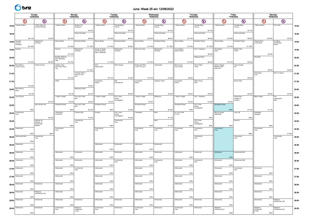

## June: Week 25 w/c 12/06/2022

|                 | Sunday<br>12/06/2022                                                |          |                                         |               |                                         | Monday<br>13/06/2022    |                                       |                   |                                                      | Tuesday<br>14/06/2022  |                                      |               |                                          | Wednesday<br>15/06/2022 |                         |               |                             |                        | Thursday<br>16/06/2022               |               |                                              | Friday<br>17/06/2022   |                                   |               |                                            | Saturday<br>18/06/2022 |                                 |         |       |
|-----------------|---------------------------------------------------------------------|----------|-----------------------------------------|---------------|-----------------------------------------|-------------------------|---------------------------------------|-------------------|------------------------------------------------------|------------------------|--------------------------------------|---------------|------------------------------------------|-------------------------|-------------------------|---------------|-----------------------------|------------------------|--------------------------------------|---------------|----------------------------------------------|------------------------|-----------------------------------|---------------|--------------------------------------------|------------------------|---------------------------------|---------|-------|
|                 | $\odot$<br>$\bigcirc$                                               |          |                                         | $\bigcirc$    |                                         | $\odot$                 |                                       | $\bigcirc$        |                                                      | $\bigcirc$             |                                      | $\bigcirc$    |                                          | $\odot$                 |                         | $\bigcirc$    |                             | $\bm{\bm{\odot}}$      |                                      | $\bigcirc$    |                                              | $\odot$                |                                   | $\bigcirc$    |                                            | $\odot$                |                                 |         |       |
|                 | 18:00 <sup>1 News</sup> At 6pm<br>2 Wild: Eden-An<br>Untamed Planet |          |                                         | 1 News At 6pm |                                         | All New The<br>Simpsons |                                       | 1 News At 6pm     |                                                      | The Big Bang<br>Theory |                                      | 1 News At 6pm |                                          | The Big Bang<br>Theory  |                         | 1 News At 6pm |                             | The Big Bang<br>Theory |                                      | 1 News At 6pm |                                              | The Big Bang<br>Theory |                                   | 1 News At 6pm |                                            | The Cube               |                                 | 18:00   |       |
| 18:30           |                                                                     |          |                                         |               |                                         |                         | Home and Away                         | \$4,250           |                                                      |                        | Home and Away                        | \$4,100       |                                          |                         | Home and Away           | \$4,100       |                             |                        | Home and Away                        | \$4,100       |                                              |                        | Home and Away                     | \$4,100       |                                            |                        |                                 |         | 18:30 |
|                 |                                                                     | \$24,150 |                                         | \$2,300       |                                         | \$24,550                |                                       | \$8,550           |                                                      | \$21,600               |                                      | \$8,550       |                                          | \$22,650                |                         | \$8,550       |                             | \$21,400               |                                      | \$8,550       |                                              | \$19,000               |                                   | \$8,550       |                                            | \$16,300               |                                 | \$2,350 |       |
| $19:00$ Hyundai | Country<br>Calendar                                                 | \$21,650 | MasterChef<br>Australia                 |               | Seven Sharp                             | \$19,300                | Shortland Street                      | \$11,850          | Seven Sharp                                          | \$17,050               | Shortland Street                     | \$9,500       | Seven Sharp                              | \$17,050                | Shortland Street        | \$11,850      | Seven Sharp                 | \$16,200               | Shortland Street                     | \$11,850      | Seven Sharp                                  | \$14,350               | Shortland Street                  | \$11,850      | <b>Tipping Point</b><br><b>Lucky Stars</b> |                        | Goodbye<br>Christopher<br>Robin |         | 19:00 |
| 19:30 Sunday    |                                                                     |          |                                         |               | Fair Go                                 |                         | MasterChef<br>Australia               |                   | Hongi To Hangi:<br>And Everything<br>Else In Between |                        | MasterChef<br>Australia              |               | Give Us A Clue                           |                         | MasterChef<br>Australia |               | Your Garden<br>Made Perfect |                        | Ten 7: Aotearoa                      |               | The Repair<br>Shop                           |                        | <b>Britain's Got</b><br>Talent    |               |                                            |                        |                                 |         | 19:30 |
| 20:00           |                                                                     |          |                                         |               | Bradley Walsh &<br>Son: Breaking        | \$14,700                |                                       |                   |                                                      |                        |                                      |               |                                          |                         |                         |               |                             |                        | Highway Patrol                       | \$8,300       |                                              |                        |                                   |               | The Wall                                   | \$9,400                |                                 |         | 20:00 |
|                 |                                                                     | \$13,400 |                                         | \$8,300       | Dad                                     | \$10,700                |                                       |                   |                                                      | \$11,500               |                                      | \$9,500       |                                          | \$13,400                |                         | \$7,600       |                             | \$13,400               |                                      | \$8,300       |                                              | \$10,700               |                                   | \$8,300       |                                            |                        |                                 |         |       |
|                 | $20:30$ Elon Musk's<br>Crash Course                                 |          | Fast & Furious                          |               | Gordon, Gino<br>and Fred's Road<br>Trip |                         |                                       | First<br>\$11,850 | Responders                                           |                        | NCIS Hawaii                          |               | Kristie and Phil's<br>Love It Or List It |                         | Taskmaster              |               | Rich House.<br>Poor House   |                        | The Ex Best<br>Thing                 |               | Interior Design<br>Masters With<br>Alan Carr |                        | <b>Travel Guides</b><br>NZ        |               |                                            | \$8,050                |                                 | \$5,500 | 20:30 |
| 21:00           |                                                                     |          |                                         |               |                                         |                         | The Man With A<br>Penis On His<br>Arm |                   |                                                      |                        |                                      |               |                                          |                         |                         |               |                             |                        |                                      |               |                                              |                        |                                   |               | Destination<br>Love                        |                        | Born To Dance                   |         | 21:00 |
| 21:30           |                                                                     |          |                                         |               | 20/20                                   | \$10,700                |                                       |                   | Coronation<br>Street                                 | \$10,700               | FBI:<br>International                | \$7,600       | Coronation<br>Street                     | \$10,700                | Question Team           | \$7,350       | Coronation<br>Street        | \$8,050                | <b>Filthy House</b><br>SOS           | \$7,100       |                                              |                        | Dinner Date                       | \$6,900       |                                            |                        |                                 |         | 21:30 |
|                 | $22:00$ Mrs Brown's                                                 | \$12,050 |                                         |               |                                         |                         | Motorway Patrol                       | \$4,950           |                                                      |                        |                                      |               |                                          |                         |                         |               |                             |                        |                                      |               |                                              |                        |                                   |               |                                            |                        |                                 |         | 22:00 |
|                 | Boys                                                                | \$2,750  |                                         |               |                                         | \$4,750                 |                                       | \$2,700           |                                                      | \$6,350                |                                      | \$5,650       |                                          | \$6,350                 |                         | \$4,500       |                             | \$6,350                |                                      | \$4,900       |                                              |                        |                                   | \$5,000       |                                            | \$6,350                |                                 | \$5,750 |       |
|                 | 22:30 Line Of Duty                                                  |          |                                         | \$6,750       | 1 News Tonight                          | \$2,450                 | Two And A Half<br>Men                 | \$2,650           | 1 News Tonight                                       | \$2,450                | CSI: Crime<br>Scene<br>Investigation |               | 1 News Tonight                           | \$2,450                 | Killing Eve             |               | 1 News Tonight              | \$2,450                | Ten 7: Aotearoa                      | \$1,000       |                                              | \$7,500                | Paranormal<br>Caught on<br>Camera |               | <b>Black Hands</b>                         |                        | The<br>Zookeeper's<br>Wife      |         | 22:30 |
| 23:00           |                                                                     |          | Why Women Kill                          |               | Shortland Street                        |                         | Two And A Half<br>Men                 |                   | Shortland Street                                     |                        |                                      |               | Shortland Street                         |                         |                         |               | <b>Shortland Street</b>     |                        | CSI: Crime<br>Scene                  |               | <b>Shortland Street</b>                      |                        |                                   |               |                                            |                        |                                 |         | 23:00 |
|                 | 23:30 Commercial                                                    | \$600    |                                         |               | Ambulance:                              | \$900                   | 2 Broke Girls                         | \$2,250           | Sunday                                               | \$900                  | CSI: Crime                           | \$1,850       | Transplant                               | \$900                   | Mom                     | \$2,250       | It's Your Fault             | \$900                  | Investigation                        |               | Big Fat Gypsy                                | \$900                  | Love Life                         | \$1,700       | Australian                                 | \$1,100                |                                 |         | 23:30 |
|                 | Free                                                                |          |                                         | \$2,000       | Code Red                                |                         |                                       | \$1,000           |                                                      |                        | Scene<br>Investigation               | \$1,850       |                                          |                         |                         | \$1,100       | I'm Fat                     |                        |                                      | \$700         | Weddings                                     |                        |                                   | \$650         | Gangster                                   |                        |                                 |         |       |
| 24:00           |                                                                     |          | Dahmer On<br>Dahmer: A<br>Serial Killer |               |                                         |                         | Commercial<br>Free                    |                   |                                                      |                        | Commercial<br>Free                   |               |                                          |                         | Mom                     |               |                             |                        | CSI: Crime<br>Scene<br>Investigation |               |                                              |                        | Kung Fu                           |               |                                            |                        |                                 |         | 24:00 |
|                 | 24:30   Informercial                                                |          | Speaks                                  |               | Commercial<br>Free                      | \$900                   |                                       | Free              | Commercial                                           | \$900                  |                                      |               | Commercial<br>Free                       | \$900                   | Commercial<br>Free      | \$1,100       | Commercial<br>Free          | \$900                  | Commercial<br>Free                   | \$450         | Commercial<br>Free                           | \$900                  |                                   |               | Commercial<br>Free                         | \$450                  |                                 |         | 24:30 |
|                 | 25:00 Informercial (AH)                                             | \$250    | Commercial                              | \$900         |                                         |                         |                                       |                   |                                                      |                        |                                      |               |                                          |                         |                         |               |                             |                        | Commercial                           |               |                                              |                        | Commercial                        | \$650         |                                            |                        | Commercial                      | \$1,550 | 25:00 |
|                 |                                                                     | \$250    | Free                                    |               |                                         |                         |                                       |                   |                                                      |                        |                                      |               |                                          |                         |                         |               |                             |                        | Free                                 |               |                                              |                        | Free                              |               |                                            |                        | Free                            |         |       |
|                 | 25:30 Infomercial                                                   | \$250    |                                         |               |                                         |                         |                                       |                   | Infomercial                                          | \$250                  | Infomercial                          |               | Infomercial                              | \$250                   | Infomercial             |               |                             |                        |                                      |               |                                              |                        |                                   |               |                                            |                        |                                 |         | 25:30 |
|                 | 26:00   Infomercial                                                 |          |                                         |               | Infomercial                             |                         | Infomercial                           |                   | Infomercial                                          |                        | Infomercial                          |               | Infomercial                              |                         | Infomercial             |               | Infomercial                 |                        | Infomercial                          |               | Infomercial                                  |                        | Infomercial (GS)                  |               |                                            |                        |                                 |         | 26:00 |
|                 | 26:30   Informercial                                                | \$250    |                                         |               | Infomercial                             | \$250                   | Infomercial                           |                   | Infomercial                                          | \$250                  | Commercial<br>Free                   |               | Infomercial                              | \$250                   | Commercial<br>Free      |               | Infomercial                 | \$250                  | Commercial<br>Free                   |               | Infomercial                                  | \$250                  | Infomercial (GS)                  |               |                                            |                        |                                 |         | 26:30 |
|                 | 27:00 Informercial                                                  | \$250    |                                         |               | Infomercial                             | \$250                   | Commercial                            |                   | Infomercial                                          | \$250                  |                                      |               | Infomercial                              | \$250                   |                         |               | Infomercial                 | \$250                  |                                      |               | Infomercial                                  | \$250                  | Commercial                        |               | Infomercial                                |                        |                                 |         | 27:00 |
|                 |                                                                     | \$250    |                                         |               |                                         | \$250                   | Free                                  |                   |                                                      | \$250                  |                                      |               |                                          | \$250                   |                         |               |                             | \$250                  |                                      |               |                                              | \$250                  | Free                              |               |                                            | \$250                  |                                 |         |       |
|                 | 27:30   Informercial                                                | \$250    |                                         |               | Infomercial                             | \$250                   |                                       |                   | Infomercial                                          | \$250                  |                                      |               | Infomercial                              | \$250                   |                         |               | Infomercial                 | \$250                  |                                      |               | Infomercial                                  | \$250                  |                                   |               | Infomercial                                | \$250                  |                                 |         | 27:30 |
|                 | $28:00$ Infomercial                                                 |          | Infomercial                             |               | Infomercial                             |                         |                                       |                   | Infomercial                                          |                        |                                      |               | Infomercial                              |                         |                         |               | Infomercial                 |                        |                                      |               | Infomercial                                  |                        |                                   |               | Infomercial                                |                        |                                 |         | 28:00 |
|                 | 28:30 Infomercial                                                   | \$250    | Religious<br>Infomercial (HC)           |               | Infomercial                             | \$250                   |                                       |                   | Infomercial                                          | \$250                  |                                      |               | Infomercial                              | \$250                   |                         |               | Infomercial                 | \$250                  |                                      |               | Infomercial                                  | \$250                  |                                   |               | Infomercial                                | \$250                  |                                 |         | 28:30 |
|                 |                                                                     | \$250    |                                         |               |                                         | \$250                   |                                       |                   |                                                      | \$250                  |                                      |               |                                          | \$250                   |                         |               |                             | \$250                  |                                      |               |                                              | \$250                  |                                   |               |                                            | \$250                  |                                 |         |       |
|                 | 29:00   Infomercial                                                 |          | Infomercial                             |               | Infomercial                             |                         | Infomercial                           |                   | Infomercial                                          |                        | Infomercial                          |               | Infomercial                              |                         | Infomercial             |               | Infomercial                 |                        | Infomercial                          |               | Infomercial                                  |                        |                                   |               | Infomercial                                |                        | Religious<br>Infomercial (TM)   |         | 29:00 |
|                 | 29:30   Informercial                                                | \$250    | Infomercial                             |               | Commercial<br>Free                      | \$250                   | Religious<br>Infomercial              | Free              | Commercial                                           | \$250                  | Infomercial                          |               | Commercial<br>Free                       | \$250                   | Infomercial             |               | Commercial<br>Free          | \$250                  | Infomercial                          |               | Religious<br>Infomercial (IJ)                | \$250                  |                                   |               | Religious<br>Infomercial                   | \$250                  | Religious<br>Infomercial (HC)   |         | 29:30 |
|                 |                                                                     | \$250    |                                         |               |                                         |                         | (LTW)                                 |                   |                                                      |                        |                                      |               |                                          |                         |                         |               |                             |                        |                                      |               |                                              | \$250                  |                                   |               | (LTW)                                      | \$250                  |                                 |         |       |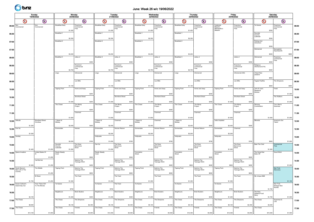

#### June: Week 26 w/c 19/06/2022

| Sunday<br>19/06/2022                  |                                        |          |                                             |                                  | Monday<br>20/06/2022 |                                 |         |                        | <b>Tuesday</b><br>21/06/2022 |                                 |         |                        | Wednesday<br>22/06/2022 |                                 |         |                        |          | <b>Thursday</b><br>23/06/2022   |         |                                                    | Friday<br>24/06/2022 |                                 |         |                                  | Saturday<br>25/06/2022 |                                            |         |                |
|---------------------------------------|----------------------------------------|----------|---------------------------------------------|----------------------------------|----------------------|---------------------------------|---------|------------------------|------------------------------|---------------------------------|---------|------------------------|-------------------------|---------------------------------|---------|------------------------|----------|---------------------------------|---------|----------------------------------------------------|----------------------|---------------------------------|---------|----------------------------------|------------------------|--------------------------------------------|---------|----------------|
|                                       | $\bm{\mathsf{O}}$                      |          | $\bm{\mathsf{\odot}}$                       | $\bm{\mathsf{O}}$                |                      | $\circledcirc$                  |         | $\bm{\mathsf{O}}$      |                              | $\odot$                         |         | $\bigcirc$             |                         | $\odot$                         |         | $\bigcirc$             |          | $\odot$                         |         | $\bigcirc$                                         |                      | $\odot$                         |         | $\bullet$                        |                        | $\odot$                                    |         |                |
| 06:00 $\frac{\text{Non}}{\text{Com}}$ | Commercial                             |          | Non<br>Commercial                           | <b>Breakfast Early</b>           | \$1,450              | Preschool<br>Commercial<br>Free |         | <b>Breakfast Early</b> | \$1,450                      | Preschool<br>Commercial<br>Free |         | <b>Breakfast Early</b> | \$1,450                 | Preschool<br>Commercial<br>Free |         | <b>Breakfast Early</b> | \$1,450  | Preschool<br>Commercial<br>Free |         | Celebrate<br>Matariki -<br>Manawatia a<br>Matariki |                      | Preschool<br>Commercial<br>Free |         | Te Karere                        | \$350                  | Preschool<br>Commercial<br>Free            |         | 06:00          |
| 06:30                                 |                                        |          |                                             | Breakfast 1                      | \$2,350              |                                 |         | Breakfast 1            | \$2,350                      |                                 |         | Breakfast 1            | \$2,350                 |                                 |         | Breakfast 1            | \$2,350  |                                 |         |                                                    |                      |                                 |         | Hyundai<br>Country<br>Calendar   | \$350                  |                                            |         | 06:30          |
| 07:00                                 |                                        |          |                                             | Breakfast 2                      |                      |                                 |         | Breakfast 2            |                              |                                 |         | Breakfast 2            |                         |                                 |         | Breakfast 2            |          |                                 |         |                                                    |                      |                                 |         | Fishing And<br>Adventure         | \$350                  |                                            |         | 07:00          |
| 07:30                                 |                                        |          |                                             |                                  | \$3,450              |                                 |         |                        | \$3,450                      |                                 |         |                        | \$3,450                 |                                 |         |                        | \$3,450  |                                 |         |                                                    |                      |                                 |         | Infomercial                      | \$250                  | Spongebob<br>Squarepants                   | \$800   | 07:30          |
| 08:00                                 |                                        |          |                                             | Breakfast 3                      |                      | Julius Jr                       | \$350   | Breakfast 3            |                              | Julius Jr                       | \$350   | Breakfast 3            |                         | Julius Jr                       | \$350   | Breakfast 3            |          | Julius Jr                       | \$350   |                                                    |                      | Julius Jr                       | \$350   | Infomercial                      | \$250                  | Preschool<br>Commercial<br>Free            |         | 08:00          |
| 08:30                                 |                                        |          |                                             |                                  | \$2,750              | Preschool<br>Commercial<br>Free |         |                        | \$2,750                      | Preschool<br>Commercial<br>Free |         |                        | \$2,750                 | Preschool<br>Commercial<br>Free |         |                        | \$2,750  | Preschool<br>Commercial<br>Free |         |                                                    |                      | Preschool<br>Commercial<br>Free |         | Religious<br>Infomercial (FIA)   | \$250                  |                                            |         | 08:30          |
| 09:00                                 |                                        |          |                                             | Lingo                            |                      | Infomercial                     |         | Lingo                  |                              | Infomercial                     |         | Lingo                  |                         | Infomercial                     |         | Lingo                  |          | Infomercial                     |         |                                                    |                      | Infomercial (GS)                |         | I Need New<br>Zealand            | \$650                  |                                            |         | 09:00          |
| 09:30                                 |                                        |          |                                             | <b>Tipping Point</b>             | \$1,150              | Les Mills<br>Home and Away      |         | <b>Tipping Point</b>   | \$1,150                      | Les Mills<br>Home and Away      |         | <b>Tipping Point</b>   | \$1,150                 | Les Mills<br>Home and Away      |         | <b>Tipping Point</b>   | \$1,150  | Les Mills<br>Home and Away      |         | <b>Tipping Point</b>                               | \$3,450              | Les Mills<br>Home and Away      |         | Tagata Pasifika<br>John & Lisa's | \$650                  | The Simpsons<br>Fresh                      | \$900   | 09:30          |
| 10:00                                 |                                        |          |                                             |                                  |                      | Shortland Street                | \$250   |                        |                              | Shortland Street                | \$250   |                        |                         | Shortland Street                | \$250   |                        |          | Shortland Street                | \$250   |                                                    |                      | Shortland Street                | \$250   | Weekend<br>Kitchen               |                        | The Walkers                                | \$1,500 | 10:00          |
| 10:30<br>11:00                        |                                        |          |                                             | The Chase                        | \$1,400              | The Mindy                       | \$250   | The Chase              | \$1,400                      | The Mindy                       | \$250   | The Chase              | \$1,400                 | The Mindy                       | \$250   | The Chase              | \$1,400  | The Mindy                       | \$250   | The Chase                                          | \$1,400              | The Mindy                       | \$250   | Winning                          | \$900                  | Tom Allen's                                | \$1,000 | 10:30<br>11:00 |
| 11:30                                 |                                        |          |                                             |                                  |                      | roject<br>Charmed               | \$250   |                        |                              | Project<br>Charmed              | \$250   |                        |                         | roject<br>Charmed               | \$250   |                        |          | Project<br>Charmed              | \$250   |                                                    |                      | Project<br>Charmed              | \$250   | Combination                      |                        | Quizness                                   |         | 11:30          |
| 12:00                                 | Attitude                               |          | Shortland Street                            | 1 News At                        | \$1,600              |                                 |         | 1 News At              | \$1,600                      | Charmed                         |         | 1 News At              | \$1,600                 | Charmed                         |         | 1 News At              | \$1,600  |                                 |         | India Unplated                                     | \$1,600              |                                 |         | Miranda                          | \$1,000                | America's Got                              | \$1,000 | 12:00          |
|                                       | 12:30 Fair Go                          | \$1,250  | Omnibus                                     | Midday<br>Emmerdale              | \$2,450              | Heroes                          | \$400   | Midday<br>Emmerdale    | \$2,450                      | Heroes Reborn                   | \$400   | Midday<br>Emmerdale    | \$2,450                 | Heroes Reborn                   | \$400   | Midday<br>Emmerdale    | \$2,450  | Heroes Reborn                   | \$400   | Emmerdale                                          | \$2,450              | Charmed                         | \$400   |                                  |                        | Talent                                     |         | 12:30          |
| 13:00                                 | Sunday                                 | \$1,050  |                                             |                                  |                      |                                 |         | Hollyoaks              | \$2,200                      |                                 |         | Hollyoaks              | \$2,200                 |                                 |         | Hollyoaks              | \$2,200  |                                 |         | Hollyoaks                                          | \$2,200              |                                 |         |                                  |                        |                                            |         | 13:00          |
| 13:30                                 |                                        |          |                                             | Hyundai<br>Country               | \$2,200              | The Drew<br>Barrymore           | \$700   | Fair Go                | \$1,050                      | The Drew<br>Barrymore           | \$700   |                        |                         | The Drew<br>Barrymore           | \$700   |                        |          | The Drew<br>Barrymore           | \$700   |                                                    |                      | The Drew<br>Barrymore           | \$700   | Beat The Chef                    | \$900                  | Commercial<br>Free                         | \$1,050 | 13:30          |
| 14:00                                 | Space Invaders                         | \$1,400  | \$1,050<br>United States Of                 | Calendar<br>Ready Steady<br>Cook | \$1,050              | Show                            |         | Ready Steady<br>Cook   | \$1,050                      | Show                            |         | Coronation<br>Street   | \$1,050                 | Show                            |         | Coronation<br>Street   | \$1,050  | Show                            |         | Coronation<br>Street                               | \$1,050              | Show                            |         | The Great Kiwi<br>Bake Off       | \$1,000                | Good Witch                                 |         | 14:00          |
| 14:30                                 |                                        |          | \$1,050<br>Call Me Kat                      |                                  |                      | Sabrina The<br>Teenage Witch    | \$500   |                        |                              | Sabrina The<br>Teenage Witch    | \$500   |                        |                         | Sabrina The<br>Teenage Witch    | \$500   |                        |          | Sabrina The<br>Teenage Witch    | \$500   |                                                    |                      | Sabrina The<br>Teenage Witch    | \$500   |                                  |                        |                                            |         | 14:30          |
|                                       | 15:00 Sarah Beeny's<br>New Life In The | \$1,600  | \$1,250<br>The Middle                       | <b>Tipping Point</b>             | \$600                | Sabrina The<br>Teenage Witch    | \$450   | <b>Tipping Point</b>   | \$600                        | Sabrina The<br>Teenage Witch    | \$450   | <b>Tipping Point</b>   | \$600                   | Sabrina The<br>Teenage Witch    | \$450   | <b>Tipping Point</b>   | \$600    | Sabrina The<br>Teenage Witch    | \$450   | <b>Tipping Point</b>                               | \$600                | Sabrina The<br>Teenage Witch    | \$450   |                                  |                        | Star Trek:<br>Discovery                    | \$1,000 | 15:00          |
| 15:30                                 | Country                                |          | \$1,250<br>Mr Bean                          |                                  |                      | The Feed                        | \$650   |                        |                              | The Feed                        | \$650   |                        |                         | The Feed                        | \$650   |                        |          | The Feed                        | \$650   |                                                    |                      | The Feed                        | \$650   | My Unique B&B                    | \$950                  |                                            |         | 15:30          |
|                                       | 16:00 Susan Calman's                   | \$1,750  | \$1,250<br>Teen Titans GO!<br>To The Movies | Te Karere                        | \$1,350              |                                 |         | Te Karere              | \$1,350                      | The Feed                        |         | Te Karere              | \$1,350                 |                                 |         | Te Karere              | \$1,350  |                                 |         | Te Karere                                          | \$1,350              |                                 |         |                                  |                        | Star Trek:<br><b>Strange New</b><br>Worlds | \$1,150 | 16:00          |
| 16:30                                 |                                        |          |                                             | Neighbours                       | \$750                | <b>Brain Busters</b>            |         | Neighbours             | \$750                        | <b>Brain Busters</b>            |         | Neighbours             | \$750                   | <b>Brain Busters</b>            |         | Neighbours             | \$750    | <b>Brain Busters</b>            |         | Neighbours                                         | \$750                | <b>Brain Busters</b>            |         | The New<br>Zealand Food<br>Story | \$1,750                |                                            |         | 16:30          |
|                                       | 17:00 The Chase                        | \$2,150  |                                             | The Chase                        | \$1,200              | The Simpsons                    | \$400   | The Chase              | \$1,200                      | The Simpsons                    | \$400   | The Chase              | \$1,200                 | The Simpsons                    | \$400   | The Chase              | \$1,200  | The Simpsons                    | \$400   | The Chase                                          | \$1,200              | The Simpsons                    | \$400   | The Chase                        | \$1,750                | Superman &<br>Lois                         | \$1,500 | 17:00          |
|                                       | 17:30 The Chase                        | \$6,950  |                                             | The Chase                        | \$5,100              | Friends                         | \$2,350 | The Chase              | \$5,100                      | Friends                         | \$2,350 | The Chase              | \$5,100                 | Friends                         | \$2,350 | The Chase              | \$5,100  | Friends                         | \$2,350 | The Chase                                          | \$5,100              | Friends                         | \$2,350 | The Chase                        | \$4,450                |                                            |         | 17:30          |
|                                       |                                        | \$14,100 | \$1,650                                     |                                  | \$12,350             |                                 | \$3,050 |                        | \$12,350                     |                                 | \$3,050 |                        | \$12,350                |                                 | \$3,050 |                        | \$12,350 |                                 | \$3,050 |                                                    | \$12,350             |                                 | \$3,050 |                                  | \$10,300               |                                            | \$1,500 |                |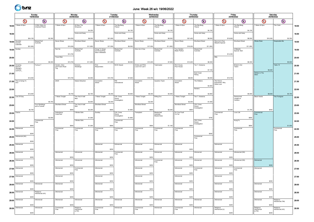#### June: Week 26 w/c 19/06/2022

|                 |                                | Sunday   |                                           |                                 | Monday         | 20/06/2022                          |                                   |                       | Tuesday<br>21/06/2022                |            |                                          |            | Wednesday<br>22/06/2022                |            |                             | <b>Thursday</b>       | 23/06/2022              |           |                                    | Friday<br>24/06/2022 |                                   |                   |                                   | Saturday<br>25/06/2022 |                               |         |       |
|-----------------|--------------------------------|----------|-------------------------------------------|---------------------------------|----------------|-------------------------------------|-----------------------------------|-----------------------|--------------------------------------|------------|------------------------------------------|------------|----------------------------------------|------------|-----------------------------|-----------------------|-------------------------|-----------|------------------------------------|----------------------|-----------------------------------|-------------------|-----------------------------------|------------------------|-------------------------------|---------|-------|
|                 | 19/06/2022<br>$\odot$<br>O     |          | $\bm{\mathsf{O}}$                         |                                 | $\circledcirc$ | $\bm{\mathsf{O}}$                   |                                   | $\bm{\mathsf{\odot}}$ |                                      | $\bigcirc$ |                                          | $\bigcirc$ |                                        | $\bigcirc$ |                             | $\bm{\mathsf{\odot}}$ |                         | $\bullet$ |                                    | $\odot$              |                                   | $\bm{\mathsf{O}}$ |                                   | $\bigcirc$             |                               |         |       |
|                 | 18:00 <sup>1</sup> News At 6pm |          | 2 Wild: Eden-An<br><b>Untamed Planet</b>  | 1 News At 6pm                   |                | All New The<br>Simpsons             | 1 News At 6pm                     |                       | The Big Bang<br>Theory               |            | 1 News At 6pm                            |            | The Big Bang<br>Theory                 |            | 1 News At 6pm               |                       | The Big Bang<br>Theory  |           | 1 News At 6pm                      |                      | The Big Bang<br>Theory            |                   | 1 News At 6pm                     |                        | The Cube                      |         | 18:00 |
| 18:30           |                                |          |                                           |                                 |                | \$4,250<br>Home and Away            |                                   |                       | Home and Away                        | \$4,100    |                                          |            | Home and Away                          | \$4,100    |                             |                       | Home and Away           | \$4,100   |                                    |                      | Home and Away                     | \$4,100           |                                   |                        |                               |         | 18:30 |
|                 |                                | \$24,150 | \$2,300                                   |                                 | \$24,550       | \$8,550                             |                                   | \$21,600              |                                      | \$8,550    |                                          | \$22,650   |                                        | \$8,550    |                             | \$21,400              |                         | \$8,550   |                                    | \$19,000             |                                   | \$8,550           |                                   | \$16,300               |                               | \$2,350 |       |
| $19:00$ Hyundai | Country<br>Calendar            |          | MasterChef<br>Australia                   | Seven Sharp                     |                | Shortland Street                    | Seven Sharp                       |                       | Shortland Street                     |            | Seven Sharp                              |            | Shortland Street                       |            | Seven Sharp                 |                       | Shortland Street        |           | Give Us A Clue<br>Matariki Special |                      | Shortland Street                  |                   | Whale Rider                       |                        | Despicable Me                 |         | 19:00 |
| 19:30 Sunday    |                                | \$21,650 |                                           | Fair Go                         | \$19,300       | \$11,850<br>MasterChef<br>Australia | Hongi To Hangi:<br>And Everything | \$17,050              | MasterChef<br>Australia              | \$9,500    | Give Us A Clue                           | \$17,050   | MasterChef<br>Australia                | \$11,850   | Your Garden<br>Made Perfect | \$16,200              | MasterChef<br>Australia | \$11,850  |                                    |                      | 2 Matariki<br>Special: Stan       | \$11,850          |                                   |                        |                               |         | 19:30 |
|                 |                                |          |                                           |                                 | \$14,700       |                                     | Else In Between                   |                       |                                      |            |                                          |            |                                        |            |                             |                       |                         |           |                                    | \$14,350             |                                   |                   |                                   |                        |                               |         |       |
| 20:00           |                                |          |                                           | Travel Man                      |                |                                     |                                   |                       |                                      |            |                                          |            |                                        |            |                             |                       |                         |           | Billy                              |                      |                                   |                   |                                   |                        |                               |         | 20:00 |
| 20:30           | Amazing<br>Spaces:             | \$13,400 | \$8,300<br>Furious 7                      | Gordon, Gino<br>and Fred's Road | \$10,700       | \$11,850<br>Extreme<br>Weddings     | First<br>Responders               | \$11,500              | NCIS Hawaii                          | \$9,500    | Kristie and Phil's<br>Love It Or List It | \$13,400   | Taskmaster                             | \$7,600    | Rich House,<br>Poor House   | \$13,400              | Ten 7: Aotearoa         | \$8,300   |                                    |                      | <b>Britain's Got</b><br>Talent    | \$8,300           |                                   |                        | Table 19                      | \$5,500 | 20:30 |
|                 | George's<br>Icelandic          |          |                                           | Trip                            |                |                                     |                                   |                       |                                      |            |                                          |            |                                        |            |                             |                       |                         | \$7,100   |                                    |                      |                                   |                   | Written In The                    | \$9,400                |                               |         |       |
| 21:00           |                                | \$12,050 |                                           |                                 | \$10,700       | \$4,950                             |                                   | \$10,700              |                                      | \$7,600    |                                          | \$10,700   |                                        | \$7,350    |                             | \$8,050               | East Coast<br>Rising    | \$6,000   |                                    | \$10,700             |                                   |                   | Stars                             |                        |                               |         | 21:00 |
|                 | 21:30 This Is Going To<br>Hurt |          |                                           | 20/20                           |                | Naked Attraction                    | Coronation<br>Street              |                       | FBI:<br>International                |            | Coronation<br>Street                     |            | Question Team                          |            | Coronation<br>Street        |                       | The Walkers             |           | The Dance<br>Exponents-Why         |                      |                                   |                   |                                   |                        |                               |         | 21:30 |
| 22:00           |                                |          |                                           |                                 |                |                                     |                                   |                       |                                      |            |                                          |            |                                        |            |                             |                       | Renters                 | \$4,900   | Does Love                          |                      |                                   |                   |                                   |                        |                               |         | 22:00 |
|                 |                                | \$12,050 |                                           |                                 | \$4,750        | \$2,700                             |                                   | \$6,350               |                                      | \$5,650    |                                          | \$6,350    |                                        | \$4,500    |                             | \$6,350               |                         | \$2,850   |                                    |                      |                                   | \$6,900           |                                   | \$8,050                |                               | \$5,750 |       |
|                 | 22:30 Line Of Duty             |          |                                           | 1 News Tonight                  |                | Two And A Half<br>Men               | 1 News Tonight                    |                       | CSI: Crime<br>Scene<br>Investigation |            | 1 News Tonight                           |            | Killing Eve                            |            | 1 News Tonight              |                       | Ten 7: Aotearoa         |           |                                    |                      | Paranormal<br>Caught on<br>Camera |                   | <b>Black Hands</b>                |                        | The Foreigner                 |         | 22:30 |
| 23:00           |                                |          | \$6,750<br>Four Weddings<br>and a Funeral | Shortland Street                | \$2,450        | \$2,650<br>Two And A Half           | Shortland Street                  | \$2,450               |                                      |            | Shortland Street                         | \$2,450    |                                        |            | Shortland Street            | \$2,450               | CSI: Crime<br>Scene     | \$1,000   |                                    |                      |                                   |                   |                                   |                        |                               |         | 23:00 |
|                 |                                | \$2,750  |                                           |                                 | \$900          | \$2,250                             |                                   | \$900                 |                                      | \$1,850    |                                          | \$900      |                                        | \$2,250    |                             | \$900                 | Investigation           |           |                                    | \$4,000              |                                   | \$1,700           |                                   | \$450                  |                               |         |       |
| 23:30 Clarice   |                                |          | \$2,000                                   | Ambulance<br>Code Red           |                | 2 Broke Girls<br>\$1,000            | Sunday                            |                       | CSI: Crime<br>Scene<br>Investigation | \$1,850    | Transplant                               |            | Masterchef<br>Australia<br>MasterClass |            | It's Your Fault<br>I'm Fat  |                       |                         | \$700     | Commercial<br>Free                 |                      | Love Life                         | \$650             | Commercial<br>Free                |                        |                               |         | 23:30 |
| 24:00           |                                |          | Commercial<br>Free                        |                                 |                | 2 Broke Girls                       |                                   |                       | Commercial<br>Free                   |            |                                          |            |                                        |            |                             |                       | CSI: Crime<br>Scene     |           |                                    |                      | Kung Fu                           |                   |                                   |                        |                               |         | 24:00 |
|                 | 24:30 Infomercial              | \$600    |                                           | Commercial                      | \$900          | \$1,000<br>Commercial               | Commercial                        | \$900                 | Commercial                           |            | Commercial                               | \$900      | Commercial                             | \$1,100    | Commercial                  | \$900                 | Investigation           |           |                                    |                      | Commercial                        | \$650             |                                   |                        | Commercial                    | \$1,550 |       |
|                 |                                | \$250    |                                           | Free                            |                | Free                                | Free                              |                       | Free                                 |            | Free                                     |            | Free                                   |            | Free                        |                       |                         | \$450     |                                    |                      | Free                              |                   |                                   |                        | Free                          |         | 24:30 |
| 25:00           | Infomercial (AH)               |          |                                           |                                 |                |                                     |                                   |                       |                                      |            |                                          |            |                                        |            |                             |                       | Commercial<br>Free      |           |                                    |                      |                                   |                   |                                   |                        |                               |         | 25:00 |
| 25:30           | Infomercial                    | \$250    |                                           |                                 |                |                                     | Infomercial                       |                       | Infomercial                          |            | Infomercial                              |            | Infomercial                            |            | Infomercial                 |                       |                         |           | Infomercial                        |                      |                                   |                   |                                   |                        |                               |         | 25:30 |
|                 |                                | \$250    |                                           |                                 |                |                                     |                                   | \$250                 |                                      |            |                                          | \$250      |                                        |            |                             | \$250                 |                         |           |                                    | \$250                |                                   |                   |                                   |                        |                               |         |       |
| 26:00           | Infomercial                    | \$250    |                                           | Infomercial                     | \$250          | Infomercial                         | Infomercial                       |                       | Commercial<br>Free                   |            | Infomercial                              | \$250      | Infomercial                            |            | Infomercial                 | \$250                 | Infomercial             |           | Infomercial                        | \$250                | Infomercial (GS)                  |                   |                                   |                        |                               |         | 26:00 |
| 26:30           | Infomercial                    |          |                                           | Infomercial                     |                | Infomercial                         | Infomercial                       | \$250                 |                                      |            | Infomercial                              |            | Commercial<br>Free                     |            | Infomercial                 |                       | Infomercial             |           | Infomercial                        |                      | Infomercial (GS)                  |                   | Infomercial                       |                        |                               |         | 26:30 |
|                 | $27:00$ Infomercial            | \$250    |                                           | Infomercial                     | \$250          | Commercial                          | Infomercial                       | \$250                 |                                      |            | Infomercial                              | \$250      |                                        |            | Infomercial                 | \$250                 | Commercial              |           | Infomercial                        | \$250                | Commercial                        |                   | Infomercial                       | \$250                  |                               |         | 27:00 |
|                 |                                | \$250    |                                           |                                 | \$250          | Free                                |                                   | \$250                 |                                      |            |                                          | \$250      |                                        |            |                             | \$250                 | Free                    |           |                                    | \$250                | Free                              |                   |                                   |                        |                               |         |       |
| 27:30           | Infomercial                    |          |                                           | Infomercial                     |                |                                     | Infomercial                       |                       |                                      |            | Infomercial                              |            |                                        |            | Infomercial                 |                       |                         |           | Infomercial                        |                      |                                   |                   |                                   |                        |                               |         | 27:30 |
|                 | $28:00$   Informercial         | \$250    | Infomercial                               | Infomercial                     | \$250          |                                     | Infomercial                       | \$250                 |                                      |            | Infomercial                              | \$250      |                                        |            | Infomercial                 | \$250                 |                         |           | Infomercial                        | \$250                |                                   |                   | Infomercial                       | \$250                  |                               |         | 28:00 |
|                 |                                | \$250    |                                           |                                 | \$250          |                                     |                                   | \$250                 |                                      |            |                                          | \$250      |                                        |            |                             | \$250                 |                         |           |                                    | \$250                |                                   |                   |                                   | \$250                  |                               |         |       |
|                 | $28:30$   Informercial         | \$250    | Religious<br>Infomercial (HC)             | Infomercial                     | \$250          |                                     | Infomercial                       | \$250                 |                                      |            | Infomercial                              | \$250      |                                        |            | Infomercial                 | \$250                 |                         |           | Infomercial                        | \$250                |                                   |                   | Infomercial                       | \$250                  |                               |         | 28:30 |
|                 | 29:00   Informercial           |          | Infomercial                               | Infomercial                     |                | Infomercial                         | Infomercial                       |                       | Infomercial                          |            | Infomercial                              |            | Infomercial                            |            | Infomercial                 |                       | Infomercial             |           | Infomercial                        |                      |                                   |                   | Infomercial                       |                        | Religious<br>Infomercial (TM) |         | 29:00 |
|                 | $29:30$   Infomercial          | \$250    | Infomercial                               | Commercial                      | \$250          |                                     | Commercial                        | \$250                 | Infomercial                          |            | Commercial                               | \$250      | Infomercial                            |            | Commercial                  | \$250                 | Infomercial             |           | Religious                          | \$250                |                                   |                   |                                   | \$250                  |                               |         | 29:30 |
|                 |                                | \$250    |                                           | Free                            |                | Religious<br>Infomercial<br>(LTW)   | Free                              |                       |                                      |            | Free                                     |            |                                        |            | Free                        |                       |                         |           | Infomercial (IJ)                   | \$250                |                                   |                   | Religious<br>Infomercial<br>(LTW) | \$250                  | Religious<br>Infomercial (HC) |         |       |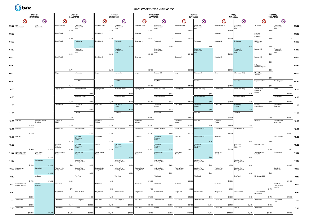## June: Week 27 w/c 26/06/2022

|                                  | Sunday<br>26/06/2022                     |         |                                          |                                            |                   | Monday<br>27/06/2022            |         |                              | Tuesday<br>28/06/2022 |                                 |         |                                            | Wednesday<br>29/06/2022 |                                 |         |                                            | Thursday<br>30/06/2022 |                                 |         |                                            | Friday<br>01/07/2022 |                                 |         |                                     | Saturday<br>02/07/2022 |                                 |         |       |
|----------------------------------|------------------------------------------|---------|------------------------------------------|--------------------------------------------|-------------------|---------------------------------|---------|------------------------------|-----------------------|---------------------------------|---------|--------------------------------------------|-------------------------|---------------------------------|---------|--------------------------------------------|------------------------|---------------------------------|---------|--------------------------------------------|----------------------|---------------------------------|---------|-------------------------------------|------------------------|---------------------------------|---------|-------|
|                                  | $\bigcirc$                               |         | $\bigcirc$                               |                                            | $\bm{\mathsf{O}}$ | $\circledcirc$                  |         | $\bullet$                    |                       | $\odot$                         |         | $\bullet$                                  |                         | $\bigcirc$                      |         | $\bigcirc$                                 |                        | $\odot$                         |         | $\bullet$                                  |                      | $\odot$                         |         | $\bigcirc$                          |                        | $\odot$                         |         |       |
| $06:00$ $\sqrt{\frac{Non}{Con}}$ | Commercial                               |         | Non<br>Commercial                        | <b>Breakfast Early</b>                     | \$1,450           | Preschool<br>Commercial<br>Free |         | <b>Breakfast Early</b>       | \$1,450               | Preschool<br>Commercial<br>Free |         | <b>Breakfast Early</b>                     | \$1,450                 | Preschool<br>Commercial<br>Free |         | <b>Breakfast Early</b>                     | \$1,450                | Preschool<br>Commercial<br>Free |         | <b>Breakfast Early</b>                     | \$1,450              | Preschool<br>Commercial<br>Free |         | Te Karere                           | \$350                  | Preschool<br>Commercial<br>Free |         | 06:00 |
| 06:30                            |                                          |         |                                          | Breakfast 1                                | \$2,350           |                                 |         | Breakfast 1                  | \$2,350               |                                 |         | Breakfast 1                                | \$2,350                 |                                 |         | Breakfast 1                                | \$2,350                |                                 |         | Breakfast 1                                | \$2,350              |                                 |         | Hyundai<br>Country<br>Calendar      | \$350                  |                                 |         | 06:30 |
| 07:00                            |                                          |         |                                          | Breakfast 2                                |                   | Trollstopia                     | \$350   | Breakfast 2                  |                       | Trollstopia                     | \$350   | Breakfast 2                                |                         | Trollstopia                     | \$350   | Breakfast 2                                |                        | Trollstopia                     | \$350   | Breakfast 2                                |                      | Trollstopia                     | \$350   | <b>Fishing And</b><br>Adventure     | \$350                  |                                 |         | 07:00 |
| 07:30                            |                                          |         |                                          |                                            |                   | Preschool<br>Commercial<br>Free |         |                              |                       | Preschool<br>Commercial         |         |                                            |                         | Preschool<br>Commercial<br>Free |         |                                            |                        | Preschool<br>Commercial         |         |                                            |                      | Preschool<br>Commercial         |         | Infomercial                         |                        | Preschool<br>Commercial<br>Free |         | 07:30 |
| 08:00                            |                                          |         |                                          | Breakfast 3                                | \$3,450           |                                 |         | Breakfast 3                  | \$3,450               |                                 |         | Breakfast 3                                | \$3,450                 |                                 |         | Breakfast 3                                | \$3,450                |                                 |         | Breakfast 3                                | \$3,450              |                                 |         | Infomercial                         | \$250                  |                                 |         | 08:00 |
| 08:30                            |                                          |         |                                          |                                            |                   |                                 |         |                              |                       |                                 |         |                                            |                         |                                 |         |                                            |                        |                                 |         |                                            |                      |                                 |         | Religious<br>Infomercial (FIA)      | \$250                  |                                 |         | 08:30 |
| 09:00                            |                                          |         |                                          | Lingo                                      | \$2,750           | Infomercial                     |         | Lingo                        | \$2,750               | Infomercial                     |         | Lingo                                      | \$2,750                 | Infomercial                     |         | Lingo                                      | \$2,750                | Infomercial                     |         | Lingo                                      | \$2,750              | Infomercial (GS)                |         | I Need New<br>Zealand               | \$250                  |                                 |         | 09:00 |
| 09:30                            |                                          |         |                                          |                                            |                   | Les Mills                       |         |                              |                       | Les Mills                       |         |                                            |                         | Les Mills                       |         |                                            |                        | Les Mills                       |         |                                            |                      | Les Mills                       |         | Tagata Pasifika                     | \$650                  | The Simpsons                    |         | 09:30 |
| 10:00                            |                                          |         |                                          | <b>Tipping Point</b>                       | \$1,150           | Home and Away                   |         | <b>Tipping Point</b>         | \$1,150               | Home and Away                   |         | <b>Tipping Point</b>                       | \$1,150                 | Home and Away                   |         | <b>Tipping Point</b>                       | \$1,150                | Home and Away                   |         | <b>Tipping Point</b>                       | \$1,150              | Home and Away                   |         | John & Lisa's<br>Weekend<br>Kitchen | \$650                  | Fresh                           | \$900   | 10:00 |
| 10:30                            |                                          |         |                                          |                                            |                   | Shortland Street                | \$250   |                              |                       | Shortland Street                | \$250   |                                            |                         | Shortland Street                | \$250   |                                            |                        | Shortland Street                | \$250   |                                            |                      | Shortland Street                | \$250   |                                     |                        | The Walkers                     | \$1,500 | 10:30 |
| 11:00                            |                                          |         |                                          | The Chase                                  | \$1,400           | The Mindy<br>roject             | \$250   | The Chase                    | \$1,400               | The Mindy<br>Project            | \$250   | The Chase                                  | \$1,400                 | The Mindy<br>Project            | \$250   | The Chase                                  | \$1,400                | The Mindy<br>Project            | \$250   | The Chase                                  | \$1,400              | The Mindy<br>Project            | \$250   | Winning<br>Combination              | \$900                  | Tom Allen's<br>Quizness         | \$1,000 | 11:00 |
| 11:30                            |                                          |         |                                          |                                            |                   | Charmed                         | \$250   |                              |                       | Charmed                         | \$250   |                                            |                         | Charmed                         | \$250   |                                            |                        | Charmed                         | \$250   |                                            |                      | Charmed                         | \$250   |                                     |                        |                                 |         | 11:30 |
| $12:00$ Attitude                 |                                          |         | <b>Shortland Street</b><br>Omnibus       | 1 News At<br>Midday                        | \$1,600           |                                 |         | 1 News At<br>Midday          | \$1,600               |                                 |         | 1 News At<br>Midday                        | \$1,600                 |                                 |         | 1 News At<br>Midday                        | \$1,600                | Charmed                         |         | 1 News At<br>Midday                        | \$1,600              |                                 |         | Miranda                             | \$1,000                | The Weakest<br>Link: USA        | \$1,000 | 12:00 |
|                                  | 12:30 Fair Go                            | \$1,250 |                                          | Emmerdale                                  | \$2,450           | Heroes Reborn                   | \$400   | Emmerdale                    | \$2,450               | Heroes Reborn                   | \$400   | Emmerdale                                  | \$2,450                 | Heroes Reborn                   | \$400   | Emmerdale                                  | \$2,450                | Heroes Reborn                   | \$400   | Emmerdale                                  | \$2,450              | Heroes Reborn                   | \$400   |                                     |                        |                                 |         | 12:30 |
| 13:00                            | Sunday                                   | \$1,050 |                                          |                                            |                   | The Drew<br>Barrymore<br>Show   | \$700   | Hollyoaks                    | \$2,200               |                                 |         | Hollyoaks                                  | \$2,200                 | The Drew<br>Barrymore<br>Show   | \$700   | Hollyoaks                                  | \$2,200                | Heroes Reborn                   |         | Hollyoaks                                  | \$2,200              |                                 |         |                                     |                        | The Courtship                   | \$1,050 | 13:00 |
| 13:30                            |                                          |         |                                          | Hyundai<br>Country<br>Calendar             | \$2,200           | The Drew<br>Barrymore<br>Show   |         | Fair Go                      | \$1,050               | The Drew<br>Barrymore<br>Show   | \$700   |                                            |                         | The Drew<br>Barrymore<br>Show   |         |                                            |                        | The Drew<br>Barrymore<br>Show   | \$700   |                                            |                      | The Drew<br>Barrymore<br>Show   | \$700   | Beat The Chef                       | \$900                  |                                 |         | 13:30 |
|                                  | 14:00 Give Us A Clue<br>Matariki Special | \$1,400 | \$1,050<br><b>Bob Hearts</b><br>Abishola | Ready Steady<br>Cook                       | \$1,050           | Commercial<br>$F$ ree           | \$500   | Ready Steady<br>Cook         | \$1,050               |                                 |         | Coronation<br>Street                       | \$1,050                 | Commercial<br>Free              | \$500   | Coronation<br>Street                       | \$1,050                |                                 |         | Coronation<br>Street                       | \$1,050              |                                 |         | The Great Kiwi<br>Bake Off          | \$1,000                | Good Witch                      | \$900   | 14:00 |
| 14:30                            |                                          |         | \$1,250<br>Call Me Kat                   |                                            |                   | Sabrina The<br>Teenage Witch    |         |                              |                       | Sabrina The<br>Teenage Witch    | \$500   |                                            |                         | Sabrina The<br>Teenage Witch    |         |                                            |                        | Sabrina The<br>Teenage Witch    | \$500   |                                            |                      | Sabrina The<br>Teenage Witch    | \$500   |                                     |                        |                                 |         | 14:30 |
|                                  | 15:00 Extraordinary<br>Escapes           | \$1,600 | \$1,250<br>The Middle                    | <b>Tipping Point</b><br><b>Lucky Stars</b> | \$600             | Sabrina The<br>Teenage Witch    | \$450   | Tipping Point<br>Lucky Stars | \$600                 | Sabrina The<br>Teenage Witch    | \$450   | <b>Tipping Point</b><br><b>Lucky Stars</b> | \$600                   | Sabrina The<br>Teenage Witch    | \$450   | <b>Tipping Point</b><br><b>Lucky Stars</b> | \$600                  | Sabrina The<br>Teenage Witch    | \$450   | <b>Tipping Point</b><br><b>Lucky Stars</b> | \$600                | Sabrina The<br>Teenage Witch    | \$450   |                                     |                        | Star Trek:<br>Discovery         | \$1,000 | 15:00 |
| 15:30                            |                                          |         | \$1,250<br>Mr Bean                       |                                            |                   | The Feed                        | \$650   |                              |                       | The Feed                        | \$650   |                                            |                         | The Feed                        | \$650   |                                            |                        | The Feed                        | \$650   |                                            |                      | The Feed                        | \$650   | My Unique B&B                       | \$950                  |                                 |         | 15:30 |
|                                  | 16:00 Susan Calman's                     | \$1,750 | \$1,250<br>Combat<br>Wombat              | Te Karere                                  | \$1,350           |                                 |         | Te Karere                    | \$1,350               |                                 |         | Te Karere                                  | \$1,350                 | The Feed                        |         | Te Karere                                  | \$1,350                |                                 |         | Te Karere                                  | \$1,350              |                                 |         |                                     |                        | Star Trek:<br>Strange New       | \$1,150 | 16:00 |
| 16:30                            |                                          |         |                                          | Neighbours                                 | \$750             | <b>Brain Busters</b>            |         | Neighbours                   | \$750                 | <b>Brain Busters</b>            |         | Neighbours                                 | \$750                   | <b>Brain Busters</b>            |         | Neighbours                                 | \$750                  | <b>Brain Busters</b>            |         | Neighbours                                 | \$750                | <b>Brain Busters</b>            |         | A New Zealand<br>Food Story         | \$1,750                | Worlds                          |         | 16:30 |
|                                  |                                          | \$2,150 |                                          | The Chase                                  | \$1,200           |                                 | \$400   | The Chase                    | \$1,200               |                                 | \$400   | The Chase                                  | \$1,200                 |                                 | \$400   |                                            | \$1,200                |                                 | \$400   |                                            | \$1,200              |                                 | \$400   | The Chase                           | \$1,750                |                                 | \$1,500 |       |
|                                  | $17:00$ The Chase                        |         |                                          |                                            |                   | The Simpsons                    |         |                              |                       | The Simpsons                    |         |                                            |                         | The Simpsons                    |         | The Chase                                  |                        | The Simpsons                    |         | The Chase                                  |                      | The Simpsons                    |         |                                     |                        | Superman &<br>Lois              |         | 17:00 |
|                                  | 17:30 The Chase                          | \$6,950 |                                          | The Chase                                  | \$5,100           | Friends                         | \$2,350 | The Chase                    | \$5,100               | Friends                         | \$2,350 | The Chase                                  | \$5,100                 | Friends                         | \$2,350 | The Chase                                  | \$5,100                | Friends                         | \$2,350 | The Chase                                  | \$5,100              | Friends                         | \$2,350 | The Chase                           | \$4,450                |                                 |         | 17:30 |
|                                  | \$14,100                                 |         | \$1,650                                  |                                            | \$12,350          |                                 | \$3,050 |                              | \$12,350              |                                 | \$3,050 |                                            | \$12,350                |                                 | \$3,050 |                                            | \$12,350               |                                 | \$3,050 |                                            | \$12,350             |                                 | \$3,050 |                                     | \$10,300               |                                 | \$1,500 |       |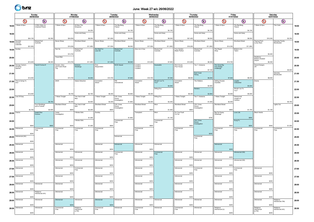## June: Week 27 w/c 26/06/2022

|       |                                      | Sunday<br>26/06/2022 |                                   |                                         | 27/06/2022 | Monday                            |                         |            | Tuesday<br>28/06/2022                |         |                                  |          | Wednesday<br>29/06/2022 |          |                                 |          | <b>Thursday</b><br>30/06/2022        |          |                                                  | Friday<br>01/07/2022 |                                |          |                                     | Saturday<br>02/07/2022 |                                |         |       |
|-------|--------------------------------------|----------------------|-----------------------------------|-----------------------------------------|------------|-----------------------------------|-------------------------|------------|--------------------------------------|---------|----------------------------------|----------|-------------------------|----------|---------------------------------|----------|--------------------------------------|----------|--------------------------------------------------|----------------------|--------------------------------|----------|-------------------------------------|------------------------|--------------------------------|---------|-------|
|       | $\bm{\mathsf{O}}$                    |                      | $\bm{\mathsf{\odot}}$             | $\bigcirc$                              |            | $\circledcirc$                    |                         | $\bigcirc$ | $\bm{\mathsf{\odot}}$                |         | $\bm{\mathsf{O}}$                |          | $\odot$                 |          | $\bigcirc$                      |          | $\bm{\mathsf{\odot}}$                |          | $\bullet$                                        |                      | $\odot$                        |          | $\bigcirc$                          |                        | $\bigcirc$                     |         |       |
| 18:00 | 1 News At 6pm                        |                      | 2 Wild: Eden-An<br>Untamed Planet | 1 News At 6pm                           |            | All New The<br>Simpsons           | 1 News At 6pm           |            | The Big Bang<br>Theory               |         | 1 News At 6pm                    |          | The Big Bang<br>Theory  |          | 1 News At 6pm                   |          | The Big Bang<br>Theory               |          | 1 News At 6pm                                    |                      | The Big Bang<br>Theory         |          | 1 News At 6pm                       |                        | The Cube                       |         | 18:00 |
| 18:30 |                                      |                      |                                   |                                         |            | \$4,250<br>Home and Away          |                         |            | Home and Away                        | \$4,100 |                                  |          | Home and Away           | \$4,100  |                                 |          | Home and Away                        | \$4,100  |                                                  |                      | Home and Away                  | \$4,100  |                                     |                        |                                |         | 18:30 |
|       |                                      | \$24,150             | \$2,300                           |                                         | \$24,550   | \$8,550                           |                         | \$21,600   |                                      | \$8,550 |                                  | \$22,650 |                         | \$8,550  |                                 | \$21,400 |                                      | \$8,550  |                                                  | \$19,000             |                                | \$8,550  |                                     | \$16,300               |                                | \$2,350 |       |
|       | 19:00 Nyundai<br>Country<br>Calendar | \$21,650             | MasterChef<br>Australia           | Seven Sharp                             | \$19,300   | Shortland Street<br>\$11,850      | Seven Sharp             | \$17,050   | Shortland Street                     | \$9,500 | Seven Sharp                      | \$17,050 | Shortland Street        | \$11,850 | Seven Sharp                     | \$16,200 | <b>Shortland Street</b>              | \$11,850 | Seven Sharp                                      | \$14,350             | Shortland Street               | \$11,850 | <b>Tipping Point</b><br>Lucky Stars |                        | Saturday Family<br>Blockbuster |         | 19:00 |
| 19:30 | Sunday                               |                      |                                   | Fair Go                                 |            | MasterChef<br>Australia           | Eat Well For<br>Less NZ |            | MasterChef<br>Australia              |         | Give Us A Clue                   |          | MasterChef<br>Australia |          | Your Garden<br>Made Perfect     |          | MasterChef<br>Australia              |          | The Repair<br>Shop                               |                      | <b>Britain's Got</b><br>Talent |          |                                     |                        |                                |         | 19:30 |
| 20:00 |                                      |                      |                                   | Travel Man                              | \$14,700   |                                   |                         |            |                                      |         |                                  |          |                         |          |                                 |          |                                      |          |                                                  |                      |                                |          | Heathrow:                           | \$9,400                |                                |         | 20:00 |
|       |                                      | \$13,400             | \$8,300                           |                                         | \$10,700   | \$11,850                          |                         | \$11,500   |                                      | \$9,500 |                                  | \$13,400 |                         | \$7,600  |                                 | \$13,400 |                                      | \$8,300  |                                                  | \$10,700             |                                |          | <b>Britain's Busiest</b><br>Airport | \$6,350                |                                |         |       |
| 20:30 | George Clarke's<br>Amazing<br>Spaces |                      | Fast & Furious 8                  | Gordon, Gino<br>and Fred's Road<br>Trip |            | Extreme<br>Weddings               | First<br>Responders     |            | <b>NCIS Hawaii</b>                   |         | Location<br>Location<br>Location |          | Guessable               |          | <b>Rich House</b><br>Poor House |          | Ten 7: Aotearoa                      |          | The Great Big<br><b>Tiny Design</b><br>Challenge |                      |                                |          | <b>Grand Designs</b><br>UK          |                        |                                |         | 20:30 |
| 21:00 |                                      |                      |                                   |                                         |            |                                   |                         |            |                                      |         |                                  |          |                         |          |                                 |          | East Coast                           | \$7,100  |                                                  |                      |                                |          |                                     |                        | Saturday<br>Blockbuster        | \$5,500 | 21:00 |
|       |                                      | \$12,050             |                                   |                                         | \$10,700   | \$4,950                           |                         | \$10,700   |                                      | \$7,600 |                                  | \$10,700 |                         | \$7,350  |                                 | \$8,050  | Rising                               | \$6,000  |                                                  | \$7,500              |                                | \$8,300  |                                     | \$8,050                |                                |         |       |
|       | $21:30$ This Is Going To<br>Hurt     |                      |                                   | 20/20                                   |            | Naked Attraction                  | Coronation<br>Street    |            | FBI:<br>International                |         | Coronation<br>Street             |          | Would I Lie To<br>You?  | \$4,500  | Coronation<br>Street            |          | The Walkers                          | \$4,900  | Selling Houses<br>Australia                      |                      | Laughs<br>Unleashed            | \$5,000  | Drama                               |                        |                                |         | 21:30 |
| 22:00 |                                      |                      |                                   |                                         |            |                                   |                         |            |                                      |         |                                  |          | Killing Eve             |          |                                 |          | Renters                              |          |                                                  |                      | Would I Lie To<br>You?         |          |                                     |                        |                                |         | 22:00 |
| 22:30 | Line Of Duty                         | \$12,050             |                                   | 1 News Tonight                          | \$4,750    | \$2,700<br>Two And A Half         | 1 News Tonight          | \$6,350    | CSI: Crime                           | \$5,650 | 1 News Tonight                   | \$6,350  | Killing Eve             |          | 1 News Tonight                  | \$6,350  | Ten 7: Aotearoa                      | \$2,850  | 1 News Tonight                                   | \$4,000              | Paranormal                     | \$5,000  |                                     |                        |                                |         |       |
|       |                                      |                      | \$6,750                           |                                         | \$2,450    | \$2,650                           |                         | \$2,450    | Scene<br>Investigation               | \$1,850 |                                  | \$2,450  |                         | \$2,250  |                                 | \$2,450  |                                      | \$1,000  |                                                  | \$2,450              | Caught on<br>Camera            |          |                                     |                        |                                | \$5,750 | 22:30 |
| 23:00 |                                      |                      | Four Weddings<br>and a Funeral    | Shortland Street                        |            | Two And A Half                    | Shortland Street        |            | CSI: Crime<br>Scene<br>Investigation |         | Shortland Street                 |          | Mom                     |          | Shortland Street                |          | CSI: Crime<br>Scene<br>Investigation |          | Shortland Street                                 |                      |                                |          |                                     |                        | Lights Out                     |         | 23:00 |
| 23:30 | Clarice                              | \$2,750              | \$2,000<br>Death Row              | Under                                   | \$900      | \$2,250<br>2 Broke Girls          | Sunday                  | \$900      |                                      |         | Transplant                       | \$900    | Mom                     | \$1,450  | It's Your Fault                 | \$900    |                                      |          | Big Fat Gypsy                                    | \$900                | Love Life                      | \$1,700  | <b>Black Hands</b>                  | \$1,100                |                                |         | 23:30 |
|       |                                      |                      | Doctors                           | Investigation                           |            | \$1,000                           |                         |            |                                      | \$1,850 |                                  |          |                         | \$1,100  | I'm Fat                         |          |                                      | \$700    | Weddings                                         |                      |                                | \$650    |                                     |                        |                                |         |       |
| 24:00 |                                      | \$600                | \$900                             |                                         | \$400      | 2 Broke Girls<br>\$1,000          |                         | \$900      | Commercial<br>Free                   |         |                                  | \$900    | Commercial<br>Free      |          |                                 | \$900    | CSI: Crime<br>Scene<br>Investigation |          |                                                  | \$900                | Kung Fu                        | \$650    |                                     | \$450                  |                                | \$1,550 | 24:00 |
| 24:30 | Infomercial                          |                      | Commercial<br>Free                | Commercial<br>Free                      |            | Commercial<br>Free                | Commercial<br>Free      |            |                                      |         | Commercial<br>Free               |          |                         |          | Commercial<br>Free              |          |                                      |          | Commercial<br>Free                               |                      | Commercial<br>Free             |          | Commercial<br>Free                  |                        | Commercial<br>Free             |         | 24:30 |
| 25:00 | Infomercial (AH)                     | \$250                |                                   |                                         |            |                                   |                         |            | Infomercial                          |         |                                  |          |                         |          |                                 |          | Commercial                           | \$450    |                                                  |                      |                                |          |                                     |                        |                                |         | 25:00 |
|       |                                      | \$250                |                                   |                                         |            |                                   |                         |            |                                      |         |                                  |          |                         |          |                                 |          | Free                                 |          |                                                  |                      |                                |          |                                     |                        |                                |         |       |
| 25:30 | Infomercial                          |                      |                                   | Infomercial                             |            |                                   | Infomercial             |            | Infomercial                          |         | Infomercial                      |          | Infomercial             |          |                                 |          |                                      |          | Infomercial                                      |                      |                                |          |                                     |                        |                                |         | 25:30 |
| 26:00 | Infomercial                          | \$250                |                                   | Infomercial                             | \$250      | Infomercial                       | Infomercial             | \$250      | Commercial<br>Free                   |         | Infomercial                      | \$250    | Commercial<br>Free      |          | Infomercial                     |          | Infomercial                          |          | Infomercial                                      | \$250                | Infomercial (GS)               |          |                                     |                        |                                |         | 26:00 |
|       |                                      | \$250                |                                   |                                         | \$250      |                                   |                         | \$250      |                                      |         |                                  | \$250    |                         |          |                                 | \$250    |                                      |          |                                                  | \$250                |                                |          |                                     |                        |                                |         |       |
| 26:30 | Infomercial                          | \$250                |                                   | Infomercial                             | \$250      | Infomercial                       | Infomercial             | \$250      |                                      |         | Infomercial                      | \$250    |                         |          | Infomercial                     | \$250    | Infomercial                          |          | Infomercial                                      | \$250                | Infomercial (GS)               |          |                                     |                        |                                |         | 26:30 |
|       | $27:00$   Informercial               |                      |                                   | Infomercial                             |            | Commercial<br>Free                | Infomercial             |            |                                      |         | Infomercial                      |          |                         |          | Infomercial                     |          | Commercia<br>Free                    |          | Infomercial                                      |                      | Commercial<br>Free             |          | Infomercial                         |                        |                                |         | 27:00 |
| 27:30 | Infomercial                          | \$250                |                                   | Infomercial                             | \$250      |                                   | Infomercial             | \$250      |                                      |         | Infomercial                      | \$250    |                         |          | Infomercial                     | \$250    |                                      |          | Infomercial                                      | \$250                |                                |          | Infomercial                         | \$250                  |                                |         | 27:30 |
|       |                                      | \$250                |                                   |                                         | \$250      |                                   |                         | \$250      |                                      |         |                                  | \$250    |                         |          |                                 | \$250    |                                      |          |                                                  | \$250                |                                |          |                                     | \$250                  |                                |         |       |
|       | 28:00   Infomercial                  |                      | Infomercial                       | Infomercial                             |            |                                   | Infomercial             |            |                                      |         | Infomercial                      |          |                         |          | Infomercial                     |          |                                      |          | Infomercial                                      |                      |                                |          | Infomercial                         |                        |                                |         | 28:00 |
| 28:30 | Infomercial                          | \$250                | Religious<br>Infomercial (HC)     | Infomercial                             | \$250      |                                   | Infomercial             | \$250      |                                      |         | Infomercial                      | \$250    |                         |          | Infomercial                     | \$250    |                                      |          | Infomercial                                      | \$250                |                                |          | Infomercial                         | \$250                  |                                |         | 28:30 |
|       |                                      | \$250                | Infomercial                       | Infomercial                             | \$250      | Infomercial                       | Infomercial             | \$250      | Infomercial                          |         | Infomercial                      | \$250    | Infomercial             |          | Infomercial                     | \$250    | Infomercial                          |          | Infomercial                                      | \$250                |                                |          | Infomercial                         | \$250                  |                                |         |       |
|       | $29:00$   Informercial               | \$250                |                                   |                                         | \$250      |                                   |                         | \$250      |                                      |         |                                  | \$250    |                         |          |                                 | \$250    |                                      |          |                                                  | \$250                |                                |          |                                     | \$250                  | Religious<br>Infomercial (TM)  |         | 29:00 |
|       | 29:30   Infomercial                  |                      | Infomercial                       | Commercial<br>Free                      |            | Religious<br>Infomercial<br>(LTW) | Commercial<br>Free      |            | Infomercial                          |         | Commercial<br>Free               |          | Infomercial             |          | Commercial<br>Free              |          | Infomercial                          |          | Religious<br>Infomercial (IJ)                    |                      |                                |          | Religious<br>Infomercial<br>(LTW)   |                        | Religious<br>Infomercial (HC)  |         | 29:30 |
|       |                                      | \$250                |                                   |                                         |            |                                   |                         |            |                                      |         |                                  |          |                         |          |                                 |          |                                      |          |                                                  | \$250                |                                |          |                                     | \$250                  |                                |         |       |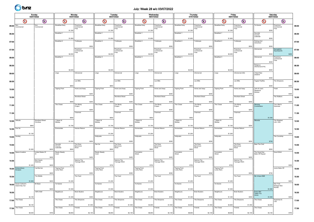## July: Week 28 w/c 03/07/2022

|       | Sunday<br>03/07/2022           |         |                             |       |                                            | Monday<br>04/07/2022 |                                 |         |                                            | Tuesday<br>05/07/2022 |                                 |         |                                            | Wednesday<br>06/07/2022 |                                 |         |                                     |         | <b>Thursday</b><br>07/07/2022   |         |                                            | Friday<br>08/07/2022 |                                 |         |                                          | Saturday<br>09/07/2022 |                                     |       |       |
|-------|--------------------------------|---------|-----------------------------|-------|--------------------------------------------|----------------------|---------------------------------|---------|--------------------------------------------|-----------------------|---------------------------------|---------|--------------------------------------------|-------------------------|---------------------------------|---------|-------------------------------------|---------|---------------------------------|---------|--------------------------------------------|----------------------|---------------------------------|---------|------------------------------------------|------------------------|-------------------------------------|-------|-------|
|       | O                              |         | $\odot$                     |       | $\bigcirc$                                 |                      | $\odot$                         |         | $\bm{\mathsf{\odot}}$                      |                       | $\bigcirc$                      |         | $\bigcirc$                                 |                         | $\odot$                         |         | $\mathbf{\Omega}$                   |         | $\odot$                         |         | $\bigcirc$                                 |                      | $\odot$                         |         | $\bigcirc$                               |                        | $\odot$                             |       |       |
|       | $06:00$ Non<br>Commercial      |         | Non<br>Commercial           |       | <b>Breakfast Early</b>                     |                      | Preschool<br>Commercial<br>Free |         | <b>Breakfast Early</b>                     |                       | Preschool<br>Commercial<br>Free |         | <b>Breakfast Early</b>                     |                         | Preschool<br>Commercial<br>Free |         | <b>Breakfast Early</b>              |         | Preschool<br>Commercial<br>Free |         | <b>Breakfast Early</b>                     |                      | Preschool<br>Commercial<br>Free |         | Te Karere                                |                        | Preschool<br>Commercial<br>Free     |       | 06:00 |
| 06:30 |                                |         |                             |       | Breakfast 1                                | \$1,300              |                                 |         | Breakfast 1                                | \$1,300               |                                 |         | Breakfast 1                                | \$1,300                 |                                 |         | Breakfast 1                         | \$1,300 |                                 |         | Breakfast 1                                | \$1,300              |                                 |         | Hyundai                                  | \$250                  |                                     |       | 06:30 |
|       |                                |         |                             |       |                                            | \$1,850              |                                 |         |                                            | \$1,850               |                                 |         |                                            | \$1,850                 |                                 |         |                                     | \$1,850 |                                 |         |                                            | \$1,850              |                                 |         | Country<br>Calendar                      | \$250                  |                                     |       |       |
| 07:00 |                                |         |                             |       | Breakfast 2                                |                      | Trollstopia                     |         | Breakfast 2                                |                       | Trollstopia                     |         | Breakfast 2                                |                         | Trollstopia                     |         | Breakfast 2                         |         | Trollstopia                     |         | Breakfast 2                                |                      | Trollstopia                     |         | Fishing And<br>Adventure                 |                        |                                     |       | 07:00 |
| 07:30 |                                |         |                             |       |                                            |                      | Preschool                       | \$550   |                                            |                       | Preschool                       | \$550   |                                            |                         | Preschool                       | \$550   |                                     |         | Preschool                       | \$550   |                                            |                      | Preschool                       | \$550   | Infomercial                              | \$250                  | Spongebob                           |       | 07:30 |
|       |                                |         |                             |       |                                            | \$2,650              | Commercial<br>Free              |         |                                            | \$2,650               | Commercial<br>Free              |         |                                            | \$2,650                 | Commercial<br>Free              |         |                                     | \$2,650 | Commercial<br>Free              |         |                                            | \$2,650              | Commercial<br>Free              |         |                                          | \$250                  | Squarepants                         | \$450 |       |
| 08:00 |                                |         |                             |       | Breakfast 3                                |                      |                                 |         | Breakfast 3                                |                       |                                 |         | Breakfast 3                                |                         |                                 |         | Breakfast 3                         |         |                                 |         | Breakfast 3                                |                      |                                 |         | Infomercial                              |                        | Preschool<br>Commercial<br>Free     |       | 08:00 |
| 08:30 |                                |         |                             |       |                                            |                      |                                 |         |                                            |                       |                                 |         |                                            |                         |                                 |         |                                     |         |                                 |         |                                            |                      |                                 |         | Religious                                | \$250                  |                                     |       | 08:30 |
|       |                                |         |                             |       |                                            | \$2,600              |                                 |         |                                            | \$2,600               |                                 |         |                                            | \$2,600                 |                                 |         |                                     | \$2,600 |                                 |         |                                            | \$2,600              |                                 |         | Infomercial (FIA)                        | $$250$                 |                                     |       |       |
| 09:00 |                                |         |                             |       | Lingo                                      |                      | Infomercial                     |         | Lingo                                      |                       | Infomercial                     |         | Lingo                                      |                         | Infomercial                     |         | Lingo                               |         | Infomercial                     |         | Lingo                                      |                      | Infomercial (GS)                |         | I Need New<br>Zealand                    |                        |                                     |       | 09:00 |
| 09:30 |                                |         |                             |       |                                            |                      | Les Mills                       |         |                                            |                       | Les Mills                       |         |                                            |                         | Les Mills                       |         |                                     |         | Les Mills                       |         |                                            |                      | Les Mills                       |         | Tagata Pasifika                          | \$300                  | The Simpsons                        |       | 09:30 |
|       |                                |         |                             |       |                                            | \$850                |                                 |         |                                            | \$850                 |                                 |         |                                            | \$850                   |                                 |         |                                     | \$850   |                                 |         |                                            | \$850                |                                 |         |                                          | \$300                  |                                     | \$450 |       |
| 10:00 |                                |         |                             |       | <b>Tipping Point</b>                       |                      | Home and Away                   |         | <b>Tipping Point</b>                       |                       | Home and Away                   |         | <b>Tipping Point</b>                       |                         | Home and Away                   |         | <b>Tipping Point</b>                |         | Home and Away                   |         | <b>Tipping Point</b>                       |                      | Home and Away                   |         | John & Lisa's<br>Weekend<br>Kitchen      |                        | Fresh                               |       | 10:00 |
| 10:30 |                                |         |                             |       |                                            |                      | Shortland Street                | \$250   |                                            |                       | Shortland Street                | \$250   |                                            |                         | Shortland Street                | \$250   |                                     |         | Shortland Street                | \$250   |                                            |                      | Shortland Street                | \$250   |                                          |                        | The Walkers                         | \$300 | 10:30 |
|       |                                |         |                             |       |                                            | \$900                |                                 | \$250   |                                            | \$900                 |                                 | \$250   |                                            | \$900                   |                                 | \$250   |                                     | \$900   |                                 | \$250   |                                            | \$900                |                                 | \$250   |                                          | \$850                  |                                     | \$300 |       |
| 11:00 |                                |         |                             |       | The Chase                                  |                      | The Mindy<br>Project            |         | The Chase                                  |                       | The Mindy<br>Project            |         | The Chase                                  |                         | The Mindy<br>Project            |         | The Chase                           |         | The Mindy<br>Project            |         | The Chase                                  |                      | The Mindy<br>Project            |         | Winning<br>Combination                   |                        | Tom Allen's<br>Quizness             |       | 11:00 |
| 11:30 |                                |         |                             |       |                                            |                      | Charmed                         | \$250   |                                            |                       | Charmed                         | \$250   |                                            |                         | Charmed                         | \$250   |                                     |         | Charmed                         | \$250   |                                            |                      | Charmed                         | \$250   |                                          |                        |                                     |       | 11:30 |
|       |                                |         |                             |       |                                            | \$950                |                                 |         |                                            | \$950                 |                                 |         |                                            | \$950                   |                                 |         |                                     | \$950   |                                 |         |                                            | \$950                |                                 |         |                                          | \$1,350                |                                     | \$300 |       |
|       | 12:00   Attitude               |         | Shortland Street<br>Omnibus |       | 1 News At<br>Midday                        |                      |                                 |         | 1 News At<br>Midday                        |                       |                                 |         | 1 News At<br>Midday                        |                         |                                 |         | 1 News At<br>Midday                 |         |                                 |         | 1 News At<br>Midday                        |                      |                                 |         | Miranda                                  |                        | The Weakest<br>Link: USA            |       | 12:00 |
|       | 12:30 Fair Go                  | \$800   |                             |       | Emmerdale                                  | \$1,700              | Heroes Reborn                   | \$250   | Emmerdale                                  | \$1,700               | Heroes Reborn                   | \$250   | Emmerdale                                  | \$1,700                 | Heroes Reborn                   | \$250   | Emmerdale                           | \$1,700 | Heroes Reborn                   | \$250   | Emmerdale                                  | \$1,700              | Heroes Reborn                   | \$250   |                                          |                        |                                     |       | 12:30 |
|       |                                | \$1,150 |                             |       |                                            |                      |                                 |         |                                            | \$1,200               |                                 |         |                                            | \$1,200                 |                                 |         |                                     | \$1,200 |                                 |         |                                            | \$1,200              |                                 |         |                                          |                        |                                     | \$250 |       |
|       | 13:00 Sunday                   |         |                             |       |                                            |                      |                                 |         | Hollyoaks                                  |                       |                                 |         | Hollyoaks                                  |                         |                                 |         | Hollyoaks                           |         |                                 |         | Hollyoaks                                  |                      |                                 |         |                                          |                        | The Courtship                       |       | 13:00 |
| 13:30 |                                |         |                             |       | Hyundai                                    | \$1,200              | The Drew                        | \$250   | Fair Go                                    | \$900                 | The Drew                        | \$250   |                                            |                         | The Drew                        | \$250   |                                     |         | The Drew                        | \$250   |                                            |                      | The Drew                        | \$250   | Beat The Chef                            | \$750                  |                                     |       | 13:30 |
|       |                                | \$1,650 |                             | \$400 | Country<br>Calendar                        | \$900                | Barrymore<br>Show               |         |                                            | \$900                 | Barrymore<br>Show               |         |                                            | \$900                   | Barrymore<br>Show               |         |                                     | \$900   | Barrymore<br>Show               |         |                                            | \$900                | Barrymore<br>Show               |         |                                          | \$550                  |                                     | \$250 |       |
|       | 14:00   Space Invaders         |         | United States Of            |       | Ready Steady<br>Cook                       |                      |                                 |         | Ready Steady<br>Cook                       |                       |                                 |         | Coronation<br>Street                       |                         |                                 |         | Coronation<br>Street                |         |                                 |         | Coronation<br>Street                       |                      |                                 |         | The Great Kiwi<br><b>Bake Off Repeat</b> |                        | Good Witch                          |       | 14:00 |
| 14:30 |                                |         | <b>Bob Hearts</b>           | \$400 |                                            |                      | Sabrina The                     | $\$450$ |                                            |                       | Sabrina The                     | \$450   |                                            |                         | Sabrina The                     | \$450   |                                     |         | Sabrina The                     | \$450   |                                            |                      | Sabrina The                     | \$450   |                                          |                        |                                     |       | 14:30 |
|       |                                | \$1,400 | Abishola                    | \$400 |                                            | \$750                | <b>Teenage Witch</b>            |         |                                            | \$750                 | <b>Teenage Witch</b>            |         |                                            | \$750                   | <b>Teenage Witch</b>            |         |                                     | \$750   | <b>Teenage Witch</b>            |         |                                            | \$750                | Teenage Witch                   |         |                                          |                        |                                     | \$300 |       |
|       | 15:00 Extraordinary<br>Escapes |         | Call Me Kat                 |       | <b>Tipping Point</b><br><b>Lucky Stars</b> |                      |                                 |         | <b>Tipping Point</b><br><b>Lucky Stars</b> |                       |                                 |         | <b>Tipping Point</b><br><b>Lucky Stars</b> |                         |                                 |         | <b>Tipping Point</b><br>Lucky Stars |         |                                 |         | <b>Tipping Point</b><br><b>Lucky Stars</b> |                      |                                 |         |                                          |                        | Junior Bake Off                     |       | 15:00 |
| 15:30 |                                |         | The Middle                  | \$400 |                                            |                      | The Feed                        | \$350   |                                            |                       | The Feed                        | \$350   |                                            |                         | The Feed                        | \$350   |                                     |         | The Feed                        | \$350   |                                            |                      | The Feed                        | \$350   | My Unique B&B                            | \$750                  |                                     |       | 15:30 |
|       |                                | \$1,650 |                             | \$400 |                                            | \$1,200              |                                 |         |                                            | \$1,200               |                                 |         |                                            | \$1,200                 |                                 |         |                                     | \$1,200 |                                 |         |                                            | \$1,200              |                                 |         |                                          |                        |                                     | \$400 |       |
|       | 16:00 Susan Calman's           |         | Mr Bean                     |       | Te Karere                                  |                      |                                 |         | Te Karere                                  |                       |                                 |         | Te Karere                                  |                         |                                 |         | Te Karere                           |         |                                 |         | Te Karere                                  |                      |                                 |         |                                          |                        | Star Trek:<br>Strange New<br>Worlds |       | 16:00 |
| 16:30 |                                |         | 100% Wolf                   | \$400 | Neighbours                                 | \$1,500              | <b>Brain Busters</b>            |         | Neighbours                                 | \$1,500               | <b>Brain Busters</b>            |         | Neighbours                                 | \$1,500                 | <b>Brain Busters</b>            |         | Neighbours                          | \$1,500 | <b>Brain Busters</b>            |         | Neighbours                                 | \$1,500              | <b>Brain Busters</b>            |         | Every Bite<br>Takes You                  | \$1,050                |                                     |       | 16:30 |
|       |                                | \$2,100 |                             |       |                                            | \$1,300              |                                 | \$300   |                                            | \$1,300               |                                 | \$300   |                                            | \$1,300                 |                                 | \$300   |                                     | \$1,300 |                                 | \$300   |                                            | \$1,300              |                                 | \$300   | Home                                     | \$1,050                |                                     | \$400 |       |
|       | 17:00 The Chase                |         |                             |       | The Chase                                  |                      | The Simpsons                    |         | The Chase                                  |                       | The Simpsons                    |         | The Chase                                  |                         | The Simpsons                    |         | The Chase                           |         | The Simpsons                    |         | The Chase                                  |                      | The Simpsons                    |         | The Chase                                |                        | Superman &<br>Lois                  |       | 17:00 |
|       | 17:30 The Chase                | \$6,100 |                             |       | The Chase                                  | \$4,800              | Friends                         | \$1,550 | The Chase                                  | \$4,800               | Friends                         | \$1,550 | The Chase                                  | \$4,800                 | Friends                         | \$1,550 | The Chase                           | \$4,800 | Friends                         | \$1,550 | The Chase                                  | \$4,800              | Friends                         | \$1,550 | The Chase                                | \$2,650                |                                     |       | 17:30 |
|       |                                | \$9,000 |                             | \$700 |                                            | \$8,850              |                                 | \$2,100 |                                            | \$8,850               |                                 | \$2,100 |                                            | \$8,850                 |                                 | \$2,100 |                                     | \$8,850 |                                 | \$2,100 |                                            | \$8,850              |                                 | \$2,100 |                                          | \$4,150                |                                     | \$750 |       |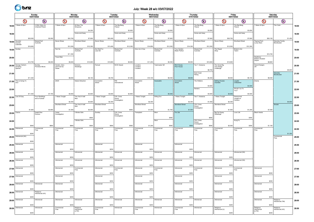

## July: Week 28 w/c 03/07/2022

| Sunday<br>03/07/2022 |                                             |          |                                   |         |                                      | Monday<br>04/07/2022 |                                   |          |                            | Tuesday  | 05/07/2022                           |          |                                    | Wednesday<br>06/07/2022 |                         |          |                             | <b>Thursday</b> | 07/07/2022                           |          |                                                  | Friday<br>08/07/2022 |                                   |          |                                                  | Saturday<br>09/07/2022 |                                |         |                |
|----------------------|---------------------------------------------|----------|-----------------------------------|---------|--------------------------------------|----------------------|-----------------------------------|----------|----------------------------|----------|--------------------------------------|----------|------------------------------------|-------------------------|-------------------------|----------|-----------------------------|-----------------|--------------------------------------|----------|--------------------------------------------------|----------------------|-----------------------------------|----------|--------------------------------------------------|------------------------|--------------------------------|---------|----------------|
|                      | $\bm{\mathsf{O}}$                           |          | $\odot$                           |         | $\bm{\mathsf{\odot}}$                |                      | $\odot$                           |          | $\bm{\mathsf{\odot}}$      |          | $\bm{\mathsf{\odot}}$                |          | $\odot$                            |                         | $\bm{\mathsf{\odot}}$   |          | $\bigcirc$                  |                 | $\odot$                              |          | $\bigcirc$                                       |                      | $\odot$                           |          | $\bigcirc$                                       |                        | $\odot$                        |         |                |
| 18:00                | 1 News At 6pm                               |          | 2 Wild: Eden-An<br>Untamed Planet |         | 1 News At 6pm                        |                      | All New The<br>Simpsons           | \$4,200  | 1 News At 6pm              |          | The Big Bang<br>Theory               | \$3,650  | 1 News At 6pm                      |                         | The Big Bang<br>Theory  | \$3,650  | 1 News At 6pm               |                 | The Big Bang<br>Theory               | \$3,650  | 1 News At 6pm                                    |                      | The Big Bang<br>Theory            | \$3,650  | 1 News At 6pm                                    |                        | The Cube                       |         | 18:00          |
| 18:30                |                                             | \$22,050 |                                   | \$2,000 |                                      | \$22,700             | Home and Away                     | \$7,600  |                            | \$22,400 | Home and Away                        | \$7,600  |                                    | \$22,800                | Home and Away           | \$7,600  |                             | \$22,450        | Home and Away                        | \$7,600  |                                                  | \$20,750             | Home and Away                     | \$7,600  |                                                  | \$20,150               |                                | \$1,450 | 18:30          |
|                      | $19:00$ Hyundai<br>Country<br>Calendar      | \$16,900 | MasterChef<br>Australia           |         | Seven Sharp                          | \$12,300             | Shortland Street                  | \$12,300 | Seven Sharp                | \$13,400 | Shortland Street                     | \$12,300 | Seven Sharp                        | \$14,850                | Shortland Street        | \$12,300 | Seven Sharp                 | \$14,300        | Shortland Street                     | \$12,300 | Seven Sharp                                      | \$12,500             | Shortland Street                  | \$12,300 | <b>Tipping Point</b><br>Lucky Stars              |                        | Saturday Family<br>Blockbuster |         | 19:00          |
| 19:30   Sunday       |                                             |          |                                   |         | Fair Go                              | \$11,350             | MasterChef<br>Australia           |          | Eat Well For<br>Less NZ    |          | MasterChef<br>Australia              |          | Give Us A Clue                     |                         | MasterChef<br>Australia |          | Your Garden<br>Made Perfect |                 | MasterChef<br>Australia              |          | The Repair<br>Shop                               |                      | <b>Britain's Got</b><br>Talent    |          |                                                  | \$10,700               |                                |         | 19:30          |
| 20:00                |                                             | \$12,750 |                                   | \$8,000 | Travel Man                           | \$9,600              |                                   | \$10,900 |                            | \$10,800 |                                      | \$9,650  |                                    | \$11,250                |                         | \$9,350  |                             | \$9,950         |                                      | \$10,600 |                                                  | \$10,650             |                                   |          | Heathrow:<br><b>Britain's Busiest</b><br>Airport | \$8,800                |                                |         | 20:00          |
|                      | 20:30 George Clarke's<br>Amazing<br>Spaces  |          | Sunday<br>Premiere Movie          |         | Gordon, Gino<br>and Fred Go<br>Greek |                      | Extreme<br>Weddings               |          | Factual                    |          | NCIS Hawaii                          |          | Location,<br>Location,<br>Location |                         | Taskmaster NZ           |          | Rich House,<br>Poor House   |                 | Ten 7: Aotearoa                      | \$8,700  | The Great Big<br><b>Tiny Design</b><br>Challenge |                      |                                   |          | <b>Grand Designs</b><br><b>IJK</b>               |                        |                                | \$5,600 | 20:30          |
| 21:00                |                                             | \$11,450 |                                   |         |                                      | \$8,650              |                                   | \$6,150  |                            | \$9,700  |                                      | \$7,450  |                                    | \$10,100                |                         | \$8,350  |                             | \$8,950         | East Coast<br>Rising                 | \$5,450  |                                                  | \$9,550              |                                   | \$6,100  |                                                  | \$8,350                | Saturday<br>Blockbuste         |         | 21:00          |
|                      | 21:30 This Is Going To<br>Hurt              |          |                                   |         | 20/20                                |                      | Naked Attraction                  |          | Coronation<br>Street       |          | FBI:<br>International                |          | Coronation<br>Street               |                         | Guessable               |          | Coronation<br>Street        |                 | The Walkers                          | \$3,600  | <b>Selling Houses</b><br>Australia               |                      | Laughs<br>Unleashed               | \$4,500  | Drama                                            |                        |                                |         | 21:30          |
| 22:00                |                                             | \$11,450 |                                   | \$7,700 |                                      | \$4,650              |                                   | \$3,600  |                            | \$4,600  |                                      | \$2,850  |                                    | \$4,600                 |                         | \$5,000  |                             | \$4,600         | Renters                              | \$3,600  |                                                  | \$4,650              | Would I Lie To<br>You?            | \$4,500  |                                                  |                        |                                |         | 22:00          |
|                      | 22:30 Line Of Duty                          |          | Four Weddings<br>and a Funeral    |         | 1 News Tonight                       | \$2,350              | Two And A Half<br>Men             | \$3,600  | News Tonight               | \$2,350  | CSI: Crime<br>Scene<br>Investigation |          | 1 News Tonight                     | \$2,350                 | Killing Eve             |          | 1 News Tonight              | \$2,350         | Ten 7: Aotearoa                      | \$1,050  | 1 News Tonight                                   | \$2,350              | Paranormal<br>Caught on<br>Camera |          |                                                  |                        |                                | \$4,900 | 22:30          |
| 23:00                |                                             | \$1,600  |                                   | \$2,850 | Shortland Street                     | \$1,550              | Two And A Half                    | \$2,050  | Shortland Street           | \$1,550  |                                      | \$550    | Shortland Street                   | \$1,550                 |                         | \$1,750  | <b>Shortland Street</b>     | \$1,550         | CSI: Crime<br>Scene<br>Investigation |          | Shortland Street                                 | \$1,550              |                                   | \$1,200  |                                                  | \$7,300                | Shutter                        |         | 23:00          |
| 23:30 Clarice        |                                             |          | Death Row<br>Doctors              |         | Under<br>Investigation               |                      | 2 Broke Girls                     | \$500    | Sunday                     |          | CSI: Crime<br>Scene<br>Investigation |          | Transplant                         |                         | Mom                     | \$500    | For Life                    |                 |                                      | \$650    | Big Fat Gypsy<br>Weddings                        |                      | Love Life                         | \$350    | <b>Black Hands</b>                               |                        |                                |         | 23:30          |
| 24:00                |                                             | \$500    |                                   | \$850   |                                      | \$800                | 2 Broke Girls                     | \$500    |                            | \$950    |                                      | \$550    |                                    | \$1,200                 | Mom                     | \$500    |                             | \$550           | CSI: Crime<br>Scene<br>nvestigation  | \$500    |                                                  | \$2,050              | Kung Fu                           | \$350    |                                                  | \$1,150                |                                |         | 24:00          |
|                      | 24:30   Informercial                        | \$250    | Commercial<br>Free                |         | Commercial<br>Free                   |                      | Commercial<br>Free                |          | Commercial<br>Free         |          | Commercial<br>Free                   |          | Commercial<br>Free                 |                         | Commercial<br>Free      |          | Commercial<br>Free          |                 | Commercial<br>Free                   |          | Commercial<br>Free                               |                      | Commercial<br>Free                |          | Commercial<br>Free                               |                        |                                | \$1,350 | 24:30          |
|                      | 25:00   Informercial (AH)                   | \$250    |                                   |         |                                      |                      |                                   |          |                            |          |                                      |          |                                    |                         |                         |          |                             |                 |                                      |          |                                                  |                      |                                   |          |                                                  |                        | Commercial<br>Free             |         | 25:00          |
|                      | 25:30   Informercial                        | \$250    |                                   |         | Infomercial                          | \$250                |                                   |          | Infomercial                | \$250    |                                      |          | Infomercial                        | \$250                   |                         |          | Infomercial                 | \$250           |                                      |          |                                                  |                      |                                   |          |                                                  |                        |                                |         | 25:30          |
|                      | 26:00 Informercial                          | \$250    |                                   |         | Infomercial                          | \$250                | Infomercial                       |          | Infomercial                | \$250    | Infomercial                          |          | Infomercial                        | \$250                   | Infomercial             |          | Infomercial                 | \$250           | Infomercial                          |          | Infomercial                                      | \$250                | Infomercial (GS)                  |          |                                                  |                        |                                |         | 26:00          |
|                      | 26:30   Informercial                        | \$250    |                                   |         | Infomercial                          | \$250                | Infomercial                       |          | Infomercial                | \$250    | nfomercial                           |          | Infomercial                        | \$250                   | Infomercial             |          | Infomercial                 | \$250           | Infomercial                          |          | Infomercial                                      | \$250                | Infomercial (GS)                  |          |                                                  |                        |                                |         | 26:30          |
|                      | 27:00 Informercial                          | \$250    |                                   |         | Infomercial<br>Infomercial           | \$250                | Commercial<br>Free                |          | Infomercial<br>Infomercial | \$250    | Commercial<br>Free                   |          | Infomercial<br>Infomercial         | \$250                   | Commercial<br>Free      |          | Infomercial<br>Infomercial  | \$250           | Commercial<br>Free                   |          | Infomercial<br>Infomercial                       | \$250                | Commercial<br>Free                |          | Infomercial<br>Infomercial                       | \$250                  |                                |         | 27:00          |
|                      | $27:30$ Infomercial                         | \$250    | Infomercial                       |         | Infomercial                          | \$250                |                                   |          | Infomercial                | \$250    |                                      |          | Infomercial                        | \$250                   |                         |          | Infomercial                 | \$250           |                                      |          | Infomercial                                      | \$250                |                                   |          | Infomercial                                      | \$250                  |                                |         | 27:30          |
|                      | 28:00   Infomercial<br>28:30   Informercial | \$250    | Religious                         |         | Infomercial                          | \$250                |                                   |          | Infomercial                | \$250    |                                      |          | Infomercial                        | \$250                   |                         |          | Infomercial                 | \$250           |                                      |          | Infomercial                                      | \$250                |                                   |          | Infomercial                                      | \$250                  |                                |         | 28:00          |
|                      | 29:00   Informercial                        | \$250    | Infomercial (HC)<br>Infomercial   |         | Infomercial                          | \$250                | Infomercial                       |          | Infomercial                | \$250    | Infomercial                          |          | Infomercial                        | \$250                   | Infomercial             |          | Infomercial                 | \$250           | Infomercial                          |          | Infomercial                                      | \$250                |                                   |          | Infomercial                                      | \$250                  | Religious<br>Infomercial (TM)  |         | 28:30<br>29:00 |
|                      | $29:30$ Infomercial                         | \$250    | Infomercial                       |         | Commercial                           | \$250                |                                   |          | Commercial                 | \$250    | Infomercial                          |          | Commercial                         | \$250                   | Infomercial             |          | Commercial                  | \$250           | Infomercial                          |          | Religious                                        | \$250                |                                   |          |                                                  | \$250                  |                                |         | 29:30          |
|                      |                                             | \$250    |                                   |         | Free                                 |                      | Religious<br>Infomercial<br>(LTW) |          | Free                       |          |                                      |          | Free                               |                         |                         |          | Free                        |                 |                                      |          | Infomercial (IJ)                                 | \$250                |                                   |          | Religious<br>Infomercial<br>(LTW)                | \$250                  | Religious<br>Infomercial (HC)  |         |                |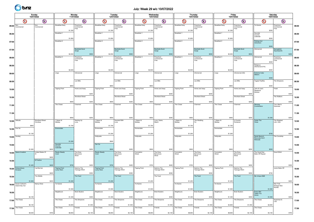

## July: Week 29 w/c 10/07/2022

| Sunday<br>10/07/2022                  |                                |         |                             |       |                                     | 11/07/2022 | Monday                          |         |                                     | <b>Tuesday</b><br>12/07/2022 |                                 |         |                        | Wednesday | 13/07/2022                      |         |                        |         | <b>Thursday</b><br>14/07/2022   |         |                        | Friday<br>15/07/2022 |                                 |         |                                          | Saturday<br>16/07/2022 |                                 |       |       |
|---------------------------------------|--------------------------------|---------|-----------------------------|-------|-------------------------------------|------------|---------------------------------|---------|-------------------------------------|------------------------------|---------------------------------|---------|------------------------|-----------|---------------------------------|---------|------------------------|---------|---------------------------------|---------|------------------------|----------------------|---------------------------------|---------|------------------------------------------|------------------------|---------------------------------|-------|-------|
|                                       | $\bm{\mathsf{\odot}}$          |         | $\odot$                     |       | $\bigcirc$                          |            | $\odot$                         |         | $\bigcirc$                          |                              | $\odot$                         |         | $\bigcirc$             |           | $\odot$                         |         | $\bm{\mathsf{O}}$      |         | $\odot$                         |         | $\mathbf  \Omega$      |                      | $\odot$                         |         | $\bigcirc$                               |                        | $\bigcirc$                      |       |       |
| 06:00 $\frac{\text{Non}}{\text{Com}}$ | Commercial                     |         | Non<br>Commercial           |       | <b>Breakfast Early</b>              |            | Preschool<br>Commercial<br>Free |         | <b>Breakfast Early</b>              |                              | Preschool<br>Commercial<br>Free |         | <b>Breakfast Early</b> |           | Preschool<br>Commercial<br>Free |         | <b>Breakfast Early</b> |         | Preschool<br>Commercial<br>Free |         | <b>Breakfast Early</b> |                      | Preschool<br>Commercial<br>Free |         | Te Karere                                |                        | Preschool<br>Commercial<br>Free |       | 06:00 |
| 06:30                                 |                                |         |                             |       | Breakfast 1                         | \$1,300    |                                 |         | Breakfast 1                         | \$1,300                      |                                 |         | Breakfast 1            | \$1,300   |                                 |         | Breakfast 1            | \$1,300 |                                 |         | Breakfast 1            | \$1,300              |                                 |         | Hyundai                                  | \$250                  |                                 |       | 06:30 |
|                                       |                                |         |                             |       |                                     | \$1,850    |                                 |         |                                     | \$1,850                      |                                 |         |                        | \$1,850   |                                 |         |                        | \$1,850 |                                 |         |                        | \$1,850              |                                 |         | Country<br>Calendar                      | \$250                  |                                 |       |       |
| 07:00                                 |                                |         |                             |       | Breakfast 2                         |            |                                 |         | Breakfast 2                         |                              |                                 |         | Breakfast 2            |           |                                 |         | Breakfast 2            |         |                                 |         | Breakfast 2            |                      |                                 |         | Fishing And<br>Adventure                 |                        |                                 |       | 07:00 |
| 07:30                                 |                                |         |                             |       |                                     |            | Beyblade Burst                  |         |                                     |                              | <b>Beyblade Burst</b>           |         |                        |           | <b>Beyblade Burst</b>           |         |                        |         | <b>Beyblade Burst</b>           |         |                        |                      | <b>Beyblade Burst</b>           |         | Infomercial                              | \$250                  | Spongebob                       |       | 07:30 |
|                                       |                                |         |                             |       |                                     | \$2,650    | Surge                           | \$550   |                                     | \$2,650                      | Surge                           | \$550   |                        | \$2,650   | Surge                           | \$550   |                        | \$2,650 | Surge                           | \$550   |                        | \$2,650              | Surge                           | \$550   |                                          | \$250                  | Squarepants                     | \$450 |       |
| 08:00                                 |                                |         |                             |       | Breakfast 3                         |            | Preschool<br>Commercia<br>Free  |         | Breakfast 3                         |                              | Preschool<br>Commercial<br>Free |         | Breakfast 3            |           | Preschool<br>Commercial<br>Free |         | Breakfast 3            |         | Preschool<br>Commercial<br>Free |         | Breakfast 3            |                      | Preschool<br>Commercial<br>Free |         | Infomercial                              |                        | Preschool<br>Commercial<br>Free |       | 08:00 |
| 08:30                                 |                                |         |                             |       |                                     |            |                                 |         |                                     |                              |                                 |         |                        |           |                                 |         |                        |         |                                 |         |                        |                      |                                 |         | Religious<br>Infomercial (FIA)           | \$250                  |                                 |       | 08:30 |
|                                       |                                |         |                             |       |                                     | \$2,600    |                                 |         |                                     | \$2,600                      |                                 |         |                        | \$2,600   |                                 |         |                        | \$2,600 |                                 |         |                        | \$2,600              |                                 |         |                                          | \$250                  |                                 |       |       |
| 09:00                                 |                                |         |                             |       | Lingo                               |            | Infomercial                     |         | Lingo                               |                              | Infomercial                     |         | Lingo                  |           | Infomercial                     |         | Lingo                  |         | Infomercial                     |         | Lingo                  |                      | Infomercial (GS)                |         | <b>Extreme Cake</b><br>Makers            |                        |                                 |       | 09:00 |
| 09:30                                 |                                |         |                             |       |                                     |            | Les Mills                       |         |                                     |                              | Les Mills                       |         |                        |           | Les Mills                       |         |                        |         | Les Mills                       |         |                        |                      | Les Mills                       |         | Tagata Pasifika                          | \$300                  | The Simpsons                    |       | 09:30 |
|                                       |                                |         |                             |       |                                     | \$850      |                                 |         |                                     | \$850                        |                                 |         |                        | \$850     |                                 |         |                        | \$850   |                                 |         |                        | \$850                |                                 |         |                                          | \$300                  |                                 | \$450 |       |
| 10:00                                 |                                |         |                             |       | <b>Tipping Point</b>                |            | Home and Away                   |         | <b>Tipping Point</b>                |                              | Home and Away                   |         | <b>Tipping Point</b>   |           | Home and Away                   |         | <b>Tipping Point</b>   |         | Home and Away                   |         | <b>Tipping Point</b>   |                      | Home and Away                   |         | John & Lisa's<br>Weekend                 |                        | Fresh                           |       | 10:00 |
|                                       |                                |         |                             |       |                                     |            | Shortland Street                | \$250   |                                     |                              | <b>Shortland Street</b>         | \$250   |                        |           | <b>Shortland Street</b>         | \$250   |                        |         | <b>Shortland Street</b>         | \$250   |                        |                      | Shortland Street                | \$250   | Kitchen                                  |                        | The Walkers                     | \$300 |       |
| 10:30                                 |                                |         |                             |       |                                     | \$900      |                                 | \$250   |                                     | \$900                        |                                 | \$250   |                        | \$900     |                                 | \$250   |                        | \$900   |                                 | \$250   |                        | \$900                |                                 | \$250   |                                          | \$850                  |                                 | \$300 | 10:30 |
| 11:00                                 |                                |         |                             |       | The Chase                           |            | Charmed                         |         | The Chase                           |                              | Charmed                         |         | The Chase              |           | Charmed                         |         | The Chase              |         | Charmed                         |         | The Chase              |                      | Charmed                         |         | Winning<br>Combination                   |                        | Tom Allen's<br>Quizness         |       | 11:00 |
|                                       |                                |         |                             |       |                                     |            |                                 |         |                                     |                              |                                 |         |                        |           |                                 |         |                        |         |                                 |         |                        |                      |                                 |         |                                          |                        |                                 |       |       |
| 11:30                                 |                                |         |                             |       |                                     | \$950      |                                 | \$250   |                                     | \$950                        |                                 | \$250   |                        | \$950     |                                 | \$250   |                        | \$950   |                                 | \$250   |                        | \$950                |                                 | \$250   |                                          | \$1,350                |                                 | \$300 | 11:30 |
|                                       | $12:00$ Attitude               |         | Shortland Street<br>Omnibus |       | 1 News At<br>Midday                 |            | Starting Up<br>Love             |         | 1 News At<br>Midday                 |                              | Scented With<br>Love            |         | 1 News At<br>Midday    |           | Love, Game,<br>Match            |         | 1 News At<br>Midday    |         | The Wedding<br>Fix              |         | 1 News At<br>Midday    |                      | A Country<br>Romance            |         | Under The<br>Vines                       |                        | The Weakest<br>Link: USA        |       | 12:00 |
|                                       |                                | \$800   |                             |       | Emmerdale                           | \$1,700    |                                 |         | Emmerdale                           | \$1,700                      |                                 |         | Emmerdale              | \$1,700   |                                 |         | Emmerdale              | \$1,700 |                                 |         | Emmerdale              | \$1,700              |                                 |         |                                          |                        |                                 |       |       |
|                                       | 12:30 Fair Go                  | \$1,150 |                             |       |                                     |            |                                 |         |                                     | \$1,200                      |                                 |         |                        | \$1,200   |                                 |         |                        | \$1,200 |                                 |         |                        | \$1,200              |                                 |         |                                          | \$750                  |                                 | \$250 | 12:30 |
|                                       | 13:00   Sunday                 |         |                             |       |                                     |            |                                 |         | Hollyoaks                           |                              |                                 |         | Hollyoaks              |           |                                 |         | Hollyoaks              |         |                                 |         | Hollyoaks              |                      |                                 |         | Sarah Beeny's<br>Renovate Don't          |                        | The Courtship                   |       | 13:00 |
|                                       |                                |         |                             |       |                                     | \$1,200    |                                 |         | Fair Go                             | \$900                        |                                 |         |                        |           |                                 |         |                        |         |                                 |         |                        |                      |                                 |         | Relocate                                 |                        |                                 |       |       |
| 13:30                                 |                                | \$1,650 |                             | \$400 | Hyundai<br>Country<br>Calendar      | \$900      |                                 | \$250   |                                     | \$900                        |                                 | \$250   |                        | \$900     |                                 | \$250   |                        | \$900   |                                 | \$250   |                        | \$900                |                                 | \$250   |                                          | \$550                  |                                 | \$250 | 13:30 |
|                                       | 14:00 Space Invaders           |         | United States Of            |       | <b>Ready Steady</b><br>Cook         |            | The Drew<br>Barrymore           |         | Ready Steady<br>Cook                |                              | The Drew<br>Barrymore           |         | Coronation<br>Street   |           | The Drew<br>Barrymore           |         | Coronation<br>Street   |         | The Drew<br>Barrymore           |         | Coronation<br>Street   |                      | The Drew<br>Barrymore           |         | The Great Kiwi<br><b>Bake Off Repeat</b> |                        | Good Witch                      |       | 14:00 |
|                                       |                                |         | <b>B</b> Positive           | \$400 |                                     |            | Show                            |         |                                     |                              | Show                            |         |                        |           | Show                            |         |                        |         | Show                            |         |                        |                      | Show                            |         |                                          |                        |                                 |       |       |
| 14:30                                 |                                | \$1,400 |                             | \$400 |                                     | \$750      |                                 | \$450   |                                     | \$750                        |                                 | \$450   |                        | \$750     |                                 | \$450   |                        | \$750   |                                 | \$450   |                        | \$750                |                                 | \$450   |                                          |                        |                                 | \$300 | 14:30 |
|                                       | 15:00 Extraordinary<br>Escapes |         | Call Me Kat                 |       | <b>Tipping Point</b><br>Lucky Stars |            | Sabrina The<br>Teenage Witch    |         | <b>Tipping Point</b><br>Lucky Stars |                              | Sabrina The<br>Teenage Witch    |         | <b>Tipping Point</b>   |           | Sabrina The<br>Teenage Witch    |         | <b>Tipping Point</b>   |         | Sabrina The<br>Teenage Witch    |         | <b>Tipping Point</b>   |                      | Sabrina The<br>Teenage Witch    |         |                                          |                        | Junior Bake Off                 |       | 15:00 |
|                                       |                                |         | The Middle                  | \$400 |                                     |            | The Feed                        | \$350   |                                     |                              | The Feed                        | \$350   |                        |           | The Feed                        | \$350   |                        |         | The Feed                        | \$350   |                        |                      | The Feed                        | \$350   | My Unique B&B                            | \$750                  |                                 |       |       |
| 15:30                                 |                                | \$1,650 |                             | \$400 |                                     | \$1,200    |                                 |         |                                     | \$1,200                      |                                 |         |                        | \$1,200   |                                 |         |                        | \$1,200 |                                 |         |                        | \$1,200              |                                 |         |                                          |                        |                                 | \$400 | 15:30 |
|                                       | 16:00 Susan Calman's           |         | Nancy Drew                  |       | Te Karere                           |            |                                 |         | Te Karere                           |                              |                                 |         | Te Karere              |           |                                 |         | Te Karere              |         |                                 |         | Te Karere              |                      |                                 |         |                                          |                        | Star Trek:<br>Strange New       |       | 16:00 |
|                                       |                                |         |                             |       |                                     | \$1,500    |                                 |         |                                     | \$1,500                      |                                 |         |                        | \$1,500   |                                 |         |                        | \$1,500 |                                 |         |                        | \$1,500              |                                 |         |                                          | \$1,050                | Worlds                          |       |       |
| 16:30                                 |                                | \$2,100 |                             |       | Neighbours                          | \$1,300    | <b>Brain Busters</b>            | \$300   | Neighbours                          | \$1,300                      | <b>Brain Busters</b>            |         | Neighbours             | \$1,300   | <b>Brain Busters</b>            | \$300   | Neighbours             |         | <b>Brain Busters</b>            | \$300   | Neighbours             |                      | <b>Brain Busters</b>            | \$300   | Every Bite<br>Takes You<br>Home          | \$1,050                |                                 |       | 16:30 |
|                                       | 17:00 The Chase                |         |                             |       | The Chase                           |            | The Simpsons                    |         | The Chase                           |                              | The Simpsons                    | \$300   | The Chase              |           | The Simpsons                    |         | The Chase              | \$1,300 | The Simpsons                    |         | The Chase              | \$1,300              | The Simpsons                    |         | The Chase                                |                        | Superman &<br>Lois              | \$400 | 17:00 |
|                                       |                                | \$6,100 |                             |       |                                     | \$4,800    |                                 | \$1,550 |                                     | \$4,800                      |                                 | \$1,550 |                        | \$4,800   |                                 | \$1,550 |                        | \$4,800 |                                 | \$1,550 |                        | \$4,800              |                                 | \$1,550 |                                          | \$2,650                |                                 |       |       |
|                                       | 17:30 The Chase                |         |                             |       | The Chase                           |            | Friends                         |         | The Chase                           |                              | Friends                         |         | The Chase              |           | Friends                         |         | The Chase              |         | Friends                         |         | The Chase              |                      | Friends                         |         | The Chase                                |                        |                                 |       | 17:30 |
|                                       |                                | \$9,000 |                             | \$700 |                                     | \$8,850    |                                 | \$2,100 |                                     | \$8,850                      |                                 | \$2,100 |                        | \$8,850   |                                 | \$2,100 |                        | \$8,850 |                                 | \$2,100 |                        | \$8,850              |                                 | \$2,100 |                                          | \$4,150                |                                 | \$750 |       |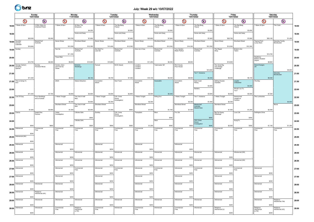

## July: Week 29 w/c 10/07/2022

| Sunday<br>10/07/2022 |                                             |          |                                   |         |                                      | Monday<br>11/07/2022 |                                   |          |                            | <b>Tuesday</b><br>12/07/2022 |                                      |          |                                  | Wednesday | 13/07/2022              |          |                             |          | <b>Thursday</b><br>14/07/2022          |          |                                                  | Friday<br>15/07/2022 |                                   |          |                                                  | Saturday<br>16/07/2022 |                                |         |       |
|----------------------|---------------------------------------------|----------|-----------------------------------|---------|--------------------------------------|----------------------|-----------------------------------|----------|----------------------------|------------------------------|--------------------------------------|----------|----------------------------------|-----------|-------------------------|----------|-----------------------------|----------|----------------------------------------|----------|--------------------------------------------------|----------------------|-----------------------------------|----------|--------------------------------------------------|------------------------|--------------------------------|---------|-------|
|                      | $\odot$<br>$\bm{\mathsf{O}}$                |          | $\bigcirc$                        |         | $\odot$                              |                      | $\bigcirc$                        |          | $\odot$                    |                              | $\bigcirc$                           |          | $\odot$                          |           | $\bigcirc$              |          | $\odot$                     |          | $\bullet$                              |          | $\odot$                                          |                      | $\bigcirc$                        |          | $\bigcirc$                                       |                        |                                |         |       |
| 18:00                | 1 News At 6pm                               |          | 2 Wild: Eden-An<br>Untamed Planet |         | 1 News At 6pm                        |                      | All New The<br>Simpsons           | \$4,200  | 1 News At 6pm              |                              | The Big Bang<br>Theory               | \$3,650  | 1 News At 6pm                    |           | The Big Bang<br>Theory  | \$3,650  | 1 News At 6pm               |          | The Big Bang<br>Theory                 | \$3,650  | 1 News At 6pm                                    |                      | The Big Bang<br>Theory            | \$3,650  | 1 News At 6pm                                    |                        | The Cube                       |         | 18:00 |
| 18:30                |                                             | \$22,050 |                                   | \$2,000 |                                      | \$22,700             | Home and Away                     | \$7,600  |                            | \$22,400                     | Home and Away                        | \$7,600  |                                  | \$22,800  | Home and Away           | \$7,600  |                             | \$22,450 | Home and Away                          | \$7,600  |                                                  | \$20,750             | Home and Away                     | \$7,600  |                                                  | \$20,150               |                                | \$1,450 | 18:30 |
| $19:00$ Hyundai      | Country<br>Calendar                         | \$16,900 | MasterChef<br>Australia           |         | Seven Sharp                          | \$12,300             | Shortland Street                  | \$12,300 | Seven Sharp                | \$13,400                     | Shortland Street                     | \$12,300 | Seven Sharp                      | \$14,850  | Shortland Street        | \$12,300 | Seven Sharp                 | \$14,300 | Shortland Street                       | \$12,300 | Seven Sharp                                      | \$12,500             | Shortland Street                  | \$12,300 | <b>Tipping Point</b><br>Lucky Stars              |                        | Saturday Family<br>Blockbuster |         | 19:00 |
| 19:30 Sunday         |                                             |          |                                   |         | Fair Go                              | \$11,350             | MasterChef<br>Australia           |          | Eat Well For<br>Less NZ    |                              | MasterChef<br>Australia              |          | Give Us A Clue                   |           | MasterChef<br>Australia |          | Your Garden<br>Made Perfect |          | MasterChef<br>Australia                |          | The Repair<br>Shop                               |                      | <b>Britain's Got</b><br>Talent    |          |                                                  | \$10,700               |                                |         | 19:30 |
| 20:00                |                                             | \$12,750 |                                   | \$8,000 | <b>Travel Man</b>                    | \$9,600              |                                   | \$10,900 |                            | \$10,800                     |                                      | \$9,650  |                                  | \$11,250  |                         | \$9,350  |                             | \$9,950  |                                        |          |                                                  | \$10,650             |                                   |          | Heathrow:<br><b>Britain's Busiest</b><br>Airport | \$8,800                |                                |         | 20:00 |
|                      | 20:30 George Clarke's<br>Amazing<br>Spaces  |          | Sunday<br>Premiere Movie          |         | Gordon, Gino<br>and Fred Go<br>Greek |                      | Extreme<br>Weddings               |          | Factual                    |                              | <b>NCIS Hawaii</b>                   |          | Location<br>Location<br>Location |           | Taskmaster NZ           |          | Rich House<br>Poor House    |          |                                        | \$10,600 | The Great Big<br><b>Tiny Design</b><br>Challenge |                      |                                   |          | <b>Grand Designs</b><br>l UK                     |                        |                                | \$5,600 | 20:30 |
| 21:00                |                                             | \$11,450 |                                   |         |                                      | \$8,650              |                                   | \$6,150  |                            | \$9,700                      |                                      | \$7,450  |                                  | \$10,100  |                         | \$8,350  |                             | \$8,950  | Ten 7: Aotearoa                        | \$5,450  |                                                  | \$9,550              |                                   | \$6,100  |                                                  | \$8,350                | Saturday<br>Blockbuste         |         | 21:00 |
|                      | 21:30 This Is Going To<br>Hurt              |          |                                   |         | 20/20                                |                      | Naked Attraction                  |          | Coronation<br>Street       |                              | Seal Team                            |          | Coronation<br>Street             |           | Guessable               |          | Coronation<br>Street        |          | East Coast<br>Rising                   | \$3,600  | Selling Houses<br>Australia                      |                      | Laughs<br>Unleashed               | \$4,500  | The Bay                                          |                        |                                |         | 21:30 |
| 22:00                |                                             | \$11,450 |                                   | \$7,700 |                                      | \$4,650              |                                   | \$3,600  |                            | \$4,600                      |                                      | \$2,850  |                                  | \$4,600   |                         | \$5,000  |                             | \$4,600  | Renters                                | \$3,600  |                                                  | \$4,650              | Would I Lie To<br>You?            | \$4,500  |                                                  | \$7,300                |                                |         | 22:00 |
|                      | 22:30 Line Of Duty                          |          | Four Weddings<br>and a Funeral    |         | 1 News Tonight                       | \$2,350              | Two And A Half                    | \$3,600  | 1 News Tonight             | \$2,350                      | CSI: Crime<br>Scene<br>Investigation |          | 1 News Tonight                   | \$2,350   | Killing Eve             |          | 1 News Tonight              | \$2,350  | Ten 7: Aotearoa                        | \$1,050  | 1 News Tonight                                   | \$2,350              | Paranormal<br>Caught on<br>Camera |          | The Luminaries                                   |                        |                                | \$4,900 | 22:30 |
| 23:00                |                                             | \$1,600  |                                   | \$2,850 | Shortland Street                     | \$1,550              | Two And A Half                    | \$2,050  | Shortland Street           | \$1,550                      |                                      | \$550    | Shortland Street                 | \$1,550   |                         | \$1,750  | Shortland Street            | \$1,550  | Masterchef<br>Australia<br>MasterClass |          | Shortland Street                                 | \$1,550              |                                   | \$1,200  |                                                  | \$2,300                | Movie                          |         | 23:00 |
| 23:30 Clarice        |                                             |          | Death Row<br>Doctors              |         | Under<br>Investigation               |                      | 2 Broke Girls                     | \$500    | Sunday                     |                              | CSI: Crime<br>Scene<br>Investigation |          | Transplant                       |           | Mom                     | \$500    | For Life                    |          |                                        | \$650    | Big Fat Gypsy<br>Weddings                        |                      | Love Life                         | \$350    | <b>Hollington Drive</b>                          |                        |                                |         | 23:30 |
| 24:00                |                                             | \$500    |                                   | \$850   |                                      | \$800                | 2 Broke Girls                     | \$500    |                            | \$950                        |                                      | \$550    |                                  | \$1,200   | Mom                     | \$500    |                             | \$550    | CSI: Crime<br>Scene<br>Investigation   | \$500    |                                                  | \$2,050              | Kung Fu                           | \$350    |                                                  | \$1,150                |                                | \$1,350 | 24:00 |
|                      | 24:30   Informercial                        | \$250    | Commercial<br>Free                |         | Commercial<br>Free                   |                      | Commercial<br>Free                |          | Commercial<br>Free         |                              | Commercial<br>Free                   |          | Commercial<br>Free               |           | Commercial<br>Free      |          | Commercial<br>Free          |          | Commercial<br>Free                     |          | Commercial<br>Free                               |                      | Commercial<br>Free                |          | Commercial<br>Free                               |                        | Commercial<br>Free             |         | 24:30 |
|                      | 25:00   Informercial (AH)                   | \$250    |                                   |         |                                      |                      |                                   |          |                            |                              |                                      |          |                                  |           |                         |          |                             |          |                                        |          |                                                  |                      |                                   |          |                                                  |                        |                                |         | 25:00 |
|                      | 25:30   Informercial                        | \$250    |                                   |         | Infomercial                          | \$250                |                                   |          | Infomercial                | \$250                        |                                      |          | Infomercial                      | \$250     |                         |          | Infomercial                 | \$250    |                                        |          |                                                  |                      |                                   |          |                                                  |                        |                                |         | 25:30 |
|                      | 26:00   Informercial                        | \$250    |                                   |         | Infomercial                          | \$250                | Infomercial                       |          | Infomercial                | \$250                        | Infomercial                          |          | Infomercial                      | \$250     | Infomercial             |          | Infomercial                 | \$250    | Infomercial                            |          | Infomercial                                      | \$250                | Infomercial (GS)                  |          |                                                  |                        |                                |         | 26:00 |
|                      | 26:30   Informercial                        | \$250    |                                   |         | Infomercial                          | \$250                | Infomercial                       |          | Infomercial                | \$250                        | Infomercial                          |          | Infomercial                      | \$250     | Infomercial             |          | Infomercial                 | \$250    | Infomercial                            |          | Infomercial                                      | \$250                | Infomercial (GS)                  |          |                                                  |                        |                                |         | 26:30 |
|                      | 27:00 Informercial                          | \$250    |                                   |         | Infomercial<br>Infomercial           | \$250                | Commercial<br>Free                |          | Infomercial<br>Infomercial | \$250                        | Commercial<br>Free                   |          | Infomercial<br>Infomercial       | \$250     | Commercial<br>Free      |          | Infomercial<br>Infomercial  | \$250    | Commercial<br>Free                     |          | Infomercial<br>Infomercial                       | \$250                | Commercial<br>Free                |          | Infomercial<br>Infomercial                       | \$250                  |                                |         | 27:00 |
|                      | 27:30   Informercial                        | \$250    | Infomercial                       |         | Infomercial                          | \$250                |                                   |          | Infomercial                | \$250                        |                                      |          | Infomercial                      | \$250     |                         |          | Infomercial                 | \$250    |                                        |          | Infomercial                                      | \$250                |                                   |          | Infomercial                                      | \$250                  |                                |         | 27:30 |
|                      | 28:00   Infomercial<br>28:30   Informercial | \$250    | Religious                         |         | Infomercial                          | \$250                |                                   |          | Infomercial                | \$250                        |                                      |          | Infomercial                      | \$250     |                         |          | Infomercial                 | \$250    |                                        |          | Infomercial                                      | \$250                |                                   |          | Infomercial                                      | \$250                  |                                |         | 28:00 |
|                      | 29:00   Informercial                        | \$250    | Infomercial (HC)<br>Infomercial   |         | Infomercial                          | \$250                | Infomercial                       |          | Infomercial                | \$250                        | Infomercial                          |          | Infomercial                      | \$250     | Infomercial             |          | Infomercial                 | \$250    | Infomercial                            |          | Infomercial                                      | \$250                |                                   |          | Infomercial                                      | \$250                  | Religious                      |         | 28:30 |
|                      | $29:30$ Infomercial                         | \$250    | Infomercial                       |         | Commercial                           | \$250                |                                   |          | Commercial                 | \$250                        | Infomercial                          |          | Commercial                       | \$250     | Infomercial             |          | Commercial                  | \$250    | Infomercial                            |          | Religious                                        | \$250                |                                   |          |                                                  | \$250                  | Infomercial (TM)               |         | 29:00 |
|                      |                                             | \$250    |                                   |         | Free                                 |                      | Religious<br>Infomercial<br>(LTW) |          | Free                       |                              |                                      |          | Free                             |           |                         |          | Free                        |          |                                        |          | Infomercial (IJ)                                 | \$250                |                                   |          | Religious<br>Infomercial<br>(LTW)                | \$250                  | Religious<br>Infomercial (HC)  |         | 29:30 |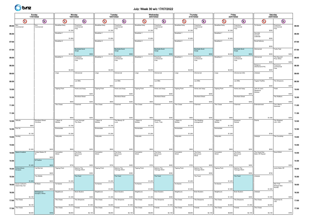

## July: Week 30 w/c 17/07/2022

| Sunday<br>17/07/2022    |                                |         |                                |       |                        | Monday<br>18/07/2022 |                                 |         |                        | Tuesday<br>19/07/2022 |                                 |         |                        | Wednesday<br>20/07/2022 |                                 |         |                        |         | <b>Thursday</b><br>21/07/2022   |         |                        | Friday<br>22/07/2022 |                                 |         |                                | Saturday<br>23/07/2022 |                                     |       |       |
|-------------------------|--------------------------------|---------|--------------------------------|-------|------------------------|----------------------|---------------------------------|---------|------------------------|-----------------------|---------------------------------|---------|------------------------|-------------------------|---------------------------------|---------|------------------------|---------|---------------------------------|---------|------------------------|----------------------|---------------------------------|---------|--------------------------------|------------------------|-------------------------------------|-------|-------|
|                         | $\bm{\mathsf{O}}$              |         | $\odot$                        |       | $\bm{\mathsf{O}}$      |                      | $\bigcirc$                      |         | $\bm{\mathsf{O}}$      |                       | $\bigcirc$                      |         | $\bm{\mathsf{O}}$      |                         | $\odot$                         |         | $\bm{\mathsf{O}}$      |         | $\odot$                         |         | $\mathbf  \Omega$      |                      | $\odot$                         |         | $\bigcirc$                     |                        | $\bigcirc$                          |       |       |
| 06:00 $\frac{Non}{Com}$ | Commercial                     |         | Non<br>Commercial              |       | <b>Breakfast Early</b> |                      | Preschool<br>Commercial<br>Free |         | <b>Breakfast Early</b> |                       | Preschool<br>Commercial<br>Free |         | <b>Breakfast Early</b> |                         | Preschool<br>Commercial<br>Free |         | <b>Breakfast Early</b> |         | Preschool<br>Commercial<br>Free |         | <b>Breakfast Early</b> |                      | Preschool<br>Commercial<br>Free |         | Te Karere                      |                        | Preschool<br>Commercial<br>Free     |       | 06:00 |
| 06:30                   |                                |         |                                |       | Breakfast 1            | \$1,300              |                                 |         | Breakfast 1            | \$1,300               |                                 |         | Breakfast 1            | \$1,300                 |                                 |         | Breakfast 1            | \$1,300 |                                 |         | Breakfast 1            | \$1,300              |                                 |         | Hyundai                        | \$250                  |                                     |       | 06:30 |
|                         |                                |         |                                |       |                        | \$1,850              |                                 |         |                        | \$1,850               |                                 |         |                        | \$1,850                 |                                 |         |                        | \$1,850 |                                 |         |                        | \$1,850              |                                 |         | Country<br>Calendar            | \$250                  |                                     |       |       |
| 07:00                   |                                |         |                                |       | Breakfast 2            |                      |                                 |         | Breakfast 2            |                       |                                 |         | Breakfast 2            |                         |                                 |         | Breakfast 2            |         |                                 |         | Breakfast 2            |                      |                                 |         | Rural Delivery                 |                        |                                     |       | 07:00 |
| 07:30                   |                                |         |                                |       |                        |                      | <b>Beyblade Burst</b>           |         |                        |                       | Beyblade Burst                  |         |                        |                         | Beyblade Burst                  |         |                        |         | <b>Beyblade Burst</b>           |         |                        |                      | <b>Beyblade Burst</b>           |         | Infomercial                    | \$250                  | Turbo Fast                          |       | 07:30 |
|                         |                                |         |                                |       |                        | \$2,650              | Surae                           | \$550   |                        | \$2,650               | Surge                           | \$550   |                        | \$2,650                 | Surge                           | \$550   |                        | \$2,650 | Surge                           | \$550   |                        | \$2,650              | Surae                           | \$550   |                                | \$250                  |                                     | \$450 |       |
| 08:00                   |                                |         |                                |       | Breakfast 3            |                      | Preschool<br>Commercial         |         | Breakfast 3            |                       | Preschool<br>Commercial         |         | Breakfast 3            |                         | Preschool<br>Commercial         |         | Breakfast 3            |         | Preschool<br>Commercial         |         | Breakfast 3            |                      | Preschool<br>Commercial         |         | Infomercial                    |                        | The Dog and<br>Pony Show            |       | 08:00 |
|                         |                                |         |                                |       |                        |                      | Free                            |         |                        |                       | Free                            |         |                        |                         | Free                            |         |                        |         | Free                            |         |                        |                      | Free                            |         |                                | \$250                  | Preschool                           | \$450 |       |
| 08:30                   |                                |         |                                |       |                        | \$2,600              |                                 |         |                        | \$2,600               |                                 |         |                        | \$2,600                 |                                 |         |                        | \$2,600 |                                 |         |                        | \$2,600              |                                 |         | Religious<br>Infomercial (FIA) | \$250                  | Commercial<br>Free                  |       | 08:30 |
| 09:00                   |                                |         |                                |       | Lingo                  |                      | Infomercial                     |         | Lingo                  |                       | Infomercial                     |         | Lingo                  |                         | Infomercial                     |         | Lingo                  |         | Infomercial                     |         | Lingo                  |                      | Infomercial (GS)                |         | Lifestyle                      |                        |                                     |       | 09:00 |
|                         |                                |         |                                |       |                        |                      |                                 |         |                        |                       |                                 |         |                        |                         |                                 |         |                        |         |                                 |         |                        |                      |                                 |         |                                | \$300                  |                                     |       |       |
| 09:30                   |                                |         |                                |       |                        |                      | Les Mills                       |         |                        |                       | Les Mills                       |         |                        |                         | Les Mills                       |         |                        |         | Les Mills                       |         |                        |                      | Les Mills                       |         | Tagata Pasifika                |                        | The Simpsons                        |       | 09:30 |
| 10:00                   |                                |         |                                |       | <b>Tipping Point</b>   | \$850                | Home and Away                   |         | <b>Tipping Point</b>   | \$850                 | Home and Away                   |         | <b>Tipping Point</b>   | \$850                   | Home and Away                   |         | <b>Tipping Point</b>   | \$850   | Home and Away                   |         | <b>Tipping Point</b>   | \$850                | Home and Away                   |         | John & Lisa's<br>Weekend       | \$300                  | Fresh                               | \$450 | 10:00 |
|                         |                                |         |                                |       |                        |                      |                                 | \$250   |                        |                       |                                 | \$250   |                        |                         |                                 | \$250   |                        |         |                                 | \$250   |                        |                      |                                 | \$250   | Kitchen                        |                        |                                     | \$300 |       |
| 10:30                   |                                |         |                                |       |                        |                      | Shortland Street                |         |                        |                       | Shortland Street                |         |                        |                         | <b>Shortland Street</b>         |         |                        |         | <b>Shortland Street</b>         |         |                        |                      | Shortland Street                |         |                                |                        | The Walkers                         |       | 10:30 |
| 11:00                   |                                |         |                                |       | The Chase              | \$900                | Charmed                         | \$250   | The Chase              | \$900                 | Charmed                         | \$250   | The Chase              | \$900                   | Charmed                         | \$250   | The Chase              | \$900   | Charmed                         | \$250   | The Chase              | \$900                | Charmed                         | \$250   | Entertainment                  | \$850                  | Tom Allen's                         | \$300 | 11:00 |
|                         |                                |         |                                |       |                        |                      |                                 |         |                        |                       |                                 |         |                        |                         |                                 |         |                        |         |                                 |         |                        |                      |                                 |         |                                |                        | Quizness                            |       |       |
| 11:30                   |                                |         |                                |       |                        |                      |                                 |         |                        |                       |                                 |         |                        |                         |                                 |         |                        |         |                                 |         |                        |                      |                                 |         |                                |                        |                                     |       | 11:30 |
| 12:00                   | Attitude                       |         | Shortland Street               |       | 1 News At              | \$950                | Love Amongst                    | \$250   | 1 News At              | \$950                 | The Beauty Of                   | \$250   | 1 News At              | \$950                   | Sincerely,                      | \$250   | 1 News At              | \$950   | The Wedding                     | \$250   | 1 News At              | \$950                | Romance                         | \$250   | Drama                          | \$1,350                | The Weakest                         | \$300 | 12:00 |
|                         |                                | \$800   | Omnibus                        |       | Midday                 | \$1,700              | The Stars                       |         | Midday                 | \$1,700               | Love                            |         | Midday                 | \$1,700                 | Yours, Truly                    |         | Midday                 | \$1,700 | Arrangement                     |         | Midday                 | \$1,700              | Retreat                         |         |                                |                        | Link: USA                           |       |       |
|                         | 12:30 Fair Go                  |         |                                |       | Emmerdale              |                      |                                 |         | Emmerdale              |                       |                                 |         | Emmerdale              |                         |                                 |         | Emmerdale              |         |                                 |         | Emmerdale              |                      |                                 |         |                                |                        |                                     |       | 12:30 |
|                         | 13:00 Sunday                   | \$1,150 |                                |       | Hollyoaks              | \$1,200              |                                 |         | Hollyoaks              | \$1,200               |                                 |         | Hollyoaks              | \$1,200                 |                                 |         | Hollyoaks              | \$1,200 |                                 |         | Hollyoaks              | \$1,200              |                                 |         | Lifestyle                      | \$750                  | The Courtship                       | \$250 |       |
|                         |                                |         |                                |       |                        |                      |                                 |         |                        |                       |                                 |         |                        |                         |                                 |         |                        |         |                                 |         |                        |                      |                                 |         |                                |                        |                                     |       | 13:00 |
| 13:30                   |                                |         |                                |       |                        |                      |                                 |         |                        |                       |                                 |         |                        |                         |                                 |         |                        |         |                                 |         |                        |                      |                                 |         |                                |                        |                                     |       | 13:30 |
|                         |                                | \$1,650 | United States Of               | \$400 |                        | \$900                |                                 | \$250   |                        | \$900                 |                                 | \$250   |                        | \$900                   |                                 | \$250   |                        | \$900   |                                 | \$250   |                        | \$900                |                                 | \$250   | The Great Kiwi                 | \$550                  | Good Witch                          | \$250 |       |
| 14:00                   | Space Invaders                 |         |                                | \$400 | Coronation<br>Street   |                      | The Drew<br>Barrymore<br>Show   |         | Coronation<br>Street   |                       | The Drew<br>Barrymore<br>Show   |         | Coronation<br>Street   |                         | The Drew<br>Barrymore<br>Show   |         | Coronation<br>Street   |         | The Drew<br>Barrymore<br>Show   |         | Coronation<br>Street   |                      | The Drew<br>Barrymore<br>Show   |         | <b>Bake Off Repeat</b>         |                        |                                     |       | 14:00 |
| 14:30                   |                                |         | <b>B</b> Positive              |       |                        |                      |                                 |         |                        |                       |                                 |         |                        |                         |                                 |         |                        |         |                                 |         |                        |                      |                                 |         |                                |                        |                                     |       | 14:30 |
|                         |                                | \$1,400 |                                | \$400 |                        | \$750                |                                 | \$450   |                        | \$750                 |                                 | \$450   |                        | \$750                   |                                 | \$450   |                        | \$750   |                                 | \$450   |                        | \$750                |                                 | \$450   |                                |                        |                                     | \$300 |       |
|                         | 15:00 Extraordinary<br>Escapes |         | Call Me Kat                    |       | <b>Tipping Point</b>   |                      | Sabrina The<br>Feenage Witch    |         | <b>Tipping Point</b>   |                       | Sabrina The<br>Teenage Witch    |         | <b>Tipping Point</b>   |                         | Sabrina The<br>Teenage Witch    |         | <b>Tipping Point</b>   |         | Sabrina The<br>Teenage Witch    |         | <b>Tipping Point</b>   |                      | Sabrina The<br>Teenage Witch    |         |                                |                        | Junior Bake Off                     |       | 15:00 |
| 15:30                   |                                |         | The Middle                     | \$400 |                        |                      | The Feed                        | \$350   |                        |                       | The Feed                        | \$350   |                        |                         | The Feed                        | \$350   |                        |         | The Feed                        | \$350   |                        |                      | The Feed                        | \$350   | Lifestyle                      | \$750                  |                                     |       | 15:30 |
|                         |                                | \$1,650 |                                | \$400 |                        | \$1,200              |                                 |         |                        | \$1,200               |                                 |         |                        | \$1,200                 |                                 |         |                        | \$1,200 |                                 |         |                        | \$1,200              |                                 |         |                                |                        |                                     | \$400 |       |
|                         | 16:00 Susan Calman's           |         | Mr Bean                        |       | Te Karere              |                      |                                 |         | Te Karere              |                       |                                 |         | Te Karere              |                         |                                 |         | Te Karere              |         |                                 |         | Te Karere              |                      |                                 |         |                                |                        | Star Trek:<br>Strange New<br>Worlds |       | 16:00 |
| 16:30                   |                                |         | Madagascar:<br>Escape 2 Africa | \$400 | Neighbours             | \$1,500              | <b>Brain Busters</b>            |         | Neighbours             | \$1,500               | <b>Brain Busters</b>            |         | Neighbours             | \$1,500                 | <b>Brain Busters</b>            |         | Neighbours             | \$1,500 | <b>Brain Busters</b>            |         | Neighbours             | \$1,500              | <b>Brain Busters</b>            |         | Lifestyle                      | \$1,050                |                                     |       | 16:30 |
|                         |                                | \$2,100 |                                |       |                        | \$1,300              |                                 | \$300   |                        | \$1,300               |                                 | \$300   |                        | \$1,300                 |                                 | \$300   |                        | \$1,300 |                                 | \$300   |                        | \$1,300              |                                 | \$300   |                                | \$1,050                |                                     | \$400 |       |
|                         | 17:00 The Chase                |         |                                |       | The Chase              |                      | The Simpsons                    |         | The Chase              |                       | The Simpsons                    |         | The Chase              |                         | The Simpsons                    |         | The Chase              |         | The Simpsons                    |         | The Chase              |                      | The Simpsons                    |         | The Chase                      |                        | Superman &<br>Lois                  |       | 17:00 |
|                         | 17:30 The Chase                | \$6,100 |                                |       | The Chase              | \$4,800              | Friends                         | \$1,550 | The Chase              | \$4,800               | Friends                         | \$1,550 | The Chase              | \$4,800                 | Friends                         | \$1,550 | The Chase              | \$4,800 | Friends                         | \$1,550 | The Chase              | \$4,800              | Friends                         | \$1,550 | The Chase                      | \$2,650                |                                     |       | 17:30 |
|                         |                                | \$9,000 |                                | \$700 |                        | \$8,850              |                                 | \$2,100 |                        | \$8,850               |                                 | \$2,100 |                        | \$8,850                 |                                 | \$2,100 |                        | \$8,850 |                                 | \$2,100 |                        | \$8,850              |                                 | \$2,100 |                                | \$4,150                |                                     | \$750 |       |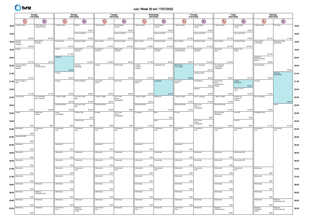

## July: Week 30 w/c 17/07/2022

|               | Sunday<br>17/07/2022<br>$\bigcirc$<br>$\bm{\mathsf{O}}$ |          |                                          |         |                        | Monday<br>18/07/2022 |                                   |          |                    |          | <b>Tuesday</b><br>19/07/2022         |          |                       | Wednesday<br>20/07/2022 |                        |          |                    |          | <b>Thursday</b><br>21/07/2022 |          |                                 | Friday<br>22/07/2022 |                                   |          |                                       | Saturday<br>23/07/2022 |                                |         |       |
|---------------|---------------------------------------------------------|----------|------------------------------------------|---------|------------------------|----------------------|-----------------------------------|----------|--------------------|----------|--------------------------------------|----------|-----------------------|-------------------------|------------------------|----------|--------------------|----------|-------------------------------|----------|---------------------------------|----------------------|-----------------------------------|----------|---------------------------------------|------------------------|--------------------------------|---------|-------|
|               |                                                         |          | $\bm{\mathsf{\odot}}$                    |         | $\bigcirc$             |                      | $\bigcirc$                        |          | $\bigcirc$         |          | $\bigcirc$                           |          | $\bm{\circ}$          |                         | $\bigcirc$             |          | $\odot$            |          | $\bm{\mathsf{O}}$             |          | $\odot$                         |                      | $\bigcirc$                        |          | $\odot$                               |                        |                                |         |       |
|               | 18:00 <sup>1 News</sup> At 6pm                          |          | 2 Wild: Eden-An<br><b>Untamed Planet</b> |         | 1 News At 6pm          |                      | Ghosts                            |          | 1 News At 6pm      |          | The Big Bang<br>Theory               |          | 1 News At 6pm         |                         | The Big Bang<br>Theory |          | 1 News At 6pm      |          | The Big Bang<br>Theory        |          | 1 News At 6pm                   |                      | The Big Bang<br>Theory            |          | 1 News At 6pm                         |                        | The Cube                       |         | 18:00 |
| 18:30         |                                                         |          |                                          |         |                        |                      | Home and Away                     | \$4,200  |                    |          | Home and Away                        | \$3,650  |                       |                         | Home and Away          | \$3,650  |                    |          | Home and Away                 | \$3,650  |                                 |                      | Home and Away                     | \$3,650  |                                       |                        |                                |         | 18:30 |
|               |                                                         | \$22,050 |                                          | \$2,000 |                        | \$22,700             |                                   | \$7,600  |                    | \$22,400 |                                      | \$7,600  |                       | \$22,800                |                        | \$7,600  |                    | \$22,450 |                               | \$7,600  |                                 | \$20,750             |                                   | \$7,600  |                                       | \$20,150               |                                | \$1,450 |       |
|               | 19:00 Hyundai<br>Country                                |          | MasterChef<br>Australia                  |         | Seven Sharp            |                      | Shortland Street                  |          | Seven Sharp        |          | Shortland Street                     |          | Seven Sharp           |                         | Shortland Street       |          | Seven Sharp        |          | Shortland Street              |          | Seven Sharp                     |                      | Shortland Street                  |          | <b>Tipping Point</b><br>Lucky Stars   |                        | Saturday Family<br>Blockbuster |         | 19:00 |
| 19:30 Sunday  | Calendar                                                | \$16,900 |                                          |         | Fair Go                | \$12,300             | MasterChef                        | \$12,300 | Eat Well For       | \$13,400 | MasterChef                           | \$12,300 | Give Us A Clue        | \$14,850                | MasterChef             | \$12,300 | Dream Kitchens     | \$14,300 | MasterChef                    | \$12,300 | The Repair                      | \$12,500             | <b>Britain's Got</b>              | \$12,300 |                                       |                        |                                |         | 19:30 |
|               |                                                         |          |                                          |         |                        | \$11,350             | Australia                         |          | Less NZ            |          | Australia                            |          |                       |                         | Australia              |          | and Bathrooms      |          | Australia                     |          | Shop                            |                      | Talent                            |          |                                       | \$10,700               |                                |         |       |
| 20:00         |                                                         |          |                                          |         | Lifestyle              |                      |                                   |          |                    |          |                                      |          |                       |                         |                        |          |                    |          |                               |          |                                 |                      |                                   |          | Heathrow:<br><b>Britain's Busiest</b> |                        |                                |         | 20:00 |
|               | 20:30 George Clarke's                                   | \$12,750 | Sunday                                   | \$8,000 |                        |                      | Extreme                           | \$10,900 | Factual            | \$10,800 | NCIS Hawaii                          | \$9,650  | Location,             | \$11,250                | Taskmaster NZ          | \$9,350  | Rich House,        | \$9,950  | Ten 7: Aotearoa               | \$10,600 | The Great Big                   | \$10,650             |                                   |          | Airport<br><b>Grand Designs</b>       | \$8,800                |                                |         |       |
|               | Amazing<br>Spaces                                       |          | Premiere Movie                           |         |                        | \$9,600              | Weddings                          |          |                    |          |                                      |          | Location,<br>Location |                         |                        |          | Poor House         |          |                               | \$8,700  | <b>Tiny Design</b><br>Challenge |                      |                                   |          |                                       |                        |                                | \$5,600 | 20:30 |
| 21:00         |                                                         |          |                                          |         | Factual                |                      |                                   |          |                    |          |                                      |          |                       |                         |                        |          |                    |          | Highway Patrol                |          |                                 |                      |                                   |          |                                       |                        | Saturday<br>Blockbuster        |         | 21:00 |
|               | 21:30 This Is Going To                                  | \$11,450 |                                          |         | Factual                | \$9,600              | Naked Attraction                  | \$6,150  | Coronation         | \$9,700  | Seal Team                            | \$7,450  | Coronation            | \$10,100                | Guessable              | \$8,350  | Coronation         | \$8,950  | The Walkers                   | \$5,450  | The World's                     | \$9,550              |                                   | \$6,100  | The Bay                               | \$8,350                |                                |         |       |
|               | Hurt                                                    |          |                                          |         |                        |                      |                                   |          | Street             |          |                                      |          | Street                |                         |                        |          | Street             |          |                               | \$3,600  | Most<br>Extraordinary<br>Homes  |                      | Laughs<br>Unleashed               | \$4,500  |                                       |                        |                                |         | 21:30 |
| 22:00         |                                                         |          |                                          |         |                        |                      |                                   |          |                    |          |                                      |          |                       |                         |                        |          |                    |          | Renters                       |          |                                 |                      | Would I Lie To<br>You?            |          |                                       |                        |                                |         | 22:00 |
|               |                                                         | \$11,450 |                                          | \$7,700 |                        | \$4,650              |                                   | \$3,600  |                    | \$4,600  |                                      | \$2,850  |                       | \$4,600                 |                        | \$5,000  |                    | \$4,600  |                               | \$3,600  |                                 | \$4,650              |                                   | \$4,500  |                                       | \$7,300                |                                |         |       |
|               | 22:30 Line Of Duty                                      |          | Four Weddings<br>and a Funeral           |         | 1 News Tonight         |                      | Two And A Half                    |          | 1 News Tonight     |          | CSI: Crime<br>Scene<br>nvestigation  |          | 1 News Tonight        |                         | Killing Eve            |          | 1 News Tonight     |          | Ten 7: Aotearoa               |          | 1 News Tonight                  |                      | Paranormal<br>Caught on<br>Camera |          | The Luminaries                        |                        |                                |         | 22:30 |
| 23:00         |                                                         |          |                                          |         | Shortland Street       | \$2,350              | Two And A Half                    | \$3,600  | Shortland Street   | \$2,350  |                                      |          | Shortland Street      | \$2,350                 |                        |          | Shortland Street   | \$2,350  | CSI: Crime<br>Scene           | \$1,050  | Shortland Street                | \$2,350              |                                   |          |                                       |                        | Movie                          | \$4,900 | 23:00 |
|               |                                                         | \$1,600  |                                          | \$2,850 |                        | \$1,550              |                                   | \$2,050  |                    | \$1,550  |                                      | \$550    |                       | \$1,550                 |                        | \$1,750  |                    | \$1,550  | Investigation                 |          |                                 | \$1,550              |                                   | \$1,200  |                                       | \$2,300                |                                |         |       |
| 23:30 Clarice |                                                         |          | Death Row<br>Doctors                     |         | Under<br>Investigation |                      | 2 Broke Girls                     |          | Sunday             |          | CSI: Crime<br>Scene<br>Investigation |          | Transplant            |                         | Mom                    |          | For Life           |          |                               |          | Big Fat Gypsy<br>Weddings       |                      | Love Life                         |          | <b>Hollington Drive</b>               |                        |                                |         | 23:30 |
| 24:00         |                                                         |          |                                          |         |                        |                      | 2 Broke Girls                     | \$500    |                    |          |                                      |          |                       |                         | Mom                    | \$500    |                    |          | CSI: Crime<br>Scene           | \$650    |                                 |                      | Kung Fu                           | \$350    |                                       |                        |                                |         | 24:00 |
|               |                                                         | \$500    |                                          | \$850   |                        | \$800                |                                   | \$500    |                    | \$950    |                                      | \$550    |                       | \$1,200                 |                        | \$500    |                    | \$550    | nvestigation                  | \$500    |                                 | \$2,050              |                                   | \$350    |                                       | \$1,150                |                                | \$1,350 |       |
| 24:30         | Infomercial                                             |          | Commercial<br>Free                       |         | Commercial<br>Free     |                      | Commercial<br>Free                |          | Commercial<br>Free |          | Commercial<br>Free                   |          | Commercial<br>Free    |                         | Commercial<br>Free     |          | Commercial<br>Free |          | Commercial<br>Free            |          | Commercial<br>Free              |                      | Commercial<br>Free                |          | Commercial<br>Free                    |                        | Commercial<br>Free             |         | 24:30 |
|               | 25:00 Infomercial (AH)                                  | \$250    |                                          |         |                        |                      |                                   |          |                    |          |                                      |          |                       |                         |                        |          |                    |          |                               |          |                                 |                      |                                   |          |                                       |                        |                                |         | 25:00 |
|               |                                                         | \$250    |                                          |         |                        |                      |                                   |          |                    |          |                                      |          |                       |                         |                        |          |                    |          |                               |          |                                 |                      |                                   |          |                                       |                        |                                |         |       |
|               | 25:30 Informercial                                      |          |                                          |         | Infomercial            |                      |                                   |          | Infomercial        |          |                                      |          | Infomercial           |                         |                        |          | Infomercial        |          |                               |          |                                 |                      |                                   |          |                                       |                        |                                |         | 25:30 |
|               | $26:00$ Infomercial                                     | \$250    |                                          |         | Infomercial            | \$250                | Infomercial                       |          | Infomercial        | \$250    | nfomercial                           |          | Infomercial           | \$250                   | Infomercial            |          | Infomercial        | \$250    | nfomercial                    |          | Infomercial                     |                      | Infomercial (GS)                  |          |                                       |                        |                                |         | 26:00 |
|               |                                                         | \$250    |                                          |         |                        | \$250                |                                   |          |                    | \$250    |                                      |          |                       | \$250                   |                        |          |                    | \$250    |                               |          |                                 | \$250                |                                   |          |                                       |                        |                                |         |       |
|               | $26:30$ Infomercial                                     |          |                                          |         | Infomercial            |                      | Infomercial                       |          | Infomercial        |          | Infomercial                          |          | Infomercial           |                         | Infomercial            |          | Infomercial        |          | nfomercial                    |          | Infomercial                     |                      | Infomercial (GS)                  |          |                                       |                        |                                |         | 26:30 |
|               | 27:00   Informercial                                    | \$250    |                                          |         | Infomercial            | \$250                | Commercial                        |          | Infomercial        | \$250    | Commercial                           |          | Infomercial           | \$250                   | Commercial             |          | Infomercial        | \$250    | Commercial                    |          | Infomercial                     | \$250                | Commercia                         |          | Infomercial                           |                        |                                |         | 27:00 |
|               |                                                         | \$250    |                                          |         |                        | \$250                | Free                              |          |                    | \$250    | Free                                 |          |                       | \$250                   | Free                   |          |                    | \$250    | Free                          |          |                                 | \$250                | Free                              |          |                                       | $$250$                 |                                |         |       |
|               | 27:30   Informercial                                    |          |                                          |         | Infomercial            |                      |                                   |          | Infomercial        |          |                                      |          | Infomercial           |                         |                        |          | Infomercial        |          |                               |          | Infomercial                     |                      |                                   |          | Infomercial                           |                        |                                |         | 27:30 |
|               | 28:00   Infomercial                                     | \$250    | Infomercial                              |         | Infomercial            | \$250                |                                   |          | Infomercial        | \$250    |                                      |          | Infomercial           | \$250                   |                        |          | Infomercial        | \$250    |                               |          | Infomercial                     | \$250                |                                   |          | Infomercial                           | \$250                  |                                |         | 28:00 |
|               |                                                         | \$250    |                                          |         |                        | \$250                |                                   |          |                    | \$250    |                                      |          |                       | \$250                   |                        |          |                    | \$250    |                               |          |                                 | \$250                |                                   |          |                                       | \$250                  |                                |         |       |
|               | 28:30   Informercial                                    |          | Religious<br>Infomercial (HC)            |         | Infomercial            |                      |                                   |          | Infomercial        |          |                                      |          | Infomercial           |                         |                        |          | Infomercial        |          |                               |          | Infomercial                     |                      |                                   |          | Infomercial                           |                        |                                |         | 28:30 |
|               | 29:00 Infomercial                                       | \$250    | Infomercial                              |         | Infomercial            | \$250                | Infomercial                       |          | Infomercial        | \$250    | Infomercial                          |          | Infomercial           | \$250                   | Infomercial            |          | Infomercial        | \$250    | Infomercial                   |          | Infomercial                     | \$250                |                                   |          | Infomercial                           | \$250                  | Religious<br>Infomercial (TM)  |         | 29:00 |
|               |                                                         | \$250    |                                          |         |                        | \$250                |                                   |          |                    | \$250    |                                      |          |                       | \$250                   |                        |          |                    | \$250    |                               |          |                                 | \$250                |                                   |          |                                       | \$250                  |                                |         |       |
|               | 29:30   Informercial                                    |          | Infomercial                              |         | Commercial<br>Free     |                      | Religious<br>Infomercial<br>(LTW) |          | Commercial<br>Free |          | Infomercial                          |          | Commercial<br>Free    |                         | Infomercial            |          | Commercial<br>Free |          | Infomercial                   |          | Religious<br>Infomercial (IJ)   |                      |                                   |          | Religious<br>Infomercial<br>(LTW)     |                        | Religious<br>Infomercial (HC)  |         | 29:30 |
|               |                                                         | \$250    |                                          |         |                        |                      |                                   |          |                    |          |                                      |          |                       |                         |                        |          |                    |          |                               |          |                                 | \$250                |                                   |          |                                       | \$250                  |                                |         |       |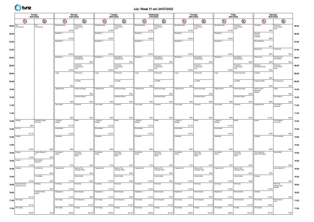

## July: Week 31 w/c 24/07/2022

|                                  |                      | Sunday<br>24/07/2022 |                                        | 25/07/2022             | Monday  |                                 |         | Tuesday<br>26/07/2022  |         |                                 |         | Wednesday<br>27/07/2022 |         |                                 |         | <b>Thursday</b>        | 28/07/2022 |                                 |         | Friday<br>29/07/2022   |         |                                 |         | Saturday<br>30/07/2022              |         |                                  |       |                |
|----------------------------------|----------------------|----------------------|----------------------------------------|------------------------|---------|---------------------------------|---------|------------------------|---------|---------------------------------|---------|-------------------------|---------|---------------------------------|---------|------------------------|------------|---------------------------------|---------|------------------------|---------|---------------------------------|---------|-------------------------------------|---------|----------------------------------|-------|----------------|
|                                  | $\bigcirc$           |                      | $\bigcirc$                             | $\bm{\mathsf{O}}$      |         | $\odot$                         |         | $\bigcirc$             |         | $\odot$                         |         | $\bm{\mathsf{O}}$       |         | $\odot$                         |         | $\bm{\mathsf{O}}$      |            | $\odot$                         |         | $\bullet$              |         | $\odot$                         |         | $\bm{\mathsf{O}}$                   |         | $\bigcirc$                       |       |                |
| $06:00$ $\sqrt{\frac{Non}{Con}}$ | Commercial           |                      | Non<br>Commercial                      | <b>Breakfast Early</b> | \$1,300 | Preschool<br>Commercial<br>Free |         | <b>Breakfast Early</b> | \$1,300 | Preschool<br>Commercial<br>Free |         | <b>Breakfast Early</b>  | \$1,300 | Preschool<br>Commercial<br>Free |         | <b>Breakfast Early</b> | \$1,300    | Preschool<br>Commercial<br>Free |         | <b>Breakfast Early</b> | \$1,300 | Preschool<br>Commercial<br>Free |         | Te Karere                           | \$250   | Preschool<br>Commercial<br>Free  |       | 06:00          |
| 06:30                            |                      |                      |                                        | Breakfast 1            | \$1,850 |                                 |         | Breakfast 1            | \$1,850 |                                 |         | Breakfast 1             | \$1,850 |                                 |         | Breakfast 1            | \$1,850    |                                 |         | Breakfast 1            | \$1,850 |                                 |         | Hyundai<br>Country<br>Calendar      | \$250   |                                  |       | 06:30          |
| 07:00                            |                      |                      |                                        | Breakfast 2            |         |                                 |         | Breakfast 2            |         |                                 |         | Breakfast 2             |         |                                 |         | Breakfast 2            |            |                                 |         | Breakfast 2            |         |                                 |         | <b>Rural Delivery</b>               | \$250   |                                  |       | 07:00          |
| 07:30                            |                      |                      |                                        |                        | \$2,650 |                                 |         |                        | \$2,650 |                                 |         |                         | \$2,650 |                                 |         |                        | \$2,650    |                                 |         |                        | \$2,650 |                                 |         | Infomercial                         | \$250   | Turbo Fast                       | \$450 | 07:30          |
| 08:00                            |                      |                      |                                        | Breakfast 3            |         | Spongebob<br>Squarepants        | \$550   | Breakfast 3            |         | Spongebob<br>Squarepants        | \$550   | Breakfast 3             |         | Spongebob<br>Squarepants        | \$550   | Breakfast 3            |            | Spongebob<br>Squarepants        | \$550   | Breakfast 3            |         | Spongebob<br>Squarepants        | \$550   | Infomercial                         | \$250   | The Dog and<br>Pony Show         | \$450 | 08:00          |
| 08:30                            |                      |                      |                                        |                        | \$2,600 | Preschool<br>Commercial<br>Free |         |                        | \$2,600 | Preschool<br>Commercial<br>Free |         |                         | \$2,600 | Preschool<br>Commercial<br>Free |         |                        | \$2,600    | Preschool<br>Commercia<br>Free  |         |                        | \$2,600 | Preschool<br>Commercial<br>Free |         | Religious<br>Infomercial (FIA)      | \$250   | Preschool<br>Commercial<br>Free  |       | 08:30          |
| 09:00                            |                      |                      |                                        | Lingo                  |         | Infomercial                     |         | Lingo                  |         | Infomercial                     |         | Lingo                   |         | Infomercial                     |         | Lingo                  |            | Infomercial                     |         | Lingo                  |         | Infomercial (GS)                |         | Lifestyle                           | \$300   |                                  |       | 09:00          |
| 09:30                            |                      |                      |                                        |                        | \$850   | Les Mills                       |         |                        | \$850   | Les Mills                       |         |                         | \$850   | Les Mills                       |         |                        | \$850      | Les Mills                       |         |                        | \$850   | Les Mills                       |         | Tagata Pasifika                     | \$300   | The Simpsons                     | \$450 | 09:30          |
| 10:00                            |                      |                      |                                        | <b>Tipping Point</b>   |         | Home and Away                   | \$250   | <b>Tipping Point</b>   |         | Home and Away                   | \$250   | <b>Tipping Point</b>    |         | Home and Away                   | \$250   | <b>Tipping Point</b>   |            | Home and Away                   | \$250   | <b>Tipping Point</b>   |         | Home and Away                   | \$250   | John & Lisa's<br>Weekend<br>Kitchen |         | Fresh                            | \$300 | 10:00          |
| 10:30                            |                      |                      |                                        |                        | \$900   | Shortland Street                | \$250   |                        | \$900   | Shortland Street                | \$250   |                         | \$900   | Shortland Street                | \$250   |                        | \$900      | Shortland Street                | \$250   |                        | \$900   | Shortland Street                | \$250   |                                     | \$850   | The Walkers                      | \$300 | 10:30          |
| 11:00                            |                      |                      |                                        | The Chase              |         | Charmed                         |         | The Chase              |         | Charmed                         |         | The Chase               |         | Charmed                         |         | The Chase              |            | Charmed                         |         | The Chase              |         | Charmed                         |         | Entertainment                       |         | Tom Allen's<br>Quizness          |       | 11:00          |
| 11:30                            | $12:00$ Attitude     |                      | Shortland Street                       | 1 News At              | \$950   | Movie                           | \$250   | 1 News At              | \$950   | Movie                           | \$250   | 1 News At               | \$950   | Movie                           | \$250   | 1 News At              | \$950      | Movie                           | \$250   | 1 News At              | \$950   | Movie                           | \$250   | Drama                               | \$1,350 | The Weakest                      | \$300 | 11:30          |
|                                  | 12:30 Fair Go        | \$800                | Omnibus                                | Midday<br>Emmerdale    | \$1,700 |                                 |         | Midday<br>Emmerdale    | \$1,700 |                                 |         | Midday<br>Emmerdale     | \$1,700 |                                 |         | Midday<br>Emmerdale    | \$1,700    |                                 |         | Midday<br>Emmerdale    | \$1,700 |                                 |         |                                     |         | Link: USA                        |       | 12:00<br>12:30 |
| 13:00                            | Sunday               | \$1,150              |                                        | Hollyoaks              | \$1,200 |                                 |         | Hollyoaks              | \$1,200 |                                 |         | Hollyoaks               | \$1,200 |                                 |         | Hollyoaks              | \$1,200    |                                 |         | Hollyoaks              | \$1,200 |                                 |         | Lifestyle                           | \$750   | The Courtship                    | \$250 | 13:00          |
| 13:30                            |                      |                      |                                        |                        |         |                                 |         |                        |         |                                 |         |                         |         |                                 |         |                        |            |                                 |         |                        |         |                                 |         |                                     |         |                                  |       | 13:30          |
|                                  | 14:00 Factual        | \$1,650              | \$400<br>United States Of              | Coronation             | \$900   | The Drew                        | \$250   | Coronation             | \$900   | The Drew                        | \$250   | Coronation              | \$900   | The Drew                        | \$250   | Coronation             | \$900      | The Drew                        | \$250   | Coronation             | \$900   | The Drew                        | \$250   | The Great Kiwi                      | \$550   | Good Witch                       | \$250 | 14:00          |
|                                  | 14:30 Factual        | \$1,400              | \$400<br><b>Bob Hearts</b><br>Abishola | Street                 |         | Barrymore<br>Show               |         | Street                 |         | Barrymore<br>Show               |         | Street                  |         | Barrymore<br>Show               |         | Street                 |            | Barrymore<br>Show               |         | Street                 |         | Barrymore<br>Show               |         | <b>Bake Off Repeat</b>              |         |                                  |       | 14:30          |
|                                  | 15:00 Lifestyle      | \$1,400              | \$400<br>Call Me Kat                   | <b>Tipping Point</b>   | \$750   | Sabrina The<br>Teenage Witch    | \$450   | <b>Tipping Point</b>   | \$750   | Sabrina The<br>Teenage Witch    | \$450   | <b>Tipping Point</b>    | \$750   | Sabrina The<br>Teenage Witch    | \$450   | <b>Tipping Point</b>   | \$750      | Sabrina The<br>Teenage Witch    | \$450   | <b>Tipping Point</b>   | \$750   | Sabrina The<br>Teenage Witch    | \$450   |                                     |         | Junior Bake Off                  | \$300 | 15:00          |
| 15:30                            |                      |                      | \$400<br>The Middle                    |                        |         | <b>Holly Hobbie</b>             | \$350   |                        |         | <b>Holly Hobbie</b>             | \$350   |                         |         | <b>Holly Hobbie</b>             | \$350   |                        |            | <b>Holly Hobbie</b>             | \$350   |                        |         | <b>Holly Hobbie</b>             | \$350   | Lifestyle                           | \$750   |                                  |       | 15:30          |
|                                  | 16:00 Susan Calman's | \$1,650              | \$400<br>Mr Bean                       | Te Karere              | \$1,200 | The Feed                        | \$300   | Te Karere              | \$1,200 | The Feed                        | \$300   | Te Karere               | \$1,200 | The Feed                        | \$300   | Te Karere              | \$1,200    | The Feed                        | \$300   | Te Karere              | \$1,200 | The Feed                        | \$300   |                                     |         | Star Trek:<br><b>Strange New</b> | \$400 | 16:00          |
| 16:30                            |                      |                      | \$400<br>Sunday Family<br>Movie        | Neighbours             | \$1,500 | <b>Brain Busters</b>            |         | Neighbours             | \$1,500 | <b>Brain Busters</b>            |         | Neighbours              | \$1,500 | <b>Brain Busters</b>            |         | Neighbours             | \$1,500    | <b>Brain Busters</b>            |         | Neighbours             | \$1,500 | <b>Brain Busters</b>            |         | Lifestyle                           | \$1,050 | <b>Norlds</b>                    |       | 16:30          |
|                                  | $17:00$ The Chase    | \$2,100              |                                        | The Chase              | \$1,300 | The Simpsons                    | \$300   | The Chase              | \$1,300 | The Simpsons                    | \$300   | The Chase               | \$1,300 | The Simpsons                    | \$300   | The Chase              | \$1,300    | The Simpsons                    | \$300   | The Chase              | \$1,300 | The Simpsons                    | \$300   | The Chase                           | \$1,050 | Superman &<br>Lois               | \$400 | 17:00          |
|                                  | 17:30 The Chase      | \$6,100              |                                        | The Chase              | \$4,800 | Friends                         | \$1,550 | The Chase              | \$4,800 | Friends                         | \$1,550 | The Chase               | \$4,800 | Friends                         | \$1,550 | The Chase              | \$4,800    | Friends                         | \$1,550 | The Chase              | \$4,800 | Friends                         | \$1,550 | The Chase                           | \$2,650 |                                  |       | 17:30          |
|                                  |                      | \$9,000              | \$700                                  |                        | \$8,850 |                                 | \$2,100 |                        | \$8,850 |                                 | \$2,100 |                         | \$8,850 |                                 | \$2,100 |                        | \$8,850    |                                 | \$2,100 |                        | \$8,850 |                                 | \$2,100 |                                     | \$4,150 |                                  | \$750 |                |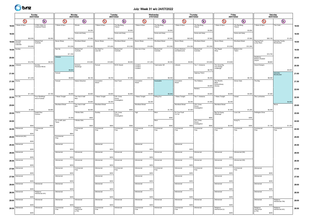

## July: Week 31 w/c 24/07/2022

|                  | Sunday<br>24/07/2022                               |          |                               |         | Monday<br>25/07/2022 |          |                                   |          | 26/07/2022              | Tuesday  |                         |          | Wednesday<br>27/07/2022          |          |                         |          | <b>Thursday</b><br>28/07/2022   |          |                                      |          | Friday<br>29/07/2022                             |          |                                |          | Saturday<br>30/07/2022              |          |                                |         |       |
|------------------|----------------------------------------------------|----------|-------------------------------|---------|----------------------|----------|-----------------------------------|----------|-------------------------|----------|-------------------------|----------|----------------------------------|----------|-------------------------|----------|---------------------------------|----------|--------------------------------------|----------|--------------------------------------------------|----------|--------------------------------|----------|-------------------------------------|----------|--------------------------------|---------|-------|
|                  | $\odot$<br>$\bm{\mathsf{\odot}}$                   |          | $\bigcirc$                    |         | $\odot$              |          | $\bigcirc$                        |          | $\odot$                 |          | $\bigcirc$              |          | $\odot$                          |          | $\bigcirc$              |          | $\odot$                         |          | $\bullet$                            |          | $\odot$                                          |          | $\bigcirc$                     |          | $\bigcirc$                          |          |                                |         |       |
| 18:00            | 2 Wild: Eden-An<br>1 News At 6pm<br>Untamed Planet |          | 1 News At 6pm                 |         | Ghosts               |          | 1 News At 6pm                     |          | The Big Bang<br>Theory  |          | 1 News At 6pm           |          | The Big Bang<br>Theory           |          | 1 News At 6pm           |          | The Big Bang<br>Theory          |          | 1 News At 6pm                        |          | The Big Bang<br>Theory                           |          | 1 News At 6pm                  |          | The Cube                            |          | 18:00                          |         |       |
| 18:30            |                                                    |          |                               |         |                      |          | Home and Away                     | \$4,200  |                         |          | Home and Away           | \$3,650  |                                  |          | Home and Away           | \$3,650  |                                 |          | Home and Away                        | \$3,650  |                                                  |          | Home and Away                  | \$3,650  |                                     |          |                                |         | 18:30 |
|                  |                                                    | \$22,050 |                               | \$2,000 |                      | \$22,700 |                                   | \$7,600  |                         | \$22,400 |                         | \$7,600  |                                  | \$22,800 |                         | \$7,600  |                                 | \$22,450 |                                      | \$7,600  |                                                  | \$20,750 |                                | \$7,600  |                                     | \$20,150 |                                | \$1,450 |       |
|                  | 19:00   Hyundai<br>Country<br>Calendar             | \$16,900 | MasterChef<br>Australia       |         | Seven Sharp          | \$12,300 | Shortland Street                  | \$12,300 | Seven Sharp             | \$13,400 | Shortland Street        | \$12,300 | Seven Sharp                      | \$14,850 | Shortland Street        | \$12,300 | Seven Sharp                     | \$14,300 | <b>Shortland Street</b>              | \$12,300 | Seven Sharp                                      | \$12,500 | Shortland Street               | \$12,300 | <b>Tipping Point</b><br>Lucky Stars |          | Saturday Family<br>Blockbuster |         | 19:00 |
| 19:30 Sunday     |                                                    |          |                               |         | Fair Go              |          | MasterChef<br>Australia           |          | Eat Well For<br>Less NZ |          | MasterChef<br>Australia |          | Give Us A Clue                   |          | MasterChef<br>Australia |          | Dream Kitchens<br>and Bathrooms |          | MasterChef<br>Australia              |          | The Repair<br>Shop                               |          | <b>Britain's Got</b><br>Talent |          |                                     |          |                                |         | 19:30 |
| 20:00            |                                                    |          |                               |         | Lifestyle            | \$11,350 |                                   |          |                         |          |                         |          |                                  |          |                         |          |                                 |          |                                      |          |                                                  |          |                                |          | Heathrow:                           | \$10,700 |                                |         | 20:00 |
|                  |                                                    | \$12,750 |                               | \$8,000 |                      |          |                                   | \$10,900 |                         | \$10,800 |                         | \$9,650  |                                  | \$11,250 |                         | \$9,350  |                                 | \$9,950  |                                      | \$10,600 |                                                  | \$10,650 |                                |          | <b>Britain's Busiest</b><br>Airport | \$8,800  |                                |         |       |
|                  | $20:30$ Lifestyle                                  |          | Sunday<br>Premiere Movie      |         |                      |          | Extreme<br>Weddings               |          | Factual                 |          | NCIS Hawaii             |          | Location<br>Location<br>Location |          | Taskmaster NZ           |          | Lifestyle                       |          | Ten 7: Aotearoa                      |          | The Great Big<br><b>Tiny Design</b><br>Challenge |          |                                |          | <b>Grand Designs</b>                |          |                                |         | 20:30 |
| 21:00            |                                                    |          |                               |         | Factual              | \$9,600  |                                   |          |                         |          |                         |          |                                  |          |                         |          |                                 |          | Highway Patrol                       | \$8,700  |                                                  |          |                                |          |                                     |          | Saturday<br>Blockbuster        | \$5,600 | 21:00 |
|                  |                                                    | \$11,450 |                               |         |                      | \$9,600  |                                   | \$6,150  |                         | \$9,700  |                         | \$7,450  |                                  | \$10,100 |                         | \$8,350  |                                 | \$8,950  |                                      | \$5,450  |                                                  | \$9,550  |                                | \$6,100  |                                     | \$8,350  |                                |         |       |
| 21:30 Drama      |                                                    |          |                               |         | Factual              |          | Naked Attraction                  |          | Coronation<br>Street    |          | Seal Team               |          | Coronation<br>Street             |          | Guessable               |          | Coronation<br>Street            |          | The Walkers                          | \$3,600  | The World's<br>Most<br>Extraordinary<br>Homes    |          | Dinner Date                    |          | The Bay                             |          |                                |         | 21:30 |
| 22:00            |                                                    |          |                               |         |                      |          |                                   |          |                         |          |                         |          |                                  |          |                         |          |                                 |          | Renters                              |          |                                                  |          |                                |          |                                     |          |                                |         | 22:00 |
| 22:30   For Life |                                                    | \$11,450 | Four Weddings                 | \$7,700 | 1 News Tonight       | \$4,650  | Two And A Half                    | \$3,600  | 1 News Tonight          | \$4,600  | CSI: Crime              | \$2,850  | 1 News Tonight                   | \$4,600  | Killing Eve             | \$5,000  | 1 News Tonight                  | \$4,600  | Ten 7: Aotearoa                      | \$3,600  | 1 News Tonight                                   | \$4,650  | Unreal                         | \$4,500  | The Luminaries                      | \$7,300  |                                |         | 22:30 |
|                  |                                                    |          | and a Funeral                 |         |                      | \$2,350  |                                   | \$3,600  |                         | \$2,350  | Scene<br>Investigation  |          |                                  | \$2,350  |                         |          |                                 | \$2,350  |                                      | \$1,050  |                                                  | \$2,350  |                                |          |                                     |          |                                | \$4,900 |       |
| 23:00            |                                                    |          |                               |         | Shortland Street     |          | Two And A Half                    |          | Shortland Street        |          |                         |          | Shortland Street                 |          |                         |          | Shortland Street                |          | CSI: Crime<br>Scene<br>Investigation |          | Shortland Street                                 |          |                                |          |                                     |          | Movie                          |         | 23:00 |
| 23:30 Clarice    |                                                    | \$1,600  | Death Row<br>Doctors          | \$2,850 |                      |          | 2 Broke Girls                     | \$2,050  | Sunday                  | \$1,550  | CSI: Crime<br>Scene     | \$550    | Vigil                            | \$1,550  | Mom                     | \$1,750  | It's Your Fault<br>I'm Fat      | \$1,550  |                                      |          | Big Fat Gypsy<br>Weddings                        | \$1,550  | Love Life                      | \$1,200  | <b>Hollington Drive</b>             | \$2,300  |                                |         | 23:30 |
|                  |                                                    |          |                               |         | Q + A with Jack      | \$1,550  | 2 Broke Girls                     | \$500    |                         |          | Investigation           |          |                                  |          | Mom                     | \$500    |                                 |          | CSI: Crime                           | \$650    |                                                  |          | Kung Fu                        | \$350    |                                     |          |                                |         |       |
| 24:00            |                                                    | \$500    |                               | \$850   | Tame                 |          |                                   | \$500    |                         | \$950    |                         | \$550    |                                  | \$1,200  |                         | \$500    |                                 | \$550    | Scene<br>Investigation               | \$500    |                                                  | \$2,050  |                                | \$350    |                                     | \$1,150  |                                | \$1,350 | 24:00 |
|                  | 24:30 Informercial                                 |          | Commercial<br>Free            |         |                      |          | Commercial<br>Free                |          | Commercial<br>Free      |          | Commercial<br>Free      |          | Commercial<br>Free               |          | Commercial<br>Free      |          | Commercial<br>Free              |          | Commercial<br>Free                   |          | Commercial<br>Free                               |          | Commercial<br>Free             |          | Commercial<br>Free                  |          | Commercial<br>Free             |         | 24:30 |
|                  | 25:00   Infomercial (AH)                           | \$250    |                               |         | Commercial<br>Free   | \$800    |                                   |          |                         |          |                         |          |                                  |          |                         |          |                                 |          |                                      |          |                                                  |          |                                |          |                                     |          |                                |         | 25:00 |
|                  |                                                    | \$250    |                               |         |                      |          |                                   |          |                         |          |                         |          |                                  |          |                         |          |                                 |          |                                      |          |                                                  |          |                                |          |                                     |          |                                |         |       |
|                  | 25:30   Informercial                               | \$250    |                               |         | Infomercial          | \$250    |                                   |          | Infomercial             | \$250    |                         |          | Infomercial                      | \$250    |                         |          | Infomercial                     | \$250    |                                      |          |                                                  |          |                                |          |                                     |          |                                |         | 25:30 |
|                  | $26:00$ Infomercial                                |          |                               |         | Infomercial          |          | Infomercial                       |          | Infomercial             |          | Infomercial             |          | Infomercial                      |          | Infomercial             |          | Infomercial                     |          | Infomercial                          |          | Infomercial                                      |          | Infomercial (GS)               |          |                                     |          |                                |         | 26:00 |
|                  | 26:30   Informercial                               | \$250    |                               |         | Infomercial          | \$250    | Infomercial                       |          | Infomercial             | \$250    | Infomercial             |          | Infomercial                      | \$250    | Infomercial             |          | Infomercial                     | \$250    | Infomercial                          |          | Infomercial                                      | \$250    | Infomercial (GS)               |          |                                     |          |                                |         | 26:30 |
|                  |                                                    | \$250    |                               |         |                      | \$250    |                                   |          |                         | \$250    |                         |          |                                  | \$250    |                         |          |                                 | \$250    |                                      |          |                                                  | \$250    |                                |          |                                     |          |                                |         |       |
|                  | $27:00$   Informercial                             | \$250    |                               |         | Infomercial          | \$250    | Commercia<br>Free                 |          | Infomercial             | \$250    | Commercial<br>Free      |          | Infomercial                      | \$250    | Commercial<br>Free      |          | Infomercial                     | \$250    | Commercia<br>Free                    |          | Infomercial                                      | \$250    | Commercial<br>Free             |          | Infomercial                         | \$250    |                                |         | 27:00 |
|                  | $27:30$ Infomercial                                |          |                               |         | Infomercial          |          |                                   |          | Infomercial             |          |                         |          | Infomercial                      |          |                         |          | Infomercial                     |          |                                      |          | Infomercial                                      |          |                                |          | Infomercial                         |          |                                |         | 27:30 |
|                  | 28:00   Infomercial                                | \$250    | Infomercial                   |         | Infomercial          | \$250    |                                   |          | Infomercial             | \$250    |                         |          | Infomercial                      | \$250    |                         |          | Infomercial                     | \$250    |                                      |          | Infomercial                                      | \$250    |                                |          | Infomercial                         | \$250    |                                |         | 28:00 |
|                  |                                                    | \$250    |                               |         |                      | \$250    |                                   |          |                         | \$250    |                         |          |                                  | \$250    |                         |          |                                 | \$250    |                                      |          |                                                  | \$250    |                                |          |                                     | \$250    |                                |         |       |
|                  | 28:30 Infomercial                                  |          | Religious<br>Infomercial (HC) |         | Infomercial          |          |                                   |          | Infomercial             |          |                         |          | Infomercial                      |          |                         |          | Infomercial                     |          |                                      |          | Infomercial                                      |          |                                |          | Infomercial                         |          |                                |         | 28:30 |
|                  | 29:00 Infomercial                                  | \$250    | Infomercial                   |         | Infomercial          | \$250    | Infomercial                       |          | Infomercial             | \$250    | Infomercial             |          | Infomercial                      | \$250    | Infomercial             |          | Infomercial                     | \$250    | Infomercial                          |          | Infomercial                                      | \$250    |                                |          | Infomercial                         | \$250    | Religious<br>Infomercial (TM)  |         | 29:00 |
|                  | 29:30 Informercial                                 | \$250    | Infomercial                   |         | Commercial           | \$250    |                                   |          | Commercial              | \$250    | Infomercial             |          | Commercial                       | \$250    | Infomercial             |          | Commercial                      | \$250    | Infomercial                          |          | Religious                                        | \$250    |                                |          |                                     | \$250    | Religious                      |         |       |
|                  |                                                    | \$250    |                               |         | Free                 |          | Religious<br>Infomercial<br>(LTW) |          | Free                    |          |                         |          | Free                             |          |                         |          | Free                            |          |                                      |          | Infomercial (IJ)                                 | \$250    |                                |          | Religious<br>Infomercial<br>(LTW)   | \$250    | Infomercial (HC)               |         | 29:30 |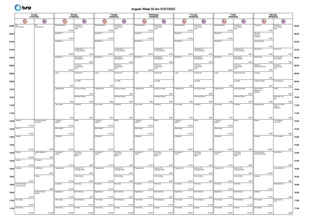

## August: Week 32 w/c 31/07/2022

|                                       | Sunday<br>31/07/2022            |                   |                           |                        | Monday<br>01/08/2022 |                                      |         |                        | <b>Tuesday</b><br>02/08/2022 |                                 |         |                        | Wednesday<br>03/08/2022 |                                      |         |                        | <b>Thursday</b> | 04/08/2022                           |         |                        | Friday<br>05/08/2022 |                                      |         |                                     | Saturday<br>06/08/2022 |                                       |       |                |
|---------------------------------------|---------------------------------|-------------------|---------------------------|------------------------|----------------------|--------------------------------------|---------|------------------------|------------------------------|---------------------------------|---------|------------------------|-------------------------|--------------------------------------|---------|------------------------|-----------------|--------------------------------------|---------|------------------------|----------------------|--------------------------------------|---------|-------------------------------------|------------------------|---------------------------------------|-------|----------------|
|                                       | $\bigcirc$                      |                   | $\odot$                   | $\bigcirc$             |                      | $\odot$                              |         | $\bullet$              |                              | $\odot$                         |         | $\bigcirc$             |                         | $\odot$                              |         | $\bigcirc$             |                 | $\odot$                              |         | $\bm{\mathsf{O}}$      |                      | $\odot$                              |         | $\bm{\mathsf{O}}$                   |                        | $\odot$                               |       |                |
| 06:00 $\frac{\text{Non}}{\text{Com}}$ | Commercial                      | Non<br>Commercial |                           | <b>Breakfast Early</b> | \$1,050              | Preschool<br>Commercial<br>Free      |         | <b>Breakfast Early</b> | \$1,050                      | Preschool<br>Commercial<br>Free |         | <b>Breakfast Early</b> | \$1,050                 | Preschool<br>Commercial<br>Free      |         | <b>Breakfast Early</b> | \$1,050         | Preschool<br>Commercial<br>Free      |         | <b>Breakfast Early</b> | \$1,050              | Preschool<br>Commercial<br>Free      |         | Te Karere                           | \$250                  | Preschool<br>Commercial<br>Free       |       | 06:00          |
| 06:30                                 |                                 |                   |                           | Breakfast 1            | \$1,600              |                                      |         | Breakfast 1            | \$1,600                      |                                 |         | Breakfast 1            | \$1,600                 |                                      |         | Breakfast 1            | \$1,600         |                                      |         | Breakfast 1            | \$1,600              |                                      |         | Hyundai<br>Country<br>Calendar      | \$250                  |                                       |       | 06:30          |
| 07:00                                 |                                 |                   |                           | Breakfast 2            |                      |                                      |         | Breakfast 2            |                              |                                 |         | Breakfast 2            |                         |                                      |         | Breakfast 2            |                 |                                      |         | Breakfast 2            |                      |                                      |         | <b>Rural Delivery</b>               | \$250                  |                                       |       | 07:00          |
| 07:30                                 |                                 |                   |                           |                        | \$2,650              | Jungle Bunch<br>To The Rescue!       | \$350   |                        | \$2,650                      | Jungle Bunch<br>To The Rescue!  | \$350   |                        | \$2,650                 | Jungle Bunch<br>To The Rescue!       | \$350   |                        | \$2,650         | Jungle Bunch<br>To The Rescue!       | \$350   |                        | \$2,650              | Jungle Bunch<br>To The Rescue!       | \$350   | Infomercial                         | \$250                  | Turbo Fast                            | \$300 | 07:30          |
| 08:00                                 |                                 |                   |                           | Breakfast 3            |                      | Spongebob<br>Squarepants             | \$350   | Breakfast 3            |                              | Spongebob<br>Squarepants        | \$350   | Breakfast 3            |                         | Spongebob<br>Squarepants             | \$350   | Breakfast 3            |                 | Spongebob<br>Squarepants             | \$350   | Breakfast 3            |                      | Spongebob<br>Squarepants             | \$350   | Infomercial                         | \$250                  | The Dog and<br>Pony Show              | \$300 | 08:00          |
| 08:30                                 |                                 |                   |                           |                        | \$2,900              | Preschool<br>Commercia<br>Free       |         |                        | \$2,900                      | Preschool<br>Commercial<br>Free |         |                        | \$2,900                 | Preschool<br>Commercia<br>Free       |         |                        | \$2,900         | Preschool<br>Commercial<br>Free      |         |                        | \$2,900              | Preschool<br>Commercial<br>Free      |         | Religious<br>Infomercial (FIA)      | \$250                  | Preschool<br>Commercial<br>Free       |       | 08:30          |
| 09:00                                 |                                 |                   |                           | Lingo                  |                      | Infomercial                          |         | Lingo                  |                              | Infomercial                     |         | Lingo                  |                         | Infomercial                          |         | Lingo                  |                 | Infomercial                          |         | Lingo                  |                      | Infomercial (GS)                     |         | Lifestyle                           | \$350                  |                                       |       | 09:00          |
| 09:30                                 |                                 |                   |                           |                        | \$900                | Les Mills                            |         |                        | \$900                        | Les Mills                       |         |                        | \$900                   | Les Mills                            |         |                        | \$900           | Les Mills                            |         |                        | \$900                | Les Mills                            |         | Tagata Pasifika                     | \$350                  | The Simpsons                          | \$450 | 09:30          |
| 10:00                                 |                                 |                   |                           | <b>Tipping Point</b>   |                      | Home and Away                        | \$250   | <b>Tipping Point</b>   |                              | Home and Away                   | \$250   | <b>Tipping Point</b>   |                         | Home and Away                        | \$250   | <b>Tipping Point</b>   |                 | Home and Away                        | \$250   | <b>Tipping Point</b>   |                      | Home and Away                        | \$250   | John & Lisa's<br>Weekend<br>Kitchen |                        | Fresh                                 | \$800 | 10:00          |
| 10:30                                 |                                 |                   |                           |                        | \$800                | Shortland Street                     | \$250   |                        | \$800                        | Shortland Street                | \$250   |                        | \$800                   | Shortland Street                     | \$250   |                        | \$800           | Shortland Street                     | \$250   |                        | \$800                | Shortland Street                     | \$250   |                                     | \$250                  | Saved By The<br>Bell                  | \$400 | 10:30          |
| 11:00                                 |                                 |                   |                           | The Chase              |                      | Charmed                              |         | The Chase              |                              | Charmed                         |         | The Chase              |                         | Charmed                              |         | The Chase              |                 | Charmed                              |         | The Chase              |                      | Charmed                              |         | Entertainment                       |                        | Have You Been<br>Paying<br>Attention? |       | 11:00          |
| 11:30                                 |                                 |                   |                           |                        | \$750                |                                      | \$250   |                        | \$750                        |                                 | \$250   |                        | \$750                   |                                      | \$250   |                        | \$750           |                                      | \$250   |                        | \$750                |                                      | \$250   |                                     | \$500                  |                                       | \$400 | 11:30          |
|                                       | $12:00$ Attitude<br>\$1,300     | Omnibus           | Shortland Street          | 1 News At<br>Midday    | \$2,050              | Movie                                |         | 1 News At<br>Midday    | \$2,050                      | Movie                           |         | 1 News At<br>Midday    | \$2,050                 | Movie                                |         | 1 News At<br>Midday    | \$2,050         | Movie                                |         | 1 News At<br>Midday    | \$2,050              | Movie                                |         | Drama                               |                        | The Weakest<br>Link: USA              |       | 12:00          |
|                                       | 12:30 Fair Go<br>\$1,950        |                   |                           | Emmerdale              | \$1,350              |                                      |         | Emmerdale              | \$1,350                      |                                 |         | Emmerdale              | \$1,350                 |                                      |         | Emmerdale              | \$1,350         |                                      |         | Emmerdale              | \$1,350              |                                      |         | Lifestyle                           | \$900                  | The Courtship                         | \$650 | 12:30          |
|                                       | 13:00   Sunday                  |                   |                           | Hollyoaks              |                      |                                      |         | Hollyoaks              |                              |                                 |         | Hollyoaks              |                         |                                      |         | Hollyoaks              |                 |                                      |         | Hollyoaks              |                      |                                      |         |                                     |                        |                                       |       | 13:00          |
| 13:30                                 | \$3,250<br>14:00 Factual        |                   | \$350<br>United States Of | Coronation             | \$2,450              | The Drew                             | \$450   | Coronation             | \$2,450                      | The Drew                        | \$450   | Coronation             | \$2,450                 | The Drew                             | \$450   | Coronation             | \$2,450         | The Drew                             | \$450   | Coronation             | \$2,450              | The Drew                             | \$450   | The Great Kiwi                      | \$3,200                | Good Witch                            | \$650 | 13:30          |
|                                       | \$2,550<br>14:30 Factual        | <b>B</b> Positive | \$350                     | <b>Street</b>          |                      | Barrymore<br>Show                    |         | Street                 |                              | Barrymore<br>Show               |         | Street                 |                         | Barrymore<br>Show                    |         | Street                 |                 | Barrymore<br>Show                    |         | Street                 |                      | Barrymore<br>Show                    |         | <b>Bake Off Repeat</b>              |                        |                                       |       | 14:00<br>14:30 |
|                                       | \$2,550<br>15:00 Lifestyle      | Call Me Kat       | \$550                     | <b>Tipping Point</b>   | \$1,200              | Sabrina The                          | \$650   | <b>Tipping Point</b>   | \$1,200                      | Sabrina The                     | \$650   | <b>Tipping Point</b>   | \$1,200                 | Sabrina The                          | \$650   | <b>Tipping Point</b>   | \$1,200         | Sabrina The                          | \$650   | <b>Tipping Point</b>   | \$1,200              | Sabrina The                          | \$650   |                                     |                        | Junior Bake Off                       | \$550 | 15:00          |
| 15:30                                 |                                 | Drama             | \$550                     |                        |                      | Teenage Witch<br><b>Holly Hobbie</b> | \$550   |                        |                              | Teenage Witch<br>Holly Hobbie   | \$550   |                        |                         | Teenage Witch<br><b>Holly Hobbie</b> | \$550   |                        |                 | Teenage Witch<br><b>Holly Hobbie</b> | \$550   |                        |                      | Teenage Witch<br><b>Holly Hobbie</b> | \$550   | Lifestyle                           | \$1,600                |                                       |       | 15:30          |
|                                       | \$2,350<br>16:00 Susan Calman's |                   |                           | Te Karere              | \$2,200              | The Feed                             | \$300   | Te Karere              | \$2,200                      | The Feed                        | \$300   | Te Karere              | \$2,200                 | The Feed                             | \$300   | Te Karere              | \$2,200         | The Feed                             | \$300   | Te Karere              | \$2,200              | The Feed                             | \$300   |                                     |                        | Entertainment                         | \$650 | 16:00          |
| 16:30                                 |                                 | Sunday Family     | \$850                     | Neighbours             | \$2,200              | <b>Brain Busters</b>                 |         | Neighbours             | \$2,200                      | <b>Brain Busters</b>            |         | Neighbours             | \$2,200                 | <b>Brain Busters</b>                 |         | Neighbours             | \$2,200         | <b>Brain Busters</b>                 |         | Neighbours             | \$2,200              | <b>Brain Busters</b>                 |         | Lifestyle                           | \$2,350                |                                       |       | 16:30          |
|                                       | \$2,050<br>17:00 The Chase      | Movie             |                           | The Chase              | \$1,550              | The Simpsons                         | \$300   | The Chase              | \$1,550                      | The Simpsons                    | \$300   | The Chase              | \$1,550                 | The Simpsons                         | \$300   | The Chase              | \$1,550         | The Simpsons                         | \$300   | The Chase              | \$1,550              | The Simpsons                         | \$300   | The Chase                           | \$1,650                | Superman &                            | \$650 | 17:00          |
|                                       | \$5,500                         |                   |                           |                        | \$5,050              |                                      | \$1,550 |                        | \$5,050                      |                                 | \$1,550 |                        | \$5,050                 |                                      | \$1,550 |                        | \$5,050         |                                      | \$1,550 |                        | \$5,050              |                                      | \$1,550 |                                     | \$5,600                | Lois                                  |       |                |
|                                       | 17:30 The Chase<br>\$5,700      |                   | \$1,200                   | The Chase              | \$6,650              | Friends                              | \$1,800 | The Chase              | \$6,650                      | Friends                         | \$1,800 | The Chase              | \$6,650                 | Friends                              | \$1,800 | The Chase              | \$6,650         | Friends                              | \$1,800 | The Chase              | \$6,650              | Friends                              | \$1,800 | The Chase                           | \$6,750                |                                       | \$650 | 17:30          |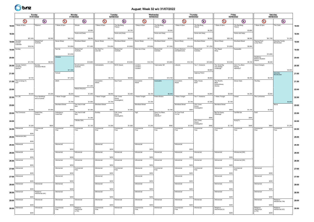

## August: Week 32 w/c 31/07/2022

|                  | Sunday<br>31/07/2022             |            |                                |         |                        | Monday<br>01/08/2022 |                                   |          |                         |          | Tuesday<br>02/08/2022                |          |                       | Wednesday<br>03/08/2022 |                                       |          |                                 |          | Thursday<br>04/08/2022               |          |                                 | Friday<br>05/08/2022 |                        |         |                                       | Saturday<br>06/08/2022 |                                |         |       |
|------------------|----------------------------------|------------|--------------------------------|---------|------------------------|----------------------|-----------------------------------|----------|-------------------------|----------|--------------------------------------|----------|-----------------------|-------------------------|---------------------------------------|----------|---------------------------------|----------|--------------------------------------|----------|---------------------------------|----------------------|------------------------|---------|---------------------------------------|------------------------|--------------------------------|---------|-------|
|                  | $\bm{\mathsf{\odot}}$            | $\bigcirc$ |                                |         | $\bigcirc$             |                      | $\bigcirc$                        |          | $\bigcirc$              |          | $\bigcirc$                           |          | $\bigcirc$            |                         | $\bigcirc$                            |          | Q                               |          | $\odot$                              |          | $\bm{\mathsf{\Omega}}$          |                      | $\odot$                |         | $\bigcirc$                            |                        | $\odot$                        |         |       |
| 18:00            | 1 News At 6pm                    |            | Wipeout                        |         | 1 News At 6pm          |                      | Ghosts                            |          | 1 News At 6pm           |          | The Big Bang<br>Theory               |          | 1 News At 6pm         |                         | The Big Bang<br>Theory                |          | 1 News At 6pm                   |          | The Big Bang<br>Theory               |          | 1 News At 6pm                   |                      | The Big Bang<br>Theory |         | 1 News At 6pm                         |                        | The Cube                       |         | 18:00 |
| 18:30            |                                  |            |                                |         |                        |                      | Home and Away                     | \$3,950  |                         |          | Home and Away                        | \$3,750  |                       |                         | Home and Away                         | \$3,050  |                                 |          | Home and Away                        | \$4,250  |                                 |                      | Home and Away          | \$3,800 |                                       |                        |                                |         | 18:30 |
|                  | $19:00$ Hyundai<br>Country       | \$21,450   | MasterChef<br>Australia        | \$2,500 | Seven Sharp            | \$20,150             | Shortland Street                  | \$8,950  | Seven Sharp             | \$25,150 | Shortland Street                     | \$8,950  | Seven Sharp           | \$21,750                | Shortland Street                      | \$8,950  | Seven Sharp                     | \$23,300 | Shortland Street                     | \$8,950  | Seven Sharp                     | \$20,100             | Shortland Street       | \$8,950 | <b>Tipping Point</b><br>Lucky Stars   | \$21,700               | Saturday Family<br>Blockbuster | \$1,350 | 19:00 |
| 19:30 Sunday     | Calendar                         | \$18,100   |                                |         | Fair Go                | \$12,850             | MasterChef<br>Australia           | \$11,000 | Eat Well For<br>Less NZ | \$14,950 | MasterChef<br>Australia              | \$10,850 | Give Us A Clue        | \$13,600                | MasterChef<br>Australia               | \$11,000 | Dream Kitchens<br>and Bathrooms | \$14,200 | MasterChef<br>Australia              | \$11,250 | The Repair<br>Shop              | \$12,850             | Guessable              | \$9,900 |                                       |                        |                                |         | 19:30 |
| 20:00            |                                  |            |                                |         | Lifestyle              | \$12,000             |                                   |          |                         |          |                                      |          |                       |                         |                                       |          |                                 |          |                                      |          |                                 |                      |                        |         | Heathrow:<br><b>Britain's Busiest</b> | \$10,850               |                                |         | 20:00 |
|                  | 20:30 George Clarke's            | \$11,750   | Sunday                         | \$8,950 |                        |                      | Snackmasters                      | \$10,850 | Unbreakable             | \$11,900 | <b>NCIS Hawaii</b>                   | \$10,000 | Location,             | \$12,150                | Taskmaster NZ                         | \$10,850 | Lifestyle                       | \$12,100 | Ten 7: Aotearoa                      | \$10,600 | The Great Big                   | \$12,350             | Have You Been          | \$5,100 | Airport<br><b>Grand Designs</b>       | \$6,450                |                                |         | 20:30 |
|                  | Amazing<br>Spaces                |            | Premiere Movie                 |         | Factual                | \$11,200             | Australia                         |          |                         |          |                                      |          | Location,<br>Location |                         |                                       |          |                                 |          | Highway Patrol                       | \$9,800  | <b>Tiny Design</b><br>Challenge |                      | Paying<br>Attention?   |         |                                       |                        | Saturday                       | \$4,650 |       |
| 21:00            |                                  | \$7,700    |                                |         |                        | \$11,200             |                                   |          |                         | \$9,150  |                                      | \$8,600  |                       | \$7,950                 |                                       | \$10,750 |                                 | \$8,050  |                                      | \$9,800  | The World's                     | \$7,100              |                        | \$6,350 | The Bay                               | \$5,100                | Blockbuster                    |         | 21:00 |
|                  | $21:30$ This Is Going To<br>Hurt |            |                                |         | 20/20                  |                      |                                   | \$11,400 | Coronation<br>Street    |          | Seal Team                            |          | Coronation<br>Street  |                         | Guessable                             |          | Coronation<br>Street            |          | <b>Filthy House</b><br>sos           |          | Most<br>Extraordinary<br>Homes  |                      | Dinner Date            |         |                                       |                        |                                |         | 21:30 |
| 22:00            |                                  | \$4,550    |                                | \$7,200 |                        | \$5,200              | Naked Attraction                  | \$1,950  |                         | \$6,950  |                                      | \$3,450  |                       | \$5,150                 |                                       | \$6,000  |                                 | \$5,950  |                                      | \$3,850  |                                 | \$5,500              |                        | \$4,350 |                                       | \$3,550                |                                |         | 22:00 |
| 22:30   For Life |                                  |            | Four Weddings<br>and a Funeral |         | 1 News Tonight         | \$1,700              | Drama                             | \$1,950  | 1 News Tonight          | \$1,700  | CSI: Crime<br>Scene<br>nvestigation  |          | 1 News Tonight        | \$1,700                 | Patriot Brains                        |          | 1 News Tonight                  | \$1,700  | Ten 7: Aotearoa                      | \$1,350  | 1 News Tonight                  | \$1,700              | Unreal                 |         | The Luminaries                        |                        |                                | \$4,800 | 22:30 |
| 23:00            |                                  | \$2,050    |                                | \$1,550 | Shortland Street       | \$950                | Two And A Half                    | \$1,350  | Shortland Street        | \$950    |                                      | \$1,050  | Shortland Street      | \$950                   |                                       | \$1,750  | Shortland Street                | \$950    | CSI: Crime<br>Scene<br>Investigation |          | Shortland Street                | \$950                |                        | \$1,150 |                                       | \$1,450                | Movie                          |         | 23:00 |
|                  | 23:30 The Commons                |            | Death Row<br>Doctors           |         | Ambulance:<br>Code Red |                      | Two And A Half<br>Mer             | \$1,350  | Sunday                  |          | CSI: Crime<br>Scene<br>Investigation |          | Vigil                 |                         | Have You Been<br>Paying<br>Attention? |          | It's Your Fault<br>I'm Fat      |          |                                      | \$900    | Big Fat Gypsy<br>Weddings       |                      | Call Me Kat            | \$500   | Guilt                                 |                        |                                |         | 23:30 |
| 24:00            |                                  |            |                                |         |                        |                      | 2 Broke Girls                     |          |                         |          |                                      |          |                       |                         |                                       |          |                                 |          | CSI: Crime<br>Scene<br>Investigation |          |                                 |                      | Kung Fu                |         |                                       |                        |                                |         | 24:00 |
|                  | 24:30   Informercial             | \$1,250    | Commercial<br>Free             | \$600   | Commercial<br>Free     | \$950                | Commercial<br>Free                | \$1,150  | Commercial<br>Free      | \$1,500  | Commercial<br>Free                   | \$1,050  | Commercial<br>Free    | \$1,350                 | Commercial<br>Free                    | \$950    | Commercial<br>Free              | \$1,050  | Commercial<br>Free                   | \$950    | Commercial<br>Free              | \$1,100              | Commercial<br>Free     | \$400   | Commercial<br>Free                    | \$800                  | Commercial<br>Free             | \$1,350 | 24:30 |
|                  | $25:00$ Infomercial (AH)         | \$250      |                                |         |                        |                      |                                   |          |                         |          |                                      |          |                       |                         |                                       |          |                                 |          |                                      |          |                                 |                      |                        |         |                                       |                        |                                |         | 25:00 |
|                  | 25:30   Infomercial              | \$250      |                                |         | Infomercial            |                      |                                   |          | Infomercial             |          |                                      |          | Infomercial           |                         |                                       |          | Infomercial                     |          |                                      |          |                                 |                      |                        |         |                                       |                        |                                |         | 25:30 |
|                  | 26:00   Informercial             | \$250      |                                |         | Infomercial            | \$250                | Infomercial                       |          | Infomercial             | \$250    | nfomercial                           |          | Infomercial           | \$250                   | Infomercial                           |          | Infomercial                     | \$250    | nfomercial                           |          | Infomercial                     |                      | Infomercial (GS)       |         |                                       |                        |                                |         | 26:00 |
|                  | 26:30   Informercial             | \$250      |                                |         | Infomercial            | \$250                | Infomercial                       |          | Infomercial             | \$250    | Infomercial                          |          | Infomercial           | \$250                   | Infomercial                           |          | Infomercial                     | \$250    | Infomercial                          |          | Infomercial                     | \$250                | Infomercial (GS)       |         |                                       |                        |                                |         | 26:30 |
|                  | 27:00 Informercial               | \$250      |                                |         | Infomercial            | \$250                | Commercial<br>Free                |          | Infomercial             | \$250    | Commercial<br>Free                   |          | Infomercial           | \$250                   | Commercial<br>Free                    |          | Infomercial                     | \$250    | Commercial<br>Free                   |          | Infomercial                     | \$250                | Commercial<br>Free     |         | Infomercial                           |                        |                                |         | 27:00 |
|                  | $27:30$ Infomercial              | \$250      |                                |         | Infomercial            | \$250                |                                   |          | Infomercial             | \$250    |                                      |          | Infomercial           | \$250                   |                                       |          | Infomercial                     | \$250    |                                      |          | Infomercial                     | \$250                |                        |         | Infomercial                           | \$250                  |                                |         | 27:30 |
|                  | 28:00   Infomercial              | \$250      | Infomercial                    |         | Infomercial            | \$250                |                                   |          | Infomercial             | \$250    |                                      |          | Infomercial           | \$250                   |                                       |          | Infomercial                     | \$250    |                                      |          | Infomercial                     | \$250                |                        |         | Infomercial                           | \$250                  |                                |         | 28:00 |
|                  | Infomercial                      | \$250      |                                |         | Infomercial            | \$250                |                                   |          | Infomercial             | \$250    |                                      |          | Infomercial           | \$250                   |                                       |          | Infomercial                     | \$250    |                                      |          | Infomercial                     | \$250                |                        |         | Infomercial                           | \$250                  |                                |         |       |
| 28:30            |                                  | \$250      | Religious<br>Infomercial (HC)  |         |                        | \$250                |                                   |          |                         | \$250    |                                      |          |                       | \$250                   |                                       |          |                                 | \$250    |                                      |          |                                 | \$250                |                        |         |                                       | \$250                  |                                |         | 28:30 |
|                  | 29:00   Informercial             | \$250      | Infomercial                    |         | Infomercial            | \$250                | Infomercial                       |          | Infomercial             | \$250    | Infomercial                          |          | Infomercial           | \$250                   | Infomercial                           |          | Infomercial                     | \$250    | Infomercial                          |          | Infomercial                     | \$250                |                        |         | Infomercial                           | \$250                  | Religious<br>Infomercial (TM)  |         | 29:00 |
|                  | 29:30   Informercial             | \$250      | Infomercial                    |         | Commercial<br>Free     |                      | Religious<br>Infomercial<br>(LTW) |          | Commercial<br>Free      |          | nfomercial                           |          | Commercial<br>Free    |                         | Infomercial                           |          | Commercial<br>Free              |          | Infomercial                          |          | Religious<br>Infomercial (IJ)   | \$250                |                        |         | Religious<br>Infomercial<br>(LTW)     | \$250                  | Religious<br>Infomercial (HC)  |         | 29:30 |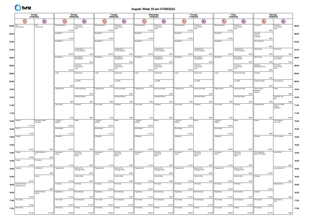

## August: Week 33 w/c 07/08/2022

|                           | Sunday<br>07/08/2022 |         |                            |                      |                                   | Monday<br>08/08/2022            |         |                        | Tuesday<br>09/08/2022 |                                 |         |                        | Wednesday<br>10/08/2022 |                                 |         |                        | <b>Thursday</b><br>11/08/2022 |                                 |         |                        | Friday<br>12/08/2022 |                                 |         |                                          | Saturday<br>13/08/2022 |                                 |       |       |
|---------------------------|----------------------|---------|----------------------------|----------------------|-----------------------------------|---------------------------------|---------|------------------------|-----------------------|---------------------------------|---------|------------------------|-------------------------|---------------------------------|---------|------------------------|-------------------------------|---------------------------------|---------|------------------------|----------------------|---------------------------------|---------|------------------------------------------|------------------------|---------------------------------|-------|-------|
|                           | $\bm{\mathsf{O}}$    |         | $\odot$                    |                      | $\bigcirc$                        | $\odot$                         |         | $\bigcirc$             |                       | $\bm{\mathsf{\odot}}$           |         | $\bullet$              |                         | $\odot$                         |         | $\bm{\mathsf{O}}$      |                               | $\bm{\mathsf{\odot}}$           |         | $\bm{\mathsf{O}}$      |                      | $\odot$                         |         | $\bigcirc$                               |                        | $\odot$                         |       |       |
| 06:00 $\sqrt{\frac{Non}}$ | Commercial           |         | Non<br>Commercial          |                      | <b>Breakfast Early</b><br>\$1,050 | Preschool<br>Commercial<br>Free |         | <b>Breakfast Early</b> | \$1,050               | Preschool<br>Commercial<br>Free |         | <b>Breakfast Early</b> | \$1,050                 | Preschool<br>Commercial<br>Free |         | <b>Breakfast Early</b> | \$1,050                       | Preschool<br>Commercial<br>Free |         | <b>Breakfast Early</b> | \$1,050              | Preschool<br>Commercial<br>Free |         | Te Karere                                | \$250                  | Preschool<br>Commercial<br>Free |       | 06:00 |
| 06:30                     |                      |         |                            | Breakfast 1          |                                   |                                 |         | Breakfast 1            |                       |                                 |         | Breakfast 1            |                         |                                 |         | Breakfast 1            |                               |                                 |         | Breakfast 1            |                      |                                 |         | Hyundai<br>Country<br>Calendar           |                        |                                 |       | 06:30 |
| 07:00                     |                      |         |                            | Breakfast 2          | \$1,600                           |                                 |         | Breakfast 2            | \$1,600               |                                 |         | Breakfast 2            | \$1,600                 |                                 |         | Breakfast 2            | \$1,600                       |                                 |         | Breakfast 2            | \$1,600              |                                 |         | <b>Rural Delivery</b>                    | \$250                  |                                 |       | 07:00 |
| 07:30                     |                      |         |                            |                      |                                   | Jungle Bunch<br>To The Rescue!  |         |                        |                       | Jungle Bunch<br>To The Rescue!  |         |                        |                         | Jungle Bunch<br>To The Rescue!  |         |                        |                               | Jungle Bunch<br>To The Rescue!  |         |                        |                      | Jungle Bunch<br>To The Rescue!  |         | Infomercial                              | \$250                  | Turbo Fast                      |       | 07:30 |
| 08:00                     |                      |         |                            | Breakfast 3          | \$2,650                           | Spongebob<br>Squarepants        | \$350   | Breakfast 3            | \$2,650               | Spongebob<br>Squarepants        | \$350   | Breakfast 3            | \$2,650                 | Spongebob<br>Squarepants        | \$350   | Breakfast 3            | \$2,650                       | Spongebob<br>Squarepants        | \$350   | Breakfast 3            | \$2,650              | Spongebob<br>Squarepants        | \$350   | Infomercial                              | \$250                  | The Dog and<br>Pony Show        | \$300 | 08:00 |
| 08:30                     |                      |         |                            |                      |                                   | Preschool<br>Commercia          | \$350   |                        |                       | Preschool<br>Commercial         | \$350   |                        |                         | Preschool<br>Commercial         | \$350   |                        |                               | Preschool<br>Commercial         | \$350   |                        |                      | Preschool<br>Commercia          | \$350   | Religious<br>Infomercial (FIA)           | \$250                  | Preschool<br>Commercia          | \$300 | 08:30 |
| 09:00                     |                      |         |                            | Lingo                | \$2,900                           | Free<br>Infomercial             |         | Lingo                  | \$2,900               | Free<br>Infomercial             |         | Lingo                  | \$2,900                 | Free<br>Infomercial             |         | Lingo                  | \$2,900                       | Free<br>Infomercial             |         | Lingo                  | \$2,900              | Free<br>Infomercial (GS)        |         | Lifestyle                                | \$250                  | Free                            |       | 09:00 |
| 09:30                     |                      |         |                            |                      |                                   | Les Mills                       |         |                        |                       | Les Mills                       |         |                        |                         | Les Mills                       |         |                        |                               | Les Mills                       |         |                        |                      | Les Mills                       |         | Tagata Pasifika                          | \$350                  | The Simpsons                    |       | 09:30 |
| 10:00                     |                      |         |                            | <b>Tipping Point</b> | \$900                             | Home and Away                   |         | <b>Tipping Point</b>   | \$900                 | Home and Away                   |         | <b>Tipping Point</b>   | \$900                   | Home and Away                   |         | <b>Tipping Point</b>   | \$900                         | Home and Away                   |         | <b>Tipping Point</b>   | \$900                | Home and Away                   |         | John & Lisa's<br>Weekend                 | \$350                  | Fresh                           | \$450 | 10:00 |
| 10:30                     |                      |         |                            |                      |                                   | Shortland Street                | \$250   |                        |                       | Shortland Street                | \$250   |                        |                         | Shortland Street                | \$250   |                        |                               | Shortland Street                | \$250   |                        |                      | Shortland Street                | \$250   | Kitchen                                  |                        | Saved By The                    | \$800 | 10:30 |
| 11:00                     |                      |         |                            | The Chase            | \$800                             | Charmed                         | \$250   | The Chase              | \$800                 | Charmed                         | \$250   | The Chase              | \$800                   | Charmed                         | \$250   | The Chase              | \$800                         | Charmed                         | \$250   | The Chase              | \$800                | Charmed                         | \$250   | Entertainment                            | \$250                  | Bell<br>Have You Been           | \$400 | 11:00 |
| 11:30                     |                      |         |                            |                      |                                   |                                 |         |                        |                       |                                 |         |                        |                         |                                 |         |                        |                               |                                 |         |                        |                      |                                 |         |                                          |                        | Paying<br>Attention?            |       | 11:30 |
|                           | $12:00$ Attitude     |         | Shortland Street           | 1 News At            | \$750                             | Movie                           | \$250   | 1 News At              | \$750                 | Movie                           | \$250   | 1 News At              | \$750                   | Movie                           | \$250   | 1 News At              | \$750                         | Movie                           | \$250   | 1 News At              | \$750                | Movie                           | \$250   | Drama                                    | \$500                  | The Weakest                     | \$400 | 12:00 |
|                           | 12:30 Fair Go        | \$1,300 | Omnibus                    | Midday<br>Emmerdale  | \$2,050                           |                                 |         | Midday<br>Emmerdale    | \$2,050               |                                 |         | Midday<br>Emmerdale    | \$2,050                 |                                 |         | Midday<br>Emmerdale    | \$2,050                       |                                 |         | Midday<br>Emmerdale    | \$2,050              |                                 |         |                                          |                        | Link: USA                       |       |       |
|                           |                      | \$1,950 |                            | Hollyoaks            | \$1,350                           |                                 |         | Hollyoaks              | \$1,350               |                                 |         | Hollyoaks              | \$1,350                 |                                 |         | Hollyoaks              | \$1,350                       |                                 |         | Hollyoaks              | \$1,350              |                                 |         | Lifestyle                                | \$900                  | The Courtship                   | \$650 | 12:30 |
|                           | 13:00   Sunday       |         |                            |                      |                                   |                                 |         |                        |                       |                                 |         |                        |                         |                                 |         |                        |                               |                                 |         |                        |                      |                                 |         |                                          |                        |                                 |       | 13:00 |
| 13:30                     |                      | \$3,250 | \$350                      |                      | \$2,450                           |                                 | \$450   |                        | \$2,450               |                                 | \$450   |                        | \$2,450                 |                                 | \$450   |                        | \$2,450                       |                                 | \$450   |                        | \$2,450              |                                 | \$450   |                                          | \$3,200                |                                 | \$650 | 13:30 |
|                           | 14:00 Factual        | \$2,550 | United States Of<br>\$350  | Coronation<br>Street |                                   | The Drew<br>Barrymore<br>Show   |         | Coronation<br>Street   |                       | The Drew<br>Barrymore<br>Show   |         | Coronation<br>Street   |                         | The Drew<br>Barrymore<br>Show   |         | Coronation<br>Street   |                               | The Drew<br>Barrymore<br>Show   |         | Coronation<br>Street   |                      | The Drew<br>Barrymore<br>Show   |         | The Great Kiwi<br><b>Bake Off Repeat</b> |                        | Good Witch                      |       | 14:00 |
|                           | 14:30 Factual        | \$2,550 | <b>B</b> Positive<br>\$550 |                      | \$1,200                           |                                 | \$650   |                        | \$1,200               |                                 | \$650   |                        | \$1,200                 |                                 | \$650   |                        | \$1,200                       |                                 | \$650   |                        | \$1,200              |                                 | \$650   |                                          |                        |                                 | \$550 | 14:30 |
|                           | 15:00 Lifestyle      |         | Call Me Kat<br>\$550       | <b>Tipping Point</b> |                                   | Sabrina The<br>Teenage Witch    | \$550   | <b>Tipping Point</b>   |                       | Sabrina The<br>Teenage Witch    | \$550   | <b>Tipping Point</b>   |                         | Sabrina The<br>Teenage Witch    | \$550   | <b>Tipping Point</b>   |                               | Sabrina The<br>Teenage Witch    | \$550   | <b>Tipping Point</b>   |                      | Sabrina The<br>Teenage Witch    | \$550   |                                          | \$1,600                | Junior Bake Off                 |       | 15:00 |
| 15:30                     |                      | \$2,350 | Drama                      |                      | \$2,200                           | <b>Holly Hobbie</b>             | \$300   |                        | \$2,200               | Holly Hobbie                    | \$300   |                        | \$2,200                 | <b>Holly Hobbie</b>             | \$300   |                        | \$2,200                       | <b>Holly Hobbie</b>             | \$300   |                        | \$2,200              | <b>Holly Hobbie</b>             | \$300   | Lifestyle                                |                        |                                 | \$650 | 15:30 |
|                           | 16:00 Susan Calman's |         | \$850                      | Te Karere            | \$2,200                           | The Feed                        |         | Te Karere              | \$2,200               | The Feed                        |         | Te Karere              | \$2,200                 | The Feed                        |         | Te Karere              | \$2,200                       | The Feed                        |         | Te Karere              | \$2,200              | The Feed                        |         |                                          | \$2,350                | Entertainment                   |       | 16:00 |
| 16:30                     |                      | \$2,050 | Sunday Family<br>Movie     | Neighbours           | \$1,550                           | <b>Brain Busters</b>            | \$300   | Neighbours             | \$1,550               | <b>Brain Busters</b>            | \$300   | Neighbours             | \$1,550                 | <b>Brain Busters</b>            | \$300   | Neighbours             | \$1,550                       | <b>Brain Busters</b>            | \$300   | Neighbours             | \$1,550              | <b>Brain Busters</b>            | \$300   | Lifestyle                                | \$1,650                |                                 | \$650 | 16:30 |
|                           | 17:00 The Chase      |         |                            | The Chase            |                                   | The Simpsons                    |         | The Chase              |                       | The Simpsons                    |         | The Chase              |                         | The Simpsons                    |         | The Chase              |                               | The Simpsons                    |         | The Chase              |                      | The Simpsons                    |         | The Chase                                |                        | Superman &<br>Lois              |       | 17:00 |
|                           | 17:30 The Chase      | \$5,500 |                            | The Chase            | \$5,050                           | Friends                         | \$1,550 | The Chase              | \$5,050               | Friends                         | \$1,550 | The Chase              | \$5,050                 | Friends                         | \$1,550 | The Chase              | \$5,050                       | Friends                         | \$1,550 | The Chase              | \$5,050              | Friends                         | \$1,550 | The Chase                                | \$5,600                |                                 |       | 17:30 |
|                           |                      | \$5,700 | \$1,200                    |                      | \$6,650                           |                                 | \$1,800 |                        | \$6,650               |                                 | \$1,800 |                        | \$6,650                 |                                 | \$1,800 |                        | \$6,650                       |                                 | \$1,800 |                        | \$6,650              |                                 | \$1,800 |                                          | \$6,750                |                                 | \$650 |       |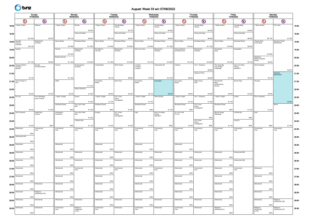

## August: Week 33 w/c 07/08/2022

|                  |                                               | Sunday<br>07/08/2022 |                               | Monday<br>08/08/2022 |                        |          |                           |          | Tuesday<br>09/08/2022   |          |                         | Wednesday<br>10/08/2022 |                                    |          |                         |          | Thursday<br>11/08/2022          |          |                                     | Friday<br>12/08/2022                             |            |                                       | Saturday<br>13/08/2022 |                                     |          |                                |         |       |
|------------------|-----------------------------------------------|----------------------|-------------------------------|----------------------|------------------------|----------|---------------------------|----------|-------------------------|----------|-------------------------|-------------------------|------------------------------------|----------|-------------------------|----------|---------------------------------|----------|-------------------------------------|--------------------------------------------------|------------|---------------------------------------|------------------------|-------------------------------------|----------|--------------------------------|---------|-------|
|                  | $\bigcirc$                                    |                      | $\odot$<br>$\bigcirc$         |                      |                        |          | $\bigcirc$                |          | $\bigcirc$              |          | $\bigcirc$              |                         | $\bigcirc$                         |          | $\bigcirc$              |          | $\bigcirc$                      |          | $\odot$                             |                                                  | $\bigcirc$ | $\odot$                               |                        | $\bigcirc$                          |          | $\odot$                        |         |       |
|                  | 18:00 <sup>1</sup> News At 6pm                |                      | Wipeout                       |                      | 1 News At 6pm          |          | Ghosts                    |          | 1 News At 6pm           |          | The Big Bang<br>Theory  |                         | 1 News At 6pm                      |          | The Big Bang<br>Theory  |          | 1 News At 6pm                   |          | The Big Bang<br>Theory              | 1 News At 6pm                                    |            | The Big Bang<br>Theory                |                        | 1 News At 6pm                       |          | The Cube                       |         | 18:00 |
| 18:30            |                                               |                      |                               |                      |                        |          | Home and Away             | \$3,950  |                         |          | Home and Away           | \$3,750                 |                                    |          | Home and Away           | \$3,050  |                                 |          | Home and Away                       | \$4,250                                          |            | Home and Away                         | \$3,800                |                                     |          |                                |         | 18:30 |
|                  |                                               | \$21,450             |                               | \$2,500              |                        | \$20,150 |                           | \$8,950  |                         | \$25,150 |                         | \$8,950                 |                                    | \$21,750 |                         | \$8,950  |                                 | \$23,300 |                                     | \$8,950                                          | \$20,100   |                                       | \$8,950                |                                     | \$21,700 |                                | \$1,350 |       |
|                  | 19:00 $\frac{H$ yundai<br>Country<br>Calendar |                      | MasterChef<br>Australia       |                      | Seven Sharp            |          | Shortland Street          |          | Seven Sharp             |          | Shortland Street        |                         | Seven Sharp                        |          | Shortland Street        |          | Seven Sharp                     |          | Shortland Street                    | Seven Sharp                                      |            | Shortland Street                      |                        | <b>Tipping Point</b><br>Lucky Stars |          | Saturday Family<br>Blockbuster |         | 19:00 |
| 19:30            | Sunday                                        | \$18,100             |                               |                      | Fair Go                | \$12,850 | MasterChef<br>Australia   | \$11,000 | Eat Well For<br>Less NZ | \$14,950 | MasterChef<br>Australia | \$10,850                | Give Us A Clue                     | \$13,600 | MasterChef<br>Australia | \$11,000 | Dream Kitchens<br>and Bathrooms | \$14,200 | MasterChef<br>Australia             | \$11,250<br>The Repair<br>Shop                   | \$12,850   | Guessable                             | \$9,900                |                                     |          |                                |         | 19:30 |
|                  |                                               |                      |                               |                      | <b>Border Security</b> | \$12,000 |                           |          |                         |          |                         |                         |                                    |          |                         |          |                                 |          |                                     |                                                  |            |                                       |                        | Heathrow:                           | \$10,850 |                                |         |       |
| 20:00            |                                               | \$11,750             |                               | \$8,950              |                        | \$11,200 |                           | \$10,850 |                         | \$11,900 |                         | \$10,000                |                                    | \$12,150 |                         | \$10,850 |                                 | \$12,100 |                                     | \$10,600                                         | \$12,350   |                                       | \$5,100                | <b>Britain's Busiest</b><br>Airport | \$6,450  |                                |         | 20:00 |
|                  | 20:30 George Clarke's<br>Amazing<br>Spaces    |                      | Sunday<br>Premiere Movie      |                      | Factual                |          | Snackmasters<br>Australia |          | Unbreakable             |          | NCIS Hawaii             |                         | Location,<br>Location,<br>Location |          | Taskmaster NZ           |          | Lifestyle                       |          | Ten 7: Aotearoa                     | The Great Big<br><b>Tiny Design</b><br>Challenge |            | Have You Been<br>Paying<br>Attention? |                        | Grand Designs                       |          |                                |         | 20:30 |
| 21:00            |                                               |                      |                               |                      |                        |          |                           |          |                         |          |                         |                         |                                    |          |                         |          |                                 |          | Highway Patrol                      | \$9,800                                          |            |                                       |                        |                                     |          | Saturday<br>Blockbuster        | \$4,650 | 21:00 |
|                  |                                               | \$7,700              |                               |                      |                        | \$11,200 |                           |          |                         | \$9,150  |                         | \$8,600                 |                                    | \$7,950  |                         | \$10,750 |                                 | \$8,050  |                                     | \$9,800                                          | \$7,100    |                                       | \$6,350                |                                     | \$5,100  |                                |         |       |
|                  | 21:30 This Is Going To<br>Hurt                |                      |                               |                      | 20/20                  |          |                           |          | Coronation<br>Street    |          | Seal Team               |                         | Coronation<br>Street               |          | Guessable               |          | Coronation<br>Street            |          | Filthy House<br>SOS                 | The World's<br>Most<br>Extraordinary             |            | Dinner Date                           |                        | The Bay                             |          |                                |         | 21:30 |
| 22:00            |                                               |                      |                               |                      |                        |          | Naked Attraction          | \$11,400 |                         |          |                         |                         |                                    |          |                         |          |                                 |          |                                     | Homes                                            |            |                                       |                        |                                     |          |                                |         | 22:00 |
|                  |                                               | \$4,550              | Four Weddings                 | \$7,200              | 1 News Tonight         | \$5,200  |                           | \$1,950  | 1 News Tonight          | \$6,950  | CSI: Crime              | \$3,450                 | 1 News Tonight                     | \$5,150  | Patriot Brains          | \$6,000  | 1 News Tonight                  | \$5,950  | Ten 7: Aotearoa                     | \$3,850<br>1 News Tonight                        | \$5,500    | Unreal                                | \$4,350                | The Luminaries                      | \$3,550  |                                |         |       |
| 22:30   For Life |                                               |                      | and a Funeral                 |                      |                        | \$1,700  | Drama                     | \$1,950  |                         | \$1,700  | Scene<br>nvestigation   |                         |                                    | \$1,700  |                         |          |                                 | \$1,700  |                                     | \$1,350                                          | \$1,700    |                                       |                        |                                     |          |                                | \$4,800 | 22:30 |
| 23:00            |                                               |                      |                               |                      | Shortland Street       |          | Two And A Half<br>Men     |          | Shortland Street        |          |                         |                         | Shortland Street                   |          |                         |          | Shortland Street                |          | CSI: Crime<br>Scene                 | Shortland Street                                 |            |                                       |                        |                                     |          | Movie                          |         | 23:00 |
|                  | 23:30 The Commons                             | \$2,050              | Death Row                     | \$1,550              | Ambulance:             | \$950    | Two And A Half            | \$1,350  | Sunday                  | \$950    | CSI: Crime              | \$1,050                 | Vigil                              | \$950    | Have You Been           | \$1,750  | It's Your Fault                 | \$950    | Investigation                       | Big Fat Gypsy<br>Weddings                        | \$950      | Call Me Kat                           | \$1,150                | Guilt                               | \$1,450  |                                |         | 23:30 |
|                  |                                               |                      | Doctors                       |                      | Code Red               |          | Men                       | \$1,350  |                         |          | Scene<br>Investigation  |                         |                                    |          | Paying<br>Attention?    |          | I'm Fat                         |          |                                     | \$900                                            |            |                                       | \$500                  |                                     |          |                                |         |       |
| 24:00            |                                               |                      |                               |                      |                        |          | 2 Broke Girls             |          |                         |          |                         |                         |                                    |          |                         |          |                                 |          | CSI: Crime<br>Scene<br>nvestigation |                                                  |            | Kung Fu                               |                        |                                     |          |                                |         | 24:00 |
| 24:30            | Infomercial                                   | \$1,250              | Commercial<br>Free            | \$600                | Commercial<br>Free     | \$950    | Commercial<br>Free        | \$1,150  | Commercial<br>Free      | \$1,500  | Commercial<br>Free      | \$1,050                 | Commercial<br>Free                 | \$1,350  | Commercial<br>Free      | \$950    | Commercial<br>Free              | \$1,050  | Commercial<br>Free                  | \$950<br>Commercial<br>Free                      | \$1,100    | Commercial<br>Free                    | \$400                  | Commercial<br>Free                  | \$800    | Commercial<br>Free             | \$1,350 | 24:30 |
|                  |                                               | \$250                |                               |                      |                        |          |                           |          |                         |          |                         |                         |                                    |          |                         |          |                                 |          |                                     |                                                  |            |                                       |                        |                                     |          |                                |         |       |
|                  | 25:00 Infomercial (AH)                        | \$250                |                               |                      |                        |          |                           |          |                         |          |                         |                         |                                    |          |                         |          |                                 |          |                                     |                                                  |            |                                       |                        |                                     |          |                                |         | 25:00 |
|                  | 25:30   Infomercial                           |                      |                               |                      | Infomercial            |          |                           |          | Infomercial             |          |                         |                         | Infomercial                        |          |                         |          | Infomercial                     |          |                                     |                                                  |            |                                       |                        |                                     |          |                                |         | 25:30 |
|                  | 26:00   Infomercial                           | \$250                |                               |                      | Infomercial            | \$250    | Infomercial               |          | Infomercial             | \$250    | Infomercial             |                         | Infomercial                        | \$250    | Infomercial             |          | Infomercial                     | \$250    | Infomercial                         | Infomercial                                      |            | Infomercial (GS)                      |                        |                                     |          |                                |         | 26:00 |
|                  |                                               | \$250                |                               |                      |                        | \$250    |                           |          |                         | \$250    |                         |                         |                                    | \$250    |                         |          |                                 | \$250    |                                     |                                                  | \$250      |                                       |                        |                                     |          |                                |         |       |
|                  | 26:30 Infomercial                             |                      |                               |                      | Infomercial            |          | Infomercial               |          | Infomercial             |          | Infomercial             |                         | Infomercial                        |          | Infomercial             |          | Infomercial                     |          | Infomercial                         | Infomercial                                      |            | Infomercial (GS)                      |                        |                                     |          |                                |         | 26:30 |
|                  | 27:00 Infomercial                             | \$250                |                               |                      | Infomercial            | \$250    | Commercial<br>Free        |          | Infomercial             | \$250    | Commercial<br>Free      |                         | Infomercial                        | \$250    | Commercial<br>Free      |          | Infomercial                     | \$250    | Commercial<br>Free                  | Infomercial                                      | \$250      | Commercial<br>Free                    |                        | Infomercial                         |          |                                |         | 27:00 |
|                  |                                               | \$250                |                               |                      | Infomercial            | \$250    |                           |          | Infomercial             | \$250    |                         |                         | Infomercial                        | \$250    |                         |          | Infomercial                     | \$250    |                                     | Infomercial                                      | \$250      |                                       |                        | Infomercial                         | \$250    |                                |         |       |
|                  | $27:30$ Infomercial                           | \$250                |                               |                      |                        | \$250    |                           |          |                         | \$250    |                         |                         |                                    | \$250    |                         |          |                                 | \$250    |                                     |                                                  | \$250      |                                       |                        |                                     | \$250    |                                |         | 27:30 |
|                  | $28:00$ Infomercial                           |                      | Infomercial                   |                      | Infomercial            |          |                           |          | Infomercial             |          |                         |                         | Infomercial                        |          |                         |          | Infomercial                     |          |                                     | Infomercial                                      |            |                                       |                        | Infomercial                         |          |                                |         | 28:00 |
|                  | 28:30   Infomercial                           | \$250                | Religious<br>Infomercial (HC) |                      | Infomercial            | \$250    |                           |          | Infomercial             | \$250    |                         |                         | Infomercial                        | \$250    |                         |          | Infomercial                     | \$250    |                                     | Infomercial                                      | \$250      |                                       |                        | Infomercial                         | \$250    |                                |         | 28:30 |
|                  |                                               | \$250                |                               |                      |                        | \$250    |                           |          |                         | \$250    |                         |                         |                                    | \$250    |                         |          |                                 | \$250    |                                     |                                                  | \$250      |                                       |                        |                                     | \$250    |                                |         |       |
|                  | 29:00   Infomercial                           |                      | Infomercial                   |                      | Infomercial            |          | Infomercial               |          | Infomercial             |          | Infomercial             |                         | Infomercial                        |          | Infomercial             |          | Infomercial                     |          | Infomercial                         | Infomercial                                      |            |                                       |                        | Infomercial                         |          | Religious<br>Infomercial (TM)  |         | 29:00 |
|                  | 29:30 Informercial                            | \$250                | Infomercial                   |                      | Commercial<br>Free     | \$250    | Religious<br>Infomercial  |          | Commercial<br>Free      | \$250    | Infomercial             |                         | Commercial<br>Free                 | \$250    | Infomercial             |          | Commercial<br>Free              | \$250    | Infomercial                         | Religious<br>Infomercial (IJ)                    | \$250      |                                       |                        | Religious<br>Infomercial<br>(LTW)   | \$250    | Religious<br>Infomercial (HC)  |         | 29:30 |
|                  |                                               | \$250                |                               |                      |                        |          | (LTW)                     |          |                         |          |                         |                         |                                    |          |                         |          |                                 |          |                                     |                                                  | \$250      |                                       |                        |                                     | \$250    |                                |         |       |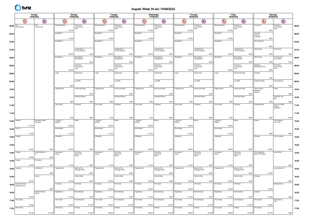

## August: Week 34 w/c 14/08/2022

|                                       |                            | Sunday<br>14/08/2022          |                                   | Monday<br>15/08/2022                           |                                   | Tuesday<br>16/08/2022                          |                                   | Wednesday<br>17/08/2022                               |                                   | <b>Thursday</b><br>18/08/2022                         |                                   | Friday<br>19/08/2022                           |                                                     | Saturday<br>20/08/2022            |                |
|---------------------------------------|----------------------------|-------------------------------|-----------------------------------|------------------------------------------------|-----------------------------------|------------------------------------------------|-----------------------------------|-------------------------------------------------------|-----------------------------------|-------------------------------------------------------|-----------------------------------|------------------------------------------------|-----------------------------------------------------|-----------------------------------|----------------|
|                                       | $\bigcirc$                 | $\odot$                       | $\bm{\mathsf{\odot}}$             | $\odot$                                        | $\bm{\mathsf{O}}$                 | $\odot$                                        | $\bigcirc$                        | $\odot$                                               | $\bigcirc$                        | $\odot$                                               | $\bigcirc$                        | $\odot$                                        | $\bigcirc$                                          | $\odot$                           |                |
| 06:00 $\frac{\text{Non}}{\text{Com}}$ | Commercial                 | Non<br>Commercial             | <b>Breakfast Early</b><br>\$1,050 | Preschool<br>Commercial<br>Free                | <b>Breakfast Early</b><br>\$1,050 | Preschool<br>Commercial<br>Free                | <b>Breakfast Early</b><br>\$1,050 | Preschool<br>Commercial<br>Free                       | <b>Breakfast Early</b><br>\$1,050 | Preschool<br>Commercial<br>Free                       | <b>Breakfast Early</b><br>\$1,050 | Preschool<br>Commercial<br>Free                | Te Karere<br>\$250                                  | Preschool<br>Commercial<br>Free   | 06:00          |
| 06:30                                 |                            |                               | Breakfast 1<br>\$1,600            |                                                | Breakfast 1<br>\$1,600            |                                                | Breakfast 1<br>\$1,600            |                                                       | Breakfast 1<br>\$1,600            |                                                       | Breakfast 1<br>\$1,600            |                                                | Hyundai<br>Country<br>Calendar<br>\$250             |                                   | 06:30          |
| 07:00                                 |                            |                               | Breakfast 2                       |                                                | Breakfast 2                       |                                                | Breakfast 2                       |                                                       | Breakfast 2                       |                                                       | Breakfast 2                       |                                                | <b>Rural Delivery</b><br>\$250                      |                                   | 07:00          |
| 07:30                                 |                            |                               | \$2,650                           | Jungle Bunch<br>To The Rescue!<br>\$350        | \$2,650                           | Jungle Bunch<br>To The Rescue!<br>\$350        | \$2,650                           | Jungle Bunch<br>To The Rescue!<br>\$350               | \$2,650                           | Jungle Bunch<br>To The Rescue!<br>\$350               | \$2,650                           | Jungle Bunch<br>To The Rescue!<br>\$350        | Infomercial<br>\$250                                | Turbo Fast<br>\$300               | 07:30          |
| 08:00                                 |                            |                               | Breakfast 3                       | Spongebob<br>Squarepants<br>\$350              | Breakfast 3                       | Spongebob<br>Squarepants<br>\$350              | Breakfast 3                       | Spongebob<br>Squarepants<br>\$350                     | Breakfast 3                       | Spongebob<br>Squarepants<br>\$350                     | Breakfast 3                       | Spongebob<br>Squarepants<br>\$350              | Infomercial<br>\$250                                | The Dog and<br>Pony Show<br>\$300 | 08:00          |
| 08:30                                 |                            |                               | \$2,900                           | Preschool<br>Commercial<br>Free                | \$2,900                           | Preschool<br>Commercial<br>Free                | \$2,900                           | Preschool<br>Commercial<br>Free                       | \$2,900                           | Preschool<br>Commercial<br>Free                       | \$2,900                           | Preschool<br>Commercial<br>Free                | Religious<br>Infomercial (FIA)<br>\$250             | Preschool<br>Commercial<br>Free   | 08:30          |
| 09:00                                 |                            |                               | Lingo                             | Infomercial<br>Les Mills                       | Lingo                             | Infomercial<br>Les Mills                       | Lingo                             | Infomercial<br>Les Mills                              | Lingo                             | Infomercial<br>Les Mills                              | Lingo                             | Infomercial (GS)<br>Les Mills                  | Lifestyle<br>\$350<br>Tagata Pasifika               | The Simpsons                      | 09:00          |
| 09:30<br>10:00                        |                            |                               | \$900<br><b>Tipping Point</b>     | Home and Away                                  | \$900<br><b>Tipping Point</b>     | Home and Away                                  | \$900<br><b>Tipping Point</b>     | Home and Away                                         | \$900<br><b>Tipping Point</b>     | lome and Away                                         | \$900<br><b>Tipping Point</b>     | Home and Away                                  | \$350<br>John & Lisa's                              | \$450<br>Fresh                    | 09:30<br>10:00 |
| 10:30                                 |                            |                               |                                   | \$250<br>Shortland Street                      |                                   | \$250<br><b>Shortland Street</b>               |                                   | \$250<br><b>Shortland Street</b>                      |                                   | \$250<br><b>Shortland Street</b>                      |                                   | \$250<br>Shortland Street                      | Weekend<br>Kitchen                                  | \$800<br>Saved By The             | 10:30          |
| 11:00                                 |                            |                               | \$800<br>The Chase                | \$250<br>Charmed                               | \$800<br>The Chase                | \$250<br>Charmed                               | \$800<br>The Chase                | \$250<br>Charmed                                      | \$800<br>The Chase                | \$250<br>Charmed                                      | \$800<br>The Chase                | \$250<br>Charmed                               | \$250<br>Entertainment                              | Bell<br>\$400<br>Have You Been    | 11:00          |
| 11:30                                 |                            |                               |                                   |                                                |                                   |                                                |                                   |                                                       |                                   |                                                       |                                   |                                                |                                                     | Paying<br>Attention?              | 11:30          |
|                                       | $12:00$ Attitude           | Shortland Street<br>Omnibus   | \$750<br>1 News At<br>Midday      | \$250<br>Movie                                 | \$750<br>1 News At<br>Midday      | \$250<br>Movie                                 | \$750<br>1 News At<br>Midday      | \$250<br>Movie                                        | \$750<br>1 News At<br>Midday      | \$250<br>Movie                                        | \$750<br>1 News At<br>Midday      | \$250<br>Movie                                 | \$500<br>Drama                                      | \$400<br>The Weakest<br>Link: USA | 12:00          |
|                                       | \$1,300<br>12:30 Fair Go   |                               | \$2,050<br>Emmerdale              |                                                | \$2,050<br>Emmerdale              |                                                | \$2,050<br>Emmerdale              |                                                       | \$2,050<br>Emmerdale              |                                                       | \$2,050<br>Emmerdale              |                                                |                                                     |                                   | 12:30          |
|                                       | \$1,950<br>13:00   Sunday  |                               | \$1,350<br>Hollyoaks              |                                                | \$1,350<br>Hollyoaks              |                                                | \$1,350<br>Hollyoaks              |                                                       | \$1,350<br>Hollyoaks              |                                                       | \$1,350<br>Hollyoaks              |                                                | \$900<br>Lifestyle                                  | \$650<br>The Courtship            | 13:00          |
| 13:30                                 |                            |                               |                                   |                                                |                                   |                                                |                                   |                                                       |                                   |                                                       |                                   |                                                |                                                     |                                   | 13:30          |
|                                       | \$3,250<br>14:00 Factual   | \$350<br>United States Of     | \$2,450<br>Coronation<br>Street   | \$450<br>The Drew<br>Barrymore<br>Show         | \$2,450<br>Coronation<br>Street   | \$450<br>The Drew<br>Barrymore<br>Show         | \$2,450<br>Coronation<br>Street   | \$450<br>The Drew<br>Barrymore<br>Show                | \$2,450<br>Coronation<br>Street   | \$450<br>The Drew<br>Barrymore<br>Show                | \$2,450<br>Coronation<br>Street   | \$450<br>The Drew<br>Barrymore<br>Show         | \$3,200<br>The Great Kiwi<br><b>Bake Off Repeat</b> | \$650<br>Good Witch               | 14:00          |
|                                       | \$2,550<br>14:30 Factual   | \$350<br><b>B</b> Positive    |                                   |                                                |                                   |                                                |                                   |                                                       |                                   |                                                       |                                   |                                                |                                                     |                                   | 14:30          |
|                                       | \$2,550<br>15:00 Lifestyle | \$550<br>Call Me Kat<br>\$550 | \$1,200<br><b>Tipping Point</b>   | \$650<br>Sabrina The<br>Teenage Witch<br>\$550 | \$1,200<br><b>Tipping Point</b>   | \$650<br>Sabrina The<br>Teenage Witch<br>\$550 | \$1,200<br><b>Tipping Point</b>   | \$650<br>Sabrina The<br><b>Teenage Witch</b><br>\$550 | \$1,200<br><b>Tipping Point</b>   | \$650<br>Sabrina The<br><b>Teenage Witch</b><br>\$550 | \$1,200<br><b>Tipping Point</b>   | \$650<br>Sabrina The<br>Teenage Witch<br>\$550 | \$1,600                                             | \$550<br>Junior Bake Off          | 15:00          |
| 15:30                                 | \$2,350                    | Drama                         | \$2,200                           | <b>Holly Hobbie</b><br>\$300                   | \$2,200                           | Holly Hobbie<br>\$300                          | \$2,200                           | Holly Hobbie<br>\$300                                 | \$2,200                           | Holly Hobbie<br>\$300                                 | \$2,200                           | Holly Hobbie<br>\$300                          | Lifestyle                                           | \$650                             | 15:30          |
|                                       | 16:00 Susan Calman's       | \$850                         | Te Karere<br>\$2,200              | The Feed                                       | Te Karere<br>\$2,200              | The Feed                                       | Te Karere<br>\$2,200              | The Feed                                              | Te Karere<br>\$2,200              | The Feed                                              | Te Karere<br>\$2,200              | The Feed                                       | \$2,350                                             | Entertainment                     | 16:00          |
| 16:30                                 | \$2,050                    | Sunday Family<br>Movie        | Neighbours<br>\$1,550             | <b>Brain Busters</b><br>\$300                  | Neighbours<br>\$1,550             | <b>Brain Busters</b><br>\$300                  | Neighbours<br>\$1,550             | <b>Brain Busters</b><br>\$300                         | Neighbours<br>\$1,550             | <b>Brain Busters</b><br>\$300                         | Neighbours<br>\$1,550             | <b>Brain Busters</b><br>\$300                  | Lifestyle<br>\$1,650                                | \$650                             | 16:30          |
|                                       | 17:00 The Chase<br>\$5,500 |                               | The Chase<br>\$5,050              | The Simpsons<br>\$1,550                        | The Chase<br>\$5,050              | The Simpsons<br>\$1,550                        | The Chase<br>\$5,050              | The Simpsons<br>\$1,550                               | The Chase<br>\$5,050              | The Simpsons<br>\$1,550                               | The Chase<br>\$5,050              | The Simpsons<br>\$1,550                        | The Chase<br>\$5,600                                | Superman &<br>Lois                | 17:00          |
|                                       | 17:30 The Chase<br>\$5,700 | \$1,200                       | The Chase<br>\$6,650              | Friends<br>\$1,800                             | The Chase<br>\$6,650              | Friends<br>\$1,800                             | The Chase<br>\$6,650              | Friends<br>\$1,800                                    | The Chase<br>\$6,650              | Friends<br>\$1,800                                    | The Chase<br>\$6,650              | Friends<br>\$1,800                             | The Chase<br>\$6,750                                | \$650                             | 17:30          |
|                                       |                            |                               |                                   |                                                |                                   |                                                |                                   |                                                       |                                   |                                                       |                                   |                                                |                                                     |                                   |                |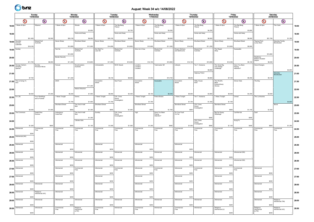

## August: Week 34 w/c 14/08/2022

|                  | Sunday<br>14/08/2022<br>$\bigcirc$<br>$\bm{\mathsf{\odot}}$ |          |                               |         |                        | Monday<br>15/08/2022 |                                   |          |                         |          | Tuesday<br>16/08/2022   |          |                        | Wednesday<br>17/08/2022 |                         |          |                                 |          | Thursday<br>18/08/2022               |          |                                     | Friday<br>19/08/2022 |                         |         |                                       | Saturday<br>20/08/2022 |                                |         |       |
|------------------|-------------------------------------------------------------|----------|-------------------------------|---------|------------------------|----------------------|-----------------------------------|----------|-------------------------|----------|-------------------------|----------|------------------------|-------------------------|-------------------------|----------|---------------------------------|----------|--------------------------------------|----------|-------------------------------------|----------------------|-------------------------|---------|---------------------------------------|------------------------|--------------------------------|---------|-------|
|                  |                                                             |          |                               |         | $\bigcirc$             |                      | $\bigcirc$                        |          | $\bigcirc$              |          | $\bigcirc$              |          | $\bigcirc$             |                         | $\bigcirc$              |          | Q                               |          | $\odot$                              |          | $\bigcirc$                          |                      | $\odot$                 |         | $\bigcirc$                            |                        | $\odot$                        |         |       |
| 18:00            | 1 News At 6pm                                               |          | Wipeout                       |         | 1 News At 6pm          |                      | Ghosts                            |          | 1 News At 6pm           |          | The Big Bang<br>Theory  |          | 1 News At 6pm          |                         | The Big Bang<br>Theory  |          | 1 News At 6pm                   |          | The Big Bang<br>Theory               |          | 1 News At 6pm                       |                      | The Big Bang<br>Theory  |         | 1 News At 6pm                         |                        | The Cube                       |         | 18:00 |
| 18:30            |                                                             |          |                               |         |                        |                      | Home and Away                     | \$3,950  |                         |          | Home and Away           | \$3,750  |                        |                         | Home and Away           | \$3,050  |                                 |          | Home and Away                        | \$4,250  |                                     |                      | Home and Away           | \$3,800 |                                       |                        |                                |         | 18:30 |
| $19:00$ Hyundai  | Country<br>Calendar                                         | \$21,450 | MasterChef<br>Australia       | \$2,500 | Seven Sharp            | \$20,150             | Shortland Street                  | \$8,950  | Seven Sharp             | \$25,150 | Shortland Street        | \$8,950  | Seven Sharp            | \$21,750                | Shortland Street        | \$8,950  | Seven Sharp                     | \$23,300 | Shortland Street                     | \$8,950  | Seven Sharp                         | \$20,100             | Shortland Street        | \$8,950 | <b>Tipping Point</b><br>Lucky Stars   | \$21,700               | Saturday Family<br>Blockbuster | \$1,350 | 19:00 |
| 19:30 Sunday     |                                                             | \$18,100 |                               |         | Fair Go                | \$12,850             | MasterChef<br>Australia           | \$11,000 | Eat Well For<br>Less NZ | \$14,950 | MasterChef<br>Australia | \$10,850 | Give Us A Clue         | \$13,600                | MasterChef<br>Australia | \$11,000 | Dream Kitchens<br>and Bathrooms | \$14,200 | MasterChef<br>Australia              | \$11,250 | The Repair<br>Shop                  | \$12,850             | Guessable               | \$9,900 |                                       |                        |                                |         | 19:30 |
| 20:00            |                                                             |          |                               |         | <b>Border Security</b> | \$12,000             |                                   |          |                         |          |                         |          |                        |                         |                         |          |                                 |          |                                      |          |                                     |                      |                         |         | Heathrow:<br><b>Britain's Busiest</b> | \$10,850               |                                |         | 20:00 |
|                  | 20:30 George Clarke's<br>Amazing                            | \$11,750 | Sunday<br>Premiere Movie      | \$8,950 | Factual                | \$11,200             | Snackmasters<br>Australia         | \$10,850 | Unbreakable             | \$11,900 | <b>NCIS Hawaii</b>      | \$10,000 | Location,<br>Location, | \$12,150                | Taskmaster NZ           | \$10,850 | Lifestyle                       | \$12,100 | Ten 7: Aotearoa                      | \$10,600 | The Great Big<br><b>Tiny Design</b> | \$12,350             | Have You Been<br>Paying | \$5,100 | Airport<br><b>Grand Designs</b>       | \$6,450                |                                |         | 20:30 |
| 21:00            | Spaces                                                      |          |                               |         |                        |                      |                                   |          |                         |          |                         |          | Location               |                         |                         |          |                                 |          | Highway Patrol                       | \$9,800  | Challenge                           |                      | Attention?              |         |                                       |                        | Saturday<br>Blockbuster        | \$4,650 | 21:00 |
|                  | $21:30$ This Is Going To<br>Hurt                            | \$7,700  |                               |         | 20/20                  | \$11,200             |                                   |          | Coronation              | \$9,150  | Seal Team               | \$8,600  | Coronation             | \$7,950                 | Guessable               | \$10,750 | Coronation                      | \$8,050  | <b>Filthy House</b><br>sos           | \$9,800  | The World's                         | \$7,100              | Dinner Date             | \$6,350 | The Bay                               | \$5,100                |                                |         | 21:30 |
| 22:00            |                                                             |          |                               |         |                        |                      | Naked Attraction                  | \$11,400 | Street                  |          |                         |          | Street                 |                         |                         |          | Street                          |          |                                      |          | Most<br>Extraordinary<br>Homes      |                      |                         |         |                                       |                        |                                |         | 22:00 |
| 22:30   For Life |                                                             | \$4,550  | Four Weddings                 | \$7,200 | 1 News Tonight         | \$5,200              | Drama                             | \$1,950  | 1 News Tonight          | \$6,950  | CSI: Crime              | \$3,450  | 1 News Tonight         | \$5,150                 | Patriot Brains          | \$6,000  | 1 News Tonight                  | \$5,950  | Ten 7: Aotearoa                      | \$3,850  | 1 News Tonight                      | \$5,500              | Unreal                  | \$4,350 | The Luminaries                        | \$3,550                |                                |         | 22:30 |
| 23:00            |                                                             |          | and a Funeral                 |         | Shortland Street       | \$1,700              | Two And A Half                    | \$1,950  | Shortland Street        | \$1,700  | Scene<br>nvestigation   |          | Shortland Street       | \$1,700                 |                         |          | Shortland Street                | \$1,700  | CSI: Crime                           | \$1,350  | Shortland Street                    | \$1,700              |                         |         |                                       |                        | Movie                          | \$4,800 | 23:00 |
|                  | 23:30 The Commons                                           | \$2,050  | Death Row                     | \$1,550 | Ambulance:             | \$950                | Two And A Half                    | \$1,350  | Sunday                  | \$950    | CSI: Crime              | \$1,050  | Vigil                  | \$950                   | Have You Been           | \$1,750  | It's Your Fault                 | \$950    | Scene<br>Investigation               |          | Big Fat Gypsy<br>Weddings           | \$950                | Call Me Kat             | \$1,150 | Guilt                                 | \$1,450                |                                |         | 23:30 |
| 24:00            |                                                             |          | Doctors                       |         | Code Red               |                      | Mer<br>2 Broke Girls              | \$1,350  |                         |          | Scene<br>Investigation  |          |                        |                         | Paying<br>Attention?    |          | I'm Fat                         |          | CSI: Crime                           | \$900    |                                     |                      | Kung Fu                 | \$500   |                                       |                        |                                |         | 24:00 |
|                  | 24:30   Informercial                                        | \$1,250  | Commercial                    | \$600   | Commercial             | \$950                | Commercial                        | \$1,150  | Commercial              | \$1,500  | Commercial              | \$1,050  | Commercial             | \$1,350                 | Commercial              | \$950    | Commercial                      | \$1,050  | Scene<br>Investigation<br>Commercial | \$950    | Commercial                          | \$1,100              | Commercial              | \$400   | Commercial                            | \$800                  | Commercial                     | \$1,350 |       |
|                  | $25:00$ Infomercial (AH)                                    | \$250    | Free                          |         | Free                   |                      | Free                              |          | Free                    |          | Free                    |          | Free                   |                         | Free                    |          | Free                            |          | Free                                 |          | Free                                |                      | Free                    |         | Free                                  |                        | Free                           |         | 24:30 |
|                  |                                                             | \$250    |                               |         |                        |                      |                                   |          |                         |          |                         |          |                        |                         |                         |          |                                 |          |                                      |          |                                     |                      |                         |         |                                       |                        |                                |         | 25:00 |
|                  | 25:30   Infomercial                                         | \$250    |                               |         | Infomercial            | \$250                |                                   |          | Infomercial             | \$250    |                         |          | Infomercial            | \$250                   |                         |          | Infomercial                     | \$250    |                                      |          |                                     |                      |                         |         |                                       |                        |                                |         | 25:30 |
|                  | 26:00   Informercial                                        | \$250    |                               |         | Infomercial            | \$250                | Infomercial                       |          | Infomercial             | \$250    | nfomercial              |          | Infomercial            | \$250                   | Infomercial             |          | Infomercial                     | \$250    | nfomercial                           |          | Infomercial                         | \$250                | Infomercial (GS)        |         |                                       |                        |                                |         | 26:00 |
|                  | 26:30   Informercial                                        | \$250    |                               |         | Infomercial            | \$250                | Infomercial                       |          | Infomercial             | \$250    | Infomercial             |          | Infomercial            | \$250                   | Infomercial             |          | Infomercial                     | \$250    | Infomercial                          |          | Infomercial                         | \$250                | Infomercial (GS)        |         |                                       |                        |                                |         | 26:30 |
|                  | 27:00   Informercial                                        | \$250    |                               |         | Infomercial            | \$250                | Commercial<br>Free                |          | Infomercial             | \$250    | Commercial<br>Free      |          | Infomercial            | \$250                   | Commercial<br>Free      |          | Infomercial                     | \$250    | Commercial<br>Free                   |          | Infomercial                         | \$250                | Commercial<br>Free      |         | Infomercial                           | \$250                  |                                |         | 27:00 |
|                  | $27:30$ Infomercial                                         | \$250    |                               |         | Infomercial            | \$250                |                                   |          | Infomercial             | \$250    |                         |          | Infomercial            | \$250                   |                         |          | Infomercial                     | \$250    |                                      |          | Infomercial                         | \$250                |                         |         | Infomercial                           | \$250                  |                                |         | 27:30 |
|                  | 28:00   Infomercial                                         | \$250    | Infomercial                   |         | Infomercial            | \$250                |                                   |          | Infomercial             | \$250    |                         |          | Infomercial            | \$250                   |                         |          | Infomercial                     | \$250    |                                      |          | Infomercial                         | \$250                |                         |         | Infomercial                           | \$250                  |                                |         | 28:00 |
| 28:30            | Infomercial                                                 | \$250    | Religious<br>Infomercial (HC) |         | Infomercial            | \$250                |                                   |          | Infomercial             | \$250    |                         |          | Infomercial            | \$250                   |                         |          | Infomercial                     | \$250    |                                      |          | Infomercial                         | \$250                |                         |         | Infomercial                           | \$250                  |                                |         | 28:30 |
|                  | 29:00   Informercial                                        | \$250    | Infomercial                   |         | Infomercial            | \$250                | Infomercial                       |          | Infomercial             | \$250    | Infomercial             |          | Infomercial            | \$250                   | Infomercial             |          | Infomercial                     | \$250    | Infomercial                          |          | Infomercial                         | \$250                |                         |         | Infomercial                           | \$250                  | Religious<br>Infomercial (TM)  |         | 29:00 |
|                  | 29:30   Informercial                                        | \$250    | Infomercial                   |         | Commercial<br>Free     |                      | Religious<br>Infomercial<br>(LTW) |          | Commercial<br>Free      |          | nfomercial              |          | Commercial<br>Free     |                         | Infomercial             |          | Commercial<br>Free              |          | Infomercial                          |          | Religious<br>Infomercial (IJ)       | \$250                |                         |         | Religious<br>Infomercial<br>(LTW)     | \$250                  | Religious<br>Infomercial (HC)  |         | 29:30 |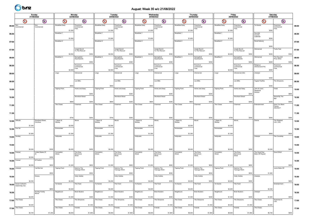

## August: Week 35 w/c 21/08/2022

|                           |                                     | Sunday<br>21/08/2022                |                                   | Monday<br>22/08/2022                           |                                   | Tuesday<br>23/08/2022                          |                                   | Wednesday<br>24/08/2022                        |                                   | <b>Thursday</b><br>25/08/2022                  |                                   | Friday<br>26/08/2022                                |                                                      | Saturday<br>27/08/2022            |                |
|---------------------------|-------------------------------------|-------------------------------------|-----------------------------------|------------------------------------------------|-----------------------------------|------------------------------------------------|-----------------------------------|------------------------------------------------|-----------------------------------|------------------------------------------------|-----------------------------------|-----------------------------------------------------|------------------------------------------------------|-----------------------------------|----------------|
|                           | $\bm{\mathsf{O}}$                   | $\odot$                             | $\bm{\mathsf{\odot}}$             | $\odot$                                        | $\bm{\mathsf{O}}$                 | $\odot$                                        | $\bigcirc$                        | $\odot$                                        | $\bigcirc$                        | $\odot$                                        | $\bm{\mathsf{O}}$                 | $\odot$                                             | $\bigcirc$                                           | $\odot$                           |                |
| 06:00 $\sqrt{\frac{Non}}$ | Commercial                          | Non<br>Commercial                   | <b>Breakfast Early</b><br>\$1,050 | Preschool<br>Commercial<br>Free                | <b>Breakfast Early</b><br>\$1,050 | Preschool<br>Commercial<br>Free                | <b>Breakfast Early</b><br>\$1,050 | Preschool<br>Commercial<br>Free                | <b>Breakfast Early</b><br>\$1,050 | Preschool<br>Commercial<br>Free                | <b>Breakfast Early</b><br>\$1,050 | Preschool<br>Commercial<br>Free                     | Te Karere<br>\$250                                   | Preschool<br>Commercial<br>Free   | 06:00          |
| 06:30                     |                                     |                                     | Breakfast 1<br>\$1,600            |                                                | Breakfast 1<br>\$1,600            |                                                | Breakfast 1<br>\$1,600            |                                                | Breakfast 1<br>\$1,600            |                                                | Breakfast 1<br>\$1,600            |                                                     | Hyundai<br>Country<br>Calendar<br>\$250              |                                   | 06:30          |
| 07:00                     |                                     |                                     | Breakfast 2                       |                                                | Breakfast 2                       |                                                | Breakfast 2                       |                                                | Breakfast 2                       |                                                | Breakfast 2                       |                                                     | <b>Rural Delivery</b><br>\$250                       |                                   | 07:00          |
| 07:30                     |                                     |                                     | \$2,650                           | Jungle Bunch<br>To The Rescue!<br>\$350        | \$2,650                           | Jungle Bunch<br>To The Rescue!<br>\$350        | \$2,650                           | Jungle Bunch<br>To The Rescue!<br>\$350        | \$2,650                           | Jungle Bunch<br>To The Rescue!<br>\$350        | \$2,650                           | Jungle Bunch<br>To The Rescue!<br>\$350             | Infomercial<br>\$250                                 | Turbo Fast<br>\$300               | 07:30          |
| 08:00                     |                                     |                                     | Breakfast 3                       | Spongebob<br>Squarepants<br>\$350              | Breakfast 3                       | Spongebob<br>Squarepants<br>\$350              | Breakfast 3                       | Spongebob<br>Squarepants<br>\$350              | Breakfast 3                       | Spongebob<br>Squarepants<br>\$350              | Breakfast 3                       | Spongebob<br>Squarepants<br>\$350                   | Infomercial<br>\$250                                 | The Dog and<br>Pony Show<br>\$300 | 08:00          |
| 08:30                     |                                     |                                     | \$2,900<br>Lingo                  | Preschool<br>Commercial<br>Free<br>Infomercial | \$2,900<br>Lingo                  | Preschool<br>Commercial<br>Free<br>Infomercial | \$2,900<br>Lingo                  | Preschool<br>Commercial<br>Free<br>Infomercial | \$2,900<br>Lingo                  | Preschool<br>Commercial<br>Free<br>Infomercial | \$2,900<br>Lingo                  | Preschool<br>Commercial<br>Free<br>Infomercial (GS) | Religious<br>Infomercial (FIA)<br>\$250<br>Lifestyle | Preschool<br>Commercial<br>Free   | 08:30          |
| 09:00                     |                                     |                                     |                                   | Les Mills                                      |                                   | Les Mills                                      |                                   | Les Mills                                      |                                   | Les Mills                                      |                                   | Les Mills                                           | \$350<br>Tagata Pasifika                             | The Simpsons                      | 09:00          |
| 09:30<br>10:00            |                                     |                                     | \$900<br><b>Tipping Point</b>     | Home and Away                                  | \$900<br><b>Tipping Point</b>     | Home and Away                                  | \$900<br><b>Tipping Point</b>     | Home and Away                                  | \$900<br><b>Tipping Point</b>     | lome and Away                                  | \$900<br><b>Tipping Point</b>     | Home and Away                                       | \$350<br>John & Lisa's                               | \$450<br>Fresh                    | 09:30<br>10:00 |
| 10:30                     |                                     |                                     |                                   | \$250<br>Shortland Street                      |                                   | \$250<br><b>Shortland Street</b>               |                                   | \$250<br><b>Shortland Street</b>               |                                   | \$250<br><b>Shortland Street</b>               |                                   | \$250<br>Shortland Street                           | Weekend<br>Kitchen                                   | \$800<br>Saved By The             | 10:30          |
| 11:00                     |                                     |                                     | \$800<br>The Chase                | \$250<br>Charmed                               | \$800<br>The Chase                | \$250<br>Charmed                               | \$800<br>The Chase                | \$250<br>Charmed                               | \$800<br>The Chase                | \$250<br>Charmed                               | \$800<br>The Chase                | \$250<br>Charmed                                    | \$250<br>Entertainment                               | Bell<br>\$400<br>Have You Been    | 11:00          |
| 11:30                     |                                     |                                     |                                   |                                                |                                   |                                                |                                   |                                                |                                   |                                                |                                   |                                                     |                                                      | Paying<br>Attention?              | 11:30          |
|                           | $12:00$ Attitude                    | Shortland Street<br>Omnibus         | \$750<br>1 News At<br>Midday      | \$250<br>Movie                                 | \$750<br>1 News At<br>Midday      | \$250<br>Movie                                 | \$750<br>1 News At<br>Midday      | \$250<br>Movie                                 | \$750<br>1 News At<br>Midday      | \$250<br>Movie                                 | \$750<br>1 News At<br>Midday      | \$250<br>Movie                                      | \$500<br>Drama                                       | \$400<br>The Weakest<br>Link: USA | 12:00          |
|                           | \$1,300<br>12:30 Fair Go            |                                     | \$2,050<br>Emmerdale              |                                                | \$2,050<br>Emmerdale              |                                                | \$2,050<br>Emmerdale              |                                                | \$2,050<br>Emmerdale              |                                                | \$2,050<br>Emmerdale              |                                                     |                                                      |                                   | 12:30          |
|                           | \$1,950<br>13:00   Sunday           |                                     | \$1,350<br>Hollyoaks              |                                                | \$1,350<br>Hollyoaks              |                                                | \$1,350<br>Hollyoaks              |                                                | \$1,350<br>Hollyoaks              |                                                | \$1,350<br>Hollyoaks              |                                                     | \$900<br>Lifestyle                                   | \$650<br>The Courtship            | 13:00          |
| 13:30                     |                                     |                                     |                                   |                                                |                                   |                                                |                                   |                                                |                                   |                                                |                                   |                                                     |                                                      |                                   | 13:30          |
|                           | \$3,250<br>14:00 Factual            | \$350<br>United States Of           | \$2,450<br>Coronation<br>Street   | \$450<br>The Drew<br>Barrymore<br>Show         | \$2,450<br>Coronation<br>Street   | \$450<br>The Drew<br>Barrymore<br>Show         | \$2,450<br>Coronation<br>Street   | \$450<br>The Drew<br>Barrymore<br>Show         | \$2,450<br>Coronation<br>Street   | \$450<br>The Drew<br>Barrymore<br>Show         | \$2,450<br>Coronation<br>Street   | \$450<br>The Drew<br>Barrymore<br>Show              | \$3,200<br>The Great Kiwi<br><b>Bake Off Repeat</b>  | \$650<br>Good Witch               | 14:00          |
|                           | \$2,550<br>14:30 Factual<br>\$2,550 | \$350<br><b>B</b> Positive<br>\$550 | \$1,200                           | \$650                                          | \$1,200                           | \$650                                          | \$1,200                           | \$650                                          | \$1,200                           | \$650                                          | \$1,200                           | \$650                                               |                                                      | \$550                             | 14:30          |
|                           | 15:00 Lifestyle                     | Call Me Kat<br>\$550                | <b>Tipping Point</b>              | Sabrina The<br>Teenage Witch<br>\$550          | <b>Tipping Point</b>              | Sabrina The<br>Teenage Witch<br>\$550          | <b>Tipping Point</b>              | Sabrina The<br><b>Teenage Witch</b><br>\$550   | <b>Tipping Point</b>              | Sabrina The<br><b>Teenage Witch</b><br>\$550   | <b>Tipping Point</b>              | Sabrina The<br>Teenage Witch<br>\$550               | \$1,600                                              | Junior Bake Off                   | 15:00          |
| 15:30                     | \$2,350                             | Drama                               | \$2,200                           | Holly Hobbie<br>\$300                          | \$2,200                           | Holly Hobbie<br>\$300                          | \$2,200                           | Holly Hobbie<br>\$300                          | \$2,200                           | Holly Hobbie<br>\$300                          | \$2,200                           | Holly Hobbie<br>\$300                               | Lifestyle                                            | \$650                             | 15:30          |
|                           | 16:00 Susan Calman's                | \$850                               | Te Karere<br>\$2,200              | The Feed                                       | Te Karere<br>\$2,200              | The Feed                                       | Te Karere<br>\$2,200              | The Feed                                       | Te Karere<br>\$2,200              | The Feed                                       | Te Karere<br>\$2,200              | The Feed                                            | \$2,350                                              | Entertainment                     | 16:00          |
| 16:30                     | \$2,050                             | Sunday Family<br>Movie              | Neighbours<br>\$1,550             | <b>Brain Busters</b><br>\$300                  | Neighbours<br>\$1,550             | <b>Brain Busters</b><br>\$300                  | Neighbours<br>\$1,550             | <b>Brain Busters</b><br>\$300                  | Neighbours<br>\$1,550             | <b>Brain Busters</b><br>\$300                  | Neighbours<br>\$1,550             | <b>Brain Busters</b><br>\$300                       | Lifestyle<br>\$1,650                                 | \$650                             | 16:30          |
|                           | 17:00 The Chase<br>\$5,500          |                                     | The Chase<br>\$5,050              | The Simpsons<br>\$1,550                        | The Chase<br>\$5,050              | The Simpsons<br>\$1,550                        | The Chase<br>\$5,050              | The Simpsons<br>\$1,550                        | The Chase<br>\$5,050              | The Simpsons<br>\$1,550                        | The Chase<br>\$5,050              | The Simpsons<br>\$1,550                             | The Chase<br>\$5,600                                 | Superman &<br>Lois                | 17:00          |
|                           | 17:30 The Chase<br>\$5,700          | \$1,200                             | The Chase<br>\$6,650              | Friends<br>\$1,800                             | The Chase<br>\$6,650              | Friends<br>\$1,800                             | The Chase<br>\$6,650              | Friends<br>\$1,800                             | The Chase<br>\$6,650              | Friends<br>\$1,800                             | The Chase<br>\$6,650              | Friends<br>\$1,800                                  | The Chase<br>\$6,750                                 | \$650                             | 17:30          |
|                           |                                     |                                     |                                   |                                                |                                   |                                                |                                   |                                                |                                   |                                                |                                   |                                                     |                                                      |                                   |                |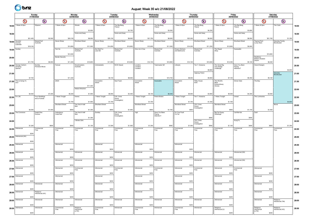

## August: Week 35 w/c 21/08/2022

|                  | Sunday<br>21/08/2022                       |                       |                               |               |                        | Monday<br>22/08/2022 |                           |               |                         |                        | Tuesday<br>23/08/2022   |               |                                  | Wednesday<br>24/08/2022 |                         |               |                                 |                        | Thursday<br>25/08/2022               |               |                                | Friday<br>26/08/2022   |                                       |               |                                       | Saturday<br>27/08/2022 |                                |         |       |
|------------------|--------------------------------------------|-----------------------|-------------------------------|---------------|------------------------|----------------------|---------------------------|---------------|-------------------------|------------------------|-------------------------|---------------|----------------------------------|-------------------------|-------------------------|---------------|---------------------------------|------------------------|--------------------------------------|---------------|--------------------------------|------------------------|---------------------------------------|---------------|---------------------------------------|------------------------|--------------------------------|---------|-------|
|                  |                                            | $\odot$<br>$\bigcirc$ |                               |               | $\bigcirc$             |                      | $\bigcirc$                |               | $\bigcirc$              |                        | $\bigcirc$              |               | $\bigcirc$                       |                         | $\bigcirc$              |               | $\bigcirc$                      |                        | $\odot$                              |               | $\bigcirc$                     |                        | $\odot$                               |               | $\bigcirc$                            |                        | $\odot$                        |         |       |
|                  | 18:00 <sup>1</sup> News At 6pm             | Wipeout               |                               | 1 News At 6pm |                        | Ghosts               |                           | 1 News At 6pm |                         | The Big Bang<br>Theory |                         | 1 News At 6pm |                                  | The Big Bang<br>Theory  |                         | 1 News At 6pm |                                 | The Big Bang<br>Theory |                                      | 1 News At 6pm |                                | The Big Bang<br>Theory |                                       | 1 News At 6pm |                                       | The Cube               |                                | 18:00   |       |
| 18:30            |                                            |                       |                               |               |                        |                      | Home and Away             | \$3,950       |                         |                        | Home and Away           | \$3,750       |                                  |                         | Home and Away           | \$3,050       |                                 |                        | Home and Away                        | \$4,250       |                                |                        | Home and Away                         | \$3,800       |                                       |                        |                                |         | 18:30 |
|                  |                                            | \$21,450              |                               | \$2,500       |                        | \$20,150             |                           | \$8,950       |                         | \$25,150               |                         | \$8,950       |                                  | \$21,750                |                         | \$8,950       |                                 | \$23,300               |                                      | \$8,950       |                                | \$20,100               |                                       | \$8,950       |                                       | \$21,700               |                                | \$1,350 |       |
| 19:00 Hyundai    | Country<br>Calendar                        | \$18,100              | MasterChef<br>Australia       |               | Seven Sharp            | \$12,850             | Shortland Street          | \$11,000      | Seven Sharp             | \$14,950               | Shortland Street        | \$10,850      | Seven Sharp                      | \$13,600                | Shortland Street        | \$11,000      | Seven Sharp                     | \$14,200               | Shortland Street                     | \$11,250      | Seven Sharp                    | \$12,850               | Shortland Street                      | \$9,900       | <b>Tipping Point</b><br>Lucky Stars   |                        | Saturday Family<br>Blockbuster |         | 19:00 |
| 19:30 Sunday     |                                            |                       |                               |               | Fair Go                |                      | MasterChef<br>Australia   |               | Eat Well For<br>Less NZ |                        | MasterChef<br>Australia |               | Give Us A Clue                   |                         | MasterChef<br>Australia |               | Dream Kitchens<br>and Bathrooms |                        | MasterChef<br>Australia              |               | The Repair<br>Shop             |                        | Guessable                             |               |                                       |                        |                                |         | 19:30 |
| 20:00            |                                            |                       |                               |               | <b>Border Security</b> | \$12,000             |                           |               |                         |                        |                         |               |                                  |                         |                         |               |                                 |                        |                                      |               |                                |                        |                                       |               | Heathrow:<br><b>Britain's Busiest</b> | \$10,850               |                                |         | 20:00 |
|                  |                                            | \$11,750              |                               | \$8,950       |                        | \$11,200             |                           | \$10,850      |                         | \$11,900               |                         | \$10,000      |                                  | \$12,150                |                         | \$10,850      |                                 | \$12,100               |                                      | \$10,600      |                                | \$12,350               |                                       | \$5,100       | Airport                               | \$6,450                |                                |         |       |
|                  | 20:30 George Clarke's<br>Amazing<br>Spaces |                       | Sunday<br>Premiere Movie      |               | Factual                |                      | Snackmasters<br>Australia |               | Unbreakable             |                        | <b>NCIS Hawaii</b>      |               | Location<br>Location<br>Location |                         | Taskmaster NZ           |               | Lifestyle                       |                        | Ten 7: Aotearoa                      |               | The Great Big<br>Tiny Design   |                        | Have You Been<br>Paying<br>Attention? |               | <b>Grand Designs</b>                  |                        |                                |         | 20:30 |
| 21:00            |                                            |                       |                               |               |                        |                      |                           |               |                         |                        |                         |               |                                  |                         |                         |               |                                 |                        | Highway Patrol                       | \$9,800       |                                |                        |                                       |               |                                       |                        | Saturday<br>Blockbuster        | \$4,650 | 21:00 |
|                  | 21:30 This Is Going To                     | \$7,700               |                               |               | 20/20                  | \$11,200             |                           |               | Coronation              | \$9,150                | Seal Team               | \$8,600       | Coronation                       | \$7,950                 | Guessable               | \$10,750      | Coronation                      | \$8,050                |                                      | \$9,800       | The World's                    | \$7,100                | Dinner Date                           | \$6,350       | The Bay                               | \$5,100                |                                |         |       |
|                  | Hurt                                       |                       |                               |               |                        |                      |                           | \$11,400      | Street                  |                        |                         |               | Street                           |                         |                         |               | Street                          |                        | Filthy House<br>SOS                  |               | Most<br>Extraordinary<br>Homes |                        |                                       |               |                                       |                        |                                |         | 21:30 |
| 22:00            |                                            |                       |                               |               |                        |                      | Naked Attraction          |               |                         |                        |                         |               |                                  |                         |                         |               |                                 |                        |                                      |               |                                |                        |                                       |               |                                       |                        |                                |         | 22:00 |
| 22:30   For Life |                                            | \$4,550               | Four Weddings                 | \$7,200       | 1 News Tonight         | \$5,200              | Drama                     | \$1,950       | 1 News Tonight          | \$6,950                | CSI: Crime              | \$3,450       | 1 News Tonight                   | \$5,150                 | Patriot Brains          | \$6,000       | 1 News Tonight                  | \$5,950                | Ten 7: Aotearoa                      | \$3,850       | 1 News Tonight                 | \$5,500                | Unreal                                | \$4,350       | The Luminaries                        | \$3,550                |                                |         | 22:30 |
|                  |                                            |                       | and a Funeral                 |               |                        | \$1,700              |                           | \$1,950       |                         | \$1,700                | Scene<br>nvestigation   |               |                                  | \$1,700                 |                         |               |                                 | \$1,700                |                                      | \$1,350       |                                | \$1,700                |                                       |               |                                       |                        |                                | \$4,800 |       |
| 23:00            |                                            |                       |                               |               | Shortland Street       |                      | Two And A Half<br>Mer     |               | Shortland Street        |                        |                         |               | Shortland Street                 |                         |                         |               | Shortland Street                |                        | CSI: Crime<br>Scene<br>Investigation |               | Shortland Street               |                        |                                       |               |                                       |                        | Movie                          |         | 23:00 |
|                  | 23:30 The Commons                          | \$2,050               | Death Row<br>Doctors          | \$1,550       | Ambulance:<br>Code Red | \$950                | Two And A Half<br>Mer     | \$1,350       | Sunday                  | \$950                  | CSI: Crime<br>Scene     | \$1,050       | Vigil                            | \$950                   | Have You Been<br>Paying | \$1,750       | It's Your Fault<br>l I'm Fat    | \$950                  |                                      |               | Big Fat Gypsy<br>Weddings      | \$950                  | Call Me Kat                           | \$1,150       | Guilt                                 | \$1,450                |                                |         | 23:30 |
|                  |                                            |                       |                               |               |                        |                      | 2 Broke Girls             | \$1,350       |                         |                        | Investigation           |               |                                  |                         | Attention?              |               |                                 |                        | CSI: Crime                           | \$900         |                                |                        |                                       | \$500         |                                       |                        |                                |         |       |
| 24:00            |                                            | \$1,250               |                               | \$600         |                        | \$950                |                           | \$1,150       |                         | \$1,500                |                         | \$1,050       |                                  | \$1,350                 |                         | \$950         |                                 | \$1,050                | Scene<br>nvestigation                | \$950         |                                | \$1,100                | Kung Fu                               | \$400         |                                       | \$800                  |                                | \$1,350 | 24:00 |
|                  | 24:30 Informercial                         |                       | Commercial<br>Free            |               | Commercial<br>Free     |                      | Commercial<br>Free        |               | Commercial<br>Free      |                        | Commercial<br>Free      |               | Commercial<br>Free               |                         | Commercial<br>Free      |               | Commercial<br>Free              |                        | Commercial<br>Free                   |               | Commercial<br>Free             |                        | Commercial<br>Free                    |               | Commercial<br>Free                    |                        | Commercial<br>Free             |         | 24:30 |
|                  | 25:00 Infomercial (AH)                     | \$250                 |                               |               |                        |                      |                           |               |                         |                        |                         |               |                                  |                         |                         |               |                                 |                        |                                      |               |                                |                        |                                       |               |                                       |                        |                                |         | 25:00 |
|                  |                                            | \$250                 |                               |               |                        |                      |                           |               |                         |                        |                         |               |                                  |                         |                         |               |                                 |                        |                                      |               |                                |                        |                                       |               |                                       |                        |                                |         |       |
|                  | 25:30   Infomercial                        |                       |                               |               | Infomercial            |                      |                           |               | Infomercial             |                        |                         |               | Infomercial                      |                         |                         |               | Infomercial                     |                        |                                      |               |                                |                        |                                       |               |                                       |                        |                                |         | 25:30 |
|                  | 26:00   Infomercial                        | \$250                 |                               |               | Infomercial            | \$250                | Infomercial               |               | Infomercial             | \$250                  | nfomercial              |               | Infomercial                      | \$250                   | Infomercial             |               | Infomercial                     | \$250                  | Infomercial                          |               | Infomercial                    |                        | Infomercial (GS)                      |               |                                       |                        |                                |         | 26:00 |
|                  |                                            | \$250                 |                               |               | Infomercial            | \$250                | Infomercial               |               | Infomercial             | \$250                  | nfomercial              |               | Infomercial                      | \$250                   | Infomercial             |               | Infomercial                     | \$250                  | nfomercial                           |               | Infomercial                    | \$250                  |                                       |               |                                       |                        |                                |         |       |
|                  | 26:30   Informercial                       | \$250                 |                               |               |                        | \$250                |                           |               |                         | \$250                  |                         |               |                                  | \$250                   |                         |               |                                 | \$250                  |                                      |               |                                | \$250                  | Infomercial (GS)                      |               |                                       |                        |                                |         | 26:30 |
|                  | 27:00 Informercial                         |                       |                               |               | Infomercial            |                      | Commercial<br>Free        |               | Infomercial             |                        | Commercial<br>Free      |               | Infomercial                      |                         | Commercial<br>Free      |               | Infomercial                     |                        | Commercial<br>Free                   |               | Infomercial                    |                        | Commercial<br>Free                    |               | Infomercial                           |                        |                                |         | 27:00 |
|                  | 27:30   Informercial                       | \$250                 |                               |               | Infomercial            | \$250                |                           |               | Infomercial             | \$250                  |                         |               | Infomercial                      | \$250                   |                         |               | Infomercial                     | \$250                  |                                      |               | Infomercial                    | \$250                  |                                       |               | Infomercial                           | \$250                  |                                |         | 27:30 |
|                  |                                            | \$250                 |                               |               |                        | \$250                |                           |               |                         | \$250                  |                         |               |                                  | \$250                   |                         |               |                                 | \$250                  |                                      |               |                                | \$250                  |                                       |               |                                       | \$250                  |                                |         |       |
|                  | $28:00$ Infomercial                        |                       | Infomercial                   |               | Infomercial            |                      |                           |               | Infomercial             |                        |                         |               | Infomercial                      |                         |                         |               | Infomercial                     |                        |                                      |               | Infomercial                    |                        |                                       |               | Infomercial                           |                        |                                |         | 28:00 |
|                  | 28:30 Infomercial                          | \$250                 | Religious<br>Infomercial (HC) |               | Infomercial            | \$250                |                           |               | Infomercial             | \$250                  |                         |               | Infomercial                      | \$250                   |                         |               | Infomercial                     | \$250                  |                                      |               | Infomercial                    | \$250                  |                                       |               | Infomercial                           | \$250                  |                                |         | 28:30 |
|                  |                                            | \$250                 |                               |               |                        | \$250                |                           |               |                         | \$250                  |                         |               |                                  | \$250                   |                         |               |                                 | \$250                  |                                      |               |                                | \$250                  |                                       |               |                                       | \$250                  |                                |         |       |
|                  | 29:00   Infomercial                        | \$250                 | Infomercial                   |               | Infomercial            | \$250                | Infomercial               |               | Infomercial             | \$250                  | Infomercial             |               | Infomercial                      | \$250                   | Infomercial             |               | Infomercial                     | \$250                  | Infomercial                          |               | Infomercial                    | \$250                  |                                       |               | Infomercial                           | \$250                  | Religious<br>Infomercial (TM)  |         | 29:00 |
|                  | 29:30   Informercial                       |                       | Infomercial                   |               | Commercial<br>Free     |                      | Religious<br>Infomercial  |               | Commercial<br>Free      |                        | Infomercial             |               | Commercial<br>Free               |                         | Infomercial             |               | Commercial<br>Free              |                        | Infomercial                          |               | Religious<br>Infomercial (IJ)  |                        |                                       |               | Religious<br>Infomercial              |                        | Religious<br>Infomercial (HC)  |         | 29:30 |
|                  |                                            | \$250                 |                               |               |                        |                      | (LTW)                     |               |                         |                        |                         |               |                                  |                         |                         |               |                                 |                        |                                      |               |                                | \$250                  |                                       |               | (LTW)                                 | \$250                  |                                |         |       |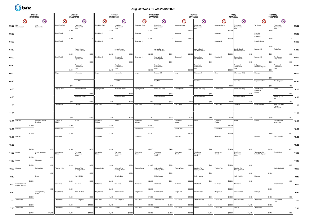

## August: Week 36 w/c 28/08/2022

|                                       | Sunday<br>28/08/2022        |     |                             |                             |            | Monday<br>29/08/2022             |         |                         | <b>Tuesday</b><br>30/08/2022 |                                  |         |                         | Wednesday<br>31/08/2022 |                                  |         |                         | <b>Thursday</b> | 01/09/2022                       |         |                         | Friday<br>02/09/2022 |                                  |         |                                          | Saturday<br>03/09/2022 |                                       |       |       |
|---------------------------------------|-----------------------------|-----|-----------------------------|-----------------------------|------------|----------------------------------|---------|-------------------------|------------------------------|----------------------------------|---------|-------------------------|-------------------------|----------------------------------|---------|-------------------------|-----------------|----------------------------------|---------|-------------------------|----------------------|----------------------------------|---------|------------------------------------------|------------------------|---------------------------------------|-------|-------|
|                                       | $\bm{\mathsf{\odot}}$       |     | $\odot$                     |                             | $\bigcirc$ | $\odot$                          |         | $\bullet$               |                              | $\odot$                          |         | $\bullet$               |                         | $\odot$                          |         | $\bigcirc$              |                 | $\odot$                          |         | $\bm{\mathsf{O}}$       |                      | $\odot$                          |         | $\bm{\mathsf{O}}$                        |                        | $\odot$                               |       |       |
| 06:00 $\frac{\text{Non}}{\text{Com}}$ | Commercial                  | Non | Commercial                  | <b>Breakfast Early</b>      | \$1,050    | Preschool<br>Commercial<br>Free  |         | <b>Breakfast Early</b>  | \$1,050                      | Preschool<br>Commercial<br>Free  |         | <b>Breakfast Early</b>  | \$1,050                 | Preschool<br>Commercial<br>Free  |         | <b>Breakfast Early</b>  | \$1,050         | Preschool<br>Commercial<br>Free  |         | <b>Breakfast Early</b>  | \$1,050              | Preschool<br>Commercial<br>Free  |         | Te Karere                                | \$250                  | Preschool<br>Commercial<br>Free       |       | 06:00 |
| 06:30                                 |                             |     |                             | Breakfast 1                 | \$1,600    |                                  |         | Breakfast 1             | \$1,600                      |                                  |         | Breakfast 1             | \$1,600                 |                                  |         | Breakfast 1             | \$1,600         |                                  |         | Breakfast 1             | \$1,600              |                                  |         | Hyundai<br>Country<br>Calendar           | \$250                  |                                       |       | 06:30 |
| 07:00                                 |                             |     |                             | Breakfast 2                 |            |                                  |         | Breakfast 2             |                              |                                  |         | Breakfast 2             |                         |                                  |         | Breakfast 2             |                 |                                  |         | Breakfast 2             |                      |                                  |         | <b>Rural Delivery</b>                    | \$250                  |                                       |       | 07:00 |
| 07:30                                 |                             |     |                             |                             | \$2,650    | Jungle Bunch<br>To The Rescue!   | \$350   |                         | \$2,650                      | Jungle Bunch<br>To The Rescue!   | \$350   |                         | \$2,650                 | Jungle Bunch<br>To The Rescue!   | \$350   |                         | \$2,650         | Jungle Bunch<br>To The Rescue!   | \$350   |                         | \$2,650              | Jungle Bunch<br>To The Rescue!   | \$350   | Infomercial                              | \$250                  | Turbo Fast                            | \$300 | 07:30 |
| 08:00                                 |                             |     |                             | Breakfast 3                 |            | Spongebob<br>Squarepants         | \$350   | Breakfast 3             |                              | Spongebob<br>Squarepants         | \$350   | Breakfast 3             |                         | Spongebob<br>Squarepants         | \$350   | Breakfast 3             |                 | Spongebob<br>Squarepants         | \$350   | Breakfast 3             |                      | Spongebob<br>Squarepants         | \$350   | Infomercial                              | \$250                  | The Dog and<br>Pony Show              | \$300 | 08:00 |
| 08:30                                 |                             |     |                             |                             | \$2,900    | Preschool<br>Commercia<br>Free   |         |                         | \$2,900                      | Preschool<br>Commercial<br>Free  |         |                         | \$2,900                 | Preschool<br>Commercia<br>Free   |         |                         | \$2,900         | Preschool<br>Commercial<br>Free  |         |                         | \$2,900              | Preschool<br>Commercial<br>Free  |         | Religious<br>Infomercial (FIA)           | \$250                  | Preschool<br>Commercial<br>Free       |       | 08:30 |
| 09:00                                 |                             |     |                             | Lingo                       |            | Infomercial                      |         | Lingo                   |                              | Infomercial                      |         | Lingo                   |                         | Infomercial                      |         | Lingo                   |                 | Infomercial                      |         | Lingo                   |                      | Infomercial (GS)                 |         | Lifestyle                                | \$350                  |                                       |       | 09:00 |
| 09:30                                 |                             |     |                             |                             | \$900      | Les Mills                        |         |                         | \$900                        | Les Mills                        |         |                         | \$900                   | Les Mills                        |         |                         | \$900           | Les Mills                        |         |                         | \$900                | Les Mills                        |         | Tagata Pasifika                          | \$350                  | The Simpsons                          | \$450 | 09:30 |
| 10:00                                 |                             |     |                             | <b>Tipping Point</b>        |            | Home and Away                    | \$250   | <b>Tipping Point</b>    |                              | Home and Away                    | \$250   | <b>Tipping Point</b>    |                         | Home and Away                    | \$250   | <b>Tipping Point</b>    |                 | Home and Away                    | \$250   | <b>Tipping Point</b>    |                      | Home and Away                    | \$250   | John & Lisa's<br>Weekend<br>Kitchen      |                        | Fresh                                 | \$800 | 10:00 |
| 10:30                                 |                             |     |                             |                             | \$800      | Shortland Street                 | \$250   |                         | \$800                        | <b>Shortland Street</b>          | \$250   |                         | \$800                   | Shortland Street                 | \$250   |                         | \$800           | Shortland Street                 | \$250   |                         | \$800                | Shortland Street                 | \$250   |                                          | \$250                  | Saved By The<br>Bell                  | \$400 | 10:30 |
| 11:00                                 |                             |     |                             | The Chase                   |            | Charmed                          |         | The Chase               |                              | Charmed                          |         | The Chase               |                         | Charmed                          |         | The Chase               |                 | Charmed                          |         | The Chase               |                      | Charmed                          |         | Entertainment                            |                        | Have You Been<br>Paying<br>Attention? |       | 11:00 |
| 11:30                                 |                             |     |                             |                             | \$750      |                                  | \$250   |                         | \$750                        |                                  | \$250   |                         | \$750                   |                                  | \$250   |                         | \$750           |                                  | \$250   |                         | \$750                |                                  | \$250   |                                          | \$500                  |                                       | \$400 | 11:30 |
|                                       | $12:00$ Attitude<br>\$1,300 |     | Shortland Street<br>Omnibus | 1 News At<br>Midday         | \$2,050    | Movie                            |         | 1 News At<br>Midday     | \$2,050                      | Movie                            |         | 1 News At<br>Midday     | \$2,050                 | Movie                            |         | 1 News At<br>Midday     | \$2,050         | Movie                            |         | 1 News At<br>Midday     | \$2,050              | Movie                            |         | Drama                                    |                        | The Weakest<br>Link: USA              |       | 12:00 |
|                                       | 12:30 Fair Go<br>\$1,950    |     |                             | Emmerdale                   | \$1,350    |                                  |         | Emmerdale               | \$1,350                      |                                  |         | Emmerdale               | \$1,350                 |                                  |         | Emmerdale               | \$1,350         |                                  |         | Emmerdale               | \$1,350              |                                  |         |                                          | \$900                  |                                       | \$650 | 12:30 |
|                                       | 13:00   Sunday              |     |                             | Hollyoaks                   |            |                                  |         | Hollyoaks               |                              |                                  |         | Hollyoaks               |                         |                                  |         | Hollyoaks               |                 |                                  |         | Hollyoaks               |                      |                                  |         | Lifestyle                                |                        | The Courtship                         |       | 13:00 |
| 13:30                                 | \$3,250                     |     | \$350                       |                             | \$2,450    |                                  | \$450   |                         | \$2,450                      |                                  | \$450   |                         | \$2,450                 |                                  | \$450   |                         | \$2,450         |                                  | \$450   |                         | \$2,450              |                                  | \$450   |                                          | \$3,200                |                                       | \$650 | 13:30 |
|                                       | 14:00 Factual<br>\$2,550    |     | United States Of<br>\$350   | Coronation<br><b>Street</b> |            | The Drew<br>Barrymore<br>Show    |         | Coronation<br>Street    |                              | The Drew<br>Barrymore<br>Show    |         | Coronation<br>Street    |                         | The Drew<br>Barrymore<br>Show    |         | Coronation<br>Street    |                 | The Drew<br>Barrymore<br>Show    |         | Coronation<br>Street    |                      | The Drew<br>Barrymore<br>Show    |         | The Great Kiwi<br><b>Bake Off Repeat</b> |                        | Good Witch                            |       | 14:00 |
|                                       | 14:30 Factual<br>\$2,550    |     | <b>B</b> Positive<br>\$550  |                             | \$1,200    |                                  | \$650   |                         | \$1,200                      |                                  | \$650   |                         | \$1,200                 |                                  | \$650   |                         | \$1,200         |                                  | \$650   |                         | \$1,200              |                                  | \$650   |                                          |                        |                                       | \$550 | 14:30 |
|                                       | 15:00 Lifestyle             |     | Call Me Kat<br>\$550        | <b>Tipping Point</b>        |            | Sabrina The<br>Teenage Witch     | \$550   | <b>Tipping Point</b>    |                              | Sabrina The<br>Teenage Witch     | \$550   | <b>Tipping Point</b>    |                         | Sabrina The<br>Teenage Witch     | \$550   | <b>Tipping Point</b>    |                 | Sabrina The<br>Teenage Witch     | \$550   | <b>Tipping Point</b>    |                      | Sabrina The<br>Teenage Witch     | \$550   |                                          | \$1,600                | Junior Bake Off                       |       | 15:00 |
| 15:30                                 | \$2,350                     |     | Drama                       |                             | \$2,200    | <b>Holly Hobbie</b>              | \$300   |                         | \$2,200                      | Holly Hobbie                     | \$300   |                         | \$2,200                 | <b>Holly Hobbie</b>              | \$300   |                         | \$2,200         | <b>Holly Hobbie</b>              | \$300   |                         | \$2,200              | <b>Holly Hobbie</b>              | \$300   | Lifestyle                                |                        |                                       | \$650 | 15:30 |
|                                       | 16:00 Susan Calman's        |     | \$850<br>Sunday Family      | Te Karere                   | \$2,200    | The Feed<br><b>Brain Busters</b> |         | Te Karere<br>Neighbours | \$2,200                      | The Feed<br><b>Brain Busters</b> |         | Te Karere<br>Neighbours | \$2,200                 | The Feed<br><b>Brain Busters</b> |         | Te Karere<br>Neighbours | \$2,200         | The Feed<br><b>Brain Busters</b> |         | Te Karere<br>Neighbours | \$2,200              | The Feed<br><b>Brain Busters</b> |         | Lifestyle                                | \$2,350                | Entertainment                         |       | 16:00 |
| 16:30                                 | \$2,050                     |     | Movie                       | Neighbours<br>The Chase     | \$1,550    | The Simpsons                     | \$300   | The Chase               | \$1,550                      | The Simpsons                     | \$300   | The Chase               | \$1,550                 | The Simpsons                     | \$300   | The Chase               | \$1,550         | The Simpsons                     | \$300   | The Chase               | \$1,550              | The Simpsons                     | \$300   | The Chase                                | \$1,650                | Superman &                            | \$650 | 16:30 |
|                                       | 17:00 The Chase<br>\$5,500  |     |                             |                             | \$5,050    |                                  | \$1,550 |                         | \$5,050                      |                                  | \$1,550 |                         | \$5,050                 |                                  | \$1,550 |                         | \$5,050         |                                  | \$1,550 |                         | \$5,050              |                                  | \$1,550 |                                          | \$5,600                | Lois                                  |       | 17:00 |
|                                       | 17:30 The Chase<br>\$5,700  |     | \$1,200                     | The Chase                   | \$6,650    | Friends                          | \$1,800 | The Chase               | \$6,650                      | Friends                          | \$1,800 | The Chase               | \$6,650                 | Friends                          | \$1,800 | The Chase               | \$6,650         | Friends                          | \$1,800 | The Chase               | \$6,650              | Friends                          | \$1,800 | The Chase                                | \$6,750                |                                       | \$650 | 17:30 |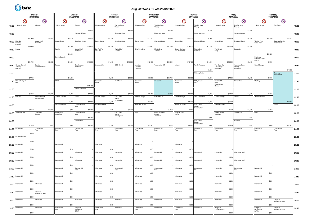

## August: Week 36 w/c 28/08/2022

|                  | Sunday<br>28/08/2022<br>$\bigcirc$<br>$\bm{\mathsf{\odot}}$ |                  |                                |         |                        | Monday<br>29/08/2022 |                                   |          |                         |          | <b>Tuesday</b><br>30/08/2022         |          |                                    | Wednesday<br>31/08/2022 |                                       |          |                                 | <b>Thursday</b> | 01/09/2022                           |          |                                                  | Friday<br>02/09/2022 |                                       |         |                                                  | Saturday<br>03/09/2022 |                                |         |       |
|------------------|-------------------------------------------------------------|------------------|--------------------------------|---------|------------------------|----------------------|-----------------------------------|----------|-------------------------|----------|--------------------------------------|----------|------------------------------------|-------------------------|---------------------------------------|----------|---------------------------------|-----------------|--------------------------------------|----------|--------------------------------------------------|----------------------|---------------------------------------|---------|--------------------------------------------------|------------------------|--------------------------------|---------|-------|
|                  |                                                             |                  |                                |         | $\bigcirc$             |                      | $\bigcirc$                        |          | $\bigcirc$              |          | $\bigcirc$                           |          | $\bigcirc$                         |                         | $\bigcirc$                            |          | Q                               |                 | $\odot$                              |          | $\bm{\mathsf{\Omega}}$                           |                      | $\odot$                               |         | $\bigcirc$                                       |                        | $\odot$                        |         |       |
| 18:00            | 1 News At 6pm                                               |                  | Wipeout                        |         | 1 News At 6pm          |                      | Ghosts                            | \$3,950  | 1 News At 6pm           |          | The Big Bang<br>Theory               | \$3,750  | 1 News At 6pm                      |                         | The Big Bang<br>Theory                | \$3,050  | 1 News At 6pm                   |                 | The Big Bang<br>Theory               | \$4,250  | 1 News At 6pm                                    |                      | The Big Bang<br>Theory                | \$3,800 | 1 News At 6pm                                    |                        | The Cube                       |         | 18:00 |
| 18:30            |                                                             |                  |                                |         |                        |                      | Home and Away                     |          |                         |          | Home and Away                        |          |                                    |                         | Home and Away                         |          |                                 |                 | Home and Away                        |          |                                                  |                      | Home and Away                         |         |                                                  |                        |                                |         | 18:30 |
|                  | 19:00 Hyundai<br>Country<br>Calendar                        | \$21,450         | MasterChef<br>Australia        | \$2,500 | Seven Sharp            | \$20,150             | Shortland Street                  | \$8,950  | Seven Sharp             | \$25,150 | Shortland Street                     | \$8,950  | Seven Sharp                        | \$21,750                | Shortland Street                      | \$8,950  | Seven Sharp                     | \$23,300        | Shortland Street                     | \$8,950  | Seven Sharp                                      | \$20,100             | Shortland Street                      | \$8,950 | <b>Tipping Point</b><br>Lucky Stars              | \$21,700               | Saturday Family<br>Blockbuster | \$1,350 | 19:00 |
| 19:30 Sunday     |                                                             | \$18,100         |                                |         | Fair Go                | \$12,850             | MasterChef<br>Australia           | \$11,000 | Eat Well For<br>Less NZ | \$14,950 | MasterChef<br>Australia              | \$10,850 | Give Us A Clue                     | \$13,600                | MasterChef<br>Australia               | \$11,000 | Dream Kitchens<br>and Bathrooms | \$14,200        | MasterChef<br>Australia              | \$11,250 | The Repair<br>Shop                               | \$12,850             | Guessable                             | \$9,900 |                                                  |                        |                                |         | 19:30 |
| 20:00            |                                                             |                  |                                |         | <b>Border Security</b> | \$12,000             |                                   |          |                         |          |                                      |          |                                    |                         |                                       |          |                                 |                 |                                      |          |                                                  |                      |                                       |         | Heathrow:<br><b>Britain's Busiest</b><br>Airport | \$10,850               |                                |         | 20:00 |
|                  | 20:30 George Clarke's<br>Amazing<br>Spaces                  | \$11,750         | Sunday<br>Premiere Movie       | \$8,950 | Factual                | \$11,200             | Snackmasters<br>Australia         | \$10,850 | Unbreakable             | \$11,900 | <b>NCIS Hawaii</b>                   | \$10,000 | Location,<br>Location,<br>Location | \$12,150                | Taskmaster NZ                         | \$10,850 | Lifestyle                       | \$12,100        | Ten 7: Aotearoa                      | \$10,600 | The Great Big<br><b>Tiny Design</b><br>Challenge | \$12,350             | Have You Been<br>Paying<br>Attention? | \$5,100 | <b>Grand Designs</b>                             | \$6,450                |                                |         | 20:30 |
| 21:00            |                                                             |                  |                                |         |                        |                      |                                   |          |                         |          |                                      |          |                                    |                         |                                       |          |                                 |                 | Highway Patrol                       | \$9,800  |                                                  |                      |                                       |         |                                                  |                        | Saturday<br>Blockbuster        | \$4,650 | 21:00 |
|                  | $21:30$ This Is Going To<br>Hurt                            | \$7,700          |                                |         | 20/20                  | \$11,200             |                                   |          | Coronation<br>Street    | \$9,150  | Seal Team                            | \$8,600  | Coronation<br>Street               | \$7,950                 | Guessable                             | \$10,750 | Coronation<br>Street            | \$8,050         | <b>Filthy House</b><br>sos           | \$9,800  | The World's<br>Most<br>Extraordinary             | \$7,100              | Dinner Date                           | \$6,350 | The Bay                                          | \$5,100                |                                |         | 21:30 |
| 22:00            |                                                             |                  |                                |         |                        |                      | Naked Attraction                  | \$11,400 |                         |          |                                      |          |                                    |                         |                                       |          |                                 |                 |                                      |          | Homes                                            |                      |                                       |         |                                                  |                        |                                |         | 22:00 |
| 22:30   For Life |                                                             | \$4,550          | Four Weddings<br>and a Funeral | \$7,200 | 1 News Tonight         | \$5,200              | Drama                             | \$1,950  | 1 News Tonight          | \$6,950  | CSI: Crime<br>Scene<br>nvestigation  | \$3,450  | 1 News Tonight                     | \$5,150                 | Patriot Brains                        | \$6,000  | 1 News Tonight                  | \$5,950         | Ten 7: Aotearoa                      | \$3,850  | 1 News Tonight                                   | \$5,500              | Unreal                                | \$4,350 | The Luminaries                                   | \$3,550                |                                |         | 22:30 |
| 23:00            |                                                             |                  |                                |         | Shortland Street       | \$1,700              | Two And A Half                    | \$1,950  | Shortland Street        | \$1,700  |                                      |          | Shortland Street                   | \$1,700                 |                                       |          | Shortland Street                | \$1,700         | CSI: Crime<br>Scene<br>Investigation | \$1,350  | Shortland Street                                 | \$1,700              |                                       |         |                                                  |                        | Movie                          | \$4,800 | 23:00 |
|                  | 23:30 The Commons                                           | \$2,050          | Death Row<br>Doctors           | \$1,550 | Ambulance:<br>Code Red | \$950                | Two And A Half<br>Mer             | \$1,350  | Sunday                  | \$950    | CSI: Crime<br>Scene<br>Investigation | \$1,050  | Vigil                              | \$950                   | Have You Been<br>Paying<br>Attention? | \$1,750  | It's Your Fault<br>I'm Fat      | \$950           |                                      |          | Big Fat Gypsy<br>Weddings                        | \$950                | Call Me Kat                           | \$1,150 | Guilt                                            | \$1,450                |                                |         | 23:30 |
| 24:00            |                                                             |                  |                                |         |                        |                      | 2 Broke Girls                     | \$1,350  |                         |          |                                      |          |                                    |                         |                                       |          |                                 |                 | CSI: Crime<br>Scene<br>Investigation | \$900    |                                                  |                      | Kung Fu                               | \$500   |                                                  |                        |                                |         | 24:00 |
|                  | 24:30   Informercial                                        | \$1,250<br>\$250 | Commercial<br>Free             | \$600   | Commercial<br>Free     | \$950                | Commercial<br>Free                | \$1,150  | Commercial<br>Free      | \$1,500  | Commercial<br>Free                   | \$1,050  | Commercial<br>Free                 | \$1,350                 | Commercial<br>Free                    | \$950    | Commercial<br>Free              | \$1,050         | Commercial<br>Free                   | \$950    | Commercial<br>Free                               | \$1,100              | Commercial<br>Free                    | \$400   | Commercial<br>Free                               | \$800                  | Commercial<br>Free             | \$1,350 | 24:30 |
|                  | $25:00$ Infomercial (AH)                                    | \$250            |                                |         |                        |                      |                                   |          |                         |          |                                      |          |                                    |                         |                                       |          |                                 |                 |                                      |          |                                                  |                      |                                       |         |                                                  |                        |                                |         | 25:00 |
|                  | 25:30   Infomercial                                         | \$250            |                                |         | Infomercial            | \$250                |                                   |          | Infomercial             | \$250    |                                      |          | Infomercial                        | \$250                   |                                       |          | Infomercial                     | \$250           |                                      |          |                                                  |                      |                                       |         |                                                  |                        |                                |         | 25:30 |
|                  | 26:00   Informercial                                        | \$250            |                                |         | Infomercial            | \$250                | Infomercial                       |          | Infomercial             | \$250    | nfomercial                           |          | Infomercial                        | \$250                   | Infomercial                           |          | Infomercial                     | \$250           | nfomercial                           |          | Infomercial                                      | \$250                | Infomercial (GS)                      |         |                                                  |                        |                                |         | 26:00 |
|                  | 26:30   Informercial                                        | \$250            |                                |         | Infomercial            | \$250                | Infomercial                       |          | Infomercial             | \$250    | Infomercial                          |          | Infomercial                        | \$250                   | Infomercial                           |          | Infomercial                     | \$250           | Infomercial                          |          | Infomercial                                      | \$250                | Infomercial (GS)                      |         |                                                  |                        |                                |         | 26:30 |
|                  | 27:00 Informercial                                          | \$250            |                                |         | Infomercial            | \$250                | Commercial<br>Free                |          | Infomercial             | \$250    | Commercial<br>Free                   |          | Infomercial                        | \$250                   | Commercial<br>Free                    |          | Infomercial                     | \$250           | Commercial<br>Free                   |          | Infomercial                                      | \$250                | Commercial<br>Free                    |         | Infomercial                                      | \$250                  |                                |         | 27:00 |
|                  | $27:30$ Infomercial                                         | \$250            |                                |         | Infomercial            | \$250                |                                   |          | Infomercial             | \$250    |                                      |          | Infomercial                        | \$250                   |                                       |          | Infomercial                     | \$250           |                                      |          | Infomercial                                      | \$250                |                                       |         | Infomercial                                      | \$250                  |                                |         | 27:30 |
|                  | 28:00   Infomercial                                         | \$250            | Infomercial                    |         | Infomercial            | \$250                |                                   |          | Infomercial             | \$250    |                                      |          | Infomercial                        | \$250                   |                                       |          | Infomercial                     | \$250           |                                      |          | Infomercial                                      | \$250                |                                       |         | Infomercial                                      | \$250                  |                                |         | 28:00 |
| 28:30            | Infomercial                                                 | \$250            | Religious<br>Infomercial (HC)  |         | Infomercial            | \$250                |                                   |          | Infomercial             | \$250    |                                      |          | Infomercial                        | \$250                   |                                       |          | Infomercial                     | \$250           |                                      |          | Infomercial                                      | \$250                |                                       |         | Infomercial                                      | \$250                  |                                |         | 28:30 |
|                  | 29:00   Informercial                                        | \$250            | Infomercial                    |         | Infomercial            | \$250                | Infomercial                       |          | Infomercial             | \$250    | Infomercial                          |          | Infomercial                        | \$250                   | Infomercial                           |          | Infomercial                     | \$250           | Infomercial                          |          | Infomercial                                      | \$250                |                                       |         | Infomercial                                      | \$250                  | Religious<br>Infomercial (TM)  |         | 29:00 |
|                  | 29:30   Informercial                                        | \$250            | Infomercial                    |         | Commercial<br>Free     |                      | Religious<br>Infomercial<br>(LTW) |          | Commercial<br>Free      |          | nfomercial                           |          | Commercial<br>Free                 |                         | Infomercial                           |          | Commercial<br>Free              |                 | Infomercial                          |          | Religious<br>Infomercial (IJ)                    | \$250                |                                       |         | Religious<br>Infomercial<br>(LTW)                | \$250                  | Religious<br>Infomercial (HC)  |         | 29:30 |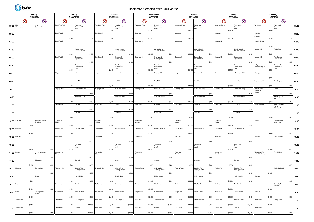

## September: Week 37 w/c 04/09/2022

|                                       |                  |         | Sunday<br>04/09/2022   |       |                        |         | Monday<br>05/09/2022            |             |                        |         | Tuesday<br>06/09/2022           |             |                        | Wednesday<br>07/09/2022 |                                 |         |                        |         | <b>Thursday</b><br>08/09/2022   |         |                        | Friday<br>09/09/2022 |                                 |         |                                          | Saturday<br>10/09/2022 |                                       |             |       |
|---------------------------------------|------------------|---------|------------------------|-------|------------------------|---------|---------------------------------|-------------|------------------------|---------|---------------------------------|-------------|------------------------|-------------------------|---------------------------------|---------|------------------------|---------|---------------------------------|---------|------------------------|----------------------|---------------------------------|---------|------------------------------------------|------------------------|---------------------------------------|-------------|-------|
|                                       | O                |         | $\odot$                |       | $\bigcirc$             |         | $\odot$                         |             | $\bm{\mathsf{O}}$      |         | $\bigcirc$                      |             | $\bm{\mathsf{O}}$      |                         | $\bigcirc$                      |         | $\bm{\mathsf{\odot}}$  |         | $\odot$                         |         | $\bigcirc$             |                      | $\odot$                         |         | $\bigcirc$                               |                        | $\odot$                               |             |       |
| 06:00 $\frac{\text{Non}}{\text{Com}}$ | Commercial       |         | Non<br>Commercial      |       | <b>Breakfast Early</b> |         | Preschool<br>Commercial<br>Free |             | <b>Breakfast Early</b> |         | Preschool<br>Commercial<br>Free |             | <b>Breakfast Early</b> |                         | Preschool<br>Commercial<br>Free |         | <b>Breakfast Early</b> |         | Preschool<br>Commercial<br>Free |         | <b>Breakfast Early</b> |                      | Preschool<br>Commercial<br>Free |         | Te Karere                                |                        | Preschool<br>Commercial<br>Free       |             | 06:00 |
| 06:30                                 |                  |         |                        |       | Breakfast 1            | \$1,300 |                                 |             | Breakfast 1            | \$1,300 |                                 |             | Breakfast 1            | \$1,300                 |                                 |         | Breakfast 1            | \$1,300 |                                 |         | Breakfast 1            | \$1,300              |                                 |         | Hyundai<br>Country                       | \$250                  |                                       |             | 06:30 |
| 07:00                                 |                  |         |                        |       | Breakfast 2            | \$1,850 |                                 |             | Breakfast 2            | \$1,850 |                                 |             | Breakfast 2            | \$1,850                 |                                 |         | Breakfast 2            | \$1,850 |                                 |         | Breakfast 2            | \$1,850              |                                 |         | Calendar<br><b>Rural Delivery</b>        | \$250                  |                                       |             | 07:00 |
|                                       |                  |         |                        |       |                        |         |                                 |             |                        |         |                                 |             |                        |                         |                                 |         |                        |         |                                 |         |                        |                      |                                 |         |                                          | \$250                  |                                       |             |       |
| 07:30                                 |                  |         |                        |       |                        | \$2,850 | Jungle Bunch<br>To The Rescue!  | \$400       |                        | \$2,850 | Jungle Bunch<br>To The Rescue!  | \$400       |                        | \$2,850                 | Jungle Bunch<br>To The Rescue!  | \$400   |                        | \$2,850 | Jungle Bunch<br>To The Rescue!  | \$400   |                        | \$2,850              | Jungle Bunch<br>To The Rescue!  | \$400   | Infomercial                              | \$250                  | Turbo Fast                            | \$350       | 07:30 |
| 08:00                                 |                  |         |                        |       | Breakfast 3            |         | Spongebob<br>Squarepants        |             | Breakfast 3            |         | Spongebob<br>Squarepants        |             | Breakfast 3            |                         | Spongebob<br>Squarepants        |         | Breakfast 3            |         | Spongebob<br>Squarepants        |         | Breakfast 3            |                      | Spongebob<br>Squarepants        |         | Infomercial                              |                        | The Dog and<br>Pony Show              |             | 08:00 |
| 08:30                                 |                  |         |                        |       |                        |         | Preschool<br>Commercia          | \$400       |                        |         | Preschool                       | \$400       |                        |                         | Preschool<br>Commercial         | \$400   |                        |         | Preschool                       | \$400   |                        |                      | Preschool<br>Commercia          | \$400   | Religious<br>Infomercial (FIA)           | \$250                  | Preschool                             | \$350       | 08:30 |
|                                       |                  |         |                        |       |                        | \$2,450 | Free                            |             |                        | \$2,450 | Commercial<br>Free              |             |                        | \$2,450                 | Free                            |         |                        | \$2,450 | Commercial<br>Free              |         |                        | \$2,450              | Free                            |         |                                          | \$250                  | Commercial<br>Free                    |             |       |
| 09:00                                 |                  |         |                        |       | Lingo                  |         | Infomercial                     |             | Lingo                  |         | Infomercial                     |             | Lingo                  |                         | Infomercial                     |         | Lingo                  |         | Infomercial                     |         | Lingo                  |                      | Infomercial (GS)                |         | Lifestyle                                | \$300                  |                                       |             | 09:00 |
| 09:30                                 |                  |         |                        |       |                        |         | Les Mills                       |             |                        |         | Les Mills                       |             |                        |                         | Les Mills                       |         |                        |         | Les Mills                       |         |                        |                      | Les Mills                       |         | Tagata Pasifika                          |                        | The Simpsons                          |             | 09:30 |
| 10:00                                 |                  |         |                        |       | <b>Tipping Point</b>   | \$1,050 | Home and Away                   |             | <b>Tipping Point</b>   | \$1,050 | Home and Away                   |             | <b>Tipping Point</b>   | \$1,050                 | Home and Away                   |         | <b>Tipping Point</b>   | \$1,050 | Home and Away                   |         | <b>Tipping Point</b>   | \$1,050              | Home and Away                   |         | John & Lisa's<br>Weekend                 | \$300                  | Fresh                                 | \$450       | 10:00 |
|                                       |                  |         |                        |       |                        |         | Shortland Street                | \$250       |                        |         | Shortland Street                | \$250       |                        |                         | Shortland Street                | \$250   |                        |         | Shortland Street                | \$250   |                        |                      | Shortland Street                | \$250   | Kitchen                                  |                        | Saved By The                          | \$650       |       |
| 10:30                                 |                  |         |                        |       |                        | \$1,000 |                                 | \$250       |                        | \$1,000 |                                 | \$250       |                        | \$1,000                 |                                 | \$250   |                        | \$1,000 |                                 | \$250   |                        | \$1,000              |                                 | \$250   |                                          | \$450                  | Bell                                  | \$400       | 10:30 |
| 11:00                                 |                  |         |                        |       | The Chase              |         | Comedy                          |             | The Chase              |         | Comedy                          |             | The Chase              |                         | Comedy                          |         | The Chase              |         | Comedy                          |         | The Chase              |                      | Comedy                          |         | Entertainment                            |                        | Have You Been<br>Paying<br>Attention? |             | 11:00 |
| 11:30                                 |                  |         |                        |       |                        |         | Charmed                         | \$250       |                        |         | Charmed                         | \$250       |                        |                         | Charmed                         | \$250   |                        |         | Charmed                         | \$250   |                        |                      | Charmed                         | \$250   |                                          |                        |                                       |             | 11:30 |
|                                       | $12:00$ Attitude |         | Shortland Street       |       | 1 News At              | \$950   |                                 |             | 1 News At              | \$950   |                                 |             | 1 News At              | \$950                   |                                 |         | 1 News At              | \$950   |                                 |         | 1 News At              | \$950                |                                 |         | Drama                                    | \$600                  | The Weakest                           | \$400       | 12:00 |
|                                       |                  | \$600   | Omnibus                |       | Midday                 | \$2,700 |                                 | \$250       | Midday                 | \$2,700 |                                 | \$250       | Midday                 | \$2,700                 |                                 | \$250   | Midday                 | \$2,700 |                                 | \$250   | Midday                 | \$2,700              |                                 | \$250   |                                          |                        | Link: USA                             |             |       |
|                                       | 12:30 Fair Go    | \$1,150 |                        |       | Emmerdale              | \$1,650 | Heroes Reborn                   |             | Emmerdale              | \$1,650 | Heroes Reborn                   |             | Emmerdale              | \$1,650                 | Heroes Reborn                   |         | Emmerdale              | \$1,650 | Heroes Reborn                   |         | Emmerdale              | \$1,650              | Heroes Reborn                   |         |                                          | \$650                  |                                       | \$550       | 12:30 |
|                                       | 13:00   Sunday   |         |                        |       | Hollyoaks              |         |                                 |             | Hollyoaks              |         |                                 |             | Hollyoaks              |                         |                                 |         | Hollyoaks              |         |                                 |         | Hollyoaks              |                      |                                 |         | Lifestyle                                |                        | The Courtship                         |             | 13:00 |
| 13:30                                 |                  |         |                        |       |                        |         | The Drew                        | \$500       |                        |         | The Drew                        | \$500       |                        |                         | The Drew                        | \$500   |                        |         | The Drew                        | \$500   |                        |                      | The Drew                        | \$500   |                                          |                        |                                       |             | 13:30 |
|                                       |                  | \$3,300 |                        | \$500 |                        | \$2,250 | Barrymore<br>Show               |             |                        | \$2,250 | Barrymore<br>Show               |             |                        | \$2,250                 | Barrymore<br>Show               |         |                        | \$2,250 | Barrymore<br>Show               |         |                        | \$2,250              | Barrymore<br>Show               |         |                                          | \$1,000                |                                       | \$550       |       |
|                                       | 14:00 Factual    |         | United States Of       | \$700 | Coronation<br>Street   |         |                                 | \$800       | Coronation<br>Street   |         |                                 | \$800       | Coronation<br>Street   |                         |                                 | \$800   | Coronation<br>Street   |         |                                 | \$800   | Coronation<br>Street   |                      |                                 | \$800   | The Great Kiwi<br><b>Bake Off Repeat</b> |                        | Good Witch                            |             | 14:00 |
| 14:30                                 |                  |         | <b>B</b> Positive      |       |                        |         | Comedy                          |             |                        |         | Comedy                          |             |                        |                         | Comedy                          |         |                        |         | Comedy                          |         |                        |                      | Comedy                          |         |                                          |                        |                                       |             | 14:30 |
|                                       | 15:00 Lifestyle  | \$1,350 | Call Me Kat            | \$800 | <b>Tipping Point</b>   | \$650   | Sabrina The<br>Teenage Witch    | \$400       | <b>Tipping Point</b>   | \$650   | Sabrina The<br>Teenage Witch    | \$400       | <b>Tipping Point</b>   | \$650                   | Sabrina The<br>Teenage Witch    | \$400   | <b>Tipping Point</b>   | \$650   | Sabrina The<br>Teenage Witch    | \$400   | <b>Tipping Point</b>   | \$650                | Sabrina The<br>Teenage Witch    | \$400   |                                          |                        | Junior Bake Off                       | \$550       | 15:00 |
| 15:30                                 |                  |         | Drama                  | \$800 |                        |         | <b>Holly Hobbie</b>             | \$500       |                        |         | Holly Hobbie                    | \$500       |                        |                         | <b>Holly Hobbie</b>             | \$500   |                        |         | <b>Holly Hobbie</b>             | \$500   |                        |                      | <b>Holly Hobbie</b>             | \$500   | Lifestyle                                | \$1,050                |                                       |             | 15:30 |
|                                       |                  | \$900   |                        |       |                        | \$1,200 |                                 | <b>S300</b> |                        | \$1,200 |                                 | <b>S300</b> |                        | \$1,200                 |                                 | \$300   |                        | \$1,200 |                                 | 5300    |                        | \$1,200              |                                 | \$300   |                                          |                        |                                       | <b>S600</b> |       |
| $16:00$ Local                         |                  | \$1,200 |                        | \$800 | Te Karere              | \$3,550 | The Feed                        |             | Te Karere              | \$3,550 | The Feed                        |             | Te Karere              | \$3,550                 | The Feed                        |         | Te Karere              | \$3,550 | The Feed                        |         | Te Karere              | \$3,550              | The Feed                        |         |                                          | \$1,200                | Celebrity Brain<br>Busters            |             | 16:00 |
| 16:30 Local                           |                  |         | Sunday Family<br>Movie |       | Neighbours             |         | <b>Brain Busters</b>            |             | Neighbours             |         | <b>Brain Busters</b>            |             | Neighbours             |                         | <b>Brain Busters</b>            |         | Neighbours             |         | <b>Brain Busters</b>            |         | Neighbours             |                      | <b>Brain Busters</b>            |         | Lifestyle                                |                        |                                       |             | 16:30 |
|                                       | 17:00 The Chase  | \$1,200 |                        |       | The Chase              | \$2,650 | The Simpsons                    | \$300       | The Chase              | \$2,650 | The Simpsons                    | \$300       | The Chase              | \$2,650                 | The Simpsons                    | \$300   | The Chase              | \$2,650 | The Simpsons                    | \$300   | The Chase              | \$2,650              | The Simpsons                    | \$300   | The Chase                                | \$1,000                | Nancy Drew                            | \$650       | 17:00 |
|                                       | 17:30 The Chase  | \$3,400 |                        |       | The Chase              | \$4,650 | Friends                         | \$1,600     | The Chase              | \$4,650 | Friends                         | \$1,600     | The Chase              | \$4,650                 | Friends                         | \$1,600 | The Chase              | \$4,650 | Friends                         | \$1,600 | The Chase              | \$4,650              | Friends                         | \$1,600 | The Chase                                | \$3,400                |                                       |             |       |
|                                       |                  | \$8,100 |                        | \$950 |                        | \$9,200 |                                 | \$2,000     |                        | \$9,200 |                                 | \$2,000     |                        | \$9,200                 |                                 | \$2,000 |                        | \$9,200 |                                 | \$2,000 |                        | \$9,200              |                                 | \$2,000 |                                          | \$7,150                |                                       | \$750       | 17:30 |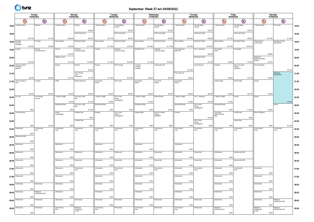

## September: Week 37 w/c 04/09/2022

|       | Sunday<br>04/09/2022<br>$\odot$<br>$\bigcirc$<br>1 News At 6pm<br>Wipeout |          |                               |         |                        | Monday<br>05/09/2022 |                                   |          |                    |          | Tuesday<br>06/09/2022                |          |                      | Wednesday<br>07/09/2022 |                                       |          |                    |          | Thursday<br>08/09/2022          |                                           | Friday<br>09/09/2022 |                        |          |                                       | Saturday<br>10/09/2022 |                                |         |       |
|-------|---------------------------------------------------------------------------|----------|-------------------------------|---------|------------------------|----------------------|-----------------------------------|----------|--------------------|----------|--------------------------------------|----------|----------------------|-------------------------|---------------------------------------|----------|--------------------|----------|---------------------------------|-------------------------------------------|----------------------|------------------------|----------|---------------------------------------|------------------------|--------------------------------|---------|-------|
|       |                                                                           |          |                               |         | $\bigcirc$             |                      | $\bm{\mathsf{\odot}}$             |          | $\bigcirc$         |          | $\bm{\mathsf{\odot}}$                |          | $\bigcirc$           |                         | $\bigcirc$                            |          | $\bigcirc$         |          | $\bm{\mathsf{\odot}}$           | $\bigcirc$                                |                      | $\odot$                |          | $\bigcirc$                            |                        | $\odot$                        |         |       |
| 18:00 |                                                                           |          |                               |         | 1 News At 6pm          |                      | Ghosts                            |          | 1 News At 6pm      |          | The Big Bang<br>Theory               |          | 1 News At 6pm        |                         | The Big Bang<br>Theory                |          | 1 News At 6pm      |          | The Big Bang<br>Theory          | 1 News At 6pm                             |                      | The Big Bang<br>Theory |          | 1 News At 6pm                         |                        | The Cube                       |         | 18:00 |
| 18:30 |                                                                           |          |                               |         |                        |                      | Home and Away                     | \$4,800  |                    |          | Home and Away                        | \$3,200  |                      |                         | Home and Away                         | \$3,200  |                    |          | \$3,200<br>Home and Away        |                                           |                      | Home and Away          | \$3,200  |                                       |                        |                                |         | 18:30 |
|       |                                                                           | \$23,100 |                               | \$1,750 |                        | \$22,900             |                                   | \$6,400  |                    | \$21,100 |                                      | \$6,350  |                      | \$21,200                |                                       | \$7,000  |                    | \$20,200 | \$5,800                         |                                           | \$19,750             |                        | \$6,450  |                                       | \$17,500               |                                | \$1,400 |       |
|       | 19:00 Nyundai<br>Country                                                  |          | Comedy                        |         | Seven Sharp            |                      | Shortland Street                  |          | Seven Sharp        |          | Shortland Street                     |          | Seven Sharp          |                         | Shortland Street                      |          | Seven Sharp        |          | Shortland Street                | Seven Sharp                               |                      | Shortland Street       |          | Tipping Point<br>Lucky Stars          |                        | Saturday Family<br>Blockbuster |         | 19:00 |
|       | Calendar<br>Sunday                                                        | \$19,950 | Sunday                        | \$5,800 | Fair Go                | \$16,000             | Celebrity                         | \$11,450 | Factual            | \$14,450 | Celebrity                            | \$10,650 | StarStruck UK        | \$14,850                | Celebrity                             | \$11,950 | The Great Kiwi     | \$13,550 | \$10,900<br>Ten 7: Aotearoa     | The Repair                                | \$12,350             | Guessable              | \$10,200 |                                       |                        |                                |         |       |
| 19:30 |                                                                           |          | Premiere Movie                |         |                        | \$12,250             | Treasure Island                   |          |                    |          | Treasure Island                      |          |                      |                         | Treasure Island                       |          | Bake Off           |          | \$8,950                         | Shop                                      |                      |                        |          |                                       | \$8,850                |                                |         | 19:30 |
| 20:00 |                                                                           |          |                               |         | Highway Cops           |                      |                                   |          |                    |          |                                      |          |                      |                         |                                       |          |                    |          | Motorway Patrol                 |                                           |                      |                        |          | Heathrow:<br><b>Britain's Busiest</b> |                        |                                |         | 20:00 |
|       | George Clarke's                                                           | \$13,650 |                               |         | Drama                  | \$10,750             | Renters                           | \$14,500 | Factual            | \$11,550 | NCIS Hawaii                          | \$12,950 | Location,            | \$11,300                | Taskmaster NZ                         | \$14,600 |                    |          | \$7,350<br><b>Action Movies</b> | Lifestyle                                 | \$9,900              | Have You Been          | \$7,400  | Airport<br><b>Grand Designs</b>       | \$5,700                |                                |         |       |
| 20:30 | Amazing<br>Spaces                                                         |          |                               |         |                        |                      |                                   | \$9,950  |                    |          |                                      |          | Location<br>Location |                         |                                       |          |                    | \$10,600 |                                 |                                           |                      | Paying<br>Attention?   |          |                                       |                        |                                | \$5,300 | 20:30 |
| 21:00 |                                                                           |          |                               |         |                        |                      | The Thomas<br>John                |          |                    |          |                                      |          |                      |                         |                                       |          | The Check Up       |          |                                 |                                           |                      |                        |          |                                       |                        | Saturday<br>Blockbuster        |         | 21:00 |
|       | $21:30$ This Is Going To                                                  | \$6,200  | Comedy                        | \$6,550 | 20/20                  | \$10,750             | Experience<br>Naked Attraction    | \$7,700  | Coronation         | \$11,550 | Seal Team                            | \$10,200 | Coronation           | \$9,450                 | Live at the                           | \$9,700  | Coronation         | \$6,650  |                                 | Hotel People                              | \$8,250              | Dinner Date            | \$7,100  | Drama                                 | \$4,600                |                                |         |       |
|       | Hurt                                                                      |          |                               |         |                        |                      |                                   |          | Street             |          |                                      |          | Street               |                         | Apollo                                |          | Street             |          |                                 |                                           |                      |                        |          |                                       |                        |                                |         | 21:30 |
| 22:00 |                                                                           |          |                               |         |                        |                      |                                   |          |                    |          |                                      |          |                      |                         |                                       |          |                    |          |                                 |                                           |                      |                        |          |                                       |                        |                                |         | 22:00 |
|       |                                                                           | \$4,200  |                               | \$6,300 | 1 News Tonight         | \$5,200              | Two And A Half                    | \$3,900  | 1 News Tonight     | \$5,500  | CSI: Crime                           | \$2,600  | 1 News Tonight       | \$5,500                 | Patriot Brains                        | \$4,300  | 1 News Tonight     | \$5,500  | \$8,200<br>Ten 7: Aotearoa      | 1 News Tonight                            | \$5,250              |                        | \$5,750  |                                       | \$3,900                |                                |         |       |
| 22:30 | For Life                                                                  |          | The Sunday<br>Horrors         |         |                        | \$1,850              |                                   | \$1,350  |                    |          | Scene<br>nvestigation                |          |                      | \$1,850                 |                                       |          |                    |          | \$2,550                         |                                           |                      | Unreal                 |          | Drama                                 |                        |                                |         | 22:30 |
| 23:00 |                                                                           |          |                               |         | Shortland Street       |                      | Two And A Half                    |          | Shortland Street   | \$1,850  |                                      |          | Shortland Street     |                         |                                       |          | Shortland Street   | \$1,850  | CSI: Crime<br>Scene             | Shortland Street                          | \$1,850              |                        |          |                                       |                        | Movie                          | \$4,800 | 23:00 |
|       |                                                                           | \$850    |                               |         |                        | \$550                |                                   | \$1,350  |                    | \$550    |                                      | \$750    |                      | \$550                   |                                       | \$1,850  |                    | \$550    | Investigation                   |                                           | \$550                |                        | \$1,250  |                                       | \$3,900                |                                |         |       |
| 23:30 | The Commons                                                               |          |                               |         | Under<br>Investigation |                      | 2 Broke Girls                     |          | Sunday             |          | CSI: Crime<br>Scene<br>Investigation |          | Angela Black         |                         | Have You Been<br>Paying<br>Attention? |          | Factual            |          |                                 | The Great<br><b>British Sewing</b><br>Bee |                      | Call Me Kat            |          | Pact Of Silence                       |                        |                                |         | 23:30 |
| 24:00 |                                                                           |          |                               |         |                        |                      | 2 Broke Girls                     | \$600    |                    |          |                                      |          |                      |                         |                                       |          |                    |          | \$1,500<br>CSI: Crime<br>Scene  |                                           |                      | <b>Guilty Party</b>    | \$400    |                                       |                        |                                |         | 24:00 |
|       |                                                                           | \$250    |                               | \$1,550 |                        | \$500                |                                   | \$600    |                    | \$650    |                                      | \$750    |                      | \$550                   |                                       | \$850    |                    | \$300    | Investigation                   | \$600                                     | \$300                |                        | \$400    |                                       | \$450                  |                                | \$1,550 |       |
| 24:30 | Infomercial                                                               |          | Commercial<br>Free            |         | Commercial<br>Free     |                      | Commercial<br>Free                |          | Commercial<br>Free |          | Commercial<br>Free                   |          | Commercial<br>Free   |                         | Commercial<br>Free                    |          | Commercial<br>Free |          | Commercial<br>Free              | Commercial<br>Free                        |                      | Commercia<br>Free      |          | Commercial<br>Free                    |                        | Commercial<br>Free             |         | 24:30 |
| 25:00 | Infomercial (AH)                                                          | \$250    |                               |         |                        |                      |                                   |          |                    |          |                                      |          |                      |                         |                                       |          |                    |          |                                 |                                           |                      |                        |          |                                       |                        |                                |         | 25:00 |
|       |                                                                           | \$250    |                               |         |                        |                      |                                   |          |                    |          |                                      |          |                      |                         |                                       |          |                    |          |                                 |                                           |                      |                        |          |                                       |                        |                                |         |       |
| 25:30 | Infomercial                                                               |          |                               |         | Infomercial            |                      |                                   |          | Infomercial        |          |                                      |          | Infomercial          |                         |                                       |          | Infomercial        |          |                                 |                                           |                      |                        |          |                                       |                        |                                |         | 25:30 |
| 26:00 | Infomercial                                                               | \$250    |                               |         | Infomercial            | \$250                | Infomercial                       |          | Infomercial        | \$250    | Infomercial                          |          | Infomercial          | \$250                   | Infomercial                           |          | Infomercial        | \$250    | Infomercial                     | Infomercial                               |                      | Infomercial (GS)       |          |                                       |                        |                                |         | 26:00 |
|       |                                                                           | \$250    |                               |         |                        | \$250                |                                   |          |                    | \$250    |                                      |          |                      | \$250                   |                                       |          |                    | \$250    |                                 |                                           | \$250                |                        |          |                                       |                        |                                |         |       |
| 26:30 | Infomercial                                                               |          |                               |         | Infomercial            |                      | Infomercial                       |          | Infomercial        |          | Infomercial                          |          | Infomercial          |                         | Infomercial                           |          | Infomercial        |          | Infomercial                     | Infomercial                               |                      | Infomercial (GS)       |          |                                       |                        |                                |         | 26:30 |
|       | $27:00$   Informercial                                                    | \$250    |                               |         | Infomercial            | \$250                | Commercial<br>Free                |          | Infomercial        | \$250    | Commercial<br>Free                   |          | Infomercial          | \$250                   | Commercial<br>Free                    |          | Infomercial        | \$250    | Commercial<br>Free              | Infomercial                               | \$250                | Commercia<br>Free      |          | Infomercial                           |                        |                                |         | 27:00 |
|       |                                                                           | \$250    |                               |         |                        | \$250                |                                   |          |                    | \$250    |                                      |          |                      | \$250                   |                                       |          |                    | \$250    |                                 |                                           | $$250$               |                        |          |                                       | \$250                  |                                |         |       |
| 27:30 | Infomercial                                                               |          |                               |         | Infomercial            |                      |                                   |          | Infomercial        |          |                                      |          | Infomercial          |                         |                                       |          | Infomercial        |          |                                 | Infomercial                               |                      |                        |          | Infomercial                           |                        |                                |         | 27:30 |
|       | 28:00   Infomercial                                                       | \$250    | Infomercial                   |         | Infomercial            | \$250                |                                   |          | Infomercial        | \$250    |                                      |          | Infomercial          | \$250                   |                                       |          | Infomercial        | \$250    |                                 | Infomercial                               | \$250                |                        |          | Infomercial                           | \$250                  |                                |         | 28:00 |
|       |                                                                           | \$250    |                               |         |                        | \$250                |                                   |          |                    | \$250    |                                      |          |                      | \$250                   |                                       |          |                    | \$250    |                                 |                                           | \$250                |                        |          |                                       | \$250                  |                                |         |       |
| 28:30 | Infomercial                                                               |          | Religious<br>Infomercial (HC) |         | Infomercial            |                      |                                   |          | Infomercial        |          |                                      |          | Infomercial          |                         |                                       |          | Infomercial        |          |                                 | Infomercial                               |                      |                        |          | Infomercial                           |                        |                                |         | 28:30 |
|       | $29:00$ Infomercial                                                       | \$250    | Infomercial                   |         | Infomercial            | \$250                | Infomercial                       |          | Infomercial        | \$250    | Infomercial                          |          | Infomercial          | \$250                   | Infomercial                           |          | Infomercial        | \$250    | Infomercial                     | Infomercial                               | \$250                |                        |          | Infomercial                           | \$250                  | Religious<br>Infomercial (TM)  |         | 29:00 |
|       |                                                                           | \$250    |                               |         |                        | \$250                |                                   |          |                    | \$250    |                                      |          |                      | \$250                   |                                       |          |                    | \$250    |                                 |                                           | \$250                |                        |          |                                       | \$250                  |                                |         |       |
|       | $29:30$   Informercial                                                    |          | Infomercial                   |         | Commercial<br>Free     |                      | Religious<br>Infomercial<br>(LTW) |          | Commercial<br>Free |          | Infomercial                          |          | Commercia<br>Free    |                         | Infomercial                           |          | Commercial<br>Free |          | Infomercial                     | Religious<br>Infomercial (IJ)             |                      |                        |          | Religious<br>Infomercial<br>(LTW)     |                        | Religious<br>Infomercial (HC)  |         | 29:30 |
|       |                                                                           | \$250    |                               |         |                        |                      |                                   |          |                    |          |                                      |          |                      |                         |                                       |          |                    |          |                                 |                                           | \$250                |                        |          |                                       | \$250                  |                                |         |       |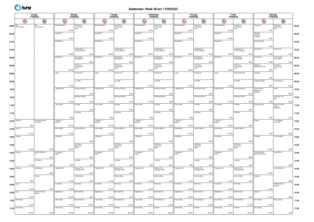

## September: Week 38 w/c 11/09/2022

|                                       |                  | 11/09/2022 | Sunday                      |       |                        |         | Monday<br>12/09/2022            |             |                        |         | Tuesday<br>13/09/2022           |             |                        | Wednesday<br>14/09/2022 |                                 |         |                        |         | <b>Thursday</b><br>15/09/2022   |         |                        | Friday<br>16/09/2022 |                                 |         |                                   | Saturday<br>17/09/2022 |                                       |             |       |
|---------------------------------------|------------------|------------|-----------------------------|-------|------------------------|---------|---------------------------------|-------------|------------------------|---------|---------------------------------|-------------|------------------------|-------------------------|---------------------------------|---------|------------------------|---------|---------------------------------|---------|------------------------|----------------------|---------------------------------|---------|-----------------------------------|------------------------|---------------------------------------|-------------|-------|
|                                       | O                |            | $\odot$                     |       | $\bigcirc$             |         | $\odot$                         |             | $\bm{\mathsf{O}}$      |         | $\bigcirc$                      |             | $\bm{\mathsf{O}}$      |                         | $\bigcirc$                      |         | $\bm{\mathsf{\odot}}$  |         | $\odot$                         |         | $\bigcirc$             |                      | $\odot$                         |         | $\bigcirc$                        |                        | $\odot$                               |             |       |
| 06:00 $\frac{\text{Non}}{\text{Com}}$ | Commercial       |            | Non<br>Commercial           |       | <b>Breakfast Early</b> |         | Preschool<br>Commercial<br>Free |             | <b>Breakfast Early</b> |         | Preschool<br>Commercial<br>Free |             | <b>Breakfast Early</b> |                         | Preschool<br>Commercial<br>Free |         | <b>Breakfast Early</b> |         | Preschool<br>Commercial<br>Free |         | <b>Breakfast Early</b> |                      | Preschool<br>Commercial<br>Free |         | Te Karere                         |                        | Preschool<br>Commercial<br>Free       |             | 06:00 |
| 06:30                                 |                  |            |                             |       | Breakfast 1            | \$1,300 |                                 |             | Breakfast 1            | \$1,300 |                                 |             | Breakfast 1            | \$1,300                 |                                 |         | Breakfast 1            | \$1,300 |                                 |         | Breakfast 1            | \$1,300              |                                 |         | Hyundai<br>Country                | \$250                  |                                       |             | 06:30 |
| 07:00                                 |                  |            |                             |       | Breakfast 2            | \$1,850 |                                 |             | Breakfast 2            | \$1,850 |                                 |             | Breakfast 2            | \$1,850                 |                                 |         | Breakfast 2            | \$1,850 |                                 |         | Breakfast 2            | \$1,850              |                                 |         | Calendar<br><b>Rural Delivery</b> | \$250                  |                                       |             | 07:00 |
|                                       |                  |            |                             |       |                        |         |                                 |             |                        |         |                                 |             |                        |                         |                                 |         |                        |         |                                 |         |                        |                      |                                 |         |                                   | \$250                  |                                       |             |       |
| 07:30                                 |                  |            |                             |       |                        | \$2,850 | Jungle Bunch<br>To The Rescue!  | \$400       |                        | \$2,850 | Jungle Bunch<br>To The Rescue!  | \$400       |                        | \$2,850                 | Jungle Bunch<br>To The Rescue!  | \$400   |                        | \$2,850 | Jungle Bunch<br>To The Rescue!  | \$400   |                        | \$2,850              | Jungle Bunch<br>To The Rescue!  | \$400   | Infomercial                       | \$250                  | Turbo Fast                            | \$350       | 07:30 |
| 08:00                                 |                  |            |                             |       | Breakfast 3            |         | Spongebob<br>Squarepants        |             | Breakfast 3            |         | Spongebob<br>Squarepants        |             | Breakfast 3            |                         | Spongebob<br>Squarepants        |         | Breakfast 3            |         | Spongebob<br>Squarepants        |         | Breakfast 3            |                      | Spongebob<br>Squarepants        |         | Infomercial                       |                        | The Dog and<br>Pony Show              |             | 08:00 |
| 08:30                                 |                  |            |                             |       |                        |         | Preschool<br>Commercia          | \$400       |                        |         | Preschool<br>Commercial         | \$400       |                        |                         | Preschool<br>Commercial         | \$400   |                        |         | Preschool<br>Commercial         | \$400   |                        |                      | Preschool<br>Commercia          | \$400   | Religious<br>Infomercial (FIA)    | \$250                  | Preschool<br>Commercial               | \$350       | 08:30 |
|                                       |                  |            |                             |       | Lingo                  | \$2,450 | Free<br>Infomercial             |             | Lingo                  | \$2,450 | Free<br>Infomercial             |             | Lingo                  | \$2,450                 | Free<br>Infomercial             |         | Lingo                  | \$2,450 | Free<br>Infomercial             |         | Lingo                  | \$2,450              | Free<br>Infomercial (GS)        |         | Lifestyle                         | \$250                  | Free                                  |             |       |
| 09:00                                 |                  |            |                             |       |                        |         |                                 |             |                        |         |                                 |             |                        |                         |                                 |         |                        |         |                                 |         |                        |                      |                                 |         |                                   | \$300                  |                                       |             | 09:00 |
| 09:30                                 |                  |            |                             |       |                        |         | Les Mills                       |             |                        |         | Les Mills                       |             |                        |                         | Les Mills                       |         |                        |         | Les Mills                       |         |                        |                      | Les Mills                       |         | Tagata Pasifika                   |                        | The Simpsons                          |             | 09:30 |
| 10:00                                 |                  |            |                             |       | <b>Tipping Point</b>   | \$1,050 | Home and Away                   |             | <b>Tipping Point</b>   | \$1,050 | Home and Away                   |             | <b>Tipping Point</b>   | \$1,050                 | Home and Away                   |         | <b>Tipping Point</b>   | \$1,050 | Home and Away                   |         | <b>Tipping Point</b>   | \$1,050              | Home and Away                   |         | John & Lisa's<br>Weekend          | \$300                  | Fresh                                 | \$450       | 10:00 |
| 10:30                                 |                  |            |                             |       |                        |         | Shortland Street                | \$250       |                        |         | Shortland Street                | \$250       |                        |                         | Shortland Street                | \$250   |                        |         | Shortland Street                | \$250   |                        |                      | Shortland Street                | \$250   | Kitchen                           |                        | Saved By The                          | \$650       | 10:30 |
|                                       |                  |            |                             |       |                        | \$1,000 |                                 | \$250       |                        | \$1,000 |                                 | \$250       |                        | \$1,000                 |                                 | \$250   |                        | \$1,000 |                                 | \$250   |                        | \$1,000              |                                 | \$250   |                                   | \$450                  | Bell                                  | \$400       |       |
| 11:00                                 |                  |            |                             |       | The Chase              |         | Comedy                          | \$250       | The Chase              |         | Comedy                          | \$250       | The Chase              |                         | Comedy                          | \$250   | The Chase              |         | Comedy                          | \$250   | The Chase              |                      | Comedy                          | \$250   | Entertainment                     |                        | Have You Been<br>Paying<br>Attention? |             | 11:00 |
| 11:30                                 |                  |            |                             |       |                        |         | Charmed                         |             |                        |         | Charmed                         |             |                        |                         | Charmed                         |         |                        |         | Charmed                         |         |                        |                      | Charmed                         |         |                                   |                        |                                       |             | 11:30 |
|                                       | $12:00$ Attitude |            | Shortland Street<br>Omnibus |       | 1 News At<br>Midday    | \$950   |                                 |             | 1 News At<br>Midday    | \$950   |                                 |             | 1 News At<br>Midday    | \$950                   |                                 |         | 1 News At<br>Midday    | \$950   |                                 |         | 1 News At<br>Midday    | \$950                |                                 |         | Drama                             | \$600                  | The Weakest<br>Link: USA              | \$400       | 12:00 |
|                                       | 12:30 Fair Go    | \$600      |                             |       | Emmerdale              | \$2,700 | Heroes Reborn                   | \$250       | Emmerdale              | \$2,700 | Heroes Reborn                   | \$250       | Emmerdale              | \$2,700                 | Heroes Reborn                   | \$250   | Emmerdale              | \$2,700 | Heroes Reborn                   | \$250   | Emmerdale              | \$2,700              | Heroes Reborn                   | \$250   |                                   |                        |                                       |             |       |
|                                       |                  | \$1,150    |                             |       |                        | \$1,650 |                                 |             |                        | \$1,650 |                                 |             |                        | \$1,650                 |                                 |         |                        | \$1,650 |                                 |         |                        | \$1,650              |                                 |         |                                   | \$650                  |                                       | \$550       | 12:30 |
|                                       | 13:00   Sunday   |            |                             |       | Hollyoaks              |         |                                 | \$500       | Hollyoaks              |         |                                 |             | Hollyoaks              |                         |                                 |         | Hollyoaks              |         |                                 | \$500   | Hollyoaks              |                      |                                 | \$500   | Lifestyle                         |                        | The Courtship                         |             | 13:00 |
| 13:30                                 |                  |            |                             |       |                        |         | The Drew<br>Barrymore<br>Show   |             |                        |         | The Drew<br>Barrymore<br>Show   | \$500       |                        |                         | The Drew<br>Barrymore<br>Show   | \$500   |                        |         | The Drew<br>Barrymore<br>Show   |         |                        |                      | The Drew<br>Barrymore<br>Show   |         |                                   |                        |                                       |             | 13:30 |
|                                       | 14:00 Factual    | \$3,300    | United States Of            | \$500 | Coronation             | \$2,250 |                                 |             | Coronation             | \$2,250 |                                 |             | Coronation             | \$2,250                 |                                 |         | Coronation             | \$2,250 |                                 |         | Coronation             | \$2,250              |                                 |         | The Great Kiwi                    | \$1,000                | Good Witch                            | \$550       | 14:00 |
|                                       |                  |            | <b>B</b> Positive           | \$700 | Street                 |         | Comedy                          | \$800       | Street                 |         |                                 | \$800       | Street                 |                         |                                 | \$800   | Street                 |         |                                 | \$800   | Street                 |                      | Comedy                          | \$800   | <b>Bake Off Repeat</b>            |                        |                                       |             |       |
| 14:30                                 |                  | \$1,350    |                             | \$800 |                        | \$650   |                                 | \$400       |                        | \$650   | Comedy                          | \$400       |                        | \$650                   | Comedy                          | \$400   |                        | \$650   | Comedy                          | \$400   |                        | \$650                |                                 | \$400   |                                   |                        |                                       | \$550       | 14:30 |
|                                       | 15:00 Lifestyle  |            | Call Me Kat                 |       | <b>Tipping Point</b>   |         | Sabrina The<br>Teenage Witch    |             | <b>Tipping Point</b>   |         | Sabrina The<br>Teenage Witch    |             | <b>Tipping Point</b>   |                         | Sabrina The<br>Teenage Witch    |         | <b>Tipping Point</b>   |         | Sabrina The<br>Teenage Witch    |         | <b>Tipping Point</b>   |                      | Sabrina The<br>Teenage Witch    |         |                                   |                        | Junior Bake Off                       |             | 15:00 |
| 15:30                                 |                  |            | Drama                       | \$800 |                        |         | <b>Holly Hobbie</b>             | \$500       |                        |         | Holly Hobbie                    | \$500       |                        |                         | <b>Holly Hobbie</b>             | \$500   |                        |         | <b>Holly Hobbie</b>             | \$500   |                        |                      | <b>Holly Hobbie</b>             | \$500   | Lifestyle                         | \$1,050                |                                       |             | 15:30 |
| $16:00$ Local                         |                  | \$900      |                             |       | Te Karere              | \$1,200 | The Feed                        | <b>S300</b> | Te Karere              | \$1,200 | The Feed                        | <b>S300</b> | Te Karere              | \$1,200                 | The Feed                        | \$300   | Te Karere              | \$1,200 | The Feed                        | 5300    | Te Karere              | \$1,200              | The Feed                        | \$300   |                                   |                        | Celebrity Brain<br>Busters            | <b>S600</b> | 16:00 |
|                                       |                  | \$1,200    |                             | \$800 |                        | \$3,550 |                                 |             |                        | \$3,550 |                                 |             |                        | \$3,550                 |                                 |         |                        | \$3,550 |                                 |         |                        | \$3,550              |                                 |         |                                   | \$1,200                |                                       |             |       |
| 16:30 Local                           |                  | \$1,200    | Sunday Family<br>Movie      |       | Neighbours             | \$2,650 | <b>Brain Busters</b>            | \$300       | Neighbours             | \$2,650 | <b>Brain Busters</b>            | \$300       | Neighbours             | \$2,650                 | <b>Brain Busters</b>            | \$300   | Neighbours             | \$2,650 | <b>Brain Busters</b>            | \$300   | Neighbours             | \$2,650              | <b>Brain Busters</b>            | \$300   | Lifestyle                         | \$1,000                |                                       | \$650       | 16:30 |
|                                       | 17:00 The Chase  |            |                             |       | The Chase              |         | The Simpsons                    |             | The Chase              |         | The Simpsons                    |             | The Chase              |                         | The Simpsons                    |         | The Chase              |         | The Simpsons                    |         | The Chase              |                      | The Simpsons                    |         | The Chase                         |                        | Nancy Drew                            |             | 17:00 |
|                                       | 17:30 The Chase  | \$3,400    |                             |       | The Chase              | \$4,650 | Friends                         | \$1,600     | The Chase              | \$4,650 | Friends                         | \$1,600     | The Chase              | \$4,650                 | Friends                         | \$1,600 | The Chase              | \$4,650 | Friends                         | \$1,600 | The Chase              | \$4,650              | Friends                         | \$1,600 | The Chase                         | \$3,400                |                                       |             | 17:30 |
|                                       |                  | \$8,100    |                             | \$950 |                        | \$9,200 |                                 | \$2,000     |                        | \$9,200 |                                 | \$2,000     |                        | \$9,200                 |                                 | \$2,000 |                        | \$9,200 |                                 | \$2,000 |                        | \$9,200              |                                 | \$2,000 |                                   | \$7,150                |                                       | \$750       |       |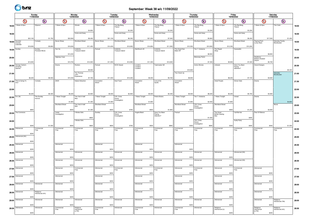

## September: Week 38 w/c 11/09/2022

|               | Sunday<br>11/09/2022<br>$\odot$<br>$\bigcirc$<br>1 News At 6pm<br>Wipeout |          |                               |         |                        | Monday<br>12/09/2022 |                          |          |                      |          | Tuesday<br>13/09/2022                |          |                                   | Wednesday<br>14/09/2022 |                                       |          |                      |          | Thursday<br>15/09/2022      |                                           | Friday<br>16/09/2022 |                                       |          |                                       | Saturday<br>17/09/2022 |                                |         |       |
|---------------|---------------------------------------------------------------------------|----------|-------------------------------|---------|------------------------|----------------------|--------------------------|----------|----------------------|----------|--------------------------------------|----------|-----------------------------------|-------------------------|---------------------------------------|----------|----------------------|----------|-----------------------------|-------------------------------------------|----------------------|---------------------------------------|----------|---------------------------------------|------------------------|--------------------------------|---------|-------|
|               |                                                                           |          |                               |         | $\bigcirc$             |                      | $\bm{\mathsf{\odot}}$    |          | $\bigcirc$           |          | $\bm{\mathsf{\odot}}$                |          | $\bigcirc$                        |                         | $\bigcirc$                            |          | $\bigcirc$           |          | $\bm{\mathsf{\odot}}$       | $\bigcirc$                                |                      | $\odot$                               |          | $\bigcirc$                            |                        | $\odot$                        |         |       |
| 18:00         |                                                                           |          |                               |         | 1 News At 6pm          |                      | Ghosts                   |          | 1 News At 6pm        |          | The Big Bang<br>Theory               |          | 1 News At 6pm                     |                         | The Big Bang<br>Theory                |          | 1 News At 6pm        |          | The Big Bang<br>Theory      | 1 News At 6pm                             |                      | The Big Bang<br>Theory                |          | 1 News At 6pm                         |                        | The Cube                       |         | 18:00 |
| 18:30         |                                                                           |          |                               |         |                        |                      | Home and Away            | \$4,800  |                      |          | Home and Away                        | \$3,200  |                                   |                         | Home and Away                         | \$3,200  |                      |          | \$3,200<br>Home and Away    |                                           |                      | Home and Away                         | \$3,200  |                                       |                        |                                |         | 18:30 |
|               |                                                                           | \$23,100 |                               | \$1,750 |                        | \$22,900             |                          | \$6,400  |                      | \$21,100 |                                      | \$6,350  |                                   | \$21,200                |                                       | \$7,000  |                      | \$20,200 | \$5,800                     |                                           | \$19,750             |                                       | \$6,450  |                                       | \$17,500               |                                | \$1,400 |       |
| 19:00 Nyundai | Country                                                                   |          | Comedy                        |         | Seven Sharp            |                      | Shortland Street         |          | Seven Sharp          |          | Shortland Street                     |          | Seven Sharp                       |                         | Shortland Street                      |          | Seven Sharp          |          | Shortland Street            | Seven Sharp                               |                      | Shortland Street                      |          | Tipping Point<br>Lucky Stars          |                        | Saturday Family<br>Blockbuster |         | 19:00 |
|               | Calendar<br>Sunday                                                        | \$19,950 | Sunday                        | \$5,800 | Fair Go                | \$16,000             | Celebrity                | \$11,450 | Factual              | \$14,450 | Celebrity                            | \$10,650 | StarStruck UK                     | \$14,850                | Celebrity                             | \$11,950 | The Great Kiwi       | \$13,550 | \$10,900<br>Ten 7: Aotearoa | The Repair                                | \$12,350             | Guessable                             | \$10,200 |                                       |                        |                                |         |       |
| 19:30         |                                                                           |          | Premiere Movie                |         |                        | \$12,250             | Treasure Island          |          |                      |          | Treasure Island                      |          |                                   |                         | Treasure Island                       |          | Bake Off             |          | \$8,950                     | Shop                                      |                      |                                       |          |                                       | \$8,850                |                                |         | 19:30 |
| 20:00         |                                                                           |          |                               |         | Highway Cops           |                      |                          |          |                      |          |                                      |          |                                   |                         |                                       |          |                      |          | Motorway Patrol             |                                           |                      |                                       |          | Heathrow:<br><b>Britain's Busiest</b> |                        |                                |         | 20:00 |
|               |                                                                           | \$13,650 |                               |         |                        | \$10,750             |                          | \$14,500 |                      | \$11,550 |                                      | \$12,950 |                                   | \$11,300                |                                       | \$14,600 |                      |          | \$7,350                     |                                           | \$9,900              |                                       | \$7,400  | Airport                               | \$5,700                |                                |         |       |
| 20:30         | George Clarke's<br>Amazing<br>Spaces                                      |          |                               |         | Drama                  |                      | Renters                  |          | Factual              |          | NCIS Hawaii                          |          | Location,<br>Location<br>Location |                         | Taskmaster NZ                         |          |                      |          | <b>Action Movies</b>        | Lifestyle                                 |                      | Have You Been<br>Paying<br>Attention? |          | <b>Grand Designs</b>                  |                        |                                |         | 20:30 |
| 21:00         |                                                                           |          |                               |         |                        |                      | The Thomas<br>John       | \$9,950  |                      |          |                                      |          |                                   |                         |                                       |          | The Check Up         | \$10,600 |                             |                                           |                      |                                       |          |                                       |                        | Saturday<br>Blockbuster        | \$5,300 | 21:00 |
|               |                                                                           | \$6,200  |                               | \$6,550 |                        | \$10,350             | Experience               | \$7,700  |                      | \$11,550 |                                      | \$10,200 |                                   | \$9,450                 |                                       | \$9,700  |                      | \$6,650  |                             |                                           | \$8,250              |                                       | \$7,100  |                                       | \$4,600                |                                |         |       |
|               | $21:30$ This Is Going To<br>Hurt                                          |          | Comedy                        |         | 20/20                  |                      | Naked Attraction         |          | Coronation<br>Street |          | Seal Team                            |          | Coronation<br>Street              |                         | Live at the<br>Apollo                 |          | Coronation<br>Street |          |                             | Hotel People                              |                      | Dinner Date                           |          | Drama                                 |                        |                                |         | 21:30 |
| 22:00         |                                                                           |          |                               |         |                        |                      |                          |          |                      |          |                                      |          |                                   |                         |                                       |          |                      |          |                             |                                           |                      |                                       |          |                                       |                        |                                |         | 22:00 |
|               |                                                                           | \$4,200  |                               | \$6,300 |                        | \$5,200              |                          | \$3,900  |                      | \$5,500  |                                      | \$2,600  |                                   | \$5,500                 |                                       | \$4,300  |                      | \$5,500  | \$8,200                     |                                           | \$5,250              |                                       | \$5,750  |                                       | \$3,900                |                                |         |       |
| 22:30         | For Life                                                                  |          | The Sunday<br>Horrors         |         | 1 News Tonight         |                      | Two And A Half           |          | 1 News Tonight       |          | CSI: Crime<br>Scene<br>nvestigation  |          | 1 News Tonight                    |                         | Patriot Brains                        |          | 1 News Tonight       |          | Ten 7: Aotearoa             | 1 News Tonight                            |                      | Unreal                                |          | Drama                                 |                        |                                |         | 22:30 |
| 23:00         |                                                                           |          |                               |         | Shortland Street       | \$1,850              | Two And A Half           | \$1,350  | Shortland Street     | \$1,850  |                                      |          | Shortland Street                  | \$1,850                 |                                       |          | Shortland Street     | \$1,850  | \$2,550<br>CSI: Crime       | Shortland Street                          | \$1,850              |                                       |          |                                       |                        | Movie                          | \$4,800 | 23:00 |
|               |                                                                           | \$850    |                               |         |                        | \$550                |                          | \$1,350  |                      | \$550    |                                      | \$750    |                                   | \$550                   |                                       | \$1,850  |                      | \$550    | Scene<br>Investigation      |                                           | \$550                |                                       | \$1,250  |                                       | \$3,900                |                                |         |       |
| 23:30         | The Commons                                                               |          |                               |         | Under<br>Investigation |                      | 2 Broke Girls            |          | Sunday               |          | CSI: Crime<br>Scene<br>Investigation |          | Angela Black                      |                         | Have You Been<br>Paying<br>Attention? |          | Factual              |          |                             | The Great<br><b>British Sewing</b><br>Bee |                      | Call Me Kat                           |          | Pact Of Silence                       |                        |                                |         | 23:30 |
| 24:00         |                                                                           |          |                               |         |                        |                      | 2 Broke Girls            | \$600    |                      |          |                                      |          |                                   |                         |                                       |          |                      |          | \$1,500<br>CSI: Crime       |                                           |                      | <b>Guilty Party</b>                   | \$400    |                                       |                        |                                |         | 24:00 |
|               |                                                                           | \$250    |                               | \$1,550 |                        | \$500                |                          | \$600    |                      | \$650    |                                      | \$750    |                                   | \$550                   |                                       | \$850    |                      | \$300    | Scene<br>Investigation      | \$600                                     | \$300                |                                       | \$400    |                                       | \$450                  |                                | \$1,550 |       |
| 24:30         | Infomercial                                                               |          | Commercial<br>Free            |         | Commercial<br>Free     |                      | Commercial<br>Free       |          | Commercial<br>Free   |          | Commercial<br>Free                   |          | Commercial<br>Free                |                         | Commercial<br>Free                    |          | Commercial<br>Free   |          | Commercial<br>Free          | Commercial<br>Free                        |                      | Commercia<br>Free                     |          | Commercial<br>Free                    |                        | Commercial<br>Free             |         | 24:30 |
| 25:00         | Infomercial (AH)                                                          | \$250    |                               |         |                        |                      |                          |          |                      |          |                                      |          |                                   |                         |                                       |          |                      |          |                             |                                           |                      |                                       |          |                                       |                        |                                |         | 25:00 |
|               |                                                                           | \$250    |                               |         |                        |                      |                          |          |                      |          |                                      |          |                                   |                         |                                       |          |                      |          |                             |                                           |                      |                                       |          |                                       |                        |                                |         |       |
| 25:30         | Infomercial                                                               |          |                               |         | Infomercial            |                      |                          |          | Infomercial          |          |                                      |          | Infomercial                       |                         |                                       |          | Infomercial          |          |                             |                                           |                      |                                       |          |                                       |                        |                                |         | 25:30 |
|               | Infomercial                                                               | \$250    |                               |         | Infomercial            | \$250                | Infomercial              |          | Infomercial          | \$250    | Infomercial                          |          | Infomercial                       | \$250                   | Infomercial                           |          | Infomercial          | \$250    | Infomercial                 | Infomercial                               |                      | Infomercial (GS)                      |          |                                       |                        |                                |         |       |
| 26:00         |                                                                           | \$250    |                               |         |                        | \$250                |                          |          |                      | \$250    |                                      |          |                                   | \$250                   |                                       |          |                      | \$250    |                             |                                           | \$250                |                                       |          |                                       |                        |                                |         | 26:00 |
| 26:30         | Infomercial                                                               |          |                               |         | Infomercial            |                      | Infomercial              |          | Infomercial          |          | Infomercial                          |          | Infomercial                       |                         | Infomercial                           |          | Infomercial          |          | Infomercial                 | Infomercial                               |                      | Infomercial (GS)                      |          |                                       |                        |                                |         | 26:30 |
|               |                                                                           | \$250    |                               |         | Infomercial            | \$250                | Commercial               |          | Infomercial          | \$250    | Commercial                           |          | Infomercial                       | \$250                   | Commercial                            |          | Infomercial          | \$250    | Commercial                  | Infomercial                               | \$250                | Commercia                             |          | Infomercial                           |                        |                                |         |       |
|               | $27:00$   Informercial                                                    |          |                               |         |                        |                      | Free                     |          |                      |          | Free                                 |          |                                   |                         | Free                                  |          |                      |          | Free                        |                                           |                      | Free                                  |          |                                       |                        |                                |         | 27:00 |
| 27:30         | Infomercial                                                               | \$250    |                               |         | Infomercial            | \$250                |                          |          | Infomercial          | \$250    |                                      |          | Infomercial                       | \$250                   |                                       |          | Infomercial          | \$250    |                             | Infomercial                               | $$250$               |                                       |          | Infomercial                           | \$250                  |                                |         | 27:30 |
|               |                                                                           | \$250    |                               |         |                        | \$250                |                          |          |                      | \$250    |                                      |          |                                   | \$250                   |                                       |          |                      | \$250    |                             |                                           | \$250                |                                       |          |                                       | \$250                  |                                |         |       |
|               | 28:00   Infomercial                                                       |          | Infomercial                   |         | Infomercial            |                      |                          |          | Infomercial          |          |                                      |          | Infomercial                       |                         |                                       |          | Infomercial          |          |                             | Infomercial                               |                      |                                       |          | Infomercial                           |                        |                                |         | 28:00 |
| 28:30         | Infomercial                                                               | \$250    | Religious<br>Infomercial (HC) |         | Infomercial            | \$250                |                          |          | Infomercial          | \$250    |                                      |          | Infomercial                       | \$250                   |                                       |          | Infomercial          | \$250    |                             | Infomercial                               | \$250                |                                       |          | Infomercial                           | \$250                  |                                |         | 28:30 |
|               |                                                                           | \$250    |                               |         |                        | \$250                |                          |          |                      | \$250    |                                      |          |                                   | \$250                   |                                       |          |                      | \$250    |                             |                                           | \$250                |                                       |          |                                       | \$250                  |                                |         |       |
|               | $29:00$ Infomercial                                                       |          | Infomercial                   |         | Infomercial            |                      | Infomercial              |          | Infomercial          |          | Infomercial                          |          | Infomercial                       |                         | Infomercial                           |          | Infomercial          |          | Infomercial                 | Infomercial                               |                      |                                       |          | Infomercial                           |                        | Religious<br>Infomercial (TM)  |         | 29:00 |
|               | $29:30$   Informercial                                                    | \$250    | Infomercial                   |         | Commercial             | \$250                | Religious<br>Infomercial |          | Commercial           | \$250    | Infomercial                          |          | Commercia                         | \$250                   | Infomercial                           |          | Commercial           | \$250    | Infomercial                 | Religious<br>Infomercial (IJ)             | \$250                |                                       |          | Religious<br>Infomercial              | \$250                  | Religious<br>Infomercial (HC)  |         | 29:30 |
|               |                                                                           | \$250    |                               |         | Free                   |                      | (LTW)                    |          | Free                 |          |                                      |          | Free                              |                         |                                       |          | Free                 |          |                             |                                           | \$250                |                                       |          | (LTW)                                 | \$250                  |                                |         |       |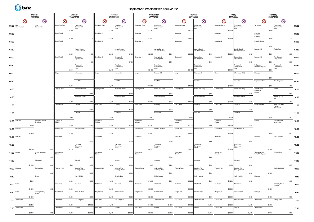

## September: Week 39 w/c 18/09/2022

|                                       |                  | Sunday  | 18/09/2022             |       |                        |         | Monday<br>19/09/2022            |             |                        |         | Tuesday<br>20/09/2022           |             |                        | Wednesday<br>21/09/2022 |                                 |         |                        |         | <b>Thursday</b><br>22/09/2022   |         |                        | Friday<br>23/09/2022 |                                 |         |                                          | Saturday<br>24/09/2022 |                                       |             |       |
|---------------------------------------|------------------|---------|------------------------|-------|------------------------|---------|---------------------------------|-------------|------------------------|---------|---------------------------------|-------------|------------------------|-------------------------|---------------------------------|---------|------------------------|---------|---------------------------------|---------|------------------------|----------------------|---------------------------------|---------|------------------------------------------|------------------------|---------------------------------------|-------------|-------|
|                                       | O                |         | $\odot$                |       | $\bigcirc$             |         | $\odot$                         |             | $\bm{\mathsf{O}}$      |         | $\bigcirc$                      |             | $\bm{\mathsf{O}}$      |                         | $\bigcirc$                      |         | $\bm{\mathsf{\odot}}$  |         | $\odot$                         |         | $\bigcirc$             |                      | $\odot$                         |         | $\bigcirc$                               |                        | $\bigcirc$                            |             |       |
| 06:00 $\frac{\text{Non}}{\text{Com}}$ | Commercial       |         | Non<br>Commercial      |       | <b>Breakfast Early</b> |         | Preschool<br>Commercial<br>Free |             | <b>Breakfast Early</b> |         | Preschool<br>Commercial<br>Free |             | <b>Breakfast Early</b> |                         | Preschool<br>Commercial<br>Free |         | <b>Breakfast Early</b> |         | Preschool<br>Commercial<br>Free |         | <b>Breakfast Early</b> |                      | Preschool<br>Commercial<br>Free |         | Te Karere                                |                        | Preschool<br>Commercial<br>Free       |             | 06:00 |
| 06:30                                 |                  |         |                        |       | Breakfast 1            | \$1,300 |                                 |             | Breakfast 1            | \$1,300 |                                 |             | Breakfast 1            | \$1,300                 |                                 |         | Breakfast 1            | \$1,300 |                                 |         | Breakfast 1            | \$1,300              |                                 |         | Hyundai<br>Country                       | \$250                  |                                       |             | 06:30 |
| 07:00                                 |                  |         |                        |       | Breakfast 2            | \$1,850 |                                 |             | Breakfast 2            | \$1,850 |                                 |             | Breakfast 2            | \$1,850                 |                                 |         | Breakfast 2            | \$1,850 |                                 |         | Breakfast 2            | \$1,850              |                                 |         | Calendar<br><b>Rural Delivery</b>        | \$250                  |                                       |             | 07:00 |
|                                       |                  |         |                        |       |                        |         |                                 |             |                        |         |                                 |             |                        |                         |                                 |         |                        |         |                                 |         |                        |                      |                                 |         |                                          | \$250                  |                                       |             |       |
| 07:30                                 |                  |         |                        |       |                        | \$2,850 | Jungle Bunch<br>To The Rescue!  | \$400       |                        | \$2,850 | Jungle Bunch<br>To The Rescue!  | \$400       |                        | \$2,850                 | Jungle Bunch<br>To The Rescue!  | \$400   |                        | \$2,850 | Jungle Bunch<br>To The Rescue!  | \$400   |                        | \$2,850              | Jungle Bunch<br>To The Rescue!  | \$400   | Infomercial                              | \$250                  | Turbo Fast                            | \$350       | 07:30 |
| 08:00                                 |                  |         |                        |       | Breakfast 3            |         | Spongebob<br>Squarepants        |             | Breakfast 3            |         | Spongebob<br>Squarepants        |             | Breakfast 3            |                         | Spongebob<br>Squarepants        |         | Breakfast 3            |         | Spongebob<br>Squarepants        |         | Breakfast 3            |                      | Spongebob<br>Squarepants        |         | Infomercial                              |                        | The Dog and<br>Pony Show              |             | 08:00 |
| 08:30                                 |                  |         |                        |       |                        |         | Preschool                       | \$400       |                        |         | Preschool                       | \$400       |                        |                         | Preschool                       | \$400   |                        |         | Preschool                       | \$400   |                        |                      | Preschool                       | \$400   | Religious<br>Infomercial (FIA)           | \$250                  | Preschool                             | \$350       | 08:30 |
|                                       |                  |         |                        |       |                        | \$2,450 | Commercia<br>Free               |             |                        | \$2,450 | Commercial<br>Free              |             |                        | \$2,450                 | Commercial<br>Free              |         |                        | \$2,450 | Commercial<br>Free              |         |                        | \$2,450              | Commercia<br>Free               |         |                                          | \$250                  | Commercial<br>Free                    |             |       |
| 09:00                                 |                  |         |                        |       | Lingo                  |         | Infomercial                     |             | Lingo                  |         | Infomercial                     |             | Lingo                  |                         | Infomercial                     |         | Lingo                  |         | Infomercial                     |         | Lingo                  |                      | Infomercial (GS)                |         | Lifestyle                                | \$300                  |                                       |             | 09:00 |
| 09:30                                 |                  |         |                        |       |                        |         | Les Mills                       |             |                        |         | Les Mills                       |             |                        |                         | Les Mills                       |         |                        |         | Les Mills                       |         |                        |                      | Les Mills                       |         | Tagata Pasifika                          |                        | The Simpsons                          |             | 09:30 |
| 10:00                                 |                  |         |                        |       | <b>Tipping Point</b>   | \$1,050 | Home and Away                   |             | <b>Tipping Point</b>   | \$1,050 | Home and Away                   |             | <b>Tipping Point</b>   | \$1,050                 | Home and Away                   |         | <b>Tipping Point</b>   | \$1,050 | Home and Away                   |         | <b>Tipping Point</b>   | \$1,050              | Home and Away                   |         | John & Lisa's<br>Weekend                 | \$300                  | Fresh                                 | \$450       | 10:00 |
|                                       |                  |         |                        |       |                        |         | Shortland Street                | \$250       |                        |         | Shortland Street                | \$250       |                        |                         | Shortland Street                | \$250   |                        |         | Shortland Street                | \$250   |                        |                      | Shortland Street                | \$250   | Kitchen                                  |                        | Saved By The                          | \$650       |       |
| 10:30                                 |                  |         |                        |       |                        | \$1,000 |                                 | \$250       |                        | \$1,000 |                                 | \$250       |                        | \$1,000                 |                                 | \$250   |                        | \$1,000 |                                 | \$250   |                        | \$1,000              |                                 | \$250   |                                          | \$450                  | Bell                                  | \$400       | 10:30 |
| 11:00                                 |                  |         |                        |       | The Chase              |         | Comedy                          |             | The Chase              |         | Comedy                          |             | The Chase              |                         | Comedy                          |         | The Chase              |         | Comedy                          |         | The Chase              |                      | Comedy                          |         | Entertainment                            |                        | Have You Been<br>Paying<br>Attention? |             | 11:00 |
| 11:30                                 |                  |         |                        |       |                        |         | Charmed                         | \$250       |                        |         | Charmed                         | \$250       |                        |                         | Charmed                         | \$250   |                        |         | Charmed                         | \$250   |                        |                      | Charmed                         | \$250   |                                          |                        |                                       |             | 11:30 |
|                                       | $12:00$ Attitude |         | Shortland Street       |       | 1 News At              | \$950   |                                 |             | 1 News At              | \$950   |                                 |             | 1 News At              | \$950                   |                                 |         | 1 News At              | \$950   |                                 |         | 1 News At              | \$950                |                                 |         | Drama                                    | \$600                  | The Weakest                           | \$400       | 12:00 |
|                                       |                  | \$600   | Omnibus                |       | Midday                 | \$2,700 |                                 | \$250       | Midday                 | \$2,700 |                                 | \$250       | Midday                 | \$2,700                 |                                 | \$250   | Midday                 | \$2,700 |                                 | \$250   | Midday                 | \$2,700              |                                 | \$250   |                                          |                        | Link: USA                             |             |       |
|                                       | 12:30 Fair Go    | \$1,150 |                        |       | Emmerdale              | \$1,650 | Heroes Reborn                   |             | Emmerdale              | \$1,650 | Heroes Reborn                   |             | Emmerdale              | \$1,650                 | Heroes Reborn                   |         | Emmerdale              |         | Heroes Reborn                   |         | Emmerdale              |                      | Heroes Reborn                   |         |                                          | \$650                  |                                       | \$550       | 12:30 |
|                                       | 13:00   Sunday   |         |                        |       | Hollyoaks              |         |                                 |             | Hollyoaks              |         |                                 |             | Hollyoaks              |                         |                                 |         | Hollyoaks              | \$1,650 |                                 |         | Hollyoaks              | \$1,650              |                                 |         | Lifestyle                                |                        | The Courtship                         |             | 13:00 |
| 13:30                                 |                  |         |                        |       |                        |         | The Drew                        | \$500       |                        |         | The Drew                        | \$500       |                        |                         | The Drew                        | \$500   |                        |         | The Drew                        | \$500   |                        |                      | The Drew                        | \$500   |                                          |                        |                                       |             | 13:30 |
|                                       |                  | \$3,300 |                        | \$500 |                        | \$2,250 | Barrymore<br>Show               |             |                        | \$2,250 | Barrymore<br>Show               |             |                        | \$2,250                 | Barrymore<br>Show               |         |                        | \$2,250 | Barrymore<br>Show               |         |                        | \$2,250              | Barrymore<br>Show               |         |                                          | \$1,000                |                                       | \$550       |       |
|                                       | 14:00 Factual    |         | United States Of       | \$700 | Coronation<br>Street   |         |                                 | \$800       | Coronation<br>Street   |         |                                 | \$800       | Coronation<br>Street   |                         |                                 | \$800   | Coronation<br>Street   |         |                                 | \$800   | Coronation<br>Street   |                      |                                 | \$800   | The Great Kiwi<br><b>Bake Off Repeat</b> |                        | Good Witch                            |             | 14:00 |
| 14:30                                 |                  |         | <b>B</b> Positive      |       |                        |         | Comedy                          |             |                        |         | Comedy                          |             |                        |                         | Comedy                          |         |                        |         | Comedy                          |         |                        |                      | Comedy                          |         |                                          |                        |                                       |             | 14:30 |
|                                       | 15:00 Lifestyle  | \$1,350 | Call Me Kat            | \$800 | <b>Tipping Point</b>   | \$650   | Sabrina The<br>Teenage Witch    | \$400       | <b>Tipping Point</b>   | \$650   | Sabrina The<br>Teenage Witch    | \$400       | <b>Tipping Point</b>   | \$650                   | Sabrina The<br>Teenage Witch    | \$400   | <b>Tipping Point</b>   | \$650   | Sabrina The<br>Teenage Witch    | \$400   | <b>Tipping Point</b>   | \$650                | Sabrina The<br>Teenage Witch    | \$400   |                                          |                        | Junior Bake Off                       | \$550       | 15:00 |
| 15:30                                 |                  |         | Drama                  | \$800 |                        |         | <b>Holly Hobbie</b>             | \$500       |                        |         | Holly Hobbie                    | \$500       |                        |                         | <b>Holly Hobbie</b>             | \$500   |                        |         | <b>Holly Hobbie</b>             | \$500   |                        |                      | <b>Holly Hobbie</b>             | \$500   | Lifestyle                                | \$1,050                |                                       |             | 15:30 |
|                                       |                  | \$900   |                        |       |                        | \$1,200 |                                 | <b>S300</b> |                        | \$1,200 |                                 | <b>S300</b> |                        | \$1,200                 |                                 | \$300   |                        | \$1,200 |                                 | 5300    |                        | \$1,200              |                                 | \$300   |                                          |                        |                                       | <b>S600</b> |       |
| $16:00$ Local                         |                  | \$1,200 |                        | \$800 | Te Karere              | \$3,550 | The Feed                        |             | Te Karere              | \$3,550 | The Feed                        |             | Te Karere              | \$3,550                 | The Feed                        |         | Te Karere              | \$3,550 | The Feed                        |         | Te Karere              | \$3,550              | The Feed                        |         |                                          | \$1,200                | Celebrity Brain<br>Busters            |             | 16:00 |
| 16:30 Local                           |                  |         | Sunday Family<br>Movie |       | Neighbours             |         | <b>Brain Busters</b>            |             | Neighbours             |         | <b>Brain Busters</b>            |             | Neighbours             |                         | <b>Brain Busters</b>            |         | Neighbours             |         | <b>Brain Busters</b>            |         | Neighbours             |                      | <b>Brain Busters</b>            |         | Lifestyle                                |                        |                                       |             | 16:30 |
|                                       | 17:00 The Chase  | \$1,200 |                        |       | The Chase              | \$2,650 | The Simpsons                    | \$300       | The Chase              | \$2,650 | The Simpsons                    | \$300       | The Chase              | \$2,650                 | The Simpsons                    | \$300   | The Chase              | \$2,650 | The Simpsons                    | \$300   | The Chase              | \$2,650              | The Simpsons                    | \$300   | The Chase                                | \$1,000                | Nancy Drew                            | \$650       | 17:00 |
|                                       | 17:30 The Chase  | \$3,400 |                        |       | The Chase              | \$4,650 | Friends                         | \$1,600     | The Chase              | \$4,650 | Friends                         | \$1,600     | The Chase              | \$4,650                 | Friends                         | \$1,600 | The Chase              | \$4,650 | Friends                         | \$1,600 | The Chase              | \$4,650              | Friends                         | \$1,600 | The Chase                                | \$3,400                |                                       |             |       |
|                                       |                  | \$8,100 |                        | \$950 |                        | \$9,200 |                                 | \$2,000     |                        | \$9,200 |                                 | \$2,000     |                        | \$9,200                 |                                 | \$2,000 |                        | \$9,200 |                                 | \$2,000 |                        | \$9,200              |                                 | \$2,000 |                                          | \$7,150                |                                       | \$750       | 17:30 |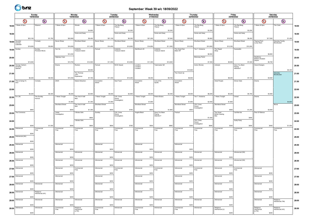

#### September: Week 39 w/c 18/09/2022

|       | Sunday<br>18/09/2022<br>$\odot$<br>$\bigcirc$<br>1 News At 6pm<br>Wipeout |          |                               |         |                        | Monday<br>19/09/2022 |                                |          |                      | Tuesday<br>20/09/2022 |                                      |          |                      | Wednesday<br>21/09/2022 |                                       |          |                      | 22/09/2022 | Thursday                        |                                           | Friday<br>23/09/2022 |                        |          |                                       | Saturday<br>24/09/2022 |                                |         |       |
|-------|---------------------------------------------------------------------------|----------|-------------------------------|---------|------------------------|----------------------|--------------------------------|----------|----------------------|-----------------------|--------------------------------------|----------|----------------------|-------------------------|---------------------------------------|----------|----------------------|------------|---------------------------------|-------------------------------------------|----------------------|------------------------|----------|---------------------------------------|------------------------|--------------------------------|---------|-------|
|       |                                                                           |          |                               |         | $\bigcirc$             |                      | $\bm{\mathsf{\odot}}$          |          | $\bigcirc$           |                       | $\bm{\mathsf{\odot}}$                |          | $\bigcirc$           |                         | $\bigcirc$                            |          | $\bigcirc$           |            | $\bm{\mathsf{\odot}}$           | $\bigcirc$                                |                      | $\odot$                |          | $\bigcirc$                            |                        | $\odot$                        |         |       |
| 18:00 |                                                                           |          |                               |         | 1 News At 6pm          |                      | Ghosts                         |          | 1 News At 6pm        |                       | The Big Bang<br>Theory               |          | 1 News At 6pm        |                         | The Big Bang<br>Theory                |          | 1 News At 6pm        |            | The Big Bang<br>Theory          | 1 News At 6pm                             |                      | The Big Bang<br>Theory |          | 1 News At 6pm                         |                        | The Cube                       |         | 18:00 |
| 18:30 |                                                                           |          |                               |         |                        |                      | Home and Away                  | \$4,800  |                      |                       | Home and Away                        | \$3,200  |                      |                         | Home and Away                         | \$3,200  |                      |            | \$3,200<br>Home and Away        |                                           |                      | Home and Away          | \$3,200  |                                       |                        |                                |         | 18:30 |
|       |                                                                           | \$23,100 |                               | \$1,750 |                        | \$22,900             |                                | \$6,400  |                      | \$21,100              |                                      | \$6,350  |                      | \$21,200                |                                       | \$7,000  |                      | \$20,200   | \$5,800                         |                                           | \$19,750             |                        | \$6,450  |                                       | \$17,500               |                                | \$1,400 |       |
|       | 19:00 Nyundai<br>Country                                                  |          | Comedy                        |         | Seven Sharp            |                      | Shortland Street               |          | Seven Sharp          |                       | Shortland Street                     |          | Seven Sharp          |                         | Shortland Street                      |          | Seven Sharp          |            | Shortland Street                | Seven Sharp                               |                      | Shortland Street       |          | Tipping Point<br>Lucky Stars          |                        | Saturday Family<br>Blockbuster |         | 19:00 |
|       | Calendar<br>Sunday                                                        | \$19,950 | Sunday                        | \$5,800 | Fair Go                | \$16,000             | Celebrity                      | \$11,450 | Factual              | \$14,450              | Celebrity                            | \$10,650 | StarStruck UK        | \$14,850                | Celebrity                             | \$11,950 | The Great Kiwi       | \$13,550   | \$10,900<br>Ten 7: Aotearoa     | The Repair                                | \$12,350             | Guessable              | \$10,200 |                                       |                        |                                |         |       |
| 19:30 |                                                                           |          | Premiere Movie                |         |                        | \$12,250             | Treasure Island                |          |                      |                       | Treasure Island                      |          |                      |                         | Treasure Island                       |          | Bake Off             |            | \$8,950                         | Shop                                      |                      |                        |          |                                       | \$8,850                |                                |         | 19:30 |
| 20:00 |                                                                           |          |                               |         | Highway Cops           |                      |                                |          |                      |                       |                                      |          |                      |                         |                                       |          |                      |            | Motorway Patrol                 |                                           |                      |                        |          | Heathrow:<br><b>Britain's Busiest</b> |                        |                                |         | 20:00 |
|       | George Clarke's                                                           | \$13,650 |                               |         | Drama                  | \$10,750             | Renters                        | \$14,500 | Factual              | \$11,550              | NCIS Hawaii                          | \$12,950 | Location,            | \$11,300                | Taskmaster NZ                         | \$14,600 |                      |            | \$7,350<br><b>Action Movies</b> | Lifestyle                                 | \$9,900              | Have You Been          | \$7,400  | Airport<br><b>Grand Designs</b>       | \$5,700                |                                |         |       |
| 20:30 | Amazing<br>Spaces                                                         |          |                               |         |                        |                      |                                | \$9,950  |                      |                       |                                      |          | Location<br>Location |                         |                                       |          |                      | \$10,600   |                                 |                                           |                      | Paying<br>Attention?   |          |                                       |                        |                                | \$5,300 | 20:30 |
| 21:00 |                                                                           |          |                               |         |                        |                      | The Thomas<br>John             |          |                      |                       |                                      |          |                      |                         |                                       |          | The Check Up         |            |                                 |                                           |                      |                        |          |                                       |                        | Saturday<br>Blockbuster        |         | 21:00 |
|       |                                                                           | \$6,200  | Comedy                        | \$6,550 | 20/20                  | \$10,350             | Experience<br>Naked Attraction | \$7,700  |                      | \$11,550              | Seal Team                            | \$10,200 |                      | \$9,450                 |                                       | \$9,700  |                      | \$6,650    |                                 | Hotel People                              | \$8,250              | Dinner Date            | \$7,100  | Drama                                 | \$4,600                |                                |         |       |
|       | $21:30$ This Is Going To<br>Hurt                                          |          |                               |         |                        |                      |                                |          | Coronation<br>Street |                       |                                      |          | Coronation<br>Street |                         | Live at the<br>Apollo                 |          | Coronation<br>Street |            |                                 |                                           |                      |                        |          |                                       |                        |                                |         | 21:30 |
| 22:00 |                                                                           |          |                               |         |                        |                      |                                |          |                      |                       |                                      |          |                      |                         |                                       |          |                      |            |                                 |                                           |                      |                        |          |                                       |                        |                                |         | 22:00 |
|       |                                                                           | \$4,200  |                               | \$6,300 |                        | \$5,200              |                                | \$3,900  |                      | \$5,500               |                                      | \$2,600  |                      | \$5,500                 |                                       | \$4,300  |                      | \$5,500    | \$8,200                         |                                           | \$5,250              |                        | \$5,750  |                                       | \$3,900                |                                |         |       |
| 22:30 | For Life                                                                  |          | The Sunday<br>Horrors         |         | 1 News Tonight         |                      | Two And A Half                 |          | 1 News Tonight       |                       | CSI: Crime<br>Scene<br>nvestigation  |          | 1 News Tonight       |                         | Patriot Brains                        |          | 1 News Tonight       |            | Ten 7: Aotearoa                 | 1 News Tonight                            |                      | Unreal                 |          | Drama                                 |                        |                                |         | 22:30 |
| 23:00 |                                                                           |          |                               |         | Shortland Street       | \$1,850              | Two And A Half                 | \$1,350  | Shortland Street     | \$1,850               |                                      |          | Shortland Street     | \$1,850                 |                                       |          | Shortland Street     | \$1,850    | \$2,550<br>CSI: Crime<br>Scene  | Shortland Street                          | \$1,850              |                        |          |                                       |                        | Movie                          | \$4,800 | 23:00 |
|       |                                                                           | \$850    |                               |         |                        | \$550                |                                | \$1,350  |                      | \$550                 |                                      | \$750    |                      | \$550                   |                                       | \$1,850  |                      | \$550      | Investigation                   |                                           | \$550                |                        | \$1,250  |                                       | \$3,900                |                                |         |       |
| 23:30 | The Commons                                                               |          |                               |         | Under<br>Investigation |                      | 2 Broke Girls                  |          | Sunday               |                       | CSI: Crime<br>Scene<br>Investigation |          | Angela Black         |                         | Have You Been<br>Paying<br>Attention? |          | Factual              |            |                                 | The Great<br><b>British Sewing</b><br>Bee |                      | Call Me Kat            |          | Pact Of Silence                       |                        |                                |         | 23:30 |
| 24:00 |                                                                           |          |                               |         |                        |                      | 2 Broke Girls                  | \$600    |                      |                       |                                      |          |                      |                         |                                       |          |                      |            | \$1,500<br>CSI: Crime<br>Scene  |                                           |                      | <b>Guilty Party</b>    | \$400    |                                       |                        |                                |         | 24:00 |
|       |                                                                           | \$250    |                               | \$1,550 |                        | \$500                |                                | \$600    |                      | \$650                 |                                      | \$750    |                      | \$550                   |                                       | \$850    |                      | \$300      | Investigation                   | \$600                                     | \$300                |                        | \$400    |                                       | \$450                  |                                | \$1,550 |       |
| 24:30 | Infomercial                                                               |          | Commercial<br>Free            |         | Commercial<br>Free     |                      | Commercial<br>Free             |          | Commercial<br>Free   |                       | Commercial<br>Free                   |          | Commercial<br>Free   |                         | Commercial<br>Free                    |          | Commercial<br>Free   |            | Commercial<br>Free              | Commercial<br>Free                        |                      | Commercia<br>Free      |          | Commercial<br>Free                    |                        | Commercial<br>Free             |         | 24:30 |
| 25:00 | Infomercial (AH)                                                          | \$250    |                               |         |                        |                      |                                |          |                      |                       |                                      |          |                      |                         |                                       |          |                      |            |                                 |                                           |                      |                        |          |                                       |                        |                                |         | 25:00 |
|       |                                                                           | \$250    |                               |         |                        |                      |                                |          |                      |                       |                                      |          |                      |                         |                                       |          |                      |            |                                 |                                           |                      |                        |          |                                       |                        |                                |         |       |
| 25:30 | Infomercial                                                               |          |                               |         | Infomercial            |                      |                                |          | Infomercial          |                       |                                      |          | Infomercial          |                         |                                       |          | Infomercial          |            |                                 |                                           |                      |                        |          |                                       |                        |                                |         | 25:30 |
| 26:00 | Infomercial                                                               | \$250    |                               |         | Infomercial            | \$250                | Infomercial                    |          | Infomercial          | \$250                 | Infomercial                          |          | Infomercial          | \$250                   | Infomercial                           |          | Infomercial          | \$250      | Infomercial                     | Infomercial                               |                      | Infomercial (GS)       |          |                                       |                        |                                |         | 26:00 |
|       |                                                                           | \$250    |                               |         |                        | \$250                |                                |          |                      | \$250                 |                                      |          |                      | \$250                   |                                       |          |                      | \$250      |                                 |                                           | \$250                |                        |          |                                       |                        |                                |         |       |
| 26:30 | Infomercial                                                               |          |                               |         | Infomercial            |                      | Infomercial                    |          | Infomercial          |                       | Infomercial                          |          | Infomercial          |                         | Infomercial                           |          | Infomercial          |            | Infomercial                     | Infomercial                               |                      | Infomercial (GS)       |          |                                       |                        |                                |         | 26:30 |
|       | $27:00$   Informercial                                                    | \$250    |                               |         | Infomercial            | \$250                | Commercial                     |          | Infomercial          | \$250                 | Commercial                           |          | Infomercial          | \$250                   | Commercial                            |          | Infomercial          | \$250      | Commercial                      | Infomercial                               | \$250                | Commercia              |          | Infomercial                           |                        |                                |         | 27:00 |
|       |                                                                           | \$250    |                               |         |                        | \$250                | Free                           |          |                      | \$250                 | Free                                 |          |                      | \$250                   | Free                                  |          |                      | \$250      | Free                            |                                           | $$250$               | Free                   |          |                                       | \$250                  |                                |         |       |
| 27:30 | Infomercial                                                               |          |                               |         | Infomercial            |                      |                                |          | Infomercial          |                       |                                      |          | Infomercial          |                         |                                       |          | Infomercial          |            |                                 | Infomercial                               |                      |                        |          | Infomercial                           |                        |                                |         | 27:30 |
|       | 28:00   Infomercial                                                       | \$250    | Infomercial                   |         | Infomercial            | \$250                |                                |          | Infomercial          | \$250                 |                                      |          | Infomercial          | \$250                   |                                       |          | Infomercial          | \$250      |                                 | Infomercial                               | \$250                |                        |          | Infomercial                           | \$250                  |                                |         | 28:00 |
|       |                                                                           | \$250    |                               |         |                        | \$250                |                                |          |                      | \$250                 |                                      |          |                      | \$250                   |                                       |          |                      | \$250      |                                 |                                           | \$250                |                        |          |                                       | \$250                  |                                |         |       |
| 28:30 | Infomercial                                                               |          | Religious<br>Infomercial (HC) |         | Infomercial            |                      |                                |          | Infomercial          |                       |                                      |          | Infomercial          |                         |                                       |          | Infomercial          |            |                                 | Infomercial                               |                      |                        |          | Infomercial                           |                        |                                |         | 28:30 |
|       | $29:00$ Infomercial                                                       | \$250    | Infomercial                   |         | Infomercial            | \$250                | Infomercial                    |          | Infomercial          | \$250                 | Infomercial                          |          | Infomercial          | \$250                   | Infomercial                           |          | Infomercial          | \$250      | Infomercial                     | Infomercial                               | \$250                |                        |          | Infomercial                           | \$250                  |                                |         | 29:00 |
|       |                                                                           | \$250    |                               |         |                        | \$250                |                                |          |                      | \$250                 |                                      |          |                      | \$250                   |                                       |          |                      | \$250      |                                 |                                           | \$250                |                        |          |                                       | \$250                  | Religious<br>Infomercial (TM)  |         |       |
|       | $29:30$   Informercial                                                    |          | Infomercial                   |         | Commercial<br>Free     |                      | Religious<br>Infomercial       |          | Commercial<br>Free   |                       | Infomercial                          |          | Commercia<br>Free    |                         | Infomercial                           |          | Commercial<br>Free   |            | Infomercial                     | Religious<br>Infomercial (IJ)             |                      |                        |          | Religious<br>Infomercial              |                        | Religious<br>Infomercial (HC)  |         | 29:30 |
|       |                                                                           | \$250    |                               |         |                        |                      | (LTW)                          |          |                      |                       |                                      |          |                      |                         |                                       |          |                      |            |                                 |                                           | \$250                |                        |          | (LTW)                                 | \$250                  |                                |         |       |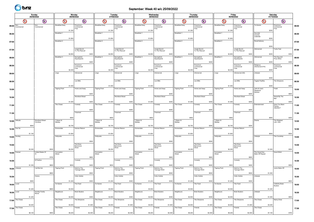

## September: Week 40 w/c 25/09/2022

|                | Sunday<br>25/09/2022<br>$\odot$<br>$\bm{\mathsf{O}}$<br>06:00 $\frac{Non}{Con}$<br>Non<br>Commercial<br>Commercial |         |                               |        |                                   | Monday<br>26/09/2022 |                                 |                |                        | Tuesday<br>27/09/2022 |                                 |                |                        | Wednesday<br>28/09/2022 |                                 |                |                        | Thursday<br>29/09/2022 |                                 |                |                        | Friday<br>30/09/2022 |                                 |                |                                          | Saturday<br>01/10/2022 |                                 |       |                |
|----------------|--------------------------------------------------------------------------------------------------------------------|---------|-------------------------------|--------|-----------------------------------|----------------------|---------------------------------|----------------|------------------------|-----------------------|---------------------------------|----------------|------------------------|-------------------------|---------------------------------|----------------|------------------------|------------------------|---------------------------------|----------------|------------------------|----------------------|---------------------------------|----------------|------------------------------------------|------------------------|---------------------------------|-------|----------------|
|                |                                                                                                                    |         |                               |        | $\bigcirc$                        |                      | $\odot$                         |                | $\bullet$              |                       | $\odot$                         |                | $\mathbf  \Omega$      |                         | $\odot$                         |                | $\bigcirc$             |                        | $\odot$                         |                | $\bm{\mathsf{O}}$      |                      | $\odot$                         |                | $\bigcirc$                               |                        | $\odot$                         |       |                |
|                |                                                                                                                    |         |                               |        | <b>Breakfast Early</b><br>\$1,300 |                      | Preschool<br>Commercial<br>Free |                | <b>Breakfast Early</b> | \$1,300               | Preschool<br>Commercial<br>Free |                | <b>Breakfast Early</b> | \$1,300                 | Preschool<br>Commercial<br>Free |                | <b>Breakfast Early</b> | \$1,300                | Preschool<br>Commercial<br>Free |                | <b>Breakfast Early</b> | \$1,300              | Preschool<br>Commercial<br>Free |                | Te Karere                                | \$250                  | Preschool<br>Commercial<br>Free |       | 06:00          |
| 06:30          |                                                                                                                    |         |                               |        | Breakfast 1<br>\$1,850            |                      |                                 |                | Breakfast 1            | \$1,850               |                                 |                | Breakfast 1            | \$1,850                 |                                 |                | Breakfast 1            | \$1,850                |                                 |                | Breakfast 1            | \$1,850              |                                 |                | Hyundai<br>Country<br>Calendar           | \$250                  |                                 |       | 06:30          |
| 07:00          |                                                                                                                    |         |                               |        | Breakfast 2                       |                      |                                 |                | Breakfast 2            |                       |                                 |                | Breakfast 2            |                         |                                 |                | Breakfast 2            |                        |                                 |                | Breakfast 2            |                      |                                 |                | <b>Rural Delivery</b>                    | \$250                  |                                 |       | 07:00          |
| 07:30          |                                                                                                                    |         |                               |        | \$2,850                           |                      | Jungle Bunch<br>To The Rescue!  | \$400          |                        | \$2,850               | Jungle Bunch<br>To The Rescue!  | \$400          |                        | \$2,850                 | Jungle Bunch<br>To The Rescue!  | \$400          |                        | \$2,850                | Jungle Bunch<br>To The Rescue!  | \$400          |                        | \$2,850              | Jungle Bunch<br>To The Rescue!  | \$400          | Infomercial                              | \$250                  | Turbo Fast                      | \$350 | 07:30          |
| 08:00          |                                                                                                                    |         |                               |        | Breakfast 3                       |                      | Spongebob<br>Squarepants        | \$400          | Breakfast 3            |                       | Spongebob<br>Squarepants        | \$400          | Breakfast 3            |                         | Spongebob<br>Squarepants        | \$400          | Breakfast 3            |                        | Spongebob<br>Squarepants        | \$400          | Breakfast 3            |                      | Spongebob<br>Squarepants        | \$400          | Infomercial                              | \$250                  | The Dog and<br>Pony Show        | \$350 | 08:00          |
| 08:30          |                                                                                                                    |         |                               |        | \$2,450                           |                      | Preschool<br>Commercia<br>Free  |                |                        | \$2,450               | Preschool<br>Commercial<br>Free |                |                        | \$2,450                 | Preschool<br>Commercial<br>Free |                |                        | \$2,450                | Preschool<br>Commercial<br>Free |                |                        | \$2,450              | Preschool<br>Commercia<br>Free  |                | Religious<br>Infomercial (FIA)           | \$250                  | Preschool<br>Commercial<br>Free |       | 08:30          |
| 09:00          |                                                                                                                    |         |                               | Lingo  |                                   |                      | Infomercial<br>Les Mills        |                | Lingo                  |                       | Infomercial<br>Les Mills        |                | Lingo                  |                         | Infomercial<br>Les Mills        |                | Lingo                  |                        | Infomercial<br>Les Mills        |                | Lingo                  |                      | Infomercial (GS)<br>Les Mills   |                | Lifestyle<br>Tagata Pasifika             | \$300                  | The Simpsons                    |       | 09:00          |
| 09:30          |                                                                                                                    |         |                               |        | \$1,050<br><b>Tipping Point</b>   |                      | Home and Away                   |                | <b>Tipping Point</b>   | \$1,050               | Home and Away                   |                | <b>Tipping Point</b>   | \$1,050                 | Home and Away                   |                | <b>Tipping Point</b>   | \$1,050                | Home and Away                   |                | <b>Tipping Point</b>   | \$1,050              | Home and Away                   |                | John & Lisa's                            | \$300                  | Fresh                           | \$450 | 09:30<br>10:00 |
| 10:00<br>10:30 |                                                                                                                    |         |                               |        |                                   |                      | Shortland Street                | \$250          |                        |                       | Shortland Street                | \$250          |                        |                         | Shortland Street                | \$250          |                        |                        | Shortland Street                | \$250          |                        |                      | Shortland Street                | \$250          | Weekend<br>Kitchen                       |                        | Saved By The                    | \$650 | 10:30          |
| 11:00          |                                                                                                                    |         |                               |        | \$1,000<br>The Chase              |                      | Comedy                          | \$250          | The Chase              | \$1,000               | Comedy                          | \$250          | The Chase              | \$1,000                 | Comedy                          | \$250          | The Chase              | \$1,000                | Comedy                          | \$250          | The Chase              | \$1,000              | Comedy                          | \$250          | Entertainment                            | \$450                  | Bell<br>Have You Been           | \$400 | 11:00          |
| 11:30          |                                                                                                                    |         |                               |        |                                   |                      | Charmed                         | \$250          |                        |                       | Charmed                         | \$250          |                        |                         | Charmed                         | \$250          |                        |                        | Chamed                          | \$250          |                        |                      | Charmed                         | \$250          |                                          |                        | Paying<br>Attention?            |       | 11:30          |
|                | 12:00 Attitude                                                                                                     |         | Shortland Street<br>Omnibus   | Midday | 1 News At                         | \$950                |                                 |                | 1 News At<br>Midday    | \$950                 |                                 |                | 1 News At<br>Midday    | \$950                   |                                 |                | 1 News At<br>Midday    | \$950                  |                                 |                | 1 News At<br>Midday    | \$950                |                                 |                | Drama                                    | \$600                  | The Weakest<br>Link: USA        | \$400 | 12:00          |
|                | 12:30 Fair Go                                                                                                      | \$600   |                               |        | \$2,700<br>Emmerdale              |                      | Heroes Reborn                   | \$250          | Emmerdale              | \$2,700               | Heroes Reborn                   | \$250          | Emmerdale              | \$2,700                 | Heroes Reborn                   | \$250          | Emmerdale              | \$2,700                | Heroes Reborn                   | \$250          | Emmerdale              | \$2,700              | Heroes Rebom                    | \$250          |                                          |                        |                                 |       | 12:30          |
|                | 13:00 Sunday                                                                                                       | \$1,150 |                               |        | \$1,650<br>Hollyoaks              |                      |                                 |                | Hollyoaks              | \$1,650               |                                 |                | Hollyoaks              | \$1,650                 |                                 |                | Hollyoaks              | \$1,650                |                                 |                | Hollyoaks              | \$1,650              |                                 |                | Lifestyle                                | \$650                  | The Courtship                   | \$550 | 13:00          |
| 13:30          |                                                                                                                    |         |                               |        |                                   |                      | The Drew<br>Barrymore<br>Show   | \$500          |                        |                       | The Drew<br>Barrymore<br>Show   | \$500          |                        |                         | The Drew<br>Barrymore<br>Show   | \$500          |                        |                        | The Drew<br>Barrymore<br>Show   | \$500          |                        |                      | The Drew<br>Barrymore<br>Show   | \$500          |                                          |                        |                                 |       | 13:30          |
|                | 14:00 Factual                                                                                                      | \$3,300 | \$500<br>United States Of     | Street | \$2,250<br>Coronation             |                      |                                 |                | Coronation<br>Street   | \$2,250               |                                 |                | Coronation<br>Street   | \$2,250                 |                                 |                | Coronation<br>Street   | \$2,250                |                                 |                | Coronation<br>Street   | \$2,250              |                                 |                | The Great Kiwi<br><b>Bake Off Repeat</b> | \$1,000                | Good Witch                      | \$550 | 14:00          |
| 14:30          |                                                                                                                    | \$1,350 | \$700<br><b>B</b> Positive    |        |                                   |                      | Comedy                          | \$800<br>\$400 |                        |                       | Comedy                          | \$800          |                        | \$650                   | Comedy                          | \$800          |                        |                        | Comedy                          | \$800          |                        | \$650                | Comedy                          | \$800          |                                          |                        |                                 |       | 14:30          |
|                | 15:00 Lifestyle                                                                                                    |         | \$800<br>Call Me Kat<br>\$800 |        | <b>Tipping Point</b>              | \$650                | Sabrina The<br>Teenage Witch    | \$500          | <b>Tipping Point</b>   | \$650                 | Sabrina The<br>Teenage Witch    | \$400<br>\$500 | <b>Tipping Point</b>   |                         | Sabrina The<br>Teenage Witch    | \$400<br>\$500 | <b>Tipping Point</b>   | \$650                  | Sabrina The<br>Teenage Witch    | \$400<br>\$500 | <b>Tipping Point</b>   |                      | Sabrina The<br>Teenage Witch    | \$400<br>\$500 |                                          | \$1,050                | Junior Bake Off                 | \$550 | 15:00          |
| 15:30          |                                                                                                                    | \$900   | Drama                         |        |                                   | \$1,200              | Holly Hobbie                    | \$300          |                        | \$1,200               | Holly Hobbie                    | \$300          |                        | \$1,200                 | <b>Holly Hobbie</b>             | \$300          |                        | \$1,200                | <b>Holly Hobbie</b>             | \$300          |                        | \$1,200              | <b>Holly Hobbie</b>             | \$300          | Lifestyle                                |                        |                                 | \$600 | 15:30          |
| $16:00$ Local  |                                                                                                                    | \$1,200 | \$800                         |        | Te Karere<br>\$3,550              |                      | The Feed                        |                | Te Karere              | \$3,550               | The Feed                        |                | Te Karere              | \$3,550                 | The Feed                        |                | Te Karere              | \$3,550                | The Feed                        |                | Te Karere              | \$3,550              | The Feed                        |                |                                          | \$1,200                | Celebrity Brain<br>Busters      |       | 16:00          |
| $16:30$ Local  |                                                                                                                    | \$1,200 | Sunday Family<br>Movie        |        | Neighbours                        | \$2,650              | <b>Brain Busters</b>            | \$300          | Neighbours             | \$2,650               | <b>Brain Busters</b>            | \$300          | Neighbours             | \$2,650                 | <b>Brain Busters</b>            | \$300          | Neighbours             | \$2,650                | <b>Brain Busters</b>            | \$300          | Neighbours             | \$2,650              | <b>Brain Busters</b>            | \$300          | Lifestyle                                | \$1,000                |                                 | \$650 | 16:30          |
|                | 17:00 The Chase                                                                                                    | \$3,400 |                               |        | The Chase<br>\$4,650              |                      | The Simpsons                    | \$1,600        | The Chase              | \$4,650               | The Simpsons                    | \$1,600        | The Chase              | \$4,650                 | The Simpsons                    | \$1,600        | The Chase              | \$4,650                | The Simpsons                    | \$1,600        | The Chase              | \$4,650              | The Simpsons                    | \$1,600        | The Chase                                | \$3,400                | Nancy Drew                      |       | 17:00          |
|                | 17:30 The Chase                                                                                                    | \$8,100 | \$950                         |        | The Chase                         | \$9,200              | Friends                         | \$2,000        | The Chase              | \$9,200               | Friends                         | \$2,000        | The Chase              | \$9,200                 | Friends                         | \$2,000        | The Chase              | \$9,200                | Friends                         | \$2,000        | The Chase              | \$9,200              | Friends                         | \$2,000        | The Chase                                | \$7,150                |                                 | \$750 | 17:30          |